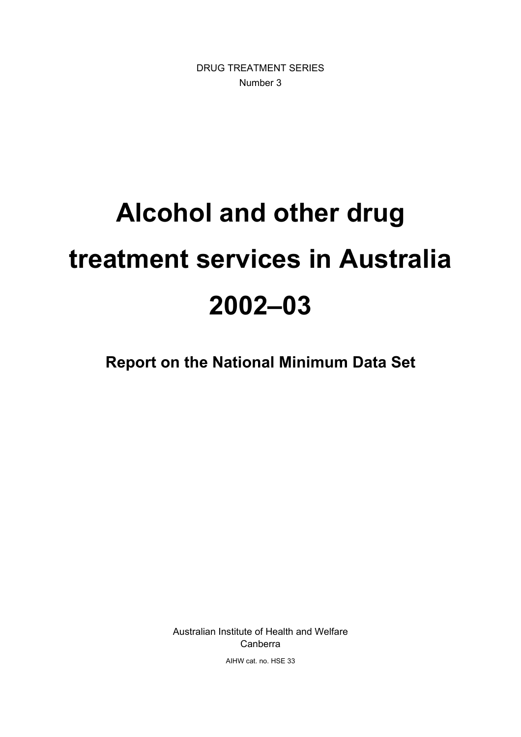DRUG TREATMENT SERIES Number 3

# **Alcohol and other drug treatment services in Australia 2002–03**

**Report on the National Minimum Data Set** 

Australian Institute of Health and Welfare Canberra

AIHW cat. no. HSE 33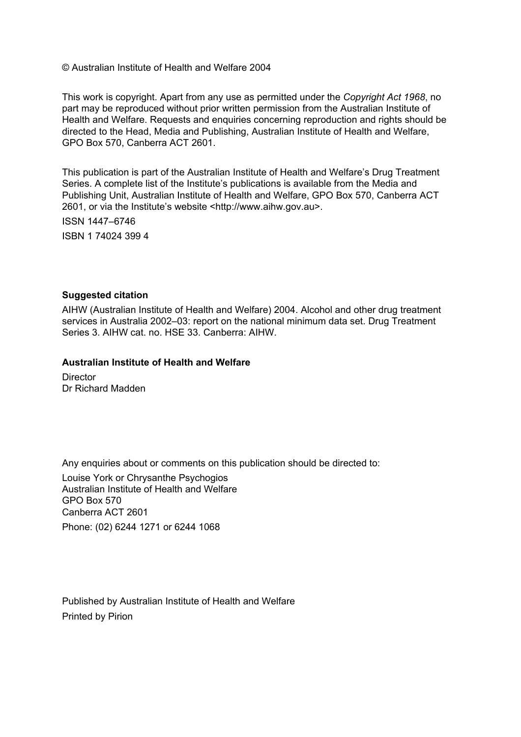© Australian Institute of Health and Welfare 2004

This work is copyright. Apart from any use as permitted under the *Copyright Act 1968*, no part may be reproduced without prior written permission from the Australian Institute of Health and Welfare. Requests and enquiries concerning reproduction and rights should be directed to the Head, Media and Publishing, Australian Institute of Health and Welfare, GPO Box 570, Canberra ACT 2601.

This publication is part of the Australian Institute of Health and Welfare's Drug Treatment Series. A complete list of the Institute's publications is available from the Media and Publishing Unit, Australian Institute of Health and Welfare, GPO Box 570, Canberra ACT 2601, or via the Institute's website <http://www.aihw.gov.au>.

ISSN 1447–6746 ISBN 1 74024 399 4

#### **Suggested citation**

AIHW (Australian Institute of Health and Welfare) 2004. Alcohol and other drug treatment services in Australia 2002–03: report on the national minimum data set. Drug Treatment Series 3. AIHW cat. no. HSE 33. Canberra: AIHW.

#### **Australian Institute of Health and Welfare**

**Director** Dr Richard Madden

Any enquiries about or comments on this publication should be directed to:

Louise York or Chrysanthe Psychogios Australian Institute of Health and Welfare GPO Box 570 Canberra ACT 2601 Phone: (02) 6244 1271 or 6244 1068

Published by Australian Institute of Health and Welfare Printed by Pirion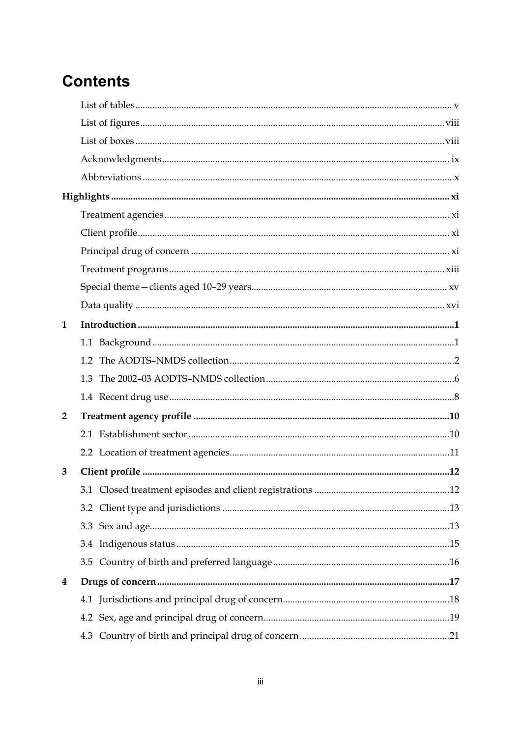### **Contents**

| 1              |     |  |
|----------------|-----|--|
|                |     |  |
|                |     |  |
|                | 1.3 |  |
|                |     |  |
| $\overline{2}$ |     |  |
|                |     |  |
|                |     |  |
| 3              |     |  |
|                |     |  |
|                |     |  |
|                |     |  |
|                |     |  |
|                |     |  |
| 4              |     |  |
|                |     |  |
|                |     |  |
|                |     |  |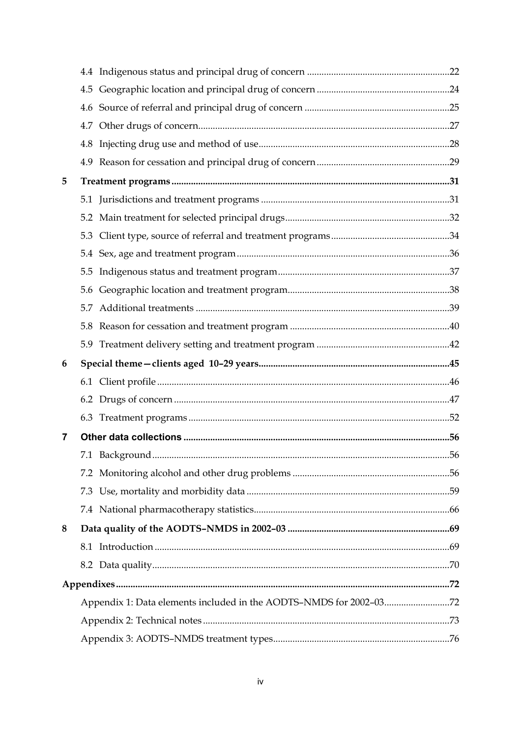| 5 |     |  |
|---|-----|--|
|   |     |  |
|   |     |  |
|   | 5.3 |  |
|   |     |  |
|   | 5.5 |  |
|   | 5.6 |  |
|   | 5.7 |  |
|   |     |  |
|   |     |  |
|   |     |  |
| 6 |     |  |
|   |     |  |
|   |     |  |
|   |     |  |
| 7 |     |  |
|   |     |  |
|   |     |  |
|   |     |  |
|   |     |  |
| 8 |     |  |
|   |     |  |
|   |     |  |
|   |     |  |
|   |     |  |
|   |     |  |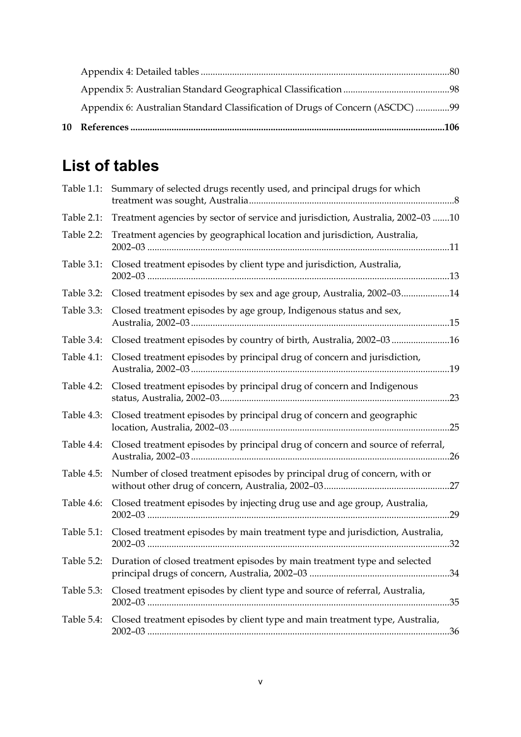| Appendix 6: Australian Standard Classification of Drugs of Concern (ASCDC) 99 |  |
|-------------------------------------------------------------------------------|--|
|                                                                               |  |
|                                                                               |  |

### **List of tables**

| Table 1.1: | Summary of selected drugs recently used, and principal drugs for which               |
|------------|--------------------------------------------------------------------------------------|
| Table 2.1: | Treatment agencies by sector of service and jurisdiction, Australia, 2002-03 10      |
| Table 2.2: | Treatment agencies by geographical location and jurisdiction, Australia,             |
| Table 3.1: | Closed treatment episodes by client type and jurisdiction, Australia,                |
| Table 3.2: | Closed treatment episodes by sex and age group, Australia, 2002-0314                 |
| Table 3.3: | Closed treatment episodes by age group, Indigenous status and sex,                   |
| Table 3.4: | Closed treatment episodes by country of birth, Australia, 2002-0316                  |
| Table 4.1: | Closed treatment episodes by principal drug of concern and jurisdiction,             |
| Table 4.2: | Closed treatment episodes by principal drug of concern and Indigenous                |
| Table 4.3: | Closed treatment episodes by principal drug of concern and geographic                |
| Table 4.4: | Closed treatment episodes by principal drug of concern and source of referral,<br>26 |
| Table 4.5: | Number of closed treatment episodes by principal drug of concern, with or            |
| Table 4.6: | Closed treatment episodes by injecting drug use and age group, Australia,            |
| Table 5.1: | Closed treatment episodes by main treatment type and jurisdiction, Australia,        |
| Table 5.2: | Duration of closed treatment episodes by main treatment type and selected            |
| Table 5.3: | Closed treatment episodes by client type and source of referral, Australia,          |
| Table 5.4: | Closed treatment episodes by client type and main treatment type, Australia,         |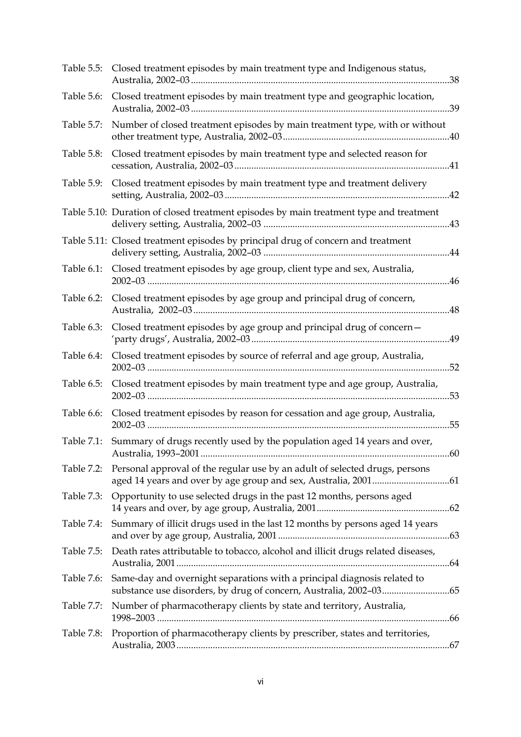| Table 5.5: | Closed treatment episodes by main treatment type and Indigenous status,                |
|------------|----------------------------------------------------------------------------------------|
| Table 5.6: | Closed treatment episodes by main treatment type and geographic location,              |
| Table 5.7: | Number of closed treatment episodes by main treatment type, with or without            |
| Table 5.8: | Closed treatment episodes by main treatment type and selected reason for               |
| Table 5.9: | Closed treatment episodes by main treatment type and treatment delivery                |
|            | Table 5.10: Duration of closed treatment episodes by main treatment type and treatment |
|            | Table 5.11: Closed treatment episodes by principal drug of concern and treatment       |
| Table 6.1: | Closed treatment episodes by age group, client type and sex, Australia,                |
| Table 6.2: | Closed treatment episodes by age group and principal drug of concern,                  |
| Table 6.3: | Closed treatment episodes by age group and principal drug of concern-                  |
| Table 6.4: | Closed treatment episodes by source of referral and age group, Australia,              |
| Table 6.5: | Closed treatment episodes by main treatment type and age group, Australia,             |
| Table 6.6: | Closed treatment episodes by reason for cessation and age group, Australia,            |
| Table 7.1: | Summary of drugs recently used by the population aged 14 years and over,               |
| Table 7.2: | Personal approval of the regular use by an adult of selected drugs, persons            |
| Table 7.3: | Opportunity to use selected drugs in the past 12 months, persons aged                  |
| Table 7.4: | Summary of illicit drugs used in the last 12 months by persons aged 14 years           |
| Table 7.5: | Death rates attributable to tobacco, alcohol and illicit drugs related diseases,       |
| Table 7.6: | Same-day and overnight separations with a principal diagnosis related to               |
| Table 7.7: | Number of pharmacotherapy clients by state and territory, Australia,                   |
| Table 7.8: | Proportion of pharmacotherapy clients by prescriber, states and territories,           |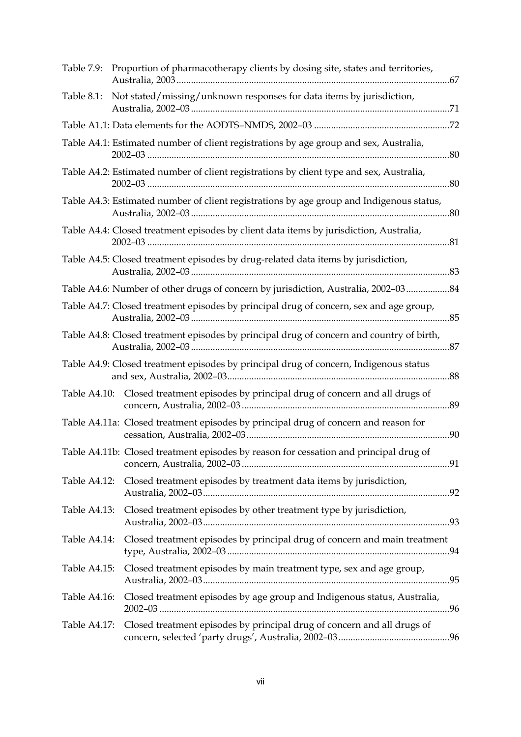| Table 7.9:   | Proportion of pharmacotherapy clients by dosing site, states and territories,            |
|--------------|------------------------------------------------------------------------------------------|
| Table 8.1:   | Not stated/missing/unknown responses for data items by jurisdiction,                     |
|              |                                                                                          |
|              | Table A4.1: Estimated number of client registrations by age group and sex, Australia,    |
|              | Table A4.2: Estimated number of client registrations by client type and sex, Australia,  |
|              | Table A4.3: Estimated number of client registrations by age group and Indigenous status, |
|              | Table A4.4: Closed treatment episodes by client data items by jurisdiction, Australia,   |
|              | Table A4.5: Closed treatment episodes by drug-related data items by jurisdiction,        |
|              | Table A4.6: Number of other drugs of concern by jurisdiction, Australia, 2002-0384       |
|              | Table A4.7: Closed treatment episodes by principal drug of concern, sex and age group,   |
|              | Table A4.8: Closed treatment episodes by principal drug of concern and country of birth, |
|              | Table A4.9: Closed treatment episodes by principal drug of concern, Indigenous status    |
|              | Table A4.10: Closed treatment episodes by principal drug of concern and all drugs of     |
|              | Table A4.11a: Closed treatment episodes by principal drug of concern and reason for      |
|              | Table A4.11b: Closed treatment episodes by reason for cessation and principal drug of    |
|              | Table A4.12: Closed treatment episodes by treatment data items by jurisdiction,          |
| Table A4.13: | Closed treatment episodes by other treatment type by jurisdiction,                       |
| Table A4.14: | Closed treatment episodes by principal drug of concern and main treatment                |
| Table A4.15: | Closed treatment episodes by main treatment type, sex and age group,                     |
| Table A4.16: | Closed treatment episodes by age group and Indigenous status, Australia,                 |
| Table A4.17: | Closed treatment episodes by principal drug of concern and all drugs of                  |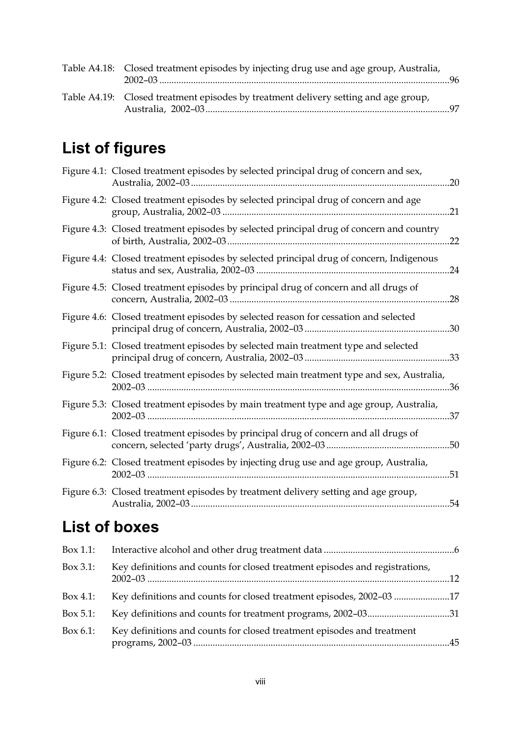| Table A4.18: Closed treatment episodes by injecting drug use and age group, Australia, |  |
|----------------------------------------------------------------------------------------|--|
| Table A4.19: Closed treatment episodes by treatment delivery setting and age group,    |  |

### **List of figures**

| Figure 4.1: Closed treatment episodes by selected principal drug of concern and sex,<br>.20      |  |
|--------------------------------------------------------------------------------------------------|--|
| Figure 4.2: Closed treatment episodes by selected principal drug of concern and age<br>21        |  |
| Figure 4.3: Closed treatment episodes by selected principal drug of concern and country<br>.22   |  |
| Figure 4.4: Closed treatment episodes by selected principal drug of concern, Indigenous<br>.24   |  |
| Figure 4.5: Closed treatment episodes by principal drug of concern and all drugs of<br>.28       |  |
| Figure 4.6: Closed treatment episodes by selected reason for cessation and selected              |  |
| Figure 5.1: Closed treatment episodes by selected main treatment type and selected               |  |
| Figure 5.2: Closed treatment episodes by selected main treatment type and sex, Australia,<br>.36 |  |
| Figure 5.3: Closed treatment episodes by main treatment type and age group, Australia,<br>.37    |  |
| Figure 6.1: Closed treatment episodes by principal drug of concern and all drugs of              |  |
| Figure 6.2: Closed treatment episodes by injecting drug use and age group, Australia,<br>.51     |  |
| Figure 6.3: Closed treatment episodes by treatment delivery setting and age group,<br>54         |  |

### **List of boxes**

| Box 1.1:     |                                                                             |  |
|--------------|-----------------------------------------------------------------------------|--|
| $Box\ 3.1$ : | Key definitions and counts for closed treatment episodes and registrations, |  |
| Box 4.1:     | Key definitions and counts for closed treatment episodes, 2002-03 17        |  |
| $Box 5.1$ :  | Key definitions and counts for treatment programs, 2002-0331                |  |
| Box $6.1$ :  | Key definitions and counts for closed treatment episodes and treatment      |  |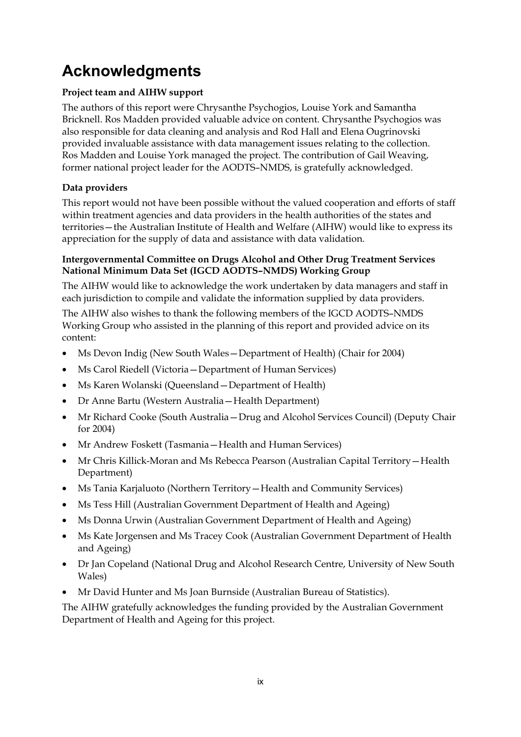### **Acknowledgments**

#### **Project team and AIHW support**

The authors of this report were Chrysanthe Psychogios, Louise York and Samantha Bricknell. Ros Madden provided valuable advice on content. Chrysanthe Psychogios was also responsible for data cleaning and analysis and Rod Hall and Elena Ougrinovski provided invaluable assistance with data management issues relating to the collection. Ros Madden and Louise York managed the project. The contribution of Gail Weaving, former national project leader for the AODTS–NMDS, is gratefully acknowledged.

#### **Data providers**

This report would not have been possible without the valued cooperation and efforts of staff within treatment agencies and data providers in the health authorities of the states and territories—the Australian Institute of Health and Welfare (AIHW) would like to express its appreciation for the supply of data and assistance with data validation.

#### **Intergovernmental Committee on Drugs Alcohol and Other Drug Treatment Services National Minimum Data Set (IGCD AODTS–NMDS) Working Group**

The AIHW would like to acknowledge the work undertaken by data managers and staff in each jurisdiction to compile and validate the information supplied by data providers.

The AIHW also wishes to thank the following members of the IGCD AODTS–NMDS Working Group who assisted in the planning of this report and provided advice on its content:

- Ms Devon Indig (New South Wales—Department of Health) (Chair for 2004)
- Ms Carol Riedell (Victoria—Department of Human Services)
- Ms Karen Wolanski (Queensland Department of Health)
- Dr Anne Bartu (Western Australia—Health Department)
- Mr Richard Cooke (South Australia—Drug and Alcohol Services Council) (Deputy Chair for 2004)
- Mr Andrew Foskett (Tasmania—Health and Human Services)
- Mr Chris Killick-Moran and Ms Rebecca Pearson (Australian Capital Territory—Health Department)
- Ms Tania Karjaluoto (Northern Territory—Health and Community Services)
- Ms Tess Hill (Australian Government Department of Health and Ageing)
- Ms Donna Urwin (Australian Government Department of Health and Ageing)
- Ms Kate Jorgensen and Ms Tracey Cook (Australian Government Department of Health and Ageing)
- Dr Jan Copeland (National Drug and Alcohol Research Centre, University of New South Wales)
- Mr David Hunter and Ms Joan Burnside (Australian Bureau of Statistics).

The AIHW gratefully acknowledges the funding provided by the Australian Government Department of Health and Ageing for this project.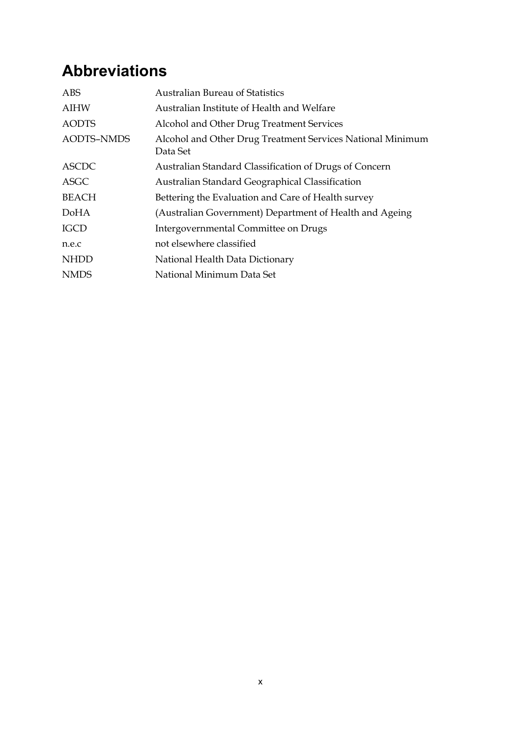### **Abbreviations**

| <b>AIHW</b><br>Australian Institute of Health and Welfare<br><b>AODTS</b><br>Alcohol and Other Drug Treatment Services |
|------------------------------------------------------------------------------------------------------------------------|
|                                                                                                                        |
|                                                                                                                        |
| <b>AODTS-NMDS</b><br>Alcohol and Other Drug Treatment Services National Minimum<br>Data Set                            |
| <b>ASCDC</b><br>Australian Standard Classification of Drugs of Concern                                                 |
| <b>ASGC</b><br>Australian Standard Geographical Classification                                                         |
| <b>BEACH</b><br>Bettering the Evaluation and Care of Health survey                                                     |
| (Australian Government) Department of Health and Ageing<br><b>DoHA</b>                                                 |
| <b>IGCD</b><br>Intergovernmental Committee on Drugs                                                                    |
| not elsewhere classified<br>n.e.c                                                                                      |
| <b>NHDD</b><br>National Health Data Dictionary                                                                         |
| National Minimum Data Set<br><b>NMDS</b>                                                                               |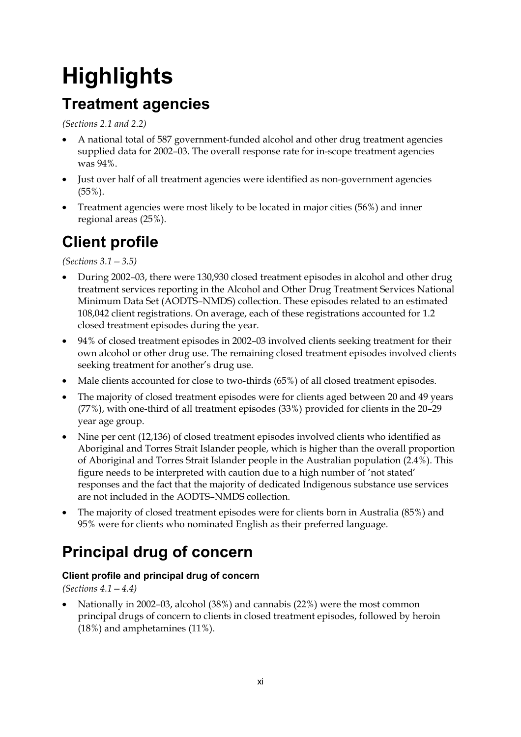# **Highlights**

### **Treatment agencies**

*(Sections 2.1 and 2.2)*

- A national total of 587 government-funded alcohol and other drug treatment agencies supplied data for 2002–03. The overall response rate for in-scope treatment agencies was 94%.
- Just over half of all treatment agencies were identified as non-government agencies  $(55\%)$ .
- Treatment agencies were most likely to be located in major cities (56%) and inner regional areas (25%).

### **Client profile**

*(Sections 3.1—3.5)* 

- During 2002–03, there were 130,930 closed treatment episodes in alcohol and other drug treatment services reporting in the Alcohol and Other Drug Treatment Services National Minimum Data Set (AODTS–NMDS) collection. These episodes related to an estimated 108,042 client registrations. On average, each of these registrations accounted for 1.2 closed treatment episodes during the year.
- 94% of closed treatment episodes in 2002–03 involved clients seeking treatment for their own alcohol or other drug use. The remaining closed treatment episodes involved clients seeking treatment for another's drug use.
- Male clients accounted for close to two-thirds (65%) of all closed treatment episodes.
- The majority of closed treatment episodes were for clients aged between 20 and 49 years (77%), with one-third of all treatment episodes (33%) provided for clients in the 20–29 year age group.
- Nine per cent (12,136) of closed treatment episodes involved clients who identified as Aboriginal and Torres Strait Islander people, which is higher than the overall proportion of Aboriginal and Torres Strait Islander people in the Australian population (2.4%). This figure needs to be interpreted with caution due to a high number of 'not stated' responses and the fact that the majority of dedicated Indigenous substance use services are not included in the AODTS–NMDS collection.
- The majority of closed treatment episodes were for clients born in Australia (85%) and 95% were for clients who nominated English as their preferred language.

### **Principal drug of concern**

#### **Client profile and principal drug of concern**

*(Sections 4.1—4.4)* 

• Nationally in 2002–03, alcohol (38%) and cannabis (22%) were the most common principal drugs of concern to clients in closed treatment episodes, followed by heroin (18%) and amphetamines (11%).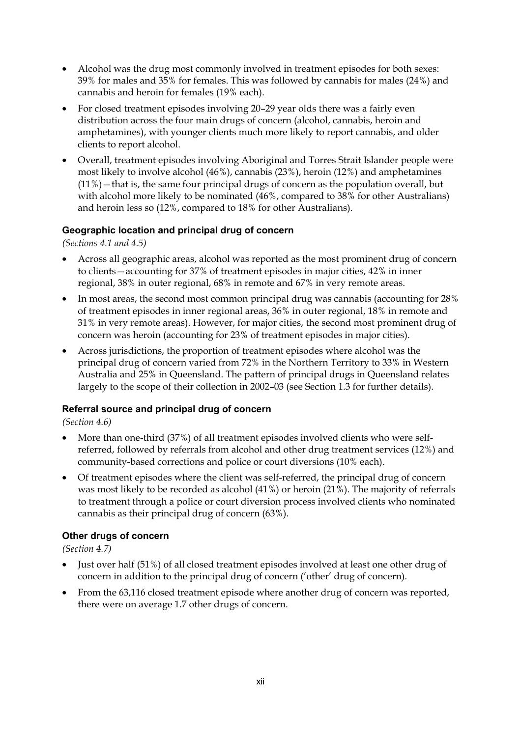- Alcohol was the drug most commonly involved in treatment episodes for both sexes: 39% for males and 35% for females. This was followed by cannabis for males (24%) and cannabis and heroin for females (19% each).
- For closed treatment episodes involving 20–29 year olds there was a fairly even distribution across the four main drugs of concern (alcohol, cannabis, heroin and amphetamines), with younger clients much more likely to report cannabis, and older clients to report alcohol.
- Overall, treatment episodes involving Aboriginal and Torres Strait Islander people were most likely to involve alcohol (46%), cannabis (23%), heroin (12%) and amphetamines (11%)—that is, the same four principal drugs of concern as the population overall, but with alcohol more likely to be nominated (46%, compared to 38% for other Australians) and heroin less so (12%, compared to 18% for other Australians).

#### **Geographic location and principal drug of concern**

*(Sections 4.1 and 4.5)* 

- Across all geographic areas, alcohol was reported as the most prominent drug of concern to clients—accounting for 37% of treatment episodes in major cities, 42% in inner regional, 38% in outer regional, 68% in remote and 67% in very remote areas.
- In most areas, the second most common principal drug was cannabis (accounting for 28% of treatment episodes in inner regional areas, 36% in outer regional, 18% in remote and 31% in very remote areas). However, for major cities, the second most prominent drug of concern was heroin (accounting for 23% of treatment episodes in major cities).
- Across jurisdictions, the proportion of treatment episodes where alcohol was the principal drug of concern varied from 72% in the Northern Territory to 33% in Western Australia and 25% in Queensland. The pattern of principal drugs in Queensland relates largely to the scope of their collection in 2002–03 (see Section 1.3 for further details).

#### **Referral source and principal drug of concern**

*(Section 4.6)* 

- More than one-third (37%) of all treatment episodes involved clients who were selfreferred, followed by referrals from alcohol and other drug treatment services (12%) and community-based corrections and police or court diversions (10% each).
- Of treatment episodes where the client was self-referred, the principal drug of concern was most likely to be recorded as alcohol (41%) or heroin (21%). The majority of referrals to treatment through a police or court diversion process involved clients who nominated cannabis as their principal drug of concern (63%).

#### **Other drugs of concern**

*(Section 4.7)* 

- Just over half (51%) of all closed treatment episodes involved at least one other drug of concern in addition to the principal drug of concern ('other' drug of concern).
- From the 63,116 closed treatment episode where another drug of concern was reported, there were on average 1.7 other drugs of concern.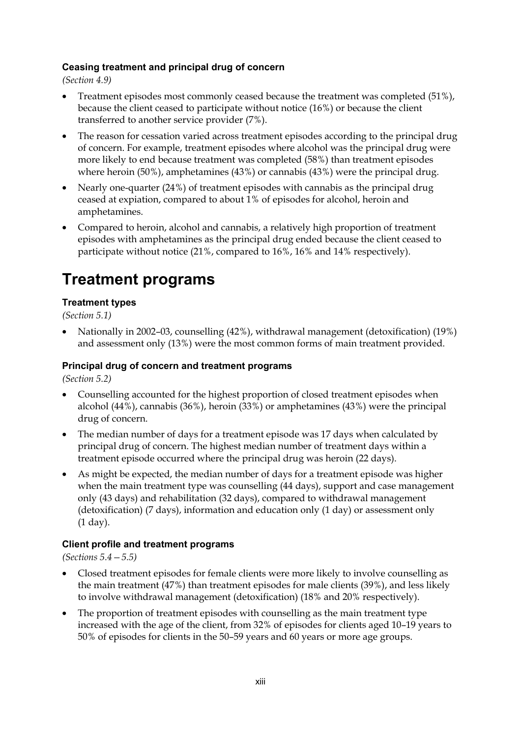#### **Ceasing treatment and principal drug of concern**

*(Section 4.9)* 

- Treatment episodes most commonly ceased because the treatment was completed (51%), because the client ceased to participate without notice (16%) or because the client transferred to another service provider (7%).
- The reason for cessation varied across treatment episodes according to the principal drug of concern. For example, treatment episodes where alcohol was the principal drug were more likely to end because treatment was completed (58%) than treatment episodes where heroin (50%), amphetamines (43%) or cannabis (43%) were the principal drug.
- Nearly one-quarter (24%) of treatment episodes with cannabis as the principal drug ceased at expiation, compared to about 1% of episodes for alcohol, heroin and amphetamines.
- Compared to heroin, alcohol and cannabis, a relatively high proportion of treatment episodes with amphetamines as the principal drug ended because the client ceased to participate without notice (21%, compared to 16%, 16% and 14% respectively).

### **Treatment programs**

#### **Treatment types**

*(Section 5.1)* 

• Nationally in 2002–03, counselling (42%), withdrawal management (detoxification) (19%) and assessment only (13%) were the most common forms of main treatment provided.

#### **Principal drug of concern and treatment programs**

*(Section 5.2)* 

- Counselling accounted for the highest proportion of closed treatment episodes when alcohol (44%), cannabis (36%), heroin (33%) or amphetamines (43%) were the principal drug of concern.
- The median number of days for a treatment episode was 17 days when calculated by principal drug of concern. The highest median number of treatment days within a treatment episode occurred where the principal drug was heroin (22 days).
- As might be expected, the median number of days for a treatment episode was higher when the main treatment type was counselling (44 days), support and case management only (43 days) and rehabilitation (32 days), compared to withdrawal management (detoxification) (7 days), information and education only (1 day) or assessment only (1 day).

#### **Client profile and treatment programs**

*(Sections 5.4—5.5)* 

- Closed treatment episodes for female clients were more likely to involve counselling as the main treatment (47%) than treatment episodes for male clients (39%), and less likely to involve withdrawal management (detoxification) (18% and 20% respectively).
- The proportion of treatment episodes with counselling as the main treatment type increased with the age of the client, from 32% of episodes for clients aged 10–19 years to 50% of episodes for clients in the 50–59 years and 60 years or more age groups.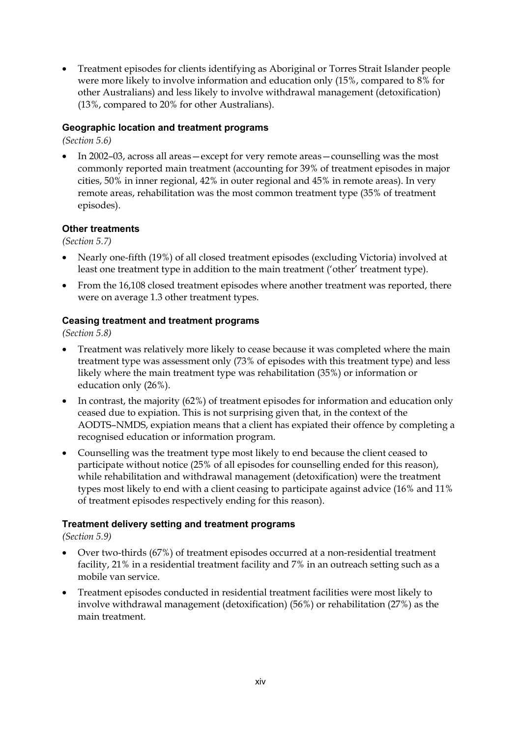• Treatment episodes for clients identifying as Aboriginal or Torres Strait Islander people were more likely to involve information and education only (15%, compared to 8% for other Australians) and less likely to involve withdrawal management (detoxification) (13%, compared to 20% for other Australians).

#### **Geographic location and treatment programs**

*(Section 5.6)* 

• In 2002–03, across all areas—except for very remote areas—counselling was the most commonly reported main treatment (accounting for 39% of treatment episodes in major cities, 50% in inner regional, 42% in outer regional and 45% in remote areas). In very remote areas, rehabilitation was the most common treatment type (35% of treatment episodes).

#### **Other treatments**

*(Section 5.7)* 

- Nearly one-fifth (19%) of all closed treatment episodes (excluding Victoria) involved at least one treatment type in addition to the main treatment ('other' treatment type).
- From the 16,108 closed treatment episodes where another treatment was reported, there were on average 1.3 other treatment types.

#### **Ceasing treatment and treatment programs**

*(Section 5.8)* 

- Treatment was relatively more likely to cease because it was completed where the main treatment type was assessment only (73% of episodes with this treatment type) and less likely where the main treatment type was rehabilitation (35%) or information or education only (26%).
- In contrast, the majority (62%) of treatment episodes for information and education only ceased due to expiation. This is not surprising given that, in the context of the AODTS–NMDS, expiation means that a client has expiated their offence by completing a recognised education or information program.
- Counselling was the treatment type most likely to end because the client ceased to participate without notice (25% of all episodes for counselling ended for this reason), while rehabilitation and withdrawal management (detoxification) were the treatment types most likely to end with a client ceasing to participate against advice (16% and 11% of treatment episodes respectively ending for this reason).

#### **Treatment delivery setting and treatment programs**

*(Section 5.9)* 

- Over two-thirds (67%) of treatment episodes occurred at a non-residential treatment facility, 21% in a residential treatment facility and 7% in an outreach setting such as a mobile van service.
- Treatment episodes conducted in residential treatment facilities were most likely to involve withdrawal management (detoxification) (56%) or rehabilitation (27%) as the main treatment.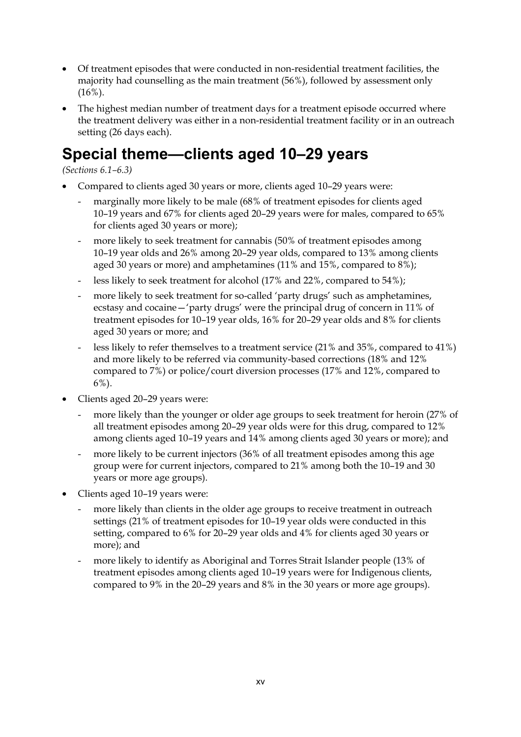- Of treatment episodes that were conducted in non-residential treatment facilities, the majority had counselling as the main treatment (56%), followed by assessment only  $(16\%)$ .
- The highest median number of treatment days for a treatment episode occurred where the treatment delivery was either in a non-residential treatment facility or in an outreach setting (26 days each).

### **Special theme—clients aged 10–29 years**

*(Sections 6.1–6.3)* 

- Compared to clients aged 30 years or more, clients aged 10–29 years were:
	- marginally more likely to be male (68% of treatment episodes for clients aged 10–19 years and 67% for clients aged 20–29 years were for males, compared to 65% for clients aged 30 years or more);
	- more likely to seek treatment for cannabis (50% of treatment episodes among 10–19 year olds and 26% among 20–29 year olds, compared to 13% among clients aged 30 years or more) and amphetamines (11% and 15%, compared to 8%);
	- less likely to seek treatment for alcohol (17% and 22%, compared to 54%);
	- more likely to seek treatment for so-called 'party drugs' such as amphetamines, ecstasy and cocaine—'party drugs' were the principal drug of concern in 11% of treatment episodes for 10–19 year olds, 16% for 20–29 year olds and 8% for clients aged 30 years or more; and
	- less likely to refer themselves to a treatment service  $(21\% \text{ and } 35\%, \text{compared to } 41\%)$ and more likely to be referred via community-based corrections (18% and 12% compared to 7%) or police/court diversion processes (17% and 12%, compared to 6%).
- Clients aged 20–29 years were:
	- more likely than the younger or older age groups to seek treatment for heroin (27% of all treatment episodes among 20–29 year olds were for this drug, compared to 12% among clients aged 10–19 years and 14% among clients aged 30 years or more); and
	- more likely to be current injectors (36% of all treatment episodes among this age group were for current injectors, compared to 21% among both the 10–19 and 30 years or more age groups).
- Clients aged 10–19 years were:
	- more likely than clients in the older age groups to receive treatment in outreach settings (21% of treatment episodes for 10–19 year olds were conducted in this setting, compared to 6% for 20–29 year olds and 4% for clients aged 30 years or more); and
	- more likely to identify as Aboriginal and Torres Strait Islander people (13% of treatment episodes among clients aged 10–19 years were for Indigenous clients, compared to 9% in the 20–29 years and 8% in the 30 years or more age groups).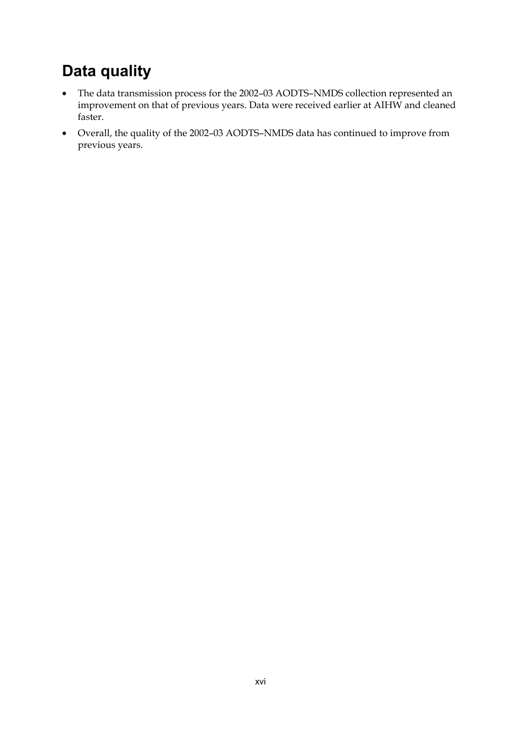### **Data quality**

- The data transmission process for the 2002–03 AODTS–NMDS collection represented an improvement on that of previous years. Data were received earlier at AIHW and cleaned faster.
- Overall, the quality of the 2002–03 AODTS–NMDS data has continued to improve from previous years.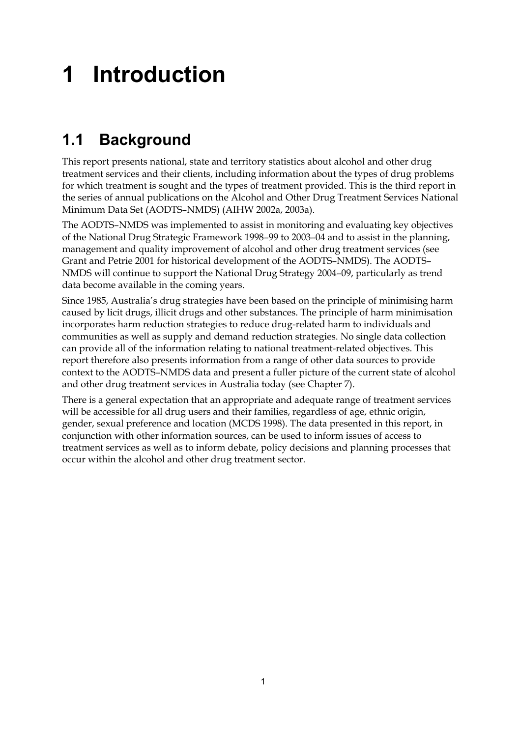# **1 Introduction**

### **1.1 Background**

This report presents national, state and territory statistics about alcohol and other drug treatment services and their clients, including information about the types of drug problems for which treatment is sought and the types of treatment provided. This is the third report in the series of annual publications on the Alcohol and Other Drug Treatment Services National Minimum Data Set (AODTS–NMDS) (AIHW 2002a, 2003a).

The AODTS–NMDS was implemented to assist in monitoring and evaluating key objectives of the National Drug Strategic Framework 1998–99 to 2003–04 and to assist in the planning, management and quality improvement of alcohol and other drug treatment services (see Grant and Petrie 2001 for historical development of the AODTS–NMDS). The AODTS– NMDS will continue to support the National Drug Strategy 2004–09, particularly as trend data become available in the coming years.

Since 1985, Australia's drug strategies have been based on the principle of minimising harm caused by licit drugs, illicit drugs and other substances. The principle of harm minimisation incorporates harm reduction strategies to reduce drug-related harm to individuals and communities as well as supply and demand reduction strategies. No single data collection can provide all of the information relating to national treatment-related objectives. This report therefore also presents information from a range of other data sources to provide context to the AODTS–NMDS data and present a fuller picture of the current state of alcohol and other drug treatment services in Australia today (see Chapter 7).

There is a general expectation that an appropriate and adequate range of treatment services will be accessible for all drug users and their families, regardless of age, ethnic origin, gender, sexual preference and location (MCDS 1998). The data presented in this report, in conjunction with other information sources, can be used to inform issues of access to treatment services as well as to inform debate, policy decisions and planning processes that occur within the alcohol and other drug treatment sector.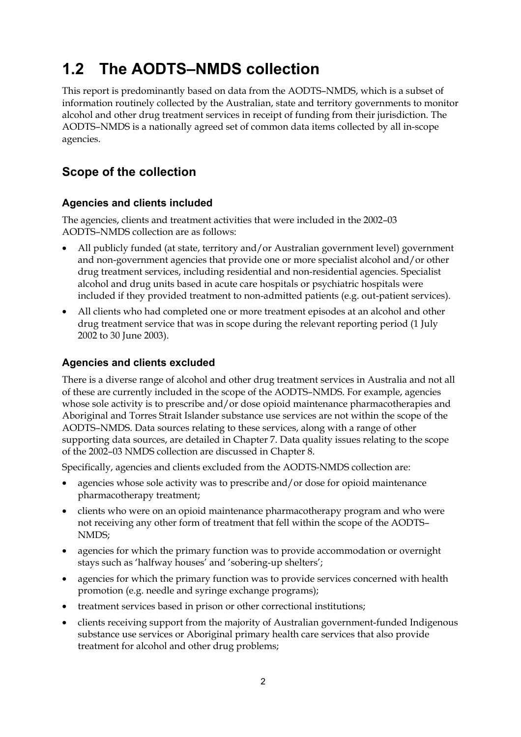### **1.2 The AODTS–NMDS collection**

This report is predominantly based on data from the AODTS–NMDS, which is a subset of information routinely collected by the Australian, state and territory governments to monitor alcohol and other drug treatment services in receipt of funding from their jurisdiction. The AODTS–NMDS is a nationally agreed set of common data items collected by all in-scope agencies.

#### **Scope of the collection**

#### **Agencies and clients included**

The agencies, clients and treatment activities that were included in the 2002–03 AODTS–NMDS collection are as follows:

- All publicly funded (at state, territory and/or Australian government level) government and non-government agencies that provide one or more specialist alcohol and/or other drug treatment services, including residential and non-residential agencies. Specialist alcohol and drug units based in acute care hospitals or psychiatric hospitals were included if they provided treatment to non-admitted patients (e.g. out-patient services).
- All clients who had completed one or more treatment episodes at an alcohol and other drug treatment service that was in scope during the relevant reporting period (1 July 2002 to 30 June 2003).

#### **Agencies and clients excluded**

There is a diverse range of alcohol and other drug treatment services in Australia and not all of these are currently included in the scope of the AODTS–NMDS. For example, agencies whose sole activity is to prescribe and/or dose opioid maintenance pharmacotherapies and Aboriginal and Torres Strait Islander substance use services are not within the scope of the AODTS–NMDS. Data sources relating to these services, along with a range of other supporting data sources, are detailed in Chapter 7. Data quality issues relating to the scope of the 2002–03 NMDS collection are discussed in Chapter 8.

Specifically, agencies and clients excluded from the AODTS-NMDS collection are:

- agencies whose sole activity was to prescribe and/or dose for opioid maintenance pharmacotherapy treatment;
- clients who were on an opioid maintenance pharmacotherapy program and who were not receiving any other form of treatment that fell within the scope of the AODTS– NMDS;
- agencies for which the primary function was to provide accommodation or overnight stays such as 'halfway houses' and 'sobering-up shelters';
- agencies for which the primary function was to provide services concerned with health promotion (e.g. needle and syringe exchange programs);
- treatment services based in prison or other correctional institutions;
- clients receiving support from the majority of Australian government-funded Indigenous substance use services or Aboriginal primary health care services that also provide treatment for alcohol and other drug problems;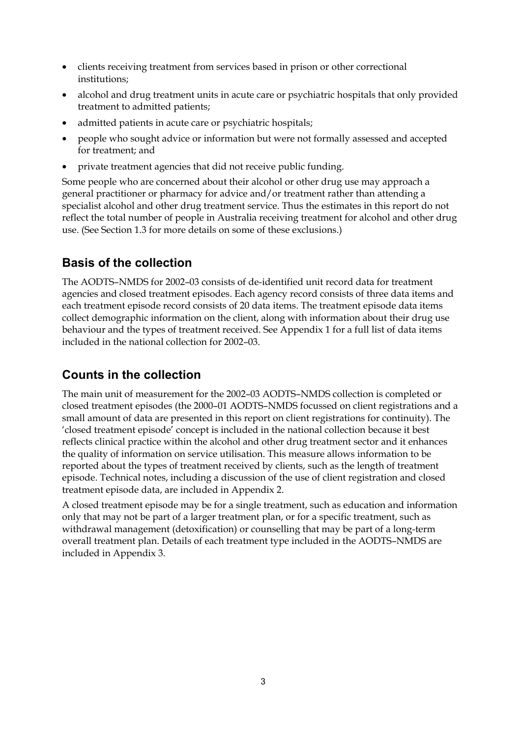- clients receiving treatment from services based in prison or other correctional institutions;
- alcohol and drug treatment units in acute care or psychiatric hospitals that only provided treatment to admitted patients;
- admitted patients in acute care or psychiatric hospitals;
- people who sought advice or information but were not formally assessed and accepted for treatment; and
- private treatment agencies that did not receive public funding.

Some people who are concerned about their alcohol or other drug use may approach a general practitioner or pharmacy for advice and/or treatment rather than attending a specialist alcohol and other drug treatment service. Thus the estimates in this report do not reflect the total number of people in Australia receiving treatment for alcohol and other drug use. (See Section 1.3 for more details on some of these exclusions.)

#### **Basis of the collection**

The AODTS–NMDS for 2002–03 consists of de-identified unit record data for treatment agencies and closed treatment episodes. Each agency record consists of three data items and each treatment episode record consists of 20 data items. The treatment episode data items collect demographic information on the client, along with information about their drug use behaviour and the types of treatment received. See Appendix 1 for a full list of data items included in the national collection for 2002–03.

#### **Counts in the collection**

The main unit of measurement for the 2002–03 AODTS–NMDS collection is completed or closed treatment episodes (the 2000–01 AODTS–NMDS focussed on client registrations and a small amount of data are presented in this report on client registrations for continuity). The 'closed treatment episode' concept is included in the national collection because it best reflects clinical practice within the alcohol and other drug treatment sector and it enhances the quality of information on service utilisation. This measure allows information to be reported about the types of treatment received by clients, such as the length of treatment episode. Technical notes, including a discussion of the use of client registration and closed treatment episode data, are included in Appendix 2.

A closed treatment episode may be for a single treatment, such as education and information only that may not be part of a larger treatment plan, or for a specific treatment, such as withdrawal management (detoxification) or counselling that may be part of a long-term overall treatment plan. Details of each treatment type included in the AODTS–NMDS are included in Appendix 3.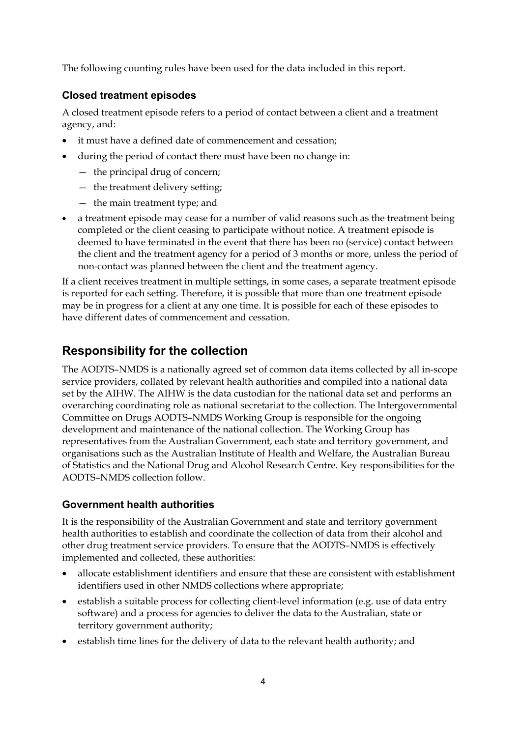The following counting rules have been used for the data included in this report.

#### **Closed treatment episodes**

A closed treatment episode refers to a period of contact between a client and a treatment agency, and:

- it must have a defined date of commencement and cessation;
- during the period of contact there must have been no change in:
	- the principal drug of concern;
	- the treatment delivery setting;
	- the main treatment type; and
- a treatment episode may cease for a number of valid reasons such as the treatment being completed or the client ceasing to participate without notice. A treatment episode is deemed to have terminated in the event that there has been no (service) contact between the client and the treatment agency for a period of 3 months or more, unless the period of non-contact was planned between the client and the treatment agency.

If a client receives treatment in multiple settings, in some cases, a separate treatment episode is reported for each setting. Therefore, it is possible that more than one treatment episode may be in progress for a client at any one time. It is possible for each of these episodes to have different dates of commencement and cessation.

#### **Responsibility for the collection**

The AODTS–NMDS is a nationally agreed set of common data items collected by all in-scope service providers, collated by relevant health authorities and compiled into a national data set by the AIHW. The AIHW is the data custodian for the national data set and performs an overarching coordinating role as national secretariat to the collection. The Intergovernmental Committee on Drugs AODTS–NMDS Working Group is responsible for the ongoing development and maintenance of the national collection. The Working Group has representatives from the Australian Government, each state and territory government, and organisations such as the Australian Institute of Health and Welfare, the Australian Bureau of Statistics and the National Drug and Alcohol Research Centre. Key responsibilities for the AODTS–NMDS collection follow.

#### **Government health authorities**

It is the responsibility of the Australian Government and state and territory government health authorities to establish and coordinate the collection of data from their alcohol and other drug treatment service providers. To ensure that the AODTS–NMDS is effectively implemented and collected, these authorities:

- allocate establishment identifiers and ensure that these are consistent with establishment identifiers used in other NMDS collections where appropriate;
- establish a suitable process for collecting client-level information (e.g. use of data entry software) and a process for agencies to deliver the data to the Australian, state or territory government authority;
- establish time lines for the delivery of data to the relevant health authority; and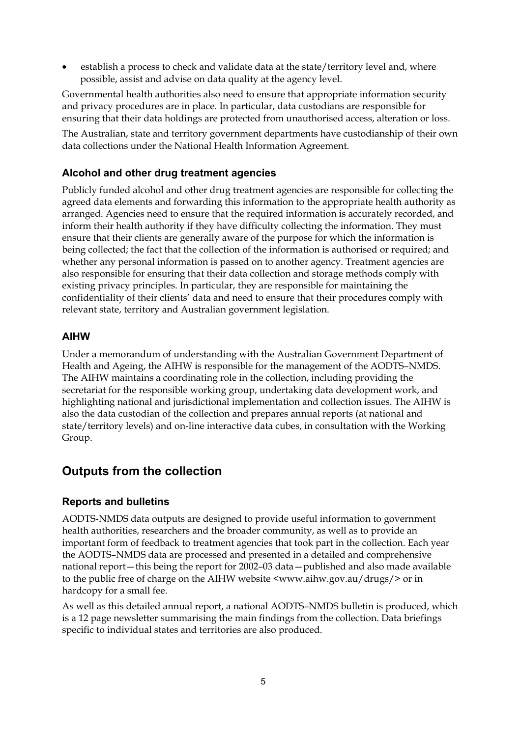establish a process to check and validate data at the state/territory level and, where possible, assist and advise on data quality at the agency level.

Governmental health authorities also need to ensure that appropriate information security and privacy procedures are in place. In particular, data custodians are responsible for ensuring that their data holdings are protected from unauthorised access, alteration or loss.

The Australian, state and territory government departments have custodianship of their own data collections under the National Health Information Agreement.

#### **Alcohol and other drug treatment agencies**

Publicly funded alcohol and other drug treatment agencies are responsible for collecting the agreed data elements and forwarding this information to the appropriate health authority as arranged. Agencies need to ensure that the required information is accurately recorded, and inform their health authority if they have difficulty collecting the information. They must ensure that their clients are generally aware of the purpose for which the information is being collected; the fact that the collection of the information is authorised or required; and whether any personal information is passed on to another agency. Treatment agencies are also responsible for ensuring that their data collection and storage methods comply with existing privacy principles. In particular, they are responsible for maintaining the confidentiality of their clients' data and need to ensure that their procedures comply with relevant state, territory and Australian government legislation.

#### **AIHW**

Under a memorandum of understanding with the Australian Government Department of Health and Ageing, the AIHW is responsible for the management of the AODTS–NMDS. The AIHW maintains a coordinating role in the collection, including providing the secretariat for the responsible working group, undertaking data development work, and highlighting national and jurisdictional implementation and collection issues. The AIHW is also the data custodian of the collection and prepares annual reports (at national and state/territory levels) and on-line interactive data cubes, in consultation with the Working Group.

#### **Outputs from the collection**

#### **Reports and bulletins**

AODTS-NMDS data outputs are designed to provide useful information to government health authorities, researchers and the broader community, as well as to provide an important form of feedback to treatment agencies that took part in the collection. Each year the AODTS–NMDS data are processed and presented in a detailed and comprehensive national report—this being the report for 2002–03 data—published and also made available to the public free of charge on the AIHW website <www.aihw.gov.au/drugs/> or in hardcopy for a small fee.

As well as this detailed annual report, a national AODTS–NMDS bulletin is produced, which is a 12 page newsletter summarising the main findings from the collection. Data briefings specific to individual states and territories are also produced.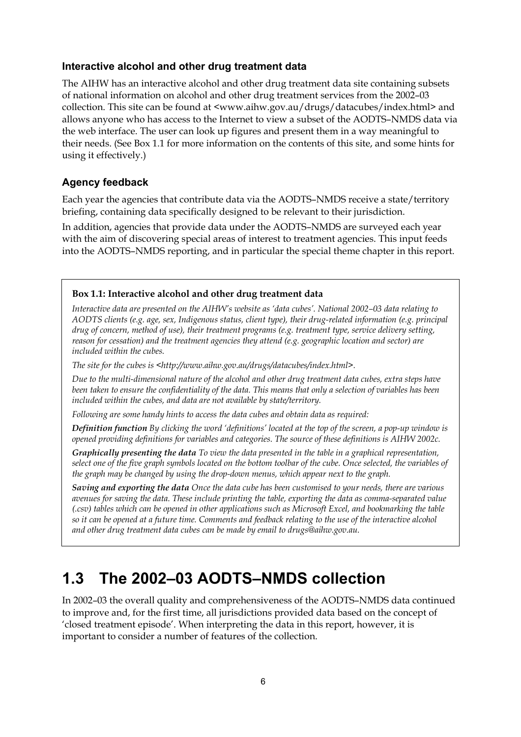#### **Interactive alcohol and other drug treatment data**

The AIHW has an interactive alcohol and other drug treatment data site containing subsets of national information on alcohol and other drug treatment services from the 2002–03 collection. This site can be found at <www.aihw.gov.au/drugs/datacubes/index.html> and allows anyone who has access to the Internet to view a subset of the AODTS–NMDS data via the web interface. The user can look up figures and present them in a way meaningful to their needs. (See Box 1.1 for more information on the contents of this site, and some hints for using it effectively.)

#### **Agency feedback**

Each year the agencies that contribute data via the AODTS–NMDS receive a state/territory briefing, containing data specifically designed to be relevant to their jurisdiction.

In addition, agencies that provide data under the AODTS–NMDS are surveyed each year with the aim of discovering special areas of interest to treatment agencies. This input feeds into the AODTS–NMDS reporting, and in particular the special theme chapter in this report.

#### **Box 1.1: Interactive alcohol and other drug treatment data**

*Interactive data are presented on the AIHW's website as 'data cubes'. National 2002–03 data relating to AODTS clients (e.g. age, sex, Indigenous status, client type), their drug-related information (e.g. principal drug of concern, method of use), their treatment programs (e.g. treatment type, service delivery setting, reason for cessation) and the treatment agencies they attend (e.g. geographic location and sector) are included within the cubes.* 

*The site for the cubes is <http://www.aihw.gov.au/drugs/datacubes/index.html>.* 

*Due to the multi-dimensional nature of the alcohol and other drug treatment data cubes, extra steps have been taken to ensure the confidentiality of the data. This means that only a selection of variables has been included within the cubes, and data are not available by state/territory.* 

*Following are some handy hints to access the data cubes and obtain data as required:* 

*Definition function By clicking the word 'definitions' located at the top of the screen, a pop-up window is opened providing definitions for variables and categories. The source of these definitions is AIHW 2002c.* 

*Graphically presenting the data To view the data presented in the table in a graphical representation, select one of the five graph symbols located on the bottom toolbar of the cube. Once selected, the variables of the graph may be changed by using the drop-down menus, which appear next to the graph.* 

*Saving and exporting the data Once the data cube has been customised to your needs, there are various avenues for saving the data. These include printing the table, exporting the data as comma-separated value (.csv) tables which can be opened in other applications such as Microsoft Excel, and bookmarking the table so it can be opened at a future time. Comments and feedback relating to the use of the interactive alcohol and other drug treatment data cubes can be made by email to drugs@aihw.gov.au.* 

### **1.3 The 2002–03 AODTS–NMDS collection**

In 2002–03 the overall quality and comprehensiveness of the AODTS–NMDS data continued to improve and, for the first time, all jurisdictions provided data based on the concept of 'closed treatment episode'. When interpreting the data in this report, however, it is important to consider a number of features of the collection.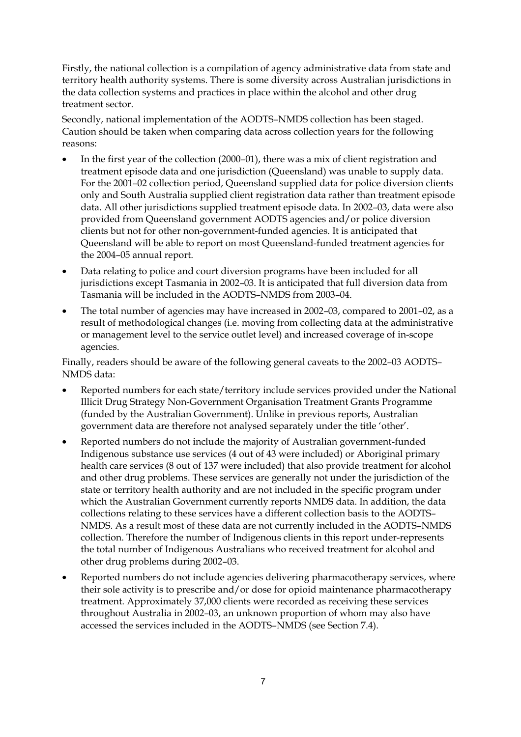Firstly, the national collection is a compilation of agency administrative data from state and territory health authority systems. There is some diversity across Australian jurisdictions in the data collection systems and practices in place within the alcohol and other drug treatment sector.

Secondly, national implementation of the AODTS–NMDS collection has been staged. Caution should be taken when comparing data across collection years for the following reasons:

- In the first year of the collection (2000–01), there was a mix of client registration and treatment episode data and one jurisdiction (Queensland) was unable to supply data. For the 2001–02 collection period, Queensland supplied data for police diversion clients only and South Australia supplied client registration data rather than treatment episode data. All other jurisdictions supplied treatment episode data. In 2002–03, data were also provided from Queensland government AODTS agencies and/or police diversion clients but not for other non-government-funded agencies. It is anticipated that Queensland will be able to report on most Queensland-funded treatment agencies for the 2004–05 annual report.
- Data relating to police and court diversion programs have been included for all jurisdictions except Tasmania in 2002–03. It is anticipated that full diversion data from Tasmania will be included in the AODTS–NMDS from 2003–04.
- The total number of agencies may have increased in 2002–03, compared to 2001–02, as a result of methodological changes (i.e. moving from collecting data at the administrative or management level to the service outlet level) and increased coverage of in-scope agencies.

Finally, readers should be aware of the following general caveats to the 2002–03 AODTS– NMDS data:

- Reported numbers for each state/territory include services provided under the National Illicit Drug Strategy Non-Government Organisation Treatment Grants Programme (funded by the Australian Government). Unlike in previous reports, Australian government data are therefore not analysed separately under the title 'other'.
- Reported numbers do not include the majority of Australian government-funded Indigenous substance use services (4 out of 43 were included) or Aboriginal primary health care services (8 out of 137 were included) that also provide treatment for alcohol and other drug problems. These services are generally not under the jurisdiction of the state or territory health authority and are not included in the specific program under which the Australian Government currently reports NMDS data. In addition, the data collections relating to these services have a different collection basis to the AODTS– NMDS. As a result most of these data are not currently included in the AODTS–NMDS collection. Therefore the number of Indigenous clients in this report under-represents the total number of Indigenous Australians who received treatment for alcohol and other drug problems during 2002–03.
- Reported numbers do not include agencies delivering pharmacotherapy services, where their sole activity is to prescribe and/or dose for opioid maintenance pharmacotherapy treatment. Approximately 37,000 clients were recorded as receiving these services throughout Australia in 2002–03, an unknown proportion of whom may also have accessed the services included in the AODTS–NMDS (see Section 7.4).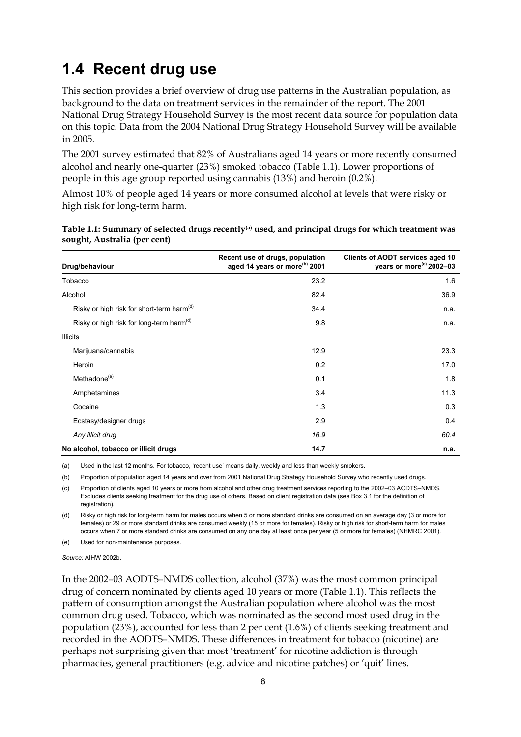### **1.4 Recent drug use**

This section provides a brief overview of drug use patterns in the Australian population, as background to the data on treatment services in the remainder of the report. The 2001 National Drug Strategy Household Survey is the most recent data source for population data on this topic. Data from the 2004 National Drug Strategy Household Survey will be available in 2005.

The 2001 survey estimated that 82% of Australians aged 14 years or more recently consumed alcohol and nearly one-quarter (23%) smoked tobacco (Table 1.1). Lower proportions of people in this age group reported using cannabis (13%) and heroin (0.2%).

Almost 10% of people aged 14 years or more consumed alcohol at levels that were risky or high risk for long-term harm.

| Drug/behaviour                                        | Recent use of drugs, population<br>aged 14 years or more <sup>(b)</sup> 2001 | Clients of AODT services aged 10<br>years or more <sup>(c)</sup> 2002-03 |
|-------------------------------------------------------|------------------------------------------------------------------------------|--------------------------------------------------------------------------|
| Tobacco                                               | 23.2                                                                         | 1.6                                                                      |
| Alcohol                                               | 82.4                                                                         | 36.9                                                                     |
| Risky or high risk for short-term harm <sup>(d)</sup> | 34.4                                                                         | n.a.                                                                     |
| Risky or high risk for long-term harm <sup>(d)</sup>  | 9.8                                                                          | n.a.                                                                     |
| <b>Illicits</b>                                       |                                                                              |                                                                          |
| Marijuana/cannabis                                    | 12.9                                                                         | 23.3                                                                     |
| Heroin                                                | 0.2                                                                          | 17.0                                                                     |
| Methadone <sup>(e)</sup>                              | 0.1                                                                          | 1.8                                                                      |
| Amphetamines                                          | 3.4                                                                          | 11.3                                                                     |
| Cocaine                                               | 1.3                                                                          | 0.3                                                                      |
| Ecstasy/designer drugs                                | 2.9                                                                          | 0.4                                                                      |
| Any illicit drug                                      | 16.9                                                                         | 60.4                                                                     |
| No alcohol, tobacco or illicit drugs                  | 14.7                                                                         | n.a.                                                                     |

**Table 1.1: Summary of selected drugs recently(a) used, and principal drugs for which treatment was sought, Australia (per cent)** 

(a) Used in the last 12 months. For tobacco, 'recent use' means daily, weekly and less than weekly smokers.

(b) Proportion of population aged 14 years and over from 2001 National Drug Strategy Household Survey who recently used drugs.

(c) Proportion of clients aged 10 years or more from alcohol and other drug treatment services reporting to the 2002–03 AODTS–NMDS. Excludes clients seeking treatment for the drug use of others. Based on client registration data (see Box 3.1 for the definition of registration).

(d) Risky or high risk for long-term harm for males occurs when 5 or more standard drinks are consumed on an average day (3 or more for females) or 29 or more standard drinks are consumed weekly (15 or more for females). Risky or high risk for short-term harm for males occurs when 7 or more standard drinks are consumed on any one day at least once per year (5 or more for females) (NHMRC 2001).

(e) Used for non-maintenance purposes.

*Source:* AIHW 2002b.

In the 2002–03 AODTS–NMDS collection, alcohol (37%) was the most common principal drug of concern nominated by clients aged 10 years or more (Table 1.1). This reflects the pattern of consumption amongst the Australian population where alcohol was the most common drug used. Tobacco, which was nominated as the second most used drug in the population (23%), accounted for less than 2 per cent (1.6%) of clients seeking treatment and recorded in the AODTS–NMDS. These differences in treatment for tobacco (nicotine) are perhaps not surprising given that most 'treatment' for nicotine addiction is through pharmacies, general practitioners (e.g. advice and nicotine patches) or 'quit' lines.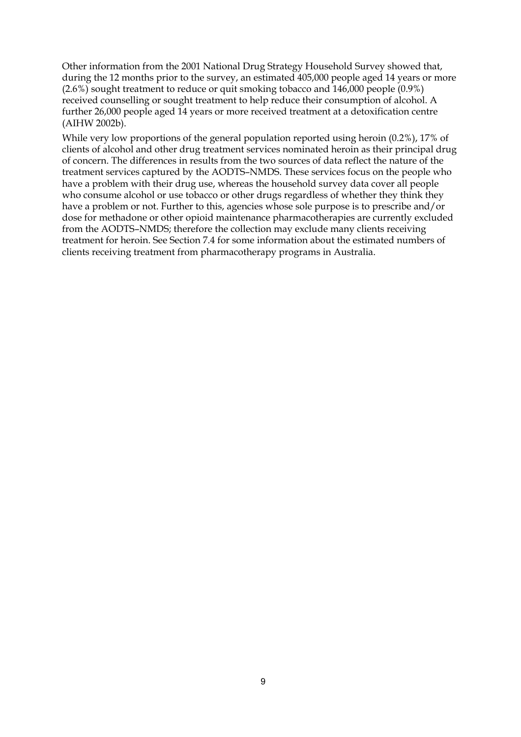Other information from the 2001 National Drug Strategy Household Survey showed that, during the 12 months prior to the survey, an estimated 405,000 people aged 14 years or more (2.6%) sought treatment to reduce or quit smoking tobacco and 146,000 people (0.9%) received counselling or sought treatment to help reduce their consumption of alcohol. A further 26,000 people aged 14 years or more received treatment at a detoxification centre (AIHW 2002b).

While very low proportions of the general population reported using heroin (0.2%), 17% of clients of alcohol and other drug treatment services nominated heroin as their principal drug of concern. The differences in results from the two sources of data reflect the nature of the treatment services captured by the AODTS–NMDS. These services focus on the people who have a problem with their drug use, whereas the household survey data cover all people who consume alcohol or use tobacco or other drugs regardless of whether they think they have a problem or not. Further to this, agencies whose sole purpose is to prescribe and/or dose for methadone or other opioid maintenance pharmacotherapies are currently excluded from the AODTS–NMDS; therefore the collection may exclude many clients receiving treatment for heroin. See Section 7.4 for some information about the estimated numbers of clients receiving treatment from pharmacotherapy programs in Australia.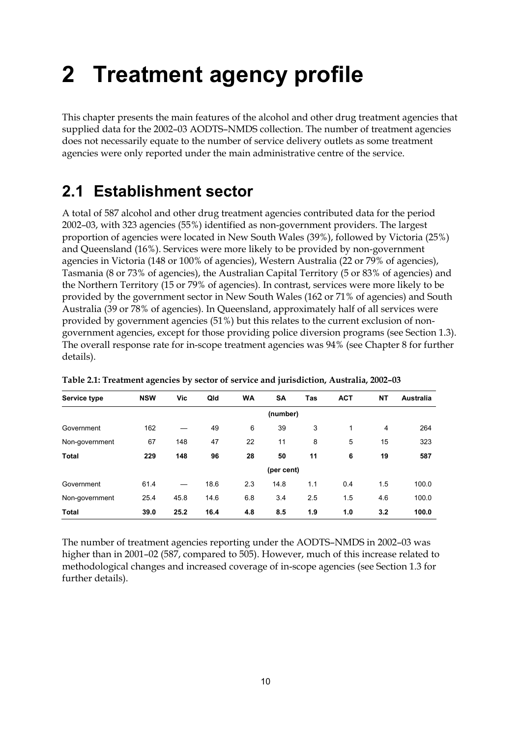# **2 Treatment agency profile**

This chapter presents the main features of the alcohol and other drug treatment agencies that supplied data for the 2002–03 AODTS–NMDS collection. The number of treatment agencies does not necessarily equate to the number of service delivery outlets as some treatment agencies were only reported under the main administrative centre of the service.

### **2.1 Establishment sector**

A total of 587 alcohol and other drug treatment agencies contributed data for the period 2002–03, with 323 agencies (55%) identified as non-government providers. The largest proportion of agencies were located in New South Wales (39%), followed by Victoria (25%) and Queensland (16%). Services were more likely to be provided by non-government agencies in Victoria (148 or 100% of agencies), Western Australia (22 or 79% of agencies), Tasmania (8 or 73% of agencies), the Australian Capital Territory (5 or 83% of agencies) and the Northern Territory (15 or 79% of agencies). In contrast, services were more likely to be provided by the government sector in New South Wales (162 or 71% of agencies) and South Australia (39 or 78% of agencies). In Queensland, approximately half of all services were provided by government agencies (51%) but this relates to the current exclusion of nongovernment agencies, except for those providing police diversion programs (see Section 1.3). The overall response rate for in-scope treatment agencies was 94% (see Chapter 8 for further details).

| <b>Service type</b> | <b>NSW</b> | Vic  | Qld  | <b>WA</b> | <b>SA</b>  | Tas | <b>ACT</b> | NΤ  | <b>Australia</b> |
|---------------------|------------|------|------|-----------|------------|-----|------------|-----|------------------|
|                     |            |      |      |           | (number)   |     |            |     |                  |
| Government          | 162        |      | 49   | 6         | 39         | 3   | 1          | 4   | 264              |
| Non-government      | 67         | 148  | 47   | 22        | 11         | 8   | 5          | 15  | 323              |
| <b>Total</b>        | 229        | 148  | 96   | 28        | 50         | 11  | 6          | 19  | 587              |
|                     |            |      |      |           | (per cent) |     |            |     |                  |
| Government          | 61.4       |      | 18.6 | 2.3       | 14.8       | 1.1 | 0.4        | 1.5 | 100.0            |
| Non-government      | 25.4       | 45.8 | 14.6 | 6.8       | 3.4        | 2.5 | 1.5        | 4.6 | 100.0            |
| <b>Total</b>        | 39.0       | 25.2 | 16.4 | 4.8       | 8.5        | 1.9 | 1.0        | 3.2 | 100.0            |

**Table 2.1: Treatment agencies by sector of service and jurisdiction, Australia, 2002–03** 

The number of treatment agencies reporting under the AODTS–NMDS in 2002–03 was higher than in 2001–02 (587, compared to 505). However, much of this increase related to methodological changes and increased coverage of in-scope agencies (see Section 1.3 for further details).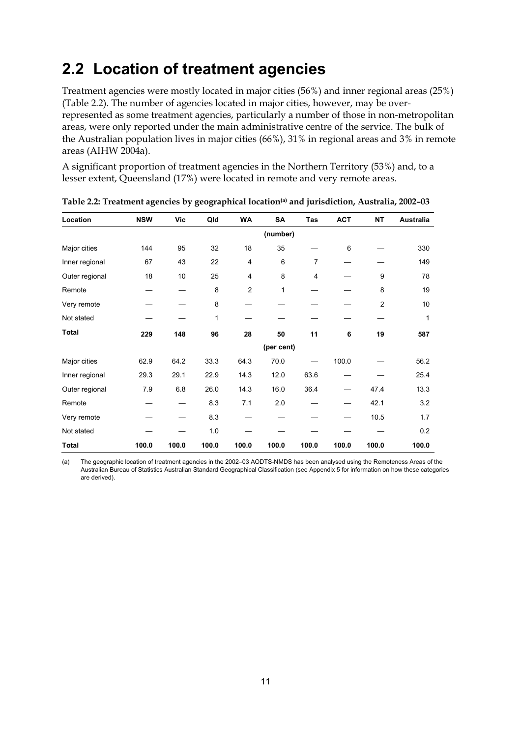### **2.2 Location of treatment agencies**

Treatment agencies were mostly located in major cities (56%) and inner regional areas (25%) (Table 2.2). The number of agencies located in major cities, however, may be overrepresented as some treatment agencies, particularly a number of those in non-metropolitan areas, were only reported under the main administrative centre of the service. The bulk of the Australian population lives in major cities (66%), 31% in regional areas and 3% in remote areas (AIHW 2004a).

A significant proportion of treatment agencies in the Northern Territory (53%) and, to a lesser extent, Queensland (17%) were located in remote and very remote areas.

| Location       | <b>NSW</b> | Vic   | Qld   | <b>WA</b>      | <b>SA</b>  | Tas            | <b>ACT</b> | <b>NT</b>      | Australia |
|----------------|------------|-------|-------|----------------|------------|----------------|------------|----------------|-----------|
|                |            |       |       |                | (number)   |                |            |                |           |
| Major cities   | 144        | 95    | 32    | 18             | 35         |                | 6          |                | 330       |
| Inner regional | 67         | 43    | 22    | 4              | 6          | 7              |            |                | 149       |
| Outer regional | 18         | 10    | 25    | 4              | 8          | $\overline{4}$ |            | 9              | 78        |
| Remote         |            |       | 8     | $\overline{2}$ | 1          |                |            | 8              | 19        |
| Very remote    |            |       | 8     |                |            |                |            | $\overline{2}$ | 10        |
| Not stated     |            |       | 1     |                |            |                |            |                | 1         |
| Total          | 229        | 148   | 96    | 28             | 50         | 11             | 6          | 19             | 587       |
|                |            |       |       |                | (per cent) |                |            |                |           |
| Major cities   | 62.9       | 64.2  | 33.3  | 64.3           | 70.0       |                | 100.0      |                | 56.2      |
| Inner regional | 29.3       | 29.1  | 22.9  | 14.3           | 12.0       | 63.6           |            |                | 25.4      |
| Outer regional | 7.9        | 6.8   | 26.0  | 14.3           | 16.0       | 36.4           |            | 47.4           | 13.3      |
| Remote         |            |       | 8.3   | 7.1            | 2.0        |                |            | 42.1           | 3.2       |
| Very remote    |            |       | 8.3   |                |            |                |            | 10.5           | 1.7       |
| Not stated     |            |       | 1.0   |                |            |                |            |                | 0.2       |
| <b>Total</b>   | 100.0      | 100.0 | 100.0 | 100.0          | 100.0      | 100.0          | 100.0      | 100.0          | 100.0     |

**Table 2.2: Treatment agencies by geographical location(a) and jurisdiction, Australia, 2002–03** 

(a) The geographic location of treatment agencies in the 2002–03 AODTS-NMDS has been analysed using the Remoteness Areas of the Australian Bureau of Statistics Australian Standard Geographical Classification (see Appendix 5 for information on how these categories are derived).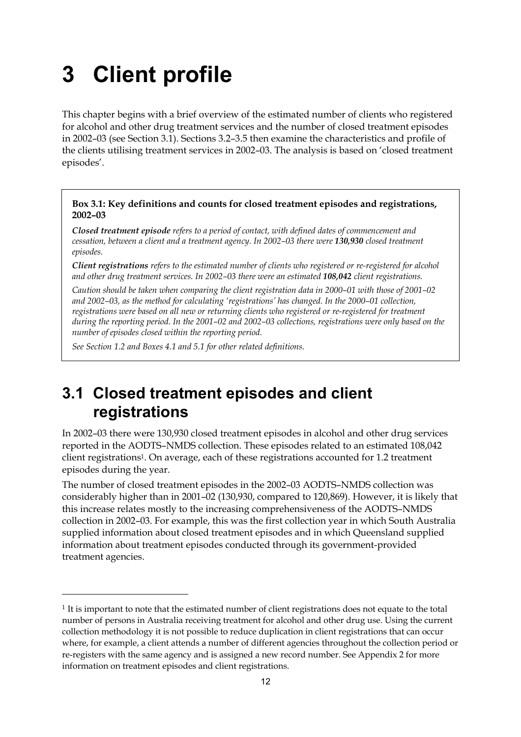## **3 Client profile**

This chapter begins with a brief overview of the estimated number of clients who registered for alcohol and other drug treatment services and the number of closed treatment episodes in 2002–03 (see Section 3.1). Sections 3.2–3.5 then examine the characteristics and profile of the clients utilising treatment services in 2002–03. The analysis is based on 'closed treatment episodes'.

#### **Box 3.1: Key definitions and counts for closed treatment episodes and registrations, 2002–03**

*Closed treatment episode refers to a period of contact, with defined dates of commencement and cessation, between a client and a treatment agency. In 2002–03 there were 130,930 closed treatment episodes.* 

*Client registrations refers to the estimated number of clients who registered or re-registered for alcohol and other drug treatment services. In 2002–03 there were an estimated 108,042 client registrations.* 

*Caution should be taken when comparing the client registration data in 2000–01 with those of 2001–02 and 2002–03, as the method for calculating 'registrations' has changed. In the 2000–01 collection, registrations were based on all new or returning clients who registered or re-registered for treatment during the reporting period. In the 2001–02 and 2002–03 collections, registrations were only based on the number of episodes closed within the reporting period.* 

*See Section 1.2 and Boxes 4.1 and 5.1 for other related definitions.* 

 $\overline{a}$ 

### **3.1 Closed treatment episodes and client registrations**

In 2002–03 there were 130,930 closed treatment episodes in alcohol and other drug services reported in the AODTS–NMDS collection. These episodes related to an estimated 108,042 client registrations1. On average, each of these registrations accounted for 1.2 treatment episodes during the year.

The number of closed treatment episodes in the 2002–03 AODTS–NMDS collection was considerably higher than in 2001–02 (130,930, compared to 120,869). However, it is likely that this increase relates mostly to the increasing comprehensiveness of the AODTS–NMDS collection in 2002–03. For example, this was the first collection year in which South Australia supplied information about closed treatment episodes and in which Queensland supplied information about treatment episodes conducted through its government-provided treatment agencies.

<sup>1</sup> It is important to note that the estimated number of client registrations does not equate to the total number of persons in Australia receiving treatment for alcohol and other drug use. Using the current collection methodology it is not possible to reduce duplication in client registrations that can occur where, for example, a client attends a number of different agencies throughout the collection period or re-registers with the same agency and is assigned a new record number. See Appendix 2 for more information on treatment episodes and client registrations.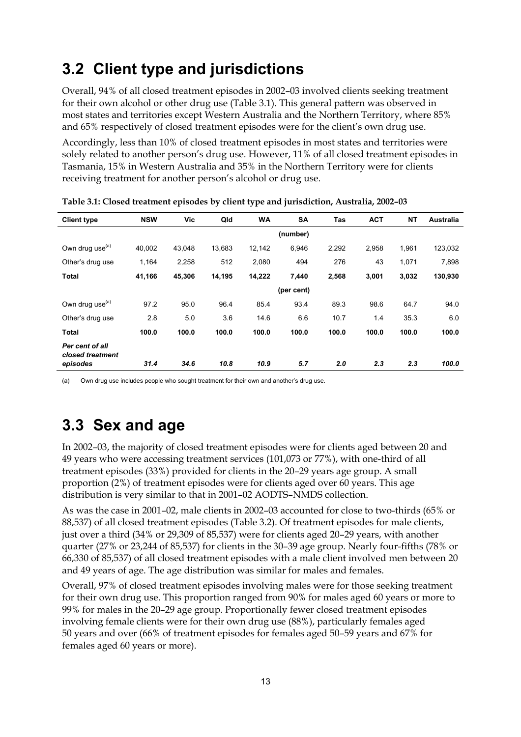### **3.2 Client type and jurisdictions**

Overall, 94% of all closed treatment episodes in 2002–03 involved clients seeking treatment for their own alcohol or other drug use (Table 3.1). This general pattern was observed in most states and territories except Western Australia and the Northern Territory, where 85% and 65% respectively of closed treatment episodes were for the client's own drug use.

Accordingly, less than 10% of closed treatment episodes in most states and territories were solely related to another person's drug use. However, 11% of all closed treatment episodes in Tasmania, 15% in Western Australia and 35% in the Northern Territory were for clients receiving treatment for another person's alcohol or drug use.

| <b>NSW</b> | Vic    | Qld    | <b>WA</b> | <b>SA</b>  | <b>Tas</b> | <b>ACT</b> | <b>NT</b> | <b>Australia</b> |
|------------|--------|--------|-----------|------------|------------|------------|-----------|------------------|
|            |        |        |           | (number)   |            |            |           |                  |
| 40,002     | 43.048 | 13,683 | 12,142    | 6,946      | 2,292      | 2,958      | 1,961     | 123,032          |
| 1,164      | 2,258  | 512    | 2,080     | 494        | 276        | 43         | 1,071     | 7,898            |
| 41,166     | 45,306 | 14,195 | 14,222    | 7,440      | 2,568      | 3,001      | 3,032     | 130,930          |
|            |        |        |           | (per cent) |            |            |           |                  |
| 97.2       | 95.0   | 96.4   | 85.4      | 93.4       | 89.3       | 98.6       | 64.7      | 94.0             |
| 2.8        | 5.0    | 3.6    | 14.6      | 6.6        | 10.7       | 1.4        | 35.3      | 6.0              |
| 100.0      | 100.0  | 100.0  | 100.0     | 100.0      | 100.0      | 100.0      | 100.0     | 100.0            |
|            |        |        |           |            |            |            |           | 100.0            |
|            | 31.4   | 34.6   | 10.8      | 10.9       | 5.7        | 2.0        | 2.3       | 2.3              |

**Table 3.1: Closed treatment episodes by client type and jurisdiction, Australia, 2002–03** 

(a) Own drug use includes people who sought treatment for their own and another's drug use.

### **3.3 Sex and age**

In 2002–03, the majority of closed treatment episodes were for clients aged between 20 and 49 years who were accessing treatment services (101,073 or 77%), with one-third of all treatment episodes (33%) provided for clients in the 20–29 years age group. A small proportion (2%) of treatment episodes were for clients aged over 60 years. This age distribution is very similar to that in 2001–02 AODTS–NMDS collection.

As was the case in 2001–02, male clients in 2002–03 accounted for close to two-thirds (65% or 88,537) of all closed treatment episodes (Table 3.2). Of treatment episodes for male clients, just over a third (34% or 29,309 of 85,537) were for clients aged 20–29 years, with another quarter (27% or 23,244 of 85,537) for clients in the 30–39 age group. Nearly four-fifths (78% or 66,330 of 85,537) of all closed treatment episodes with a male client involved men between 20 and 49 years of age. The age distribution was similar for males and females.

Overall, 97% of closed treatment episodes involving males were for those seeking treatment for their own drug use. This proportion ranged from 90% for males aged 60 years or more to 99% for males in the 20–29 age group. Proportionally fewer closed treatment episodes involving female clients were for their own drug use (88%), particularly females aged 50 years and over (66% of treatment episodes for females aged 50–59 years and 67% for females aged 60 years or more).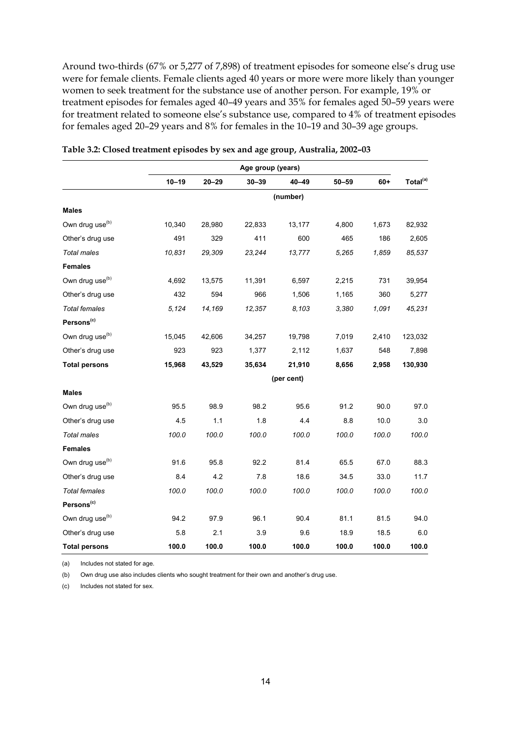Around two-thirds (67% or 5,277 of 7,898) of treatment episodes for someone else's drug use were for female clients. Female clients aged 40 years or more were more likely than younger women to seek treatment for the substance use of another person. For example, 19% or treatment episodes for females aged 40–49 years and 35% for females aged 50–59 years were for treatment related to someone else's substance use, compared to 4% of treatment episodes for females aged 20–29 years and 8% for females in the 10–19 and 30–39 age groups.

|                             | Age group (years) |           |           |            |           |       |                      |
|-----------------------------|-------------------|-----------|-----------|------------|-----------|-------|----------------------|
|                             | $10 - 19$         | $20 - 29$ | $30 - 39$ | 40-49      | $50 - 59$ | $60+$ | Total <sup>(a)</sup> |
|                             |                   |           |           | (number)   |           |       |                      |
| <b>Males</b>                |                   |           |           |            |           |       |                      |
| Own drug use <sup>(b)</sup> | 10,340            | 28,980    | 22,833    | 13,177     | 4,800     | 1,673 | 82,932               |
| Other's drug use            | 491               | 329       | 411       | 600        | 465       | 186   | 2,605                |
| Total males                 | 10,831            | 29,309    | 23,244    | 13,777     | 5,265     | 1,859 | 85,537               |
| <b>Females</b>              |                   |           |           |            |           |       |                      |
| Own drug use <sup>(b)</sup> | 4,692             | 13,575    | 11,391    | 6,597      | 2,215     | 731   | 39,954               |
| Other's drug use            | 432               | 594       | 966       | 1,506      | 1,165     | 360   | 5,277                |
| <b>Total females</b>        | 5,124             | 14,169    | 12,357    | 8,103      | 3,380     | 1,091 | 45,231               |
| Persons <sup>(c)</sup>      |                   |           |           |            |           |       |                      |
| Own drug use <sup>(b)</sup> | 15,045            | 42,606    | 34,257    | 19,798     | 7,019     | 2,410 | 123,032              |
| Other's drug use            | 923               | 923       | 1,377     | 2,112      | 1,637     | 548   | 7,898                |
| <b>Total persons</b>        | 15,968            | 43,529    | 35,634    | 21,910     | 8,656     | 2,958 | 130,930              |
|                             |                   |           |           | (per cent) |           |       |                      |
| <b>Males</b>                |                   |           |           |            |           |       |                      |
| Own drug use <sup>(b)</sup> | 95.5              | 98.9      | 98.2      | 95.6       | 91.2      | 90.0  | 97.0                 |
| Other's drug use            | 4.5               | 1.1       | 1.8       | 4.4        | 8.8       | 10.0  | 3.0                  |
| Total males                 | 100.0             | 100.0     | 100.0     | 100.0      | 100.0     | 100.0 | 100.0                |
| <b>Females</b>              |                   |           |           |            |           |       |                      |
| Own drug use <sup>(b)</sup> | 91.6              | 95.8      | 92.2      | 81.4       | 65.5      | 67.0  | 88.3                 |
| Other's drug use            | 8.4               | 4.2       | 7.8       | 18.6       | 34.5      | 33.0  | 11.7                 |
| <b>Total females</b>        | 100.0             | 100.0     | 100.0     | 100.0      | 100.0     | 100.0 | 100.0                |
| Persons <sup>(c)</sup>      |                   |           |           |            |           |       |                      |
| Own drug use <sup>(b)</sup> | 94.2              | 97.9      | 96.1      | 90.4       | 81.1      | 81.5  | 94.0                 |
| Other's drug use            | 5.8               | 2.1       | 3.9       | 9.6        | 18.9      | 18.5  | 6.0                  |
| <b>Total persons</b>        | 100.0             | 100.0     | 100.0     | 100.0      | 100.0     | 100.0 | 100.0                |

**Table 3.2: Closed treatment episodes by sex and age group, Australia, 2002–03** 

(a) Includes not stated for age.

(b) Own drug use also includes clients who sought treatment for their own and another's drug use.

(c) Includes not stated for sex.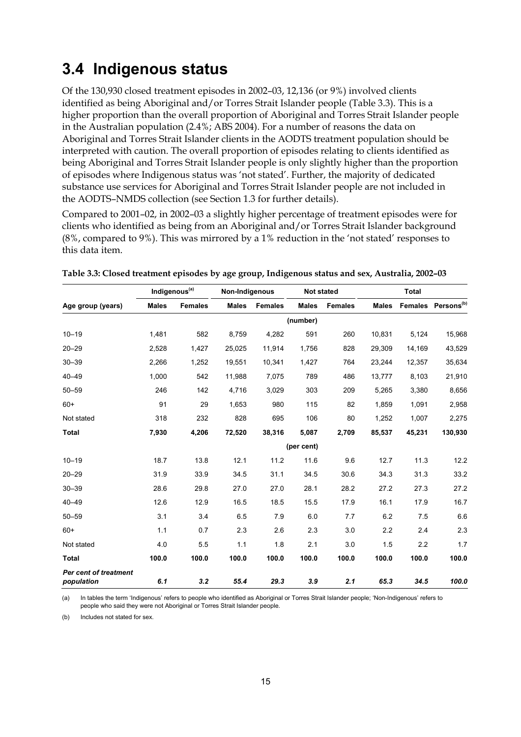### **3.4 Indigenous status**

Of the 130,930 closed treatment episodes in 2002–03, 12,136 (or 9%) involved clients identified as being Aboriginal and/or Torres Strait Islander people (Table 3.3). This is a higher proportion than the overall proportion of Aboriginal and Torres Strait Islander people in the Australian population (2.4%; ABS 2004). For a number of reasons the data on Aboriginal and Torres Strait Islander clients in the AODTS treatment population should be interpreted with caution. The overall proportion of episodes relating to clients identified as being Aboriginal and Torres Strait Islander people is only slightly higher than the proportion of episodes where Indigenous status was 'not stated'. Further, the majority of dedicated substance use services for Aboriginal and Torres Strait Islander people are not included in the AODTS–NMDS collection (see Section 1.3 for further details).

Compared to 2001–02, in 2002–03 a slightly higher percentage of treatment episodes were for clients who identified as being from an Aboriginal and/or Torres Strait Islander background (8%, compared to 9%). This was mirrored by a 1% reduction in the 'not stated' responses to this data item.

|                                            |              | Indigenous <sup>(a)</sup> | Non-Indigenous |                | <b>Not stated</b> |                |              | <b>Total</b>   |                        |
|--------------------------------------------|--------------|---------------------------|----------------|----------------|-------------------|----------------|--------------|----------------|------------------------|
| Age group (years)                          | <b>Males</b> | <b>Females</b>            | <b>Males</b>   | <b>Females</b> | <b>Males</b>      | <b>Females</b> | <b>Males</b> | <b>Females</b> | Persons <sup>(b)</sup> |
|                                            |              |                           |                |                | (number)          |                |              |                |                        |
| $10 - 19$                                  | 1,481        | 582                       | 8,759          | 4,282          | 591               | 260            | 10,831       | 5,124          | 15,968                 |
| $20 - 29$                                  | 2,528        | 1,427                     | 25,025         | 11,914         | 1,756             | 828            | 29,309       | 14,169         | 43,529                 |
| $30 - 39$                                  | 2,266        | 1,252                     | 19,551         | 10,341         | 1,427             | 764            | 23,244       | 12,357         | 35,634                 |
| $40 - 49$                                  | 1,000        | 542                       | 11,988         | 7,075          | 789               | 486            | 13,777       | 8,103          | 21,910                 |
| $50 - 59$                                  | 246          | 142                       | 4,716          | 3,029          | 303               | 209            | 5,265        | 3,380          | 8,656                  |
| $60+$                                      | 91           | 29                        | 1,653          | 980            | 115               | 82             | 1,859        | 1,091          | 2,958                  |
| Not stated                                 | 318          | 232                       | 828            | 695            | 106               | 80             | 1,252        | 1,007          | 2,275                  |
| <b>Total</b>                               | 7,930        | 4,206                     | 72,520         | 38,316         | 5,087             | 2,709          | 85,537       | 45,231         | 130,930                |
|                                            |              |                           |                |                | (per cent)        |                |              |                |                        |
| $10 - 19$                                  | 18.7         | 13.8                      | 12.1           | 11.2           | 11.6              | 9.6            | 12.7         | 11.3           | 12.2                   |
| $20 - 29$                                  | 31.9         | 33.9                      | 34.5           | 31.1           | 34.5              | 30.6           | 34.3         | 31.3           | 33.2                   |
| $30 - 39$                                  | 28.6         | 29.8                      | 27.0           | 27.0           | 28.1              | 28.2           | 27.2         | 27.3           | 27.2                   |
| $40 - 49$                                  | 12.6         | 12.9                      | 16.5           | 18.5           | 15.5              | 17.9           | 16.1         | 17.9           | 16.7                   |
| $50 - 59$                                  | 3.1          | 3.4                       | 6.5            | 7.9            | 6.0               | 7.7            | 6.2          | 7.5            | 6.6                    |
| $60+$                                      | 1.1          | 0.7                       | 2.3            | 2.6            | 2.3               | 3.0            | 2.2          | 2.4            | 2.3                    |
| Not stated                                 | 4.0          | 5.5                       | 1.1            | 1.8            | 2.1               | 3.0            | 1.5          | 2.2            | 1.7                    |
| <b>Total</b>                               | 100.0        | 100.0                     | 100.0          | 100.0          | 100.0             | 100.0          | 100.0        | 100.0          | 100.0                  |
| <b>Per cent of treatment</b><br>population | 6.1          | 3.2                       | 55.4           | 29.3           | 3.9               | 2.1            | 65.3         | 34.5           | 100.0                  |

|  | Table 3.3: Closed treatment episodes by age group, Indigenous status and sex, Australia, 2002-03 |  |  |  |
|--|--------------------------------------------------------------------------------------------------|--|--|--|
|--|--------------------------------------------------------------------------------------------------|--|--|--|

(a) In tables the term 'Indigenous' refers to people who identified as Aboriginal or Torres Strait Islander people; 'Non-Indigenous' refers to people who said they were not Aboriginal or Torres Strait Islander people.

(b) Includes not stated for sex.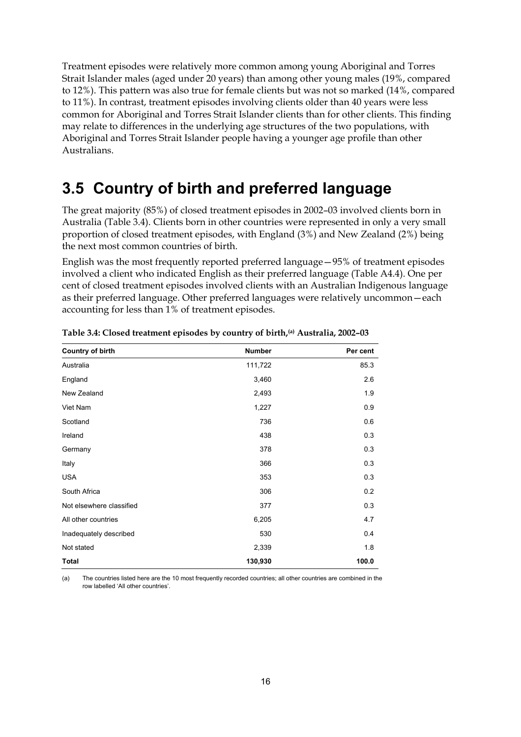Treatment episodes were relatively more common among young Aboriginal and Torres Strait Islander males (aged under 20 years) than among other young males (19%, compared to 12%). This pattern was also true for female clients but was not so marked (14%, compared to 11%). In contrast, treatment episodes involving clients older than 40 years were less common for Aboriginal and Torres Strait Islander clients than for other clients. This finding may relate to differences in the underlying age structures of the two populations, with Aboriginal and Torres Strait Islander people having a younger age profile than other Australians.

### **3.5 Country of birth and preferred language**

The great majority (85%) of closed treatment episodes in 2002–03 involved clients born in Australia (Table 3.4). Clients born in other countries were represented in only a very small proportion of closed treatment episodes, with England (3%) and New Zealand (2%) being the next most common countries of birth.

English was the most frequently reported preferred language—95% of treatment episodes involved a client who indicated English as their preferred language (Table A4.4). One per cent of closed treatment episodes involved clients with an Australian Indigenous language as their preferred language. Other preferred languages were relatively uncommon—each accounting for less than 1% of treatment episodes.

| <b>Country of birth</b>  | <b>Number</b> | Per cent |
|--------------------------|---------------|----------|
| Australia                | 111,722       | 85.3     |
| England                  | 3,460         | 2.6      |
| New Zealand              | 2,493         | 1.9      |
| Viet Nam                 | 1,227         | 0.9      |
| Scotland                 | 736           | 0.6      |
| Ireland                  | 438           | 0.3      |
| Germany                  | 378           | 0.3      |
| Italy                    | 366           | 0.3      |
| <b>USA</b>               | 353           | 0.3      |
| South Africa             | 306           | 0.2      |
| Not elsewhere classified | 377           | 0.3      |
| All other countries      | 6,205         | 4.7      |
| Inadequately described   | 530           | 0.4      |
| Not stated               | 2,339         | 1.8      |
| <b>Total</b>             | 130,930       | 100.0    |

**Table 3.4: Closed treatment episodes by country of birth,(a) Australia, 2002–03** 

(a) The countries listed here are the 10 most frequently recorded countries; all other countries are combined in the row labelled 'All other countries'.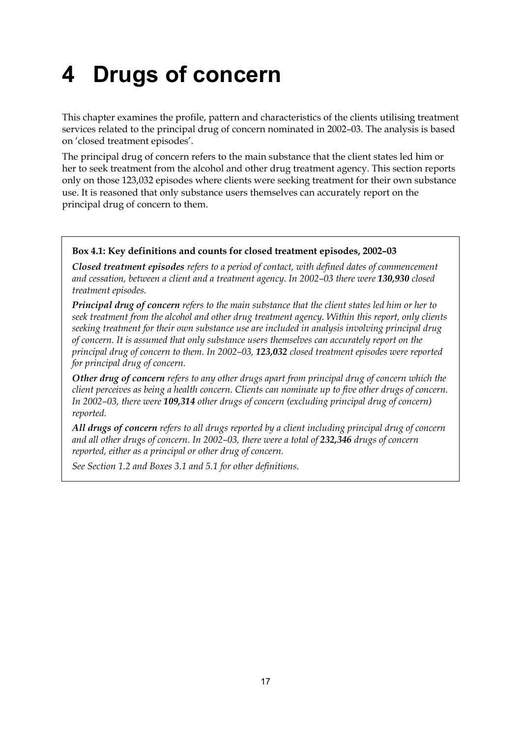# **4 Drugs of concern**

This chapter examines the profile, pattern and characteristics of the clients utilising treatment services related to the principal drug of concern nominated in 2002–03. The analysis is based on 'closed treatment episodes'.

The principal drug of concern refers to the main substance that the client states led him or her to seek treatment from the alcohol and other drug treatment agency. This section reports only on those 123,032 episodes where clients were seeking treatment for their own substance use. It is reasoned that only substance users themselves can accurately report on the principal drug of concern to them.

#### **Box 4.1: Key definitions and counts for closed treatment episodes, 2002–03**

*Closed treatment episodes refers to a period of contact, with defined dates of commencement*  and cessation, between a client and a treatment agency. In 2002–03 there were 130,930 closed *treatment episodes.* 

*Principal drug of concern refers to the main substance that the client states led him or her to seek treatment from the alcohol and other drug treatment agency. Within this report, only clients seeking treatment for their own substance use are included in analysis involving principal drug of concern. It is assumed that only substance users themselves can accurately report on the principal drug of concern to them. In 2002–03, 123,032 closed treatment episodes were reported for principal drug of concern.* 

*Other drug of concern refers to any other drugs apart from principal drug of concern which the client perceives as being a health concern. Clients can nominate up to five other drugs of concern. In 2002–03, there were 109,314 other drugs of concern (excluding principal drug of concern) reported.* 

*All drugs of concern refers to all drugs reported by a client including principal drug of concern*  and all other drugs of concern. In 2002–03, there were a total of 232,346 drugs of concern *reported, either as a principal or other drug of concern.* 

*See Section 1.2 and Boxes 3.1 and 5.1 for other definitions.*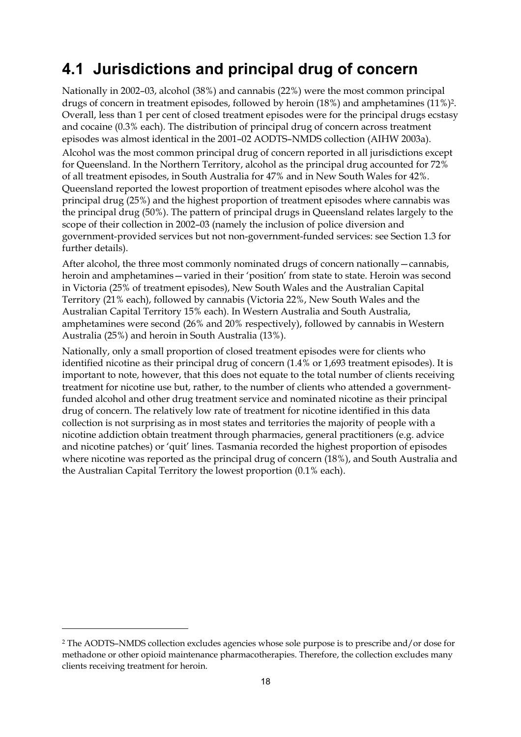### **4.1 Jurisdictions and principal drug of concern**

Nationally in 2002–03, alcohol (38%) and cannabis (22%) were the most common principal drugs of concern in treatment episodes, followed by heroin (18%) and amphetamines (11%)2. Overall, less than 1 per cent of closed treatment episodes were for the principal drugs ecstasy and cocaine (0.3% each). The distribution of principal drug of concern across treatment episodes was almost identical in the 2001–02 AODTS–NMDS collection (AIHW 2003a). Alcohol was the most common principal drug of concern reported in all jurisdictions except for Queensland. In the Northern Territory, alcohol as the principal drug accounted for 72% of all treatment episodes, in South Australia for 47% and in New South Wales for 42%. Queensland reported the lowest proportion of treatment episodes where alcohol was the principal drug (25%) and the highest proportion of treatment episodes where cannabis was the principal drug (50%). The pattern of principal drugs in Queensland relates largely to the scope of their collection in 2002–03 (namely the inclusion of police diversion and government-provided services but not non-government-funded services: see Section 1.3 for further details).

After alcohol, the three most commonly nominated drugs of concern nationally—cannabis, heroin and amphetamines—varied in their 'position' from state to state. Heroin was second in Victoria (25% of treatment episodes), New South Wales and the Australian Capital Territory (21% each), followed by cannabis (Victoria 22%, New South Wales and the Australian Capital Territory 15% each). In Western Australia and South Australia, amphetamines were second (26% and 20% respectively), followed by cannabis in Western Australia (25%) and heroin in South Australia (13%).

Nationally, only a small proportion of closed treatment episodes were for clients who identified nicotine as their principal drug of concern (1.4% or 1,693 treatment episodes). It is important to note, however, that this does not equate to the total number of clients receiving treatment for nicotine use but, rather, to the number of clients who attended a governmentfunded alcohol and other drug treatment service and nominated nicotine as their principal drug of concern. The relatively low rate of treatment for nicotine identified in this data collection is not surprising as in most states and territories the majority of people with a nicotine addiction obtain treatment through pharmacies, general practitioners (e.g. advice and nicotine patches) or 'quit' lines. Tasmania recorded the highest proportion of episodes where nicotine was reported as the principal drug of concern (18%), and South Australia and the Australian Capital Territory the lowest proportion (0.1% each).

 $\overline{a}$ 

<sup>2</sup> The AODTS–NMDS collection excludes agencies whose sole purpose is to prescribe and/or dose for methadone or other opioid maintenance pharmacotherapies. Therefore, the collection excludes many clients receiving treatment for heroin.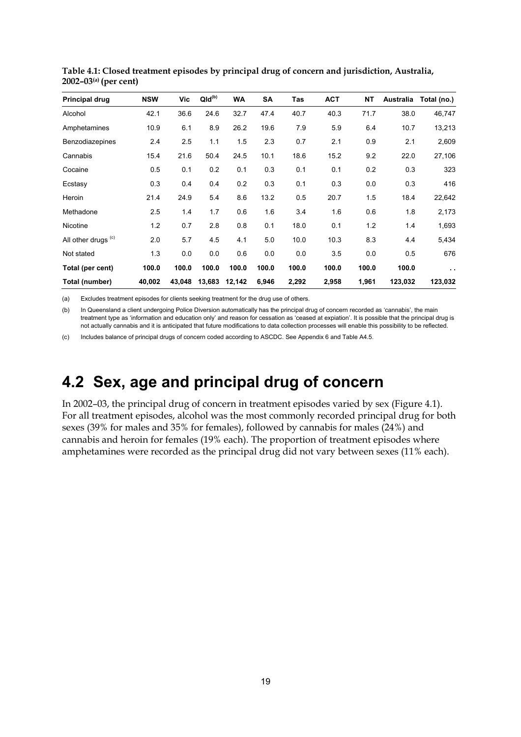| <b>Principal drug</b>          | <b>NSW</b> | Vic    | $QId^{(b)}$ | WA     | SA    | Tas   | <b>ACT</b> | <b>NT</b> | Australia | Total (no.)   |
|--------------------------------|------------|--------|-------------|--------|-------|-------|------------|-----------|-----------|---------------|
| Alcohol                        | 42.1       | 36.6   | 24.6        | 32.7   | 47.4  | 40.7  | 40.3       | 71.7      | 38.0      | 46,747        |
| Amphetamines                   | 10.9       | 6.1    | 8.9         | 26.2   | 19.6  | 7.9   | 5.9        | 6.4       | 10.7      | 13,213        |
| Benzodiazepines                | 2.4        | 2.5    | 1.1         | 1.5    | 2.3   | 0.7   | 2.1        | 0.9       | 2.1       | 2,609         |
| Cannabis                       | 15.4       | 21.6   | 50.4        | 24.5   | 10.1  | 18.6  | 15.2       | 9.2       | 22.0      | 27,106        |
| Cocaine                        | 0.5        | 0.1    | 0.2         | 0.1    | 0.3   | 0.1   | 0.1        | 0.2       | 0.3       | 323           |
| Ecstasy                        | 0.3        | 0.4    | 0.4         | 0.2    | 0.3   | 0.1   | 0.3        | 0.0       | 0.3       | 416           |
| Heroin                         | 21.4       | 24.9   | 5.4         | 8.6    | 13.2  | 0.5   | 20.7       | 1.5       | 18.4      | 22,642        |
| Methadone                      | 2.5        | 1.4    | 1.7         | 0.6    | 1.6   | 3.4   | 1.6        | 0.6       | 1.8       | 2,173         |
| Nicotine                       | 1.2        | 0.7    | 2.8         | 0.8    | 0.1   | 18.0  | 0.1        | 1.2       | 1.4       | 1,693         |
| All other drugs <sup>(c)</sup> | 2.0        | 5.7    | 4.5         | 4.1    | 5.0   | 10.0  | 10.3       | 8.3       | 4.4       | 5,434         |
| Not stated                     | 1.3        | 0.0    | 0.0         | 0.6    | 0.0   | 0.0   | 3.5        | 0.0       | 0.5       | 676           |
| Total (per cent)               | 100.0      | 100.0  | 100.0       | 100.0  | 100.0 | 100.0 | 100.0      | 100.0     | 100.0     | $\sim$ $\sim$ |
| Total (number)                 | 40,002     | 43.048 | 13,683      | 12,142 | 6,946 | 2,292 | 2,958      | 1,961     | 123,032   | 123,032       |

**Table 4.1: Closed treatment episodes by principal drug of concern and jurisdiction, Australia, 2002–03(a) (per cent)** 

(a) Excludes treatment episodes for clients seeking treatment for the drug use of others.

(b) In Queensland a client undergoing Police Diversion automatically has the principal drug of concern recorded as 'cannabis', the main treatment type as 'information and education only' and reason for cessation as 'ceased at expiation'. It is possible that the principal drug is not actually cannabis and it is anticipated that future modifications to data collection processes will enable this possibility to be reflected.

(c) Includes balance of principal drugs of concern coded according to ASCDC. See Appendix 6 and Table A4.5.

### **4.2 Sex, age and principal drug of concern**

In 2002–03, the principal drug of concern in treatment episodes varied by sex (Figure 4.1). For all treatment episodes, alcohol was the most commonly recorded principal drug for both sexes (39% for males and 35% for females), followed by cannabis for males (24%) and cannabis and heroin for females (19% each). The proportion of treatment episodes where amphetamines were recorded as the principal drug did not vary between sexes (11% each).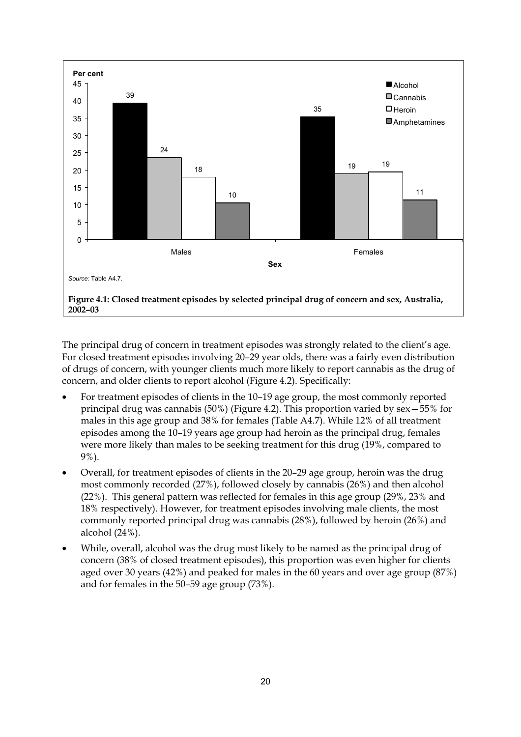

The principal drug of concern in treatment episodes was strongly related to the client's age. For closed treatment episodes involving 20–29 year olds, there was a fairly even distribution of drugs of concern, with younger clients much more likely to report cannabis as the drug of concern, and older clients to report alcohol (Figure 4.2). Specifically:

- For treatment episodes of clients in the 10–19 age group, the most commonly reported principal drug was cannabis (50%) (Figure 4.2). This proportion varied by sex—55% for males in this age group and 38% for females (Table A4.7). While 12% of all treatment episodes among the 10–19 years age group had heroin as the principal drug, females were more likely than males to be seeking treatment for this drug (19%, compared to 9%).
- Overall, for treatment episodes of clients in the 20–29 age group, heroin was the drug most commonly recorded (27%), followed closely by cannabis (26%) and then alcohol (22%). This general pattern was reflected for females in this age group (29%, 23% and 18% respectively). However, for treatment episodes involving male clients, the most commonly reported principal drug was cannabis (28%), followed by heroin (26%) and alcohol (24%).
- While, overall, alcohol was the drug most likely to be named as the principal drug of concern (38% of closed treatment episodes), this proportion was even higher for clients aged over 30 years (42%) and peaked for males in the 60 years and over age group (87%) and for females in the 50–59 age group (73%).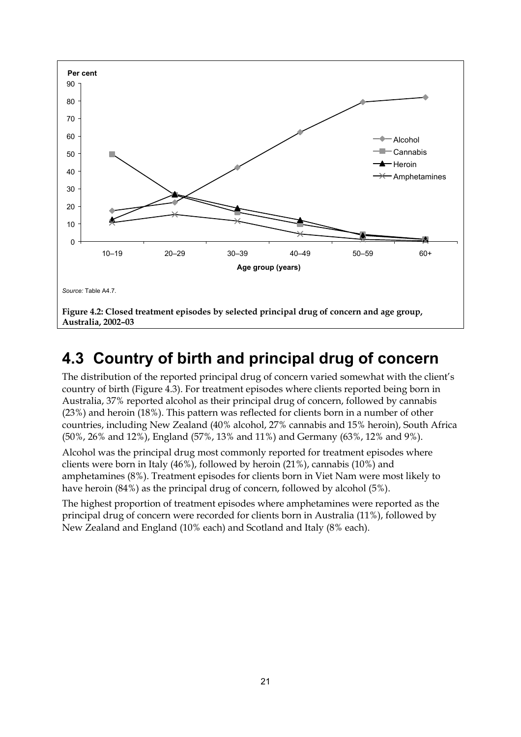

## **4.3 Country of birth and principal drug of concern**

The distribution of the reported principal drug of concern varied somewhat with the client's country of birth (Figure 4.3). For treatment episodes where clients reported being born in Australia, 37% reported alcohol as their principal drug of concern, followed by cannabis (23%) and heroin (18%). This pattern was reflected for clients born in a number of other countries, including New Zealand (40% alcohol, 27% cannabis and 15% heroin), South Africa (50%, 26% and 12%), England (57%, 13% and 11%) and Germany (63%, 12% and 9%).

Alcohol was the principal drug most commonly reported for treatment episodes where clients were born in Italy (46%), followed by heroin (21%), cannabis (10%) and amphetamines (8%). Treatment episodes for clients born in Viet Nam were most likely to have heroin (84%) as the principal drug of concern, followed by alcohol (5%).

The highest proportion of treatment episodes where amphetamines were reported as the principal drug of concern were recorded for clients born in Australia (11%), followed by New Zealand and England (10% each) and Scotland and Italy (8% each).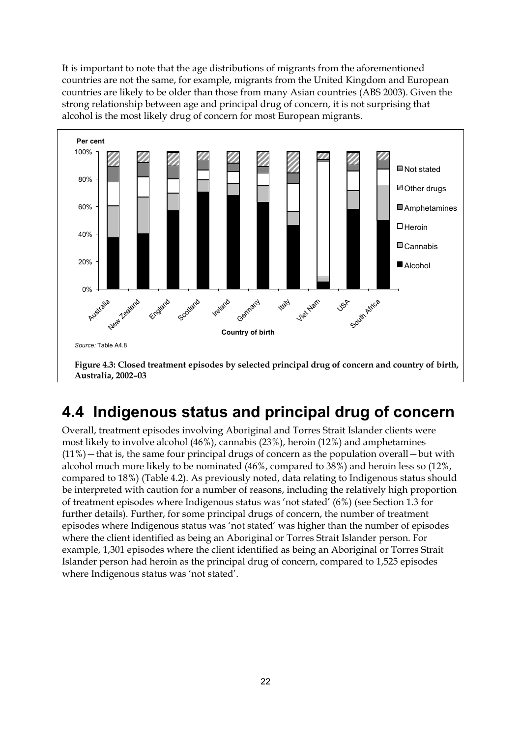It is important to note that the age distributions of migrants from the aforementioned countries are not the same, for example, migrants from the United Kingdom and European countries are likely to be older than those from many Asian countries (ABS 2003). Given the strong relationship between age and principal drug of concern, it is not surprising that alcohol is the most likely drug of concern for most European migrants.



## **4.4 Indigenous status and principal drug of concern**

Overall, treatment episodes involving Aboriginal and Torres Strait Islander clients were most likely to involve alcohol (46%), cannabis (23%), heroin (12%) and amphetamines  $(11%)$  – that is, the same four principal drugs of concern as the population overall – but with alcohol much more likely to be nominated (46%, compared to 38%) and heroin less so (12%, compared to 18%) (Table 4.2). As previously noted, data relating to Indigenous status should be interpreted with caution for a number of reasons, including the relatively high proportion of treatment episodes where Indigenous status was 'not stated' (6%) (see Section 1.3 for further details). Further, for some principal drugs of concern, the number of treatment episodes where Indigenous status was 'not stated' was higher than the number of episodes where the client identified as being an Aboriginal or Torres Strait Islander person. For example, 1,301 episodes where the client identified as being an Aboriginal or Torres Strait Islander person had heroin as the principal drug of concern, compared to 1,525 episodes where Indigenous status was 'not stated'.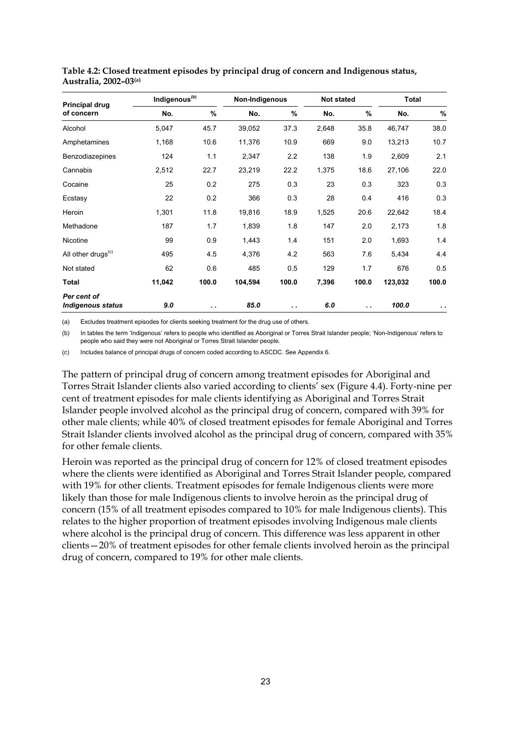| Principal drug                          | Indigenous <sup>(b)</sup> |           | Non-Indigenous |       | <b>Not stated</b> |       | <b>Total</b> |                 |
|-----------------------------------------|---------------------------|-----------|----------------|-------|-------------------|-------|--------------|-----------------|
| of concern                              | No.                       | %         | No.            | %     | No.               | %     | No.          | %               |
| Alcohol                                 | 5,047                     | 45.7      | 39,052         | 37.3  | 2,648             | 35.8  | 46,747       | 38.0            |
| Amphetamines                            | 1,168                     | 10.6      | 11,376         | 10.9  | 669               | 9.0   | 13,213       | 10.7            |
| Benzodiazepines                         | 124                       | 1.1       | 2,347          | 2.2   | 138               | 1.9   | 2,609        | 2.1             |
| Cannabis                                | 2,512                     | 22.7      | 23,219         | 22.2  | 1,375             | 18.6  | 27,106       | 22.0            |
| Cocaine                                 | 25                        | 0.2       | 275            | 0.3   | 23                | 0.3   | 323          | 0.3             |
| Ecstasy                                 | 22                        | 0.2       | 366            | 0.3   | 28                | 0.4   | 416          | 0.3             |
| Heroin                                  | 1,301                     | 11.8      | 19,816         | 18.9  | 1,525             | 20.6  | 22,642       | 18.4            |
| Methadone                               | 187                       | 1.7       | 1,839          | 1.8   | 147               | 2.0   | 2,173        | 1.8             |
| Nicotine                                | 99                        | 0.9       | 1,443          | 1.4   | 151               | 2.0   | 1,693        | 1.4             |
| All other drugs <sup>(c)</sup>          | 495                       | 4.5       | 4,376          | 4.2   | 563               | 7.6   | 5,434        | 4.4             |
| Not stated                              | 62                        | 0.6       | 485            | 0.5   | 129               | 1.7   | 676          | 0.5             |
| Total                                   | 11,042                    | 100.0     | 104,594        | 100.0 | 7,396             | 100.0 | 123,032      | 100.0           |
| Per cent of<br><b>Indigenous status</b> | 9.0                       | $\cdot$ . | 85.0           | . .   | 6.0               | . .   | 100.0        | $\cdot$ $\cdot$ |

**Table 4.2: Closed treatment episodes by principal drug of concern and Indigenous status, Australia, 2002–03(a)**

(a) Excludes treatment episodes for clients seeking treatment for the drug use of others.

(b) In tables the term 'Indigenous' refers to people who identified as Aboriginal or Torres Strait Islander people; 'Non-Indigenous' refers to people who said they were not Aboriginal or Torres Strait Islander people.

(c) Includes balance of principal drugs of concern coded according to ASCDC. See Appendix 6.

The pattern of principal drug of concern among treatment episodes for Aboriginal and Torres Strait Islander clients also varied according to clients' sex (Figure 4.4). Forty-nine per cent of treatment episodes for male clients identifying as Aboriginal and Torres Strait Islander people involved alcohol as the principal drug of concern, compared with 39% for other male clients; while 40% of closed treatment episodes for female Aboriginal and Torres Strait Islander clients involved alcohol as the principal drug of concern, compared with 35% for other female clients.

Heroin was reported as the principal drug of concern for 12% of closed treatment episodes where the clients were identified as Aboriginal and Torres Strait Islander people, compared with 19% for other clients. Treatment episodes for female Indigenous clients were more likely than those for male Indigenous clients to involve heroin as the principal drug of concern (15% of all treatment episodes compared to 10% for male Indigenous clients). This relates to the higher proportion of treatment episodes involving Indigenous male clients where alcohol is the principal drug of concern. This difference was less apparent in other clients—20% of treatment episodes for other female clients involved heroin as the principal drug of concern, compared to 19% for other male clients.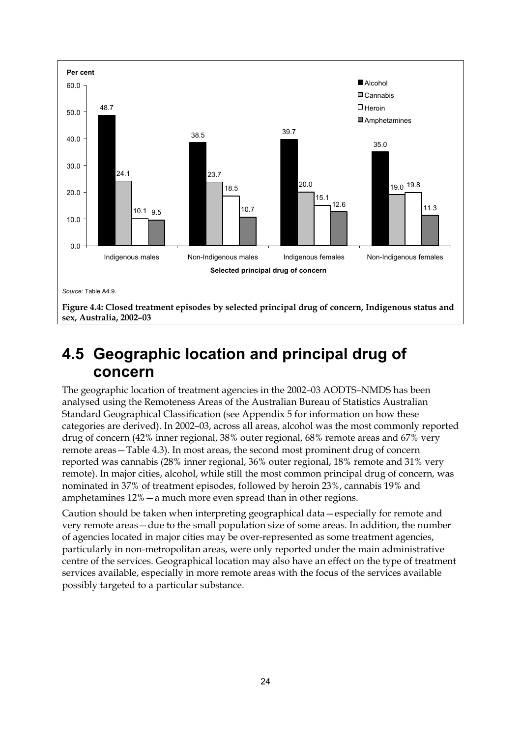

## **4.5 Geographic location and principal drug of concern**

The geographic location of treatment agencies in the 2002–03 AODTS–NMDS has been analysed using the Remoteness Areas of the Australian Bureau of Statistics Australian Standard Geographical Classification (see Appendix 5 for information on how these categories are derived). In 2002–03, across all areas, alcohol was the most commonly reported drug of concern (42% inner regional, 38% outer regional, 68% remote areas and 67% very remote areas—Table 4.3). In most areas, the second most prominent drug of concern reported was cannabis (28% inner regional, 36% outer regional, 18% remote and 31% very remote). In major cities, alcohol, while still the most common principal drug of concern, was nominated in 37% of treatment episodes, followed by heroin 23%, cannabis 19% and amphetamines 12%—a much more even spread than in other regions.

Caution should be taken when interpreting geographical data—especially for remote and very remote areas—due to the small population size of some areas. In addition, the number of agencies located in major cities may be over-represented as some treatment agencies, particularly in non-metropolitan areas, were only reported under the main administrative centre of the services. Geographical location may also have an effect on the type of treatment services available, especially in more remote areas with the focus of the services available possibly targeted to a particular substance.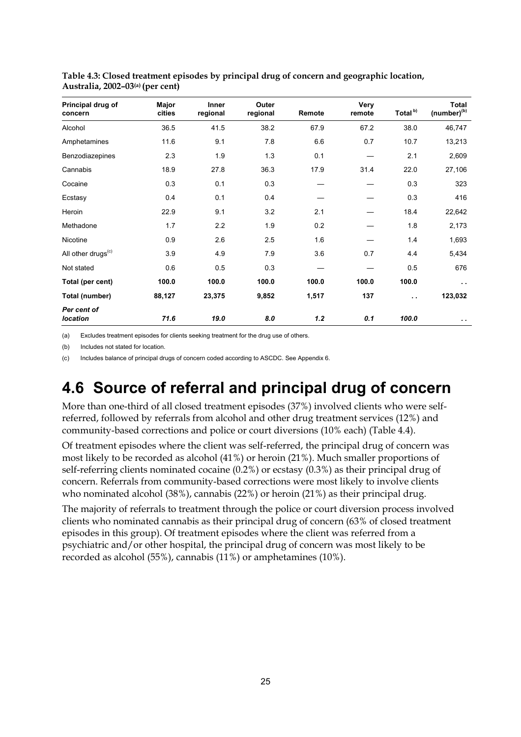| Principal drug of<br>concern   | Major<br>cities | Inner<br>regional | Outer<br>regional | Remote | Very<br>remote | Total <sup>b)</sup> | <b>Total</b><br>(number) <sup>(b)</sup> |
|--------------------------------|-----------------|-------------------|-------------------|--------|----------------|---------------------|-----------------------------------------|
| Alcohol                        | 36.5            | 41.5              | 38.2              | 67.9   | 67.2           | 38.0                | 46,747                                  |
| Amphetamines                   | 11.6            | 9.1               | 7.8               | 6.6    | 0.7            | 10.7                | 13,213                                  |
| Benzodiazepines                | 2.3             | 1.9               | 1.3               | 0.1    |                | 2.1                 | 2,609                                   |
| Cannabis                       | 18.9            | 27.8              | 36.3              | 17.9   | 31.4           | 22.0                | 27,106                                  |
| Cocaine                        | 0.3             | 0.1               | 0.3               |        |                | 0.3                 | 323                                     |
| Ecstasy                        | 0.4             | 0.1               | 0.4               |        |                | 0.3                 | 416                                     |
| Heroin                         | 22.9            | 9.1               | 3.2               | 2.1    |                | 18.4                | 22,642                                  |
| Methadone                      | 1.7             | 2.2               | 1.9               | 0.2    |                | 1.8                 | 2,173                                   |
| Nicotine                       | 0.9             | 2.6               | 2.5               | 1.6    |                | 1.4                 | 1,693                                   |
| All other drugs <sup>(c)</sup> | 3.9             | 4.9               | 7.9               | 3.6    | 0.7            | 4.4                 | 5,434                                   |
| Not stated                     | 0.6             | 0.5               | 0.3               |        |                | 0.5                 | 676                                     |
| Total (per cent)               | 100.0           | 100.0             | 100.0             | 100.0  | 100.0          | 100.0               | $\sim$                                  |
| Total (number)                 | 88,127          | 23,375            | 9,852             | 1,517  | 137            | $\sim$              | 123,032                                 |
| Per cent of<br><b>location</b> | 71.6            | 19.0              | 8.0               | 1.2    | 0.1            | 100.0               | $\epsilon$ .                            |

**Table 4.3: Closed treatment episodes by principal drug of concern and geographic location, Australia, 2002–03(a) (per cent)** 

(a) Excludes treatment episodes for clients seeking treatment for the drug use of others.

(b) Includes not stated for location.

(c) Includes balance of principal drugs of concern coded according to ASCDC. See Appendix 6.

## **4.6 Source of referral and principal drug of concern**

More than one-third of all closed treatment episodes (37%) involved clients who were selfreferred, followed by referrals from alcohol and other drug treatment services (12%) and community-based corrections and police or court diversions (10% each) (Table 4.4).

Of treatment episodes where the client was self-referred, the principal drug of concern was most likely to be recorded as alcohol (41%) or heroin (21%). Much smaller proportions of self-referring clients nominated cocaine (0.2%) or ecstasy (0.3%) as their principal drug of concern. Referrals from community-based corrections were most likely to involve clients who nominated alcohol (38%), cannabis (22%) or heroin (21%) as their principal drug.

The majority of referrals to treatment through the police or court diversion process involved clients who nominated cannabis as their principal drug of concern (63% of closed treatment episodes in this group). Of treatment episodes where the client was referred from a psychiatric and/or other hospital, the principal drug of concern was most likely to be recorded as alcohol (55%), cannabis (11%) or amphetamines (10%).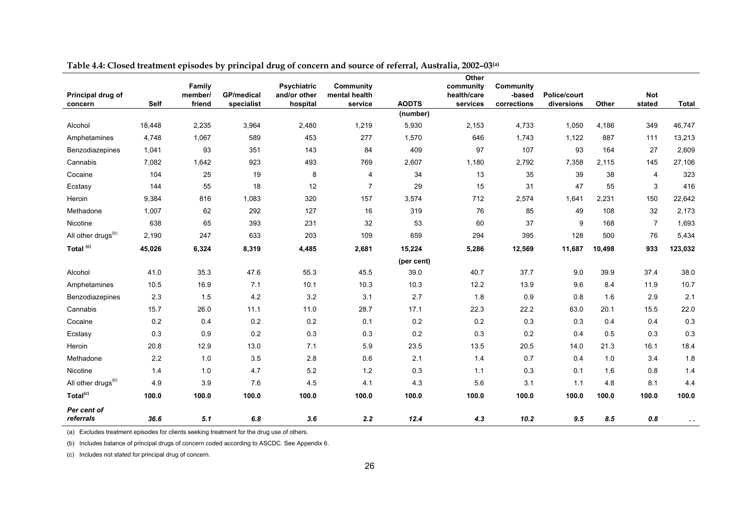| Principal drug of<br>concern   | <b>Self</b> | $\cdots$ $\cdots$<br>Family<br>member/<br>friend | —— г<br><b>GP/medical</b><br>specialist | о<br><b>Psychiatric</b><br>and/or other<br>hospital | Community<br>mental health<br>service | <b>AODTS</b> | Other<br>community<br>health/care<br>services | Community<br>-based<br>corrections | Police/court<br>diversions | Other  | <b>Not</b><br>stated | <b>Total</b> |
|--------------------------------|-------------|--------------------------------------------------|-----------------------------------------|-----------------------------------------------------|---------------------------------------|--------------|-----------------------------------------------|------------------------------------|----------------------------|--------|----------------------|--------------|
|                                |             |                                                  |                                         |                                                     |                                       | (number)     |                                               |                                    |                            |        |                      |              |
| Alcohol                        | 18,448      | 2,235                                            | 3,964                                   | 2,480                                               | 1,219                                 | 5,930        | 2,153                                         | 4,733                              | 1,050                      | 4,186  | 349                  | 46,747       |
| Amphetamines                   | 4,748       | 1,067                                            | 589                                     | 453                                                 | 277                                   | 1,570        | 646                                           | 1,743                              | 1,122                      | 887    | 111                  | 13,213       |
| <b>Benzodiazepines</b>         | 1,041       | 93                                               | 351                                     | 143                                                 | 84                                    | 409          | 97                                            | 107                                | 93                         | 164    | 27                   | 2,609        |
| Cannabis                       | 7,082       | 1,642                                            | 923                                     | 493                                                 | 769                                   | 2,607        | 1,180                                         | 2,792                              | 7,358                      | 2,115  | 145                  | 27,106       |
| Cocaine                        | 104         | 25                                               | 19                                      | 8                                                   | 4                                     | 34           | 13                                            | 35                                 | 39                         | 38     | 4                    | 323          |
| Ecstasy                        | 144         | 55                                               | 18                                      | 12                                                  | 7                                     | 29           | 15                                            | 31                                 | 47                         | 55     | 3                    | 416          |
| Heroin                         | 9,384       | 816                                              | 1,083                                   | 320                                                 | 157                                   | 3,574        | 712                                           | 2,574                              | 1,641                      | 2,231  | 150                  | 22,642       |
| Methadone                      | 1,007       | 62                                               | 292                                     | 127                                                 | 16                                    | 319          | 76                                            | 85                                 | 49                         | 108    | 32                   | 2,173        |
| Nicotine                       | 638         | 65                                               | 393                                     | 231                                                 | 32                                    | 53           | 60                                            | 37                                 | 9                          | 168    | $\overline{7}$       | 1,693        |
| All other drugs <sup>(b)</sup> | 2,190       | 247                                              | 633                                     | 203                                                 | 109                                   | 659          | 294                                           | 395                                | 128                        | 500    | 76                   | 5,434        |
| Total <sup>(c)</sup>           | 45,026      | 6,324                                            | 8,319                                   | 4,485                                               | 2,681                                 | 15,224       | 5,286                                         | 12,569                             | 11,687                     | 10,498 | 933                  | 123,032      |
|                                |             |                                                  |                                         |                                                     |                                       | (per cent)   |                                               |                                    |                            |        |                      |              |
| Alcohol                        | 41.0        | 35.3                                             | 47.6                                    | 55.3                                                | 45.5                                  | 39.0         | 40.7                                          | 37.7                               | 9.0                        | 39.9   | 37.4                 | 38.0         |
| Amphetamines                   | 10.5        | 16.9                                             | 7.1                                     | 10.1                                                | 10.3                                  | 10.3         | 12.2                                          | 13.9                               | 9.6                        | 8.4    | 11.9                 | 10.7         |
| Benzodiazepines                | 2.3         | 1.5                                              | 4.2                                     | 3.2                                                 | 3.1                                   | 2.7          | 1.8                                           | 0.9                                | 0.8                        | 1.6    | 2.9                  | 2.1          |
| Cannabis                       | 15.7        | 26.0                                             | 11.1                                    | 11.0                                                | 28.7                                  | 17.1         | 22.3                                          | 22.2                               | 63.0                       | 20.1   | 15.5                 | 22.0         |
| Cocaine                        | 0.2         | 0.4                                              | 0.2                                     | $0.2\,$                                             | 0.1                                   | 0.2          | 0.2                                           | 0.3                                | 0.3                        | 0.4    | 0.4                  | 0.3          |
| Ecstasy                        | 0.3         | 0.9                                              | 0.2                                     | 0.3                                                 | 0.3                                   | 0.2          | 0.3                                           | 0.2                                | 0.4                        | 0.5    | 0.3                  | 0.3          |
| Heroin                         | 20.8        | 12.9                                             | 13.0                                    | 7.1                                                 | 5.9                                   | 23.5         | 13.5                                          | 20.5                               | 14.0                       | 21.3   | 16.1                 | 18.4         |
| Methadone                      | 2.2         | 1.0                                              | 3.5                                     | 2.8                                                 | 0.6                                   | 2.1          | 1.4                                           | 0.7                                | 0.4                        | 1.0    | 3.4                  | 1.8          |
| Nicotine                       | 1.4         | 1.0                                              | 4.7                                     | 5.2                                                 | 1.2                                   | 0.3          | 1.1                                           | 0.3                                | 0.1                        | 1.6    | 0.8                  | 1.4          |
| All other drugs <sup>(b)</sup> | 4.9         | 3.9                                              | 7.6                                     | 4.5                                                 | 4.1                                   | 4.3          | 5.6                                           | 3.1                                | 1.1                        | 4.8    | 8.1                  | 4.4          |
| Total <sup>(c)</sup>           | 100.0       | 100.0                                            | 100.0                                   | 100.0                                               | 100.0                                 | 100.0        | 100.0                                         | 100.0                              | 100.0                      | 100.0  | 100.0                | 100.0        |
| Per cent of<br>referrals       | 36.6        | 5.1                                              | 6.8                                     | 3.6                                                 | 2.2                                   | 12.4         | 4.3                                           | 10.2                               | 9.5                        | 8.5    | $\pmb{0.8}$          | $\sim$       |

|  | Table 4.4: Closed treatment episodes by principal drug of concern and source of referral, Australia, 2002-03 <sup>(a)</sup> |  |  |  |  |  |
|--|-----------------------------------------------------------------------------------------------------------------------------|--|--|--|--|--|
|--|-----------------------------------------------------------------------------------------------------------------------------|--|--|--|--|--|

(a) Excludes treatment episodes for clients seeking treatment for the drug use of others.

(b) Includes balance of principal drugs of concern coded according to ASCDC. See Appendix 6.

(c) Includes not stated for principal drug of concern.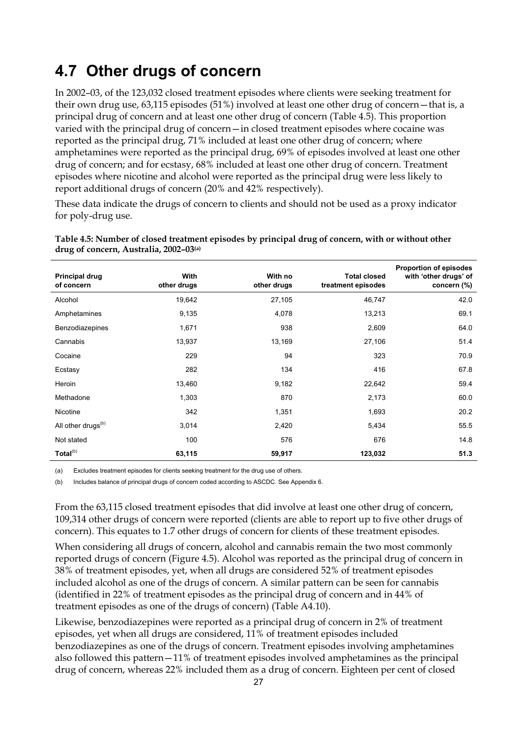## **4.7 Other drugs of concern**

In 2002–03, of the 123,032 closed treatment episodes where clients were seeking treatment for their own drug use, 63,115 episodes (51%) involved at least one other drug of concern—that is, a principal drug of concern and at least one other drug of concern (Table 4.5). This proportion varied with the principal drug of concern—in closed treatment episodes where cocaine was reported as the principal drug, 71% included at least one other drug of concern; where amphetamines were reported as the principal drug, 69% of episodes involved at least one other drug of concern; and for ecstasy, 68% included at least one other drug of concern. Treatment episodes where nicotine and alcohol were reported as the principal drug were less likely to report additional drugs of concern (20% and 42% respectively).

These data indicate the drugs of concern to clients and should not be used as a proxy indicator for poly-drug use.

| <b>Principal drug</b><br>of concern | <b>With</b><br>other drugs | With no<br>other drugs | <b>Total closed</b><br>treatment episodes | <b>Proportion of episodes</b><br>with 'other drugs' of<br>concern (%) |
|-------------------------------------|----------------------------|------------------------|-------------------------------------------|-----------------------------------------------------------------------|
| Alcohol                             | 19,642                     | 27,105                 | 46,747                                    | 42.0                                                                  |
| Amphetamines                        | 9,135                      | 4,078                  | 13,213                                    | 69.1                                                                  |
| Benzodiazepines                     | 1,671                      | 938                    | 2,609                                     | 64.0                                                                  |
| Cannabis                            | 13,937                     | 13,169                 | 27,106                                    | 51.4                                                                  |
| Cocaine                             | 229                        | 94                     | 323                                       | 70.9                                                                  |
| Ecstasy                             | 282                        | 134                    | 416                                       | 67.8                                                                  |
| Heroin                              | 13,460                     | 9,182                  | 22,642                                    | 59.4                                                                  |
| Methadone                           | 1,303                      | 870                    | 2,173                                     | 60.0                                                                  |
| Nicotine                            | 342                        | 1,351                  | 1,693                                     | 20.2                                                                  |
| All other drugs <sup>(b)</sup>      | 3,014                      | 2,420                  | 5,434                                     | 55.5                                                                  |
| Not stated                          | 100                        | 576                    | 676                                       | 14.8                                                                  |
| Total <sup>(b)</sup>                | 63,115                     | 59,917                 | 123,032                                   | 51.3                                                                  |

**Table 4.5: Number of closed treatment episodes by principal drug of concern, with or without other drug of concern, Australia, 2002–03(a)**

(a) Excludes treatment episodes for clients seeking treatment for the drug use of others.

(b) Includes balance of principal drugs of concern coded according to ASCDC. See Appendix 6.

From the 63,115 closed treatment episodes that did involve at least one other drug of concern, 109,314 other drugs of concern were reported (clients are able to report up to five other drugs of concern). This equates to 1.7 other drugs of concern for clients of these treatment episodes.

When considering all drugs of concern, alcohol and cannabis remain the two most commonly reported drugs of concern (Figure 4.5). Alcohol was reported as the principal drug of concern in 38% of treatment episodes, yet, when all drugs are considered 52% of treatment episodes included alcohol as one of the drugs of concern. A similar pattern can be seen for cannabis (identified in 22% of treatment episodes as the principal drug of concern and in 44% of treatment episodes as one of the drugs of concern) (Table A4.10).

Likewise, benzodiazepines were reported as a principal drug of concern in 2% of treatment episodes, yet when all drugs are considered, 11% of treatment episodes included benzodiazepines as one of the drugs of concern. Treatment episodes involving amphetamines also followed this pattern—11% of treatment episodes involved amphetamines as the principal drug of concern, whereas 22% included them as a drug of concern. Eighteen per cent of closed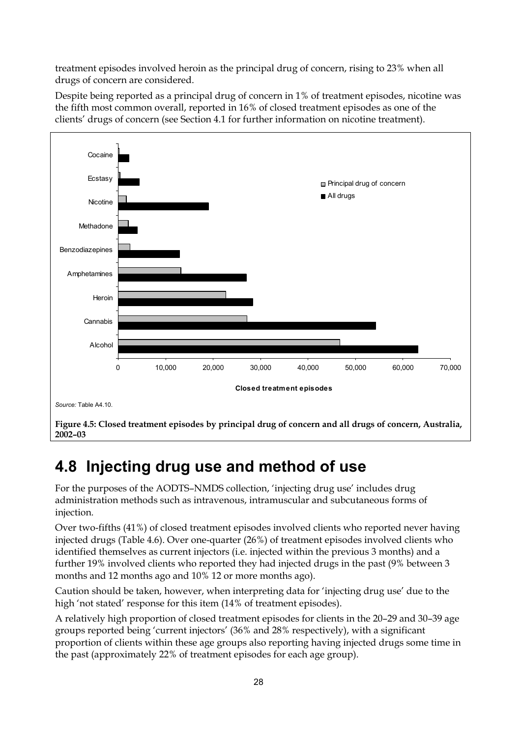treatment episodes involved heroin as the principal drug of concern, rising to 23% when all drugs of concern are considered.

Despite being reported as a principal drug of concern in 1% of treatment episodes, nicotine was the fifth most common overall, reported in 16% of closed treatment episodes as one of the clients' drugs of concern (see Section 4.1 for further information on nicotine treatment).



## **4.8 Injecting drug use and method of use**

For the purposes of the AODTS–NMDS collection, 'injecting drug use' includes drug administration methods such as intravenous, intramuscular and subcutaneous forms of injection*.* 

Over two-fifths (41%) of closed treatment episodes involved clients who reported never having injected drugs (Table 4.6). Over one-quarter (26%) of treatment episodes involved clients who identified themselves as current injectors (i.e. injected within the previous 3 months) and a further 19% involved clients who reported they had injected drugs in the past (9% between 3 months and 12 months ago and 10% 12 or more months ago).

Caution should be taken, however, when interpreting data for 'injecting drug use' due to the high 'not stated' response for this item (14% of treatment episodes).

A relatively high proportion of closed treatment episodes for clients in the 20–29 and 30–39 age groups reported being 'current injectors' (36% and 28% respectively), with a significant proportion of clients within these age groups also reporting having injected drugs some time in the past (approximately 22% of treatment episodes for each age group).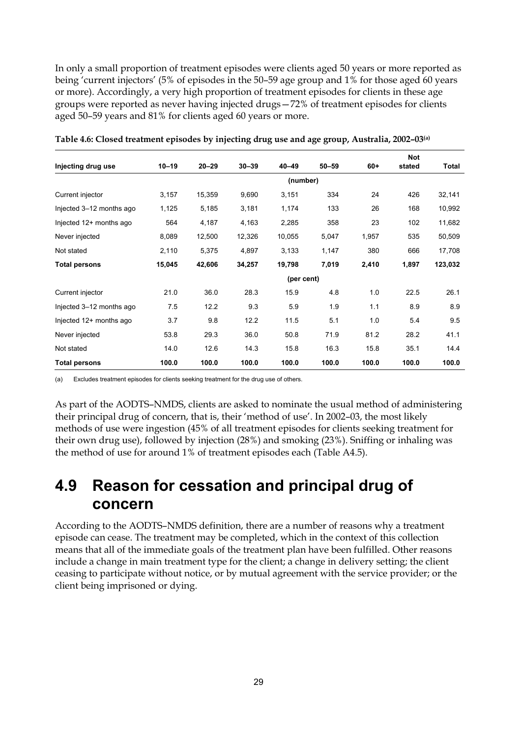In only a small proportion of treatment episodes were clients aged 50 years or more reported as being 'current injectors' (5% of episodes in the 50–59 age group and 1% for those aged 60 years or more). Accordingly, a very high proportion of treatment episodes for clients in these age groups were reported as never having injected drugs—72% of treatment episodes for clients aged 50–59 years and 81% for clients aged 60 years or more.

| Injecting drug use       | $10 - 19$  | $20 - 29$ | $30 - 39$ | $40 - 49$ | $50 - 59$ | $60+$ | <b>Not</b><br>stated | Total   |  |
|--------------------------|------------|-----------|-----------|-----------|-----------|-------|----------------------|---------|--|
|                          |            |           |           | (number)  |           |       |                      |         |  |
| Current injector         | 3,157      | 15,359    | 9,690     | 3,151     | 334       | 24    | 426                  | 32,141  |  |
| Injected 3-12 months ago | 1,125      | 5,185     | 3,181     | 1,174     | 133       | 26    | 168                  | 10,992  |  |
| Injected 12+ months ago  | 564        | 4,187     | 4,163     | 2,285     | 358       | 23    | 102                  | 11,682  |  |
| Never injected           | 8,089      | 12,500    | 12,326    | 10,055    | 5,047     | 1,957 | 535                  | 50,509  |  |
| Not stated               | 2,110      | 5,375     | 4,897     | 3,133     | 1,147     | 380   | 666                  | 17,708  |  |
| <b>Total persons</b>     | 15,045     | 42,606    | 34,257    | 19,798    | 7,019     | 2,410 | 1,897                | 123,032 |  |
|                          | (per cent) |           |           |           |           |       |                      |         |  |
| Current injector         | 21.0       | 36.0      | 28.3      | 15.9      | 4.8       | 1.0   | 22.5                 | 26.1    |  |
| Injected 3-12 months ago | 7.5        | 12.2      | 9.3       | 5.9       | 1.9       | 1.1   | 8.9                  | 8.9     |  |
| Injected 12+ months ago  | 3.7        | 9.8       | 12.2      | 11.5      | 5.1       | 1.0   | 5.4                  | 9.5     |  |
| Never injected           | 53.8       | 29.3      | 36.0      | 50.8      | 71.9      | 81.2  | 28.2                 | 41.1    |  |
| Not stated               | 14.0       | 12.6      | 14.3      | 15.8      | 16.3      | 15.8  | 35.1                 | 14.4    |  |
| <b>Total persons</b>     | 100.0      | 100.0     | 100.0     | 100.0     | 100.0     | 100.0 | 100.0                | 100.0   |  |

**Table 4.6: Closed treatment episodes by injecting drug use and age group, Australia, 2002–03(a)**

(a) Excludes treatment episodes for clients seeking treatment for the drug use of others.

As part of the AODTS–NMDS, clients are asked to nominate the usual method of administering their principal drug of concern, that is, their 'method of use'. In 2002–03, the most likely methods of use were ingestion (45% of all treatment episodes for clients seeking treatment for their own drug use), followed by injection (28%) and smoking (23%). Sniffing or inhaling was the method of use for around 1% of treatment episodes each (Table A4.5).

## **4.9 Reason for cessation and principal drug of concern**

According to the AODTS–NMDS definition, there are a number of reasons why a treatment episode can cease. The treatment may be completed, which in the context of this collection means that all of the immediate goals of the treatment plan have been fulfilled. Other reasons include a change in main treatment type for the client; a change in delivery setting; the client ceasing to participate without notice, or by mutual agreement with the service provider; or the client being imprisoned or dying.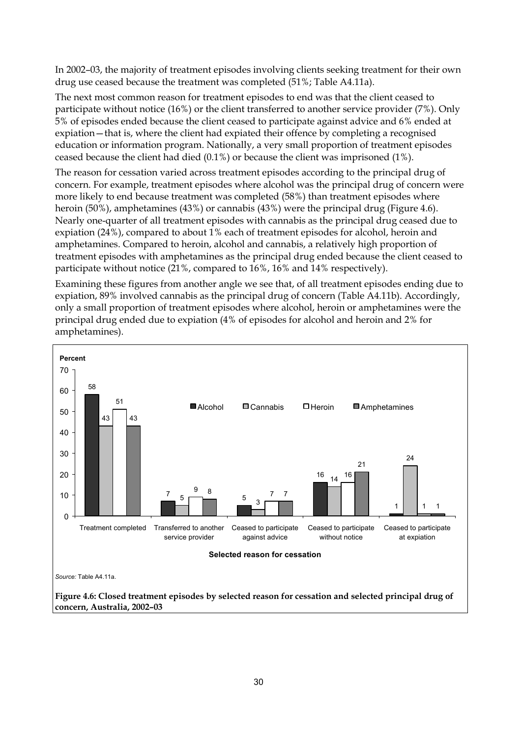In 2002–03, the majority of treatment episodes involving clients seeking treatment for their own drug use ceased because the treatment was completed (51%; Table A4.11a).

The next most common reason for treatment episodes to end was that the client ceased to participate without notice (16%) or the client transferred to another service provider (7%). Only 5% of episodes ended because the client ceased to participate against advice and 6% ended at expiation—that is, where the client had expiated their offence by completing a recognised education or information program. Nationally, a very small proportion of treatment episodes ceased because the client had died (0.1%) or because the client was imprisoned (1%).

The reason for cessation varied across treatment episodes according to the principal drug of concern. For example, treatment episodes where alcohol was the principal drug of concern were more likely to end because treatment was completed (58%) than treatment episodes where heroin (50%), amphetamines (43%) or cannabis (43%) were the principal drug (Figure 4.6). Nearly one-quarter of all treatment episodes with cannabis as the principal drug ceased due to expiation (24%), compared to about 1% each of treatment episodes for alcohol, heroin and amphetamines. Compared to heroin, alcohol and cannabis, a relatively high proportion of treatment episodes with amphetamines as the principal drug ended because the client ceased to participate without notice (21%, compared to 16%, 16% and 14% respectively).

Examining these figures from another angle we see that, of all treatment episodes ending due to expiation, 89% involved cannabis as the principal drug of concern (Table A4.11b). Accordingly, only a small proportion of treatment episodes where alcohol, heroin or amphetamines were the principal drug ended due to expiation (4% of episodes for alcohol and heroin and 2% for amphetamines).

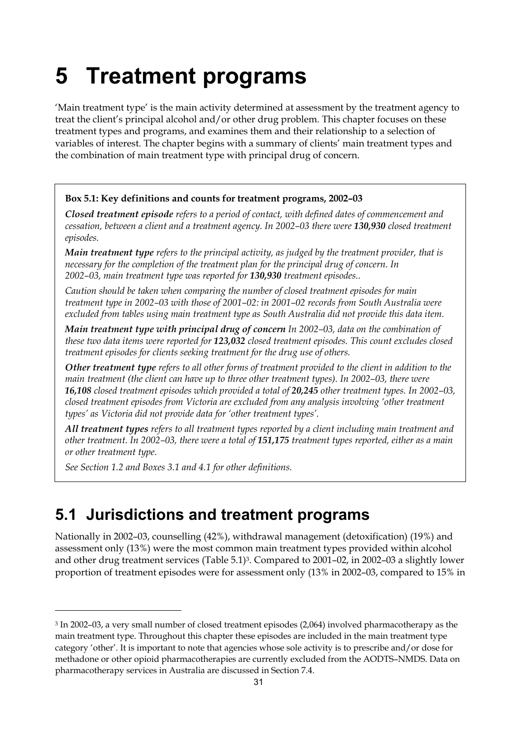# **5 Treatment programs**

'Main treatment type' is the main activity determined at assessment by the treatment agency to treat the client's principal alcohol and/or other drug problem. This chapter focuses on these treatment types and programs, and examines them and their relationship to a selection of variables of interest. The chapter begins with a summary of clients' main treatment types and the combination of main treatment type with principal drug of concern.

#### **Box 5.1: Key definitions and counts for treatment programs, 2002–03**

*Closed treatment episode refers to a period of contact, with defined dates of commencement and cessation, between a client and a treatment agency. In 2002–03 there were 130,930 closed treatment episodes.* 

*Main treatment type refers to the principal activity, as judged by the treatment provider, that is necessary for the completion of the treatment plan for the principal drug of concern. In 2002–03, main treatment type was reported for 130,930 treatment episodes..* 

*Caution should be taken when comparing the number of closed treatment episodes for main treatment type in 2002–03 with those of 2001–02: in 2001–02 records from South Australia were excluded from tables using main treatment type as South Australia did not provide this data item.* 

*Main treatment type with principal drug of concern In 2002–03, data on the combination of these two data items were reported for 123,032 closed treatment episodes. This count excludes closed treatment episodes for clients seeking treatment for the drug use of others.* 

*Other treatment type refers to all other forms of treatment provided to the client in addition to the main treatment (the client can have up to three other treatment types). In 2002–03, there were 16,108 closed treatment episodes which provided a total of 20,245 other treatment types. In 2002–03, closed treatment episodes from Victoria are excluded from any analysis involving 'other treatment types' as Victoria did not provide data for 'other treatment types'.* 

*All treatment types refers to all treatment types reported by a client including main treatment and other treatment. In 2002–03, there were a total of 151,175 treatment types reported, either as a main or other treatment type.* 

*See Section 1.2 and Boxes 3.1 and 4.1 for other definitions.* 

 $\overline{a}$ 

## **5.1 Jurisdictions and treatment programs**

Nationally in 2002–03, counselling (42%), withdrawal management (detoxification) (19%) and assessment only (13%) were the most common main treatment types provided within alcohol and other drug treatment services (Table 5.1)3. Compared to 2001–02, in 2002–03 a slightly lower proportion of treatment episodes were for assessment only (13% in 2002–03, compared to 15% in

<sup>3</sup> In 2002–03, a very small number of closed treatment episodes (2,064) involved pharmacotherapy as the main treatment type. Throughout this chapter these episodes are included in the main treatment type category 'other'. It is important to note that agencies whose sole activity is to prescribe and/or dose for methadone or other opioid pharmacotherapies are currently excluded from the AODTS–NMDS. Data on pharmacotherapy services in Australia are discussed in Section 7.4.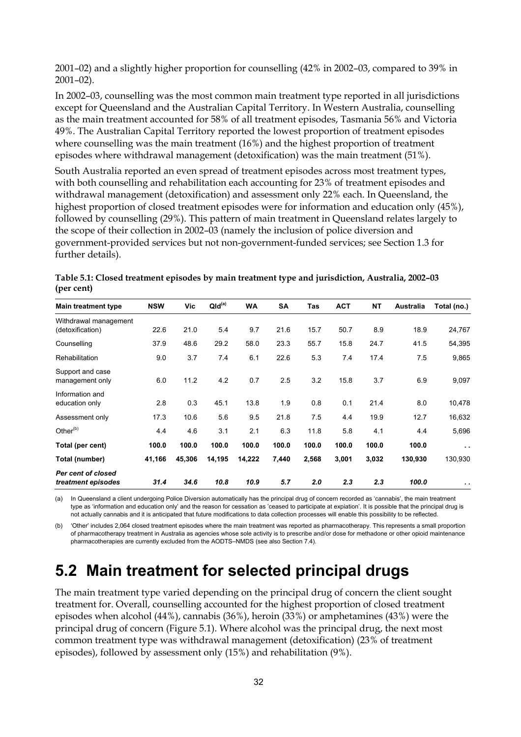2001–02) and a slightly higher proportion for counselling (42% in 2002–03, compared to 39% in 2001–02).

In 2002–03, counselling was the most common main treatment type reported in all jurisdictions except for Queensland and the Australian Capital Territory. In Western Australia, counselling as the main treatment accounted for 58% of all treatment episodes, Tasmania 56% and Victoria 49%. The Australian Capital Territory reported the lowest proportion of treatment episodes where counselling was the main treatment (16%) and the highest proportion of treatment episodes where withdrawal management (detoxification) was the main treatment (51%).

South Australia reported an even spread of treatment episodes across most treatment types, with both counselling and rehabilitation each accounting for 23% of treatment episodes and withdrawal management (detoxification) and assessment only 22% each. In Queensland, the highest proportion of closed treatment episodes were for information and education only (45%), followed by counselling (29%). This pattern of main treatment in Queensland relates largely to the scope of their collection in 2002–03 (namely the inclusion of police diversion and government-provided services but not non-government-funded services; see Section 1.3 for further details).

| Table 5.1: Closed treatment episodes by main treatment type and jurisdiction, Australia, 2002–03 |  |
|--------------------------------------------------------------------------------------------------|--|
| (per cent)                                                                                       |  |

| <b>Main treatment type</b>                | <b>NSW</b> | Vic    | QId <sup>(a)</sup> | <b>WA</b> | <b>SA</b> | Tas   | <b>ACT</b> | <b>NT</b> | <b>Australia</b> | Total (no.)   |
|-------------------------------------------|------------|--------|--------------------|-----------|-----------|-------|------------|-----------|------------------|---------------|
| Withdrawal management<br>(detoxification) | 22.6       | 21.0   | 5.4                | 9.7       | 21.6      | 15.7  | 50.7       | 8.9       | 18.9             | 24,767        |
| Counselling                               | 37.9       | 48.6   | 29.2               | 58.0      | 23.3      | 55.7  | 15.8       | 24.7      | 41.5             | 54,395        |
| Rehabilitation                            | 9.0        | 3.7    | 7.4                | 6.1       | 22.6      | 5.3   | 7.4        | 17.4      | 7.5              | 9,865         |
| Support and case<br>management only       | 6.0        | 11.2   | 4.2                | 0.7       | 2.5       | 3.2   | 15.8       | 3.7       | 6.9              | 9,097         |
| Information and<br>education only         | 2.8        | 0.3    | 45.1               | 13.8      | 1.9       | 0.8   | 0.1        | 21.4      | 8.0              | 10,478        |
| Assessment only                           | 17.3       | 10.6   | 5.6                | 9.5       | 21.8      | 7.5   | 4.4        | 19.9      | 12.7             | 16,632        |
| Other <sup>(b)</sup>                      | 4.4        | 4.6    | 3.1                | 2.1       | 6.3       | 11.8  | 5.8        | 4.1       | 4.4              | 5,696         |
| Total (per cent)                          | 100.0      | 100.0  | 100.0              | 100.0     | 100.0     | 100.0 | 100.0      | 100.0     | 100.0            | $\sim$ $\sim$ |
| Total (number)                            | 41,166     | 45,306 | 14,195             | 14,222    | 7,440     | 2,568 | 3,001      | 3,032     | 130,930          | 130,930       |
| Per cent of closed<br>treatment episodes  | 31.4       | 34.6   | 10.8               | 10.9      | 5.7       | 2.0   | 2.3        | 2.3       | 100.0            | $\sim$ $\sim$ |

(a) In Queensland a client undergoing Police Diversion automatically has the principal drug of concern recorded as 'cannabis', the main treatment type as 'information and education only' and the reason for cessation as 'ceased to participate at expiation'. It is possible that the principal drug is not actually cannabis and it is anticipated that future modifications to data collection processes will enable this possibility to be reflected.

(b) 'Other' includes 2,064 closed treatment episodes where the main treatment was reported as pharmacotherapy. This represents a small proportion of pharmacotherapy treatment in Australia as agencies whose sole activity is to prescribe and/or dose for methadone or other opioid maintenance pharmacotherapies are currently excluded from the AODTS–NMDS (see also Section 7.4).

## **5.2 Main treatment for selected principal drugs**

The main treatment type varied depending on the principal drug of concern the client sought treatment for. Overall, counselling accounted for the highest proportion of closed treatment episodes when alcohol (44%), cannabis (36%), heroin (33%) or amphetamines (43%) were the principal drug of concern (Figure 5.1). Where alcohol was the principal drug, the next most common treatment type was withdrawal management (detoxification) (23% of treatment episodes), followed by assessment only (15%) and rehabilitation (9%).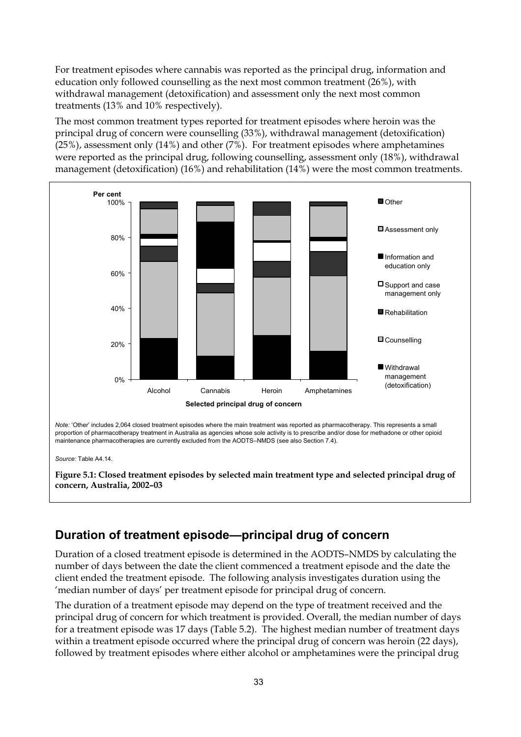For treatment episodes where cannabis was reported as the principal drug, information and education only followed counselling as the next most common treatment (26%), with withdrawal management (detoxification) and assessment only the next most common treatments (13% and 10% respectively).

The most common treatment types reported for treatment episodes where heroin was the principal drug of concern were counselling (33%), withdrawal management (detoxification) (25%), assessment only (14%) and other (7%). For treatment episodes where amphetamines were reported as the principal drug, following counselling, assessment only (18%), withdrawal management (detoxification) (16%) and rehabilitation (14%) were the most common treatments.



### **Duration of treatment episode—principal drug of concern**

Duration of a closed treatment episode is determined in the AODTS–NMDS by calculating the number of days between the date the client commenced a treatment episode and the date the client ended the treatment episode. The following analysis investigates duration using the 'median number of days' per treatment episode for principal drug of concern.

The duration of a treatment episode may depend on the type of treatment received and the principal drug of concern for which treatment is provided. Overall, the median number of days for a treatment episode was 17 days (Table 5.2). The highest median number of treatment days within a treatment episode occurred where the principal drug of concern was heroin (22 days), followed by treatment episodes where either alcohol or amphetamines were the principal drug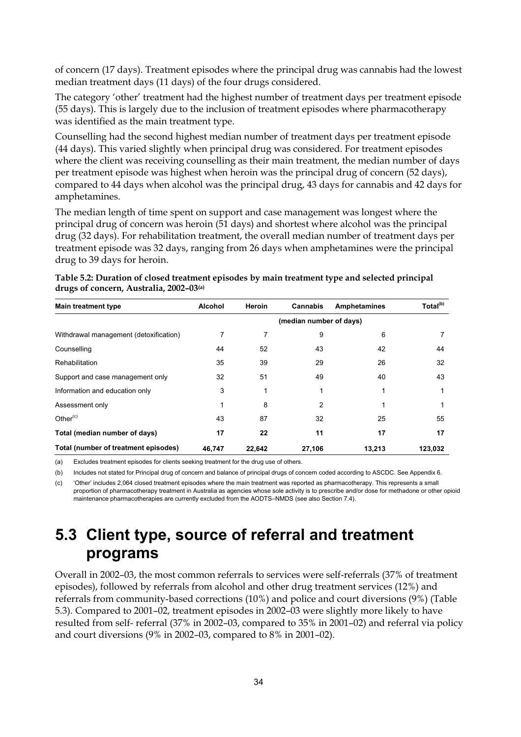of concern (17 days). Treatment episodes where the principal drug was cannabis had the lowest median treatment days (11 days) of the four drugs considered.

The category 'other' treatment had the highest number of treatment days per treatment episode (55 days). This is largely due to the inclusion of treatment episodes where pharmacotherapy was identified as the main treatment type.

Counselling had the second highest median number of treatment days per treatment episode (44 days). This varied slightly when principal drug was considered. For treatment episodes where the client was receiving counselling as their main treatment, the median number of days per treatment episode was highest when heroin was the principal drug of concern (52 days), compared to 44 days when alcohol was the principal drug, 43 days for cannabis and 42 days for amphetamines.

The median length of time spent on support and case management was longest where the principal drug of concern was heroin (51 days) and shortest where alcohol was the principal drug (32 days). For rehabilitation treatment, the overall median number of treatment days per treatment episode was 32 days, ranging from 26 days when amphetamines were the principal drug to 39 days for heroin.

| Table 5.2: Duration of closed treatment episodes by main treatment type and selected principal |  |
|------------------------------------------------------------------------------------------------|--|
| drugs of concern, Australia, 2002–03 <sup>(a)</sup>                                            |  |

| <b>Main treatment type</b>             | <b>Alcohol</b> | Heroin | <b>Cannabis</b>         | Amphetamines | Total <sup>(b)</sup> |
|----------------------------------------|----------------|--------|-------------------------|--------------|----------------------|
|                                        |                |        | (median number of days) |              |                      |
| Withdrawal management (detoxification) |                | 7      | 9                       | 6            |                      |
| Counselling                            | 44             | 52     | 43                      | 42           | 44                   |
| Rehabilitation                         | 35             | 39     | 29                      | 26           | 32                   |
| Support and case management only       | 32             | 51     | 49                      | 40           | 43                   |
| Information and education only         | 3              |        | 1                       |              |                      |
| Assessment only                        |                | 8      | 2                       |              |                      |
| Other $(c)$                            | 43             | 87     | 32                      | 25           | 55                   |
| Total (median number of days)          | 17             | 22     | 11                      | 17           | 17                   |
| Total (number of treatment episodes)   | 46.747         | 22.642 | 27,106                  | 13,213       | 123.032              |

(a) Excludes treatment episodes for clients seeking treatment for the drug use of others.

(b) Includes not stated for Principal drug of concern and balance of principal drugs of concern coded according to ASCDC. See Appendix 6.

(c) 'Other' includes 2,064 closed treatment episodes where the main treatment was reported as pharmacotherapy. This represents a small proportion of pharmacotherapy treatment in Australia as agencies whose sole activity is to prescribe and/or dose for methadone or other opioid maintenance pharmacotherapies are currently excluded from the AODTS–NMDS (see also Section 7.4).

## **5.3 Client type, source of referral and treatment programs**

Overall in 2002–03, the most common referrals to services were self-referrals (37% of treatment episodes), followed by referrals from alcohol and other drug treatment services (12%) and referrals from community-based corrections (10%) and police and court diversions (9%) (Table 5.3). Compared to 2001–02, treatment episodes in 2002–03 were slightly more likely to have resulted from self- referral (37% in 2002–03, compared to 35% in 2001–02) and referral via policy and court diversions (9% in 2002–03, compared to 8% in 2001–02).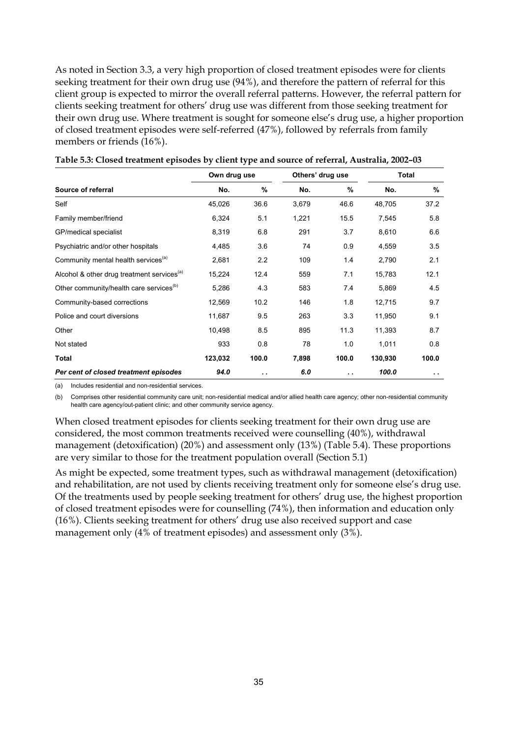As noted in Section 3.3, a very high proportion of closed treatment episodes were for clients seeking treatment for their own drug use (94%), and therefore the pattern of referral for this client group is expected to mirror the overall referral patterns. However, the referral pattern for clients seeking treatment for others' drug use was different from those seeking treatment for their own drug use. Where treatment is sought for someone else's drug use, a higher proportion of closed treatment episodes were self-referred (47%), followed by referrals from family members or friends (16%).

|                                                        | Own drug use |           |       | Others' drug use<br>Total |         |       |
|--------------------------------------------------------|--------------|-----------|-------|---------------------------|---------|-------|
| Source of referral                                     | No.          | $\%$      | No.   | %                         | No.     | %     |
| Self                                                   | 45,026       | 36.6      | 3,679 | 46.6                      | 48,705  | 37.2  |
| Family member/friend                                   | 6,324        | 5.1       | 1,221 | 15.5                      | 7,545   | 5.8   |
| GP/medical specialist                                  | 8,319        | 6.8       | 291   | 3.7                       | 8,610   | 6.6   |
| Psychiatric and/or other hospitals                     | 4,485        | 3.6       | 74    | 0.9                       | 4,559   | 3.5   |
| Community mental health services <sup>(a)</sup>        | 2,681        | 2.2       | 109   | 1.4                       | 2,790   | 2.1   |
| Alcohol & other drug treatment services <sup>(a)</sup> | 15,224       | 12.4      | 559   | 7.1                       | 15,783  | 12.1  |
| Other community/health care services <sup>(b)</sup>    | 5,286        | 4.3       | 583   | 74                        | 5,869   | 4.5   |
| Community-based corrections                            | 12,569       | 10.2      | 146   | 1.8                       | 12,715  | 9.7   |
| Police and court diversions                            | 11,687       | 9.5       | 263   | 3.3                       | 11,950  | 9.1   |
| Other                                                  | 10,498       | 8.5       | 895   | 11.3                      | 11,393  | 8.7   |
| Not stated                                             | 933          | 0.8       | 78    | 1.0                       | 1,011   | 0.8   |
| Total                                                  | 123,032      | 100.0     | 7,898 | 100.0                     | 130,930 | 100.0 |
| Per cent of closed treatment episodes                  | 94.0         | $\cdot$ . | 6.0   | . .                       | 100.0   | . .   |

| Table 5.3: Closed treatment episodes by client type and source of referral, Australia, 2002-03 |  |  |
|------------------------------------------------------------------------------------------------|--|--|
|                                                                                                |  |  |

(a) Includes residential and non-residential services.

(b) Comprises other residential community care unit; non-residential medical and/or allied health care agency; other non-residential community health care agency/out-patient clinic; and other community service agency.

When closed treatment episodes for clients seeking treatment for their own drug use are considered, the most common treatments received were counselling (40%), withdrawal management (detoxification) (20%) and assessment only (13%) (Table 5.4). These proportions are very similar to those for the treatment population overall (Section 5.1)

As might be expected, some treatment types, such as withdrawal management (detoxification) and rehabilitation, are not used by clients receiving treatment only for someone else's drug use. Of the treatments used by people seeking treatment for others' drug use, the highest proportion of closed treatment episodes were for counselling (74%), then information and education only (16%). Clients seeking treatment for others' drug use also received support and case management only (4% of treatment episodes) and assessment only (3%).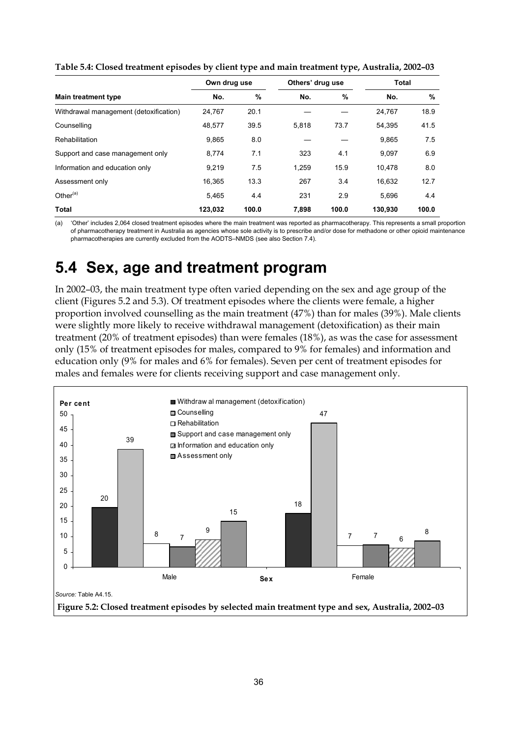|                                        | Own drug use |       | Others' drug use |       | Total   |       |
|----------------------------------------|--------------|-------|------------------|-------|---------|-------|
| <b>Main treatment type</b>             | No.          | $\%$  | No.              | %     | No.     | %     |
| Withdrawal management (detoxification) | 24.767       | 20.1  |                  |       | 24,767  | 18.9  |
| Counselling                            | 48,577       | 39.5  | 5.818            | 73.7  | 54.395  | 41.5  |
| Rehabilitation                         | 9,865        | 8.0   |                  |       | 9,865   | 7.5   |
| Support and case management only       | 8,774        | 7.1   | 323              | 4.1   | 9,097   | 6.9   |
| Information and education only         | 9,219        | 7.5   | 1,259            | 15.9  | 10.478  | 8.0   |
| Assessment only                        | 16.365       | 13.3  | 267              | 3.4   | 16,632  | 12.7  |
| Other $(a)$                            | 5.465        | 4.4   | 231              | 2.9   | 5.696   | 4.4   |
| <b>Total</b>                           | 123,032      | 100.0 | 7.898            | 100.0 | 130,930 | 100.0 |

**Table 5.4: Closed treatment episodes by client type and main treatment type, Australia, 2002–03**

(a) 'Other' includes 2,064 closed treatment episodes where the main treatment was reported as pharmacotherapy. This represents a small proportion of pharmacotherapy treatment in Australia as agencies whose sole activity is to prescribe and/or dose for methadone or other opioid maintenance pharmacotherapies are currently excluded from the AODTS–NMDS (see also Section 7.4).

## **5.4 Sex, age and treatment program**

In 2002–03, the main treatment type often varied depending on the sex and age group of the client (Figures 5.2 and 5.3). Of treatment episodes where the clients were female, a higher proportion involved counselling as the main treatment (47%) than for males (39%). Male clients were slightly more likely to receive withdrawal management (detoxification) as their main treatment (20% of treatment episodes) than were females (18%), as was the case for assessment only (15% of treatment episodes for males, compared to 9% for females) and information and education only (9% for males and 6% for females). Seven per cent of treatment episodes for males and females were for clients receiving support and case management only.

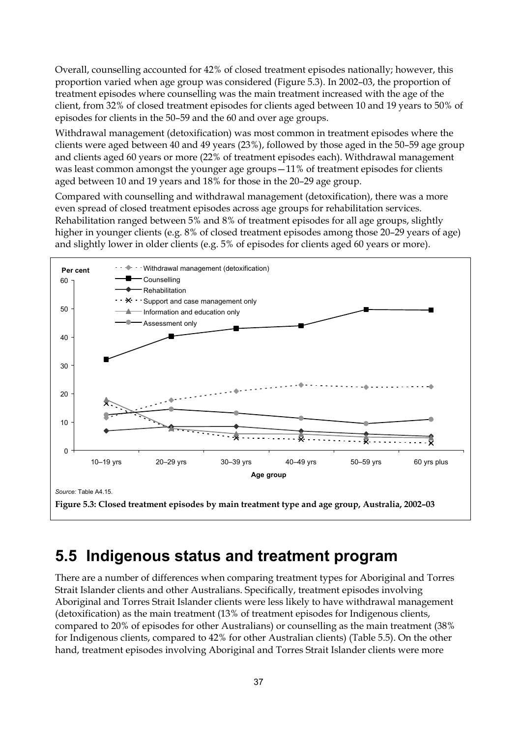Overall, counselling accounted for 42% of closed treatment episodes nationally; however, this proportion varied when age group was considered (Figure 5.3). In 2002–03, the proportion of treatment episodes where counselling was the main treatment increased with the age of the client, from 32% of closed treatment episodes for clients aged between 10 and 19 years to 50% of episodes for clients in the 50–59 and the 60 and over age groups.

Withdrawal management (detoxification) was most common in treatment episodes where the clients were aged between 40 and 49 years (23%), followed by those aged in the 50–59 age group and clients aged 60 years or more (22% of treatment episodes each). Withdrawal management was least common amongst the younger age groups—11% of treatment episodes for clients aged between 10 and 19 years and 18% for those in the 20–29 age group.

Compared with counselling and withdrawal management (detoxification), there was a more even spread of closed treatment episodes across age groups for rehabilitation services. Rehabilitation ranged between 5% and 8% of treatment episodes for all age groups, slightly higher in younger clients (e.g. 8% of closed treatment episodes among those 20–29 years of age) and slightly lower in older clients (e.g. 5% of episodes for clients aged 60 years or more).



## **5.5 Indigenous status and treatment program**

There are a number of differences when comparing treatment types for Aboriginal and Torres Strait Islander clients and other Australians. Specifically, treatment episodes involving Aboriginal and Torres Strait Islander clients were less likely to have withdrawal management (detoxification) as the main treatment (13% of treatment episodes for Indigenous clients, compared to 20% of episodes for other Australians) or counselling as the main treatment (38% for Indigenous clients, compared to 42% for other Australian clients) (Table 5.5). On the other hand, treatment episodes involving Aboriginal and Torres Strait Islander clients were more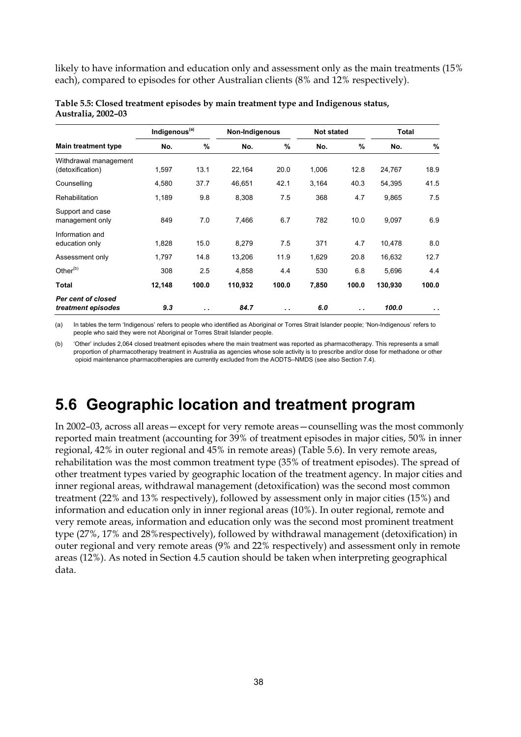likely to have information and education only and assessment only as the main treatments (15% each), compared to episodes for other Australian clients (8% and 12% respectively).

|                                           | Indigenous <sup>(a)</sup> |       | Non-Indigenous |       | <b>Not stated</b> |       | <b>Total</b> |               |
|-------------------------------------------|---------------------------|-------|----------------|-------|-------------------|-------|--------------|---------------|
| <b>Main treatment type</b>                | No.                       | $\%$  | No.            | %     | No.               | $\%$  | No.          | $\%$          |
| Withdrawal management<br>(detoxification) | 1,597                     | 13.1  | 22,164         | 20.0  | 1,006             | 12.8  | 24,767       | 18.9          |
| Counselling                               | 4,580                     | 37.7  | 46,651         | 42.1  | 3,164             | 40.3  | 54,395       | 41.5          |
| <b>Rehabilitation</b>                     | 1,189                     | 9.8   | 8,308          | 7.5   | 368               | 4.7   | 9,865        | 7.5           |
| Support and case<br>management only       | 849                       | 7.0   | 7,466          | 6.7   | 782               | 10.0  | 9,097        | 6.9           |
| Information and<br>education only         | 1,828                     | 15.0  | 8,279          | 7.5   | 371               | 4.7   | 10,478       | 8.0           |
| Assessment only                           | 1,797                     | 14.8  | 13,206         | 11.9  | 1,629             | 20.8  | 16,632       | 12.7          |
| Other <sup>(b)</sup>                      | 308                       | 2.5   | 4,858          | 4.4   | 530               | 6.8   | 5,696        | 4.4           |
| Total                                     | 12,148                    | 100.0 | 110,932        | 100.0 | 7,850             | 100.0 | 130,930      | 100.0         |
| Per cent of closed<br>treatment episodes  | 9.3                       | . .   | 84.7           | . .   | 6.0               | . .   | 100.0        | $\sim$ $\sim$ |

|                    | Table 5.5: Closed treatment episodes by main treatment type and Indigenous status, |  |
|--------------------|------------------------------------------------------------------------------------|--|
| Australia, 2002–03 |                                                                                    |  |

(a) In tables the term 'Indigenous' refers to people who identified as Aboriginal or Torres Strait Islander people; 'Non-Indigenous' refers to people who said they were not Aboriginal or Torres Strait Islander people.

(b) 'Other' includes 2,064 closed treatment episodes where the main treatment was reported as pharmacotherapy. This represents a small proportion of pharmacotherapy treatment in Australia as agencies whose sole activity is to prescribe and/or dose for methadone or other opioid maintenance pharmacotherapies are currently excluded from the AODTS–NMDS (see also Section 7.4).

## **5.6 Geographic location and treatment program**

In 2002–03, across all areas—except for very remote areas—counselling was the most commonly reported main treatment (accounting for 39% of treatment episodes in major cities, 50% in inner regional, 42% in outer regional and 45% in remote areas) (Table 5.6). In very remote areas, rehabilitation was the most common treatment type (35% of treatment episodes). The spread of other treatment types varied by geographic location of the treatment agency. In major cities and inner regional areas, withdrawal management (detoxification) was the second most common treatment (22% and 13% respectively), followed by assessment only in major cities (15%) and information and education only in inner regional areas (10%). In outer regional, remote and very remote areas, information and education only was the second most prominent treatment type (27%, 17% and 28%respectively), followed by withdrawal management (detoxification) in outer regional and very remote areas (9% and 22% respectively) and assessment only in remote areas (12%). As noted in Section 4.5 caution should be taken when interpreting geographical data.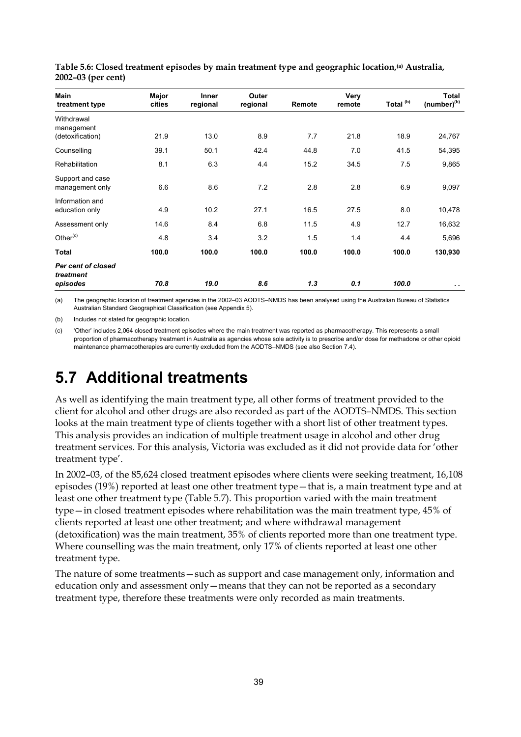| <b>Main</b><br>treatment type       | Major<br>cities | Inner<br>regional | Outer<br>regional | Remote | Very<br>remote | Total <sup>(b)</sup> | <b>Total</b><br>$(number)^{(b)}$ |
|-------------------------------------|-----------------|-------------------|-------------------|--------|----------------|----------------------|----------------------------------|
| Withdrawal<br>management            |                 |                   |                   |        |                |                      |                                  |
| (detoxification)                    | 21.9            | 13.0              | 8.9               | 7.7    | 21.8           | 18.9                 | 24,767                           |
| Counselling                         | 39.1            | 50.1              | 42.4              | 44.8   | 7.0            | 41.5                 | 54,395                           |
| Rehabilitation                      | 8.1             | 6.3               | 4.4               | 15.2   | 34.5           | 7.5                  | 9,865                            |
| Support and case<br>management only | 6.6             | 8.6               | 7.2               | 2.8    | 2.8            | 6.9                  | 9,097                            |
| Information and<br>education only   | 4.9             | 10.2              | 27.1              | 16.5   | 27.5           | 8.0                  | 10,478                           |
| Assessment only                     | 14.6            | 8.4               | 6.8               | 11.5   | 4.9            | 12.7                 | 16,632                           |
| Other $(c)$                         | 4.8             | 3.4               | 3.2               | 1.5    | 1.4            | 4.4                  | 5,696                            |
| <b>Total</b>                        | 100.0           | 100.0             | 100.0             | 100.0  | 100.0          | 100.0                | 130,930                          |
| Per cent of closed<br>treatment     |                 |                   |                   |        |                |                      |                                  |
| episodes                            | 70.8            | 19.0              | 8.6               | 1,3    | 0.1            | 100.0                | $\sim$                           |

**Table 5.6: Closed treatment episodes by main treatment type and geographic location,(a) Australia, 2002–03 (per cent)** 

(a) The geographic location of treatment agencies in the 2002–03 AODTS–NMDS has been analysed using the Australian Bureau of Statistics Australian Standard Geographical Classification (see Appendix 5).

(b) Includes not stated for geographic location.

(c) 'Other' includes 2,064 closed treatment episodes where the main treatment was reported as pharmacotherapy. This represents a small proportion of pharmacotherapy treatment in Australia as agencies whose sole activity is to prescribe and/or dose for methadone or other opioid maintenance pharmacotherapies are currently excluded from the AODTS–NMDS (see also Section 7.4).

## **5.7 Additional treatments**

As well as identifying the main treatment type, all other forms of treatment provided to the client for alcohol and other drugs are also recorded as part of the AODTS–NMDS. This section looks at the main treatment type of clients together with a short list of other treatment types. This analysis provides an indication of multiple treatment usage in alcohol and other drug treatment services. For this analysis, Victoria was excluded as it did not provide data for 'other treatment type'.

In 2002–03, of the 85,624 closed treatment episodes where clients were seeking treatment, 16,108 episodes (19%) reported at least one other treatment type—that is, a main treatment type and at least one other treatment type (Table 5.7). This proportion varied with the main treatment type—in closed treatment episodes where rehabilitation was the main treatment type, 45% of clients reported at least one other treatment; and where withdrawal management (detoxification) was the main treatment, 35% of clients reported more than one treatment type. Where counselling was the main treatment, only 17% of clients reported at least one other treatment type.

The nature of some treatments—such as support and case management only, information and education only and assessment only—means that they can not be reported as a secondary treatment type, therefore these treatments were only recorded as main treatments.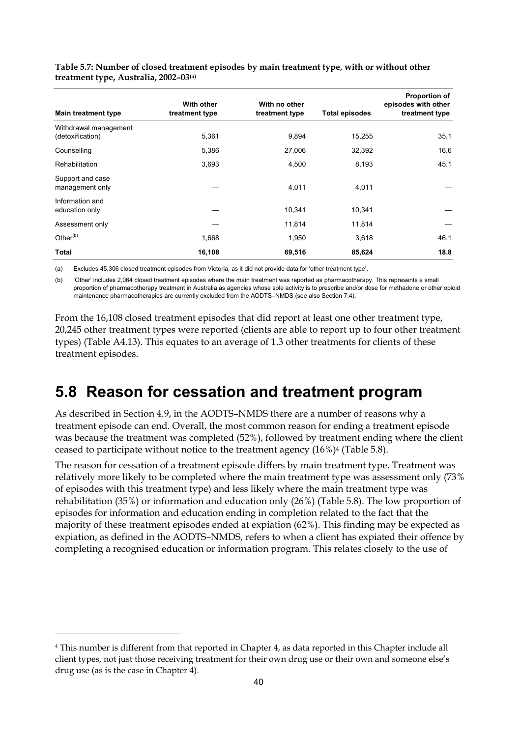| <b>Main treatment type</b>                | <b>With other</b><br>treatment type | With no other<br>treatment type | <b>Total episodes</b> | <b>Proportion of</b><br>episodes with other<br>treatment type |
|-------------------------------------------|-------------------------------------|---------------------------------|-----------------------|---------------------------------------------------------------|
| Withdrawal management<br>(detoxification) | 5,361                               | 9,894                           | 15,255                | 35.1                                                          |
|                                           |                                     |                                 |                       |                                                               |
| Counselling                               | 5,386                               | 27,006                          | 32,392                | 16.6                                                          |
| <b>Rehabilitation</b>                     | 3,693                               | 4,500                           | 8,193                 | 45.1                                                          |
| Support and case<br>management only       |                                     | 4,011                           | 4,011                 |                                                               |
| Information and<br>education only         |                                     | 10,341                          | 10,341                |                                                               |
| Assessment only                           |                                     | 11,814                          | 11,814                |                                                               |
| Other <sup>(b)</sup>                      | 1,668                               | 1,950                           | 3,618                 | 46.1                                                          |
| Total                                     | 16,108                              | 69,516                          | 85,624                | 18.8                                                          |

**Table 5.7: Number of closed treatment episodes by main treatment type, with or without other treatment type, Australia, 2002–03(a)**

(a) Excludes 45,306 closed treatment episodes from Victoria, as it did not provide data for 'other treatment type'.

(b) 'Other' includes 2,064 closed treatment episodes where the main treatment was reported as pharmacotherapy. This represents a small proportion of pharmacotherapy treatment in Australia as agencies whose sole activity is to prescribe and/or dose for methadone or other opioid maintenance pharmacotherapies are currently excluded from the AODTS–NMDS (see also Section 7.4).

From the 16,108 closed treatment episodes that did report at least one other treatment type, 20,245 other treatment types were reported (clients are able to report up to four other treatment types) (Table A4.13). This equates to an average of 1.3 other treatments for clients of these treatment episodes.

## **5.8 Reason for cessation and treatment program**

As described in Section 4.9, in the AODTS–NMDS there are a number of reasons why a treatment episode can end. Overall, the most common reason for ending a treatment episode was because the treatment was completed (52%), followed by treatment ending where the client ceased to participate without notice to the treatment agency (16%)4 (Table 5.8).

The reason for cessation of a treatment episode differs by main treatment type. Treatment was relatively more likely to be completed where the main treatment type was assessment only (73% of episodes with this treatment type) and less likely where the main treatment type was rehabilitation (35%) or information and education only (26%) (Table 5.8). The low proportion of episodes for information and education ending in completion related to the fact that the majority of these treatment episodes ended at expiation (62%). This finding may be expected as expiation, as defined in the AODTS–NMDS, refers to when a client has expiated their offence by completing a recognised education or information program. This relates closely to the use of

 $\overline{a}$ 

<sup>4</sup> This number is different from that reported in Chapter 4, as data reported in this Chapter include all client types, not just those receiving treatment for their own drug use or their own and someone else's drug use (as is the case in Chapter 4).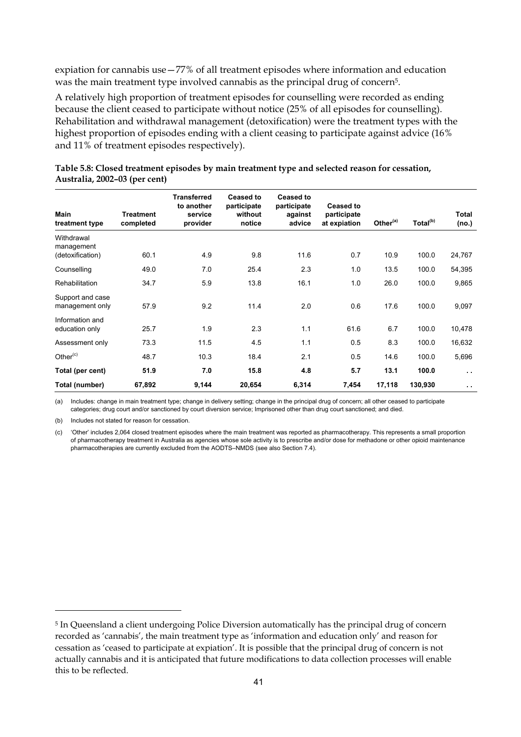expiation for cannabis use—77% of all treatment episodes where information and education was the main treatment type involved cannabis as the principal drug of concern5.

A relatively high proportion of treatment episodes for counselling were recorded as ending because the client ceased to participate without notice (25% of all episodes for counselling). Rehabilitation and withdrawal management (detoxification) were the treatment types with the highest proportion of episodes ending with a client ceasing to participate against advice (16% and 11% of treatment episodes respectively).

| Main<br>treatment type                       | <b>Treatment</b><br>completed | <b>Transferred</b><br>to another<br>service<br>provider | <b>Ceased to</b><br>participate<br>without<br>notice | <b>Ceased to</b><br>participate<br>against<br>advice | <b>Ceased to</b><br>participate<br>at expiation | Other <sup>(a)</sup> | Total <sup>(b)</sup> | Total<br>(no.)       |
|----------------------------------------------|-------------------------------|---------------------------------------------------------|------------------------------------------------------|------------------------------------------------------|-------------------------------------------------|----------------------|----------------------|----------------------|
| Withdrawal<br>management<br>(detoxification) | 60.1                          | 4.9                                                     | 9.8                                                  | 11.6                                                 | 0.7                                             | 10.9                 | 100.0                | 24,767               |
| Counselling                                  | 49.0                          | 7.0                                                     | 25.4                                                 | 2.3                                                  | 1.0                                             | 13.5                 | 100.0                | 54,395               |
| Rehabilitation                               | 34.7                          | 5.9                                                     | 13.8                                                 | 16.1                                                 | 1.0                                             | 26.0                 | 100.0                | 9,865                |
| Support and case<br>management only          | 57.9                          | 9.2                                                     | 11.4                                                 | 2.0                                                  | 0.6                                             | 17.6                 | 100.0                | 9,097                |
| Information and<br>education only            | 25.7                          | 1.9                                                     | 2.3                                                  | 1.1                                                  | 61.6                                            | 6.7                  | 100.0                | 10,478               |
| Assessment only                              | 73.3                          | 11.5                                                    | 4.5                                                  | 1.1                                                  | 0.5                                             | 8.3                  | 100.0                | 16,632               |
| Other $(c)$                                  | 48.7                          | 10.3                                                    | 18.4                                                 | 2.1                                                  | 0.5                                             | 14.6                 | 100.0                | 5,696                |
| Total (per cent)                             | 51.9                          | 7.0                                                     | 15.8                                                 | 4.8                                                  | 5.7                                             | 13.1                 | 100.0                | $\ddot{\phantom{1}}$ |
| Total (number)                               | 67,892                        | 9,144                                                   | 20,654                                               | 6,314                                                | 7,454                                           | 17,118               | 130,930              | $\sim$               |

| Table 5.8: Closed treatment episodes by main treatment type and selected reason for cessation, |  |
|------------------------------------------------------------------------------------------------|--|
| Australia, 2002–03 (per cent)                                                                  |  |

(a) Includes: change in main treatment type; change in delivery setting; change in the principal drug of concern; all other ceased to participate categories; drug court and/or sanctioned by court diversion service; Imprisoned other than drug court sanctioned; and died.

(b) Includes not stated for reason for cessation.

 $\overline{a}$ 

(c) 'Other' includes 2,064 closed treatment episodes where the main treatment was reported as pharmacotherapy. This represents a small proportion of pharmacotherapy treatment in Australia as agencies whose sole activity is to prescribe and/or dose for methadone or other opioid maintenance pharmacotherapies are currently excluded from the AODTS–NMDS (see also Section 7.4).

<sup>5</sup> In Queensland a client undergoing Police Diversion automatically has the principal drug of concern recorded as 'cannabis', the main treatment type as 'information and education only' and reason for cessation as 'ceased to participate at expiation'. It is possible that the principal drug of concern is not actually cannabis and it is anticipated that future modifications to data collection processes will enable this to be reflected.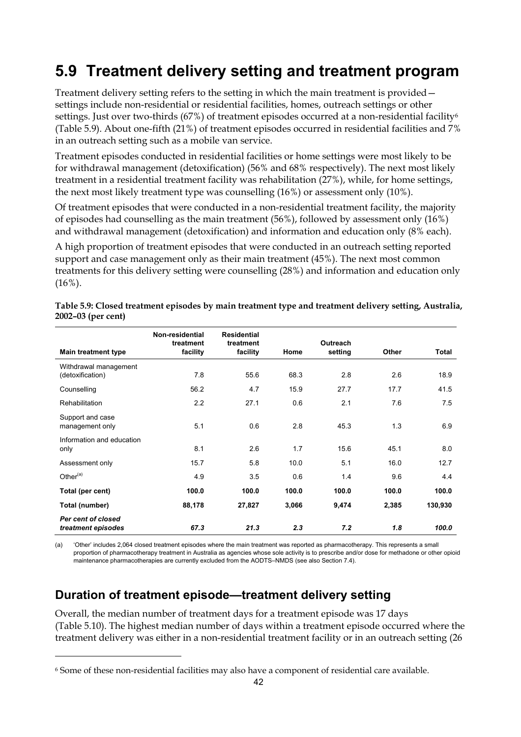## **5.9 Treatment delivery setting and treatment program**

Treatment delivery setting refers to the setting in which the main treatment is provided settings include non-residential or residential facilities, homes, outreach settings or other settings. Just over two-thirds  $(67%)$  of treatment episodes occurred at a non-residential facility<sup>6</sup> (Table 5.9). About one-fifth (21%) of treatment episodes occurred in residential facilities and 7% in an outreach setting such as a mobile van service.

Treatment episodes conducted in residential facilities or home settings were most likely to be for withdrawal management (detoxification) (56% and 68% respectively). The next most likely treatment in a residential treatment facility was rehabilitation (27%), while, for home settings, the next most likely treatment type was counselling (16%) or assessment only (10%).

Of treatment episodes that were conducted in a non-residential treatment facility, the majority of episodes had counselling as the main treatment (56%), followed by assessment only (16%) and withdrawal management (detoxification) and information and education only (8% each).

A high proportion of treatment episodes that were conducted in an outreach setting reported support and case management only as their main treatment (45%). The next most common treatments for this delivery setting were counselling (28%) and information and education only  $(16\%)$ .

|                                           | Non-residential<br>treatment | <b>Residential</b><br>treatment |       | <b>Outreach</b> |              |         |
|-------------------------------------------|------------------------------|---------------------------------|-------|-----------------|--------------|---------|
| <b>Main treatment type</b>                | facility                     | facility                        | Home  | setting         | <b>Other</b> | Total   |
| Withdrawal management<br>(detoxification) | 7.8                          | 55.6                            | 68.3  | 2.8             | 2.6          | 18.9    |
| Counselling                               | 56.2                         | 4.7                             | 15.9  | 27.7            | 17.7         | 41.5    |
| Rehabilitation                            | 2.2                          | 27.1                            | 0.6   | 2.1             | 7.6          | 7.5     |
| Support and case<br>management only       | 5.1                          | 0.6                             | 2.8   | 45.3            | 1.3          | 6.9     |
| Information and education<br>only         | 8.1                          | 2.6                             | 1.7   | 15.6            | 45.1         | 8.0     |
| Assessment only                           | 15.7                         | 5.8                             | 10.0  | 5.1             | 16.0         | 12.7    |
| Other <sup>(a)</sup>                      | 4.9                          | 3.5                             | 0.6   | 1.4             | 9.6          | 4.4     |
| Total (per cent)                          | 100.0                        | 100.0                           | 100.0 | 100.0           | 100.0        | 100.0   |
| Total (number)                            | 88,178                       | 27,827                          | 3,066 | 9,474           | 2,385        | 130,930 |
| Per cent of closed<br>treatment episodes  | 67.3                         | 21.3                            | 2.3   | 7.2             | 1.8          | 100.0   |

**Table 5.9: Closed treatment episodes by main treatment type and treatment delivery setting, Australia, 2002–03 (per cent)** 

(a) 'Other' includes 2,064 closed treatment episodes where the main treatment was reported as pharmacotherapy. This represents a small proportion of pharmacotherapy treatment in Australia as agencies whose sole activity is to prescribe and/or dose for methadone or other opioid maintenance pharmacotherapies are currently excluded from the AODTS–NMDS (see also Section 7.4).

### **Duration of treatment episode—treatment delivery setting**

 $\overline{a}$ 

Overall, the median number of treatment days for a treatment episode was 17 days (Table 5.10). The highest median number of days within a treatment episode occurred where the treatment delivery was either in a non-residential treatment facility or in an outreach setting (26

<sup>6</sup> Some of these non-residential facilities may also have a component of residential care available.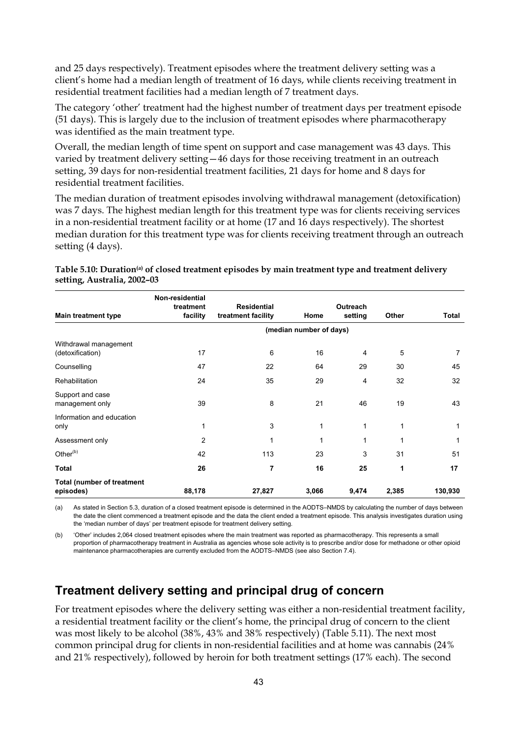and 25 days respectively). Treatment episodes where the treatment delivery setting was a client's home had a median length of treatment of 16 days, while clients receiving treatment in residential treatment facilities had a median length of 7 treatment days.

The category 'other' treatment had the highest number of treatment days per treatment episode (51 days). This is largely due to the inclusion of treatment episodes where pharmacotherapy was identified as the main treatment type.

Overall, the median length of time spent on support and case management was 43 days. This varied by treatment delivery setting—46 days for those receiving treatment in an outreach setting, 39 days for non-residential treatment facilities, 21 days for home and 8 days for residential treatment facilities.

The median duration of treatment episodes involving withdrawal management (detoxification) was 7 days. The highest median length for this treatment type was for clients receiving services in a non-residential treatment facility or at home (17 and 16 days respectively). The shortest median duration for this treatment type was for clients receiving treatment through an outreach setting (4 days).

|                                                | Non-residential       |                                          |                         |                            |       |         |
|------------------------------------------------|-----------------------|------------------------------------------|-------------------------|----------------------------|-------|---------|
| <b>Main treatment type</b>                     | treatment<br>facility | <b>Residential</b><br>treatment facility | Home                    | <b>Outreach</b><br>setting | Other | Total   |
|                                                |                       |                                          | (median number of days) |                            |       |         |
| Withdrawal management<br>(detoxification)      | 17                    | 6                                        | 16                      | 4                          | 5     | 7       |
| Counselling                                    | 47                    | 22                                       | 64                      | 29                         | 30    | 45      |
| Rehabilitation                                 | 24                    | 35                                       | 29                      | 4                          | 32    | 32      |
| Support and case<br>management only            | 39                    | 8                                        | 21                      | 46                         | 19    | 43      |
| Information and education<br>only              | 1                     | 3                                        | 1                       | 1                          | 1     | 1       |
| Assessment only                                | $\overline{2}$        | 1                                        | 1                       | 1                          | 1     | 1       |
| Other <sup>(b)</sup>                           | 42                    | 113                                      | 23                      | 3                          | 31    | 51      |
| Total                                          | 26                    | 7                                        | 16                      | 25                         | 1     | 17      |
| <b>Total (number of treatment</b><br>episodes) | 88,178                | 27,827                                   | 3,066                   | 9,474                      | 2,385 | 130,930 |

Table 5.10: Duration<sup>(a)</sup> of closed treatment episodes by main treatment type and treatment delivery **setting, Australia, 2002–03** 

(a) As stated in Section 5.3, duration of a closed treatment episode is determined in the AODTS–NMDS by calculating the number of days between the date the client commenced a treatment episode and the data the client ended a treatment episode. This analysis investigates duration using the 'median number of days' per treatment episode for treatment delivery setting.

(b) 'Other' includes 2,064 closed treatment episodes where the main treatment was reported as pharmacotherapy. This represents a small proportion of pharmacotherapy treatment in Australia as agencies whose sole activity is to prescribe and/or dose for methadone or other opioid maintenance pharmacotherapies are currently excluded from the AODTS–NMDS (see also Section 7.4).

### **Treatment delivery setting and principal drug of concern**

For treatment episodes where the delivery setting was either a non-residential treatment facility, a residential treatment facility or the client's home, the principal drug of concern to the client was most likely to be alcohol (38%, 43% and 38% respectively) (Table 5.11). The next most common principal drug for clients in non-residential facilities and at home was cannabis (24% and 21% respectively), followed by heroin for both treatment settings (17% each). The second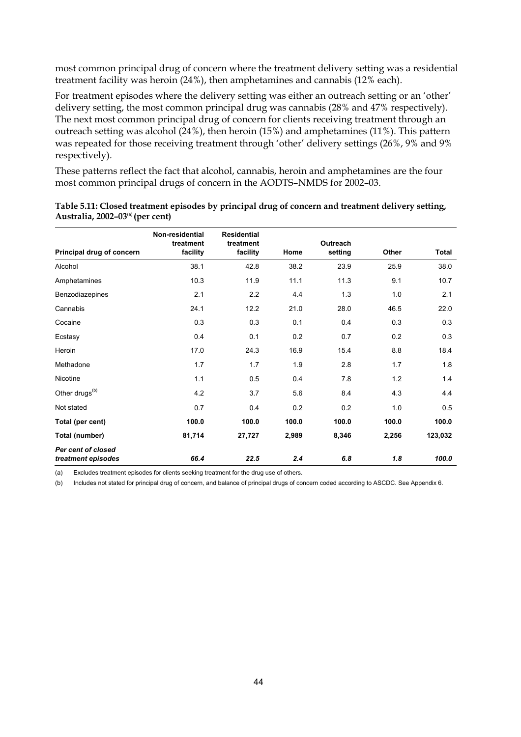most common principal drug of concern where the treatment delivery setting was a residential treatment facility was heroin (24%), then amphetamines and cannabis (12% each).

For treatment episodes where the delivery setting was either an outreach setting or an 'other' delivery setting, the most common principal drug was cannabis (28% and 47% respectively). The next most common principal drug of concern for clients receiving treatment through an outreach setting was alcohol (24%), then heroin (15%) and amphetamines (11%). This pattern was repeated for those receiving treatment through 'other' delivery settings (26%, 9% and 9% respectively).

These patterns reflect the fact that alcohol, cannabis, heroin and amphetamines are the four most common principal drugs of concern in the AODTS–NMDS for 2002–03.

| Principal drug of concern                | Non-residential<br>treatment<br>facility | <b>Residential</b><br>treatment<br>facility | Home  | Outreach<br>setting | Other | Total   |
|------------------------------------------|------------------------------------------|---------------------------------------------|-------|---------------------|-------|---------|
|                                          |                                          |                                             |       |                     |       |         |
| Alcohol                                  | 38.1                                     | 42.8                                        | 38.2  | 23.9                | 25.9  | 38.0    |
| Amphetamines                             | 10.3                                     | 11.9                                        | 11.1  | 11.3                | 9.1   | 10.7    |
| Benzodiazepines                          | 2.1                                      | 2.2                                         | 4.4   | 1.3                 | 1.0   | 2.1     |
| Cannabis                                 | 24.1                                     | 12.2                                        | 21.0  | 28.0                | 46.5  | 22.0    |
| Cocaine                                  | 0.3                                      | 0.3                                         | 0.1   | 0.4                 | 0.3   | 0.3     |
| Ecstasy                                  | 0.4                                      | 0.1                                         | 0.2   | 0.7                 | 0.2   | 0.3     |
| Heroin                                   | 17.0                                     | 24.3                                        | 16.9  | 15.4                | 8.8   | 18.4    |
| Methadone                                | 1.7                                      | 1.7                                         | 1.9   | 2.8                 | 1.7   | 1.8     |
| Nicotine                                 | 1.1                                      | 0.5                                         | 0.4   | 7.8                 | 1.2   | 1.4     |
| Other drugs <sup>(b)</sup>               | 4.2                                      | 3.7                                         | 5.6   | 8.4                 | 4.3   | 4.4     |
| Not stated                               | 0.7                                      | 0.4                                         | 0.2   | 0.2                 | 1.0   | 0.5     |
| Total (per cent)                         | 100.0                                    | 100.0                                       | 100.0 | 100.0               | 100.0 | 100.0   |
| Total (number)                           | 81,714                                   | 27,727                                      | 2,989 | 8,346               | 2,256 | 123,032 |
| Per cent of closed<br>treatment episodes | 66.4                                     | 22.5                                        | 2.4   | 6.8                 | 1.8   | 100.0   |

| Table 5.11: Closed treatment episodes by principal drug of concern and treatment delivery setting, |  |
|----------------------------------------------------------------------------------------------------|--|
| Australia, $2002-03^{\text{(a)}}$ (per cent)                                                       |  |

(a) Excludes treatment episodes for clients seeking treatment for the drug use of others.

(b) Includes not stated for principal drug of concern, and balance of principal drugs of concern coded according to ASCDC. See Appendix 6.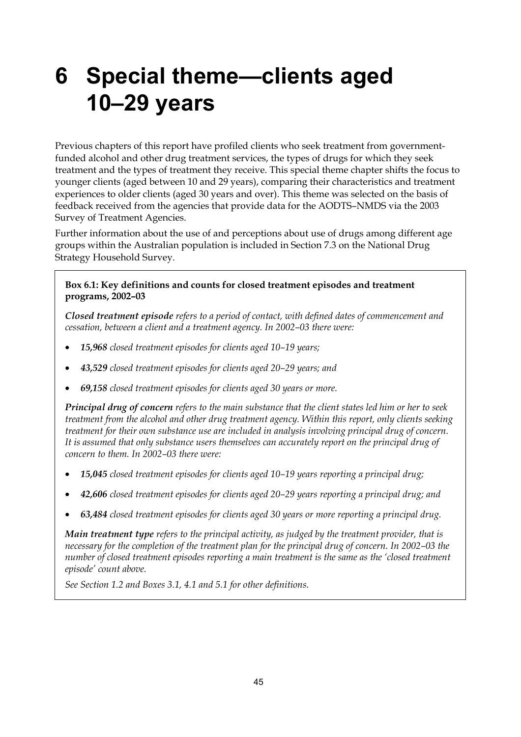## **6 Special theme—clients aged 10–29 years**

Previous chapters of this report have profiled clients who seek treatment from governmentfunded alcohol and other drug treatment services, the types of drugs for which they seek treatment and the types of treatment they receive. This special theme chapter shifts the focus to younger clients (aged between 10 and 29 years), comparing their characteristics and treatment experiences to older clients (aged 30 years and over). This theme was selected on the basis of feedback received from the agencies that provide data for the AODTS–NMDS via the 2003 Survey of Treatment Agencies.

Further information about the use of and perceptions about use of drugs among different age groups within the Australian population is included in Section 7.3 on the National Drug Strategy Household Survey.

#### **Box 6.1: Key definitions and counts for closed treatment episodes and treatment programs, 2002–03**

*Closed treatment episode refers to a period of contact, with defined dates of commencement and cessation, between a client and a treatment agency. In 2002–03 there were:* 

- *15,968 closed treatment episodes for clients aged 10–19 years;*
- *43,529 closed treatment episodes for clients aged 20–29 years; and*
- *69,158 closed treatment episodes for clients aged 30 years or more.*

*Principal drug of concern refers to the main substance that the client states led him or her to seek treatment from the alcohol and other drug treatment agency. Within this report, only clients seeking treatment for their own substance use are included in analysis involving principal drug of concern. It is assumed that only substance users themselves can accurately report on the principal drug of concern to them. In 2002–03 there were:*

- *15,045 closed treatment episodes for clients aged 10–19 years reporting a principal drug;*
- *42,606 closed treatment episodes for clients aged 20–29 years reporting a principal drug; and*
- *63,484 closed treatment episodes for clients aged 30 years or more reporting a principal drug.*

*Main treatment type refers to the principal activity, as judged by the treatment provider, that is necessary for the completion of the treatment plan for the principal drug of concern. In 2002–03 the number of closed treatment episodes reporting a main treatment is the same as the 'closed treatment episode' count above.* 

*See Section 1.2 and Boxes 3.1, 4.1 and 5.1 for other definitions.*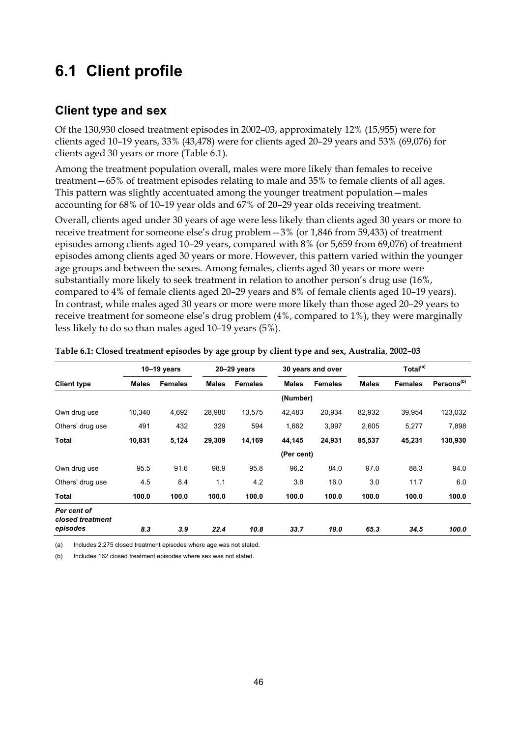## **6.1 Client profile**

### **Client type and sex**

Of the 130,930 closed treatment episodes in 2002–03, approximately 12% (15,955) were for clients aged 10–19 years, 33% (43,478) were for clients aged 20–29 years and 53% (69,076) for clients aged 30 years or more (Table 6.1).

Among the treatment population overall, males were more likely than females to receive treatment—65% of treatment episodes relating to male and 35% to female clients of all ages. This pattern was slightly accentuated among the younger treatment population—males accounting for 68% of 10–19 year olds and 67% of 20–29 year olds receiving treatment.

Overall, clients aged under 30 years of age were less likely than clients aged 30 years or more to receive treatment for someone else's drug problem—3% (or 1,846 from 59,433) of treatment episodes among clients aged 10–29 years, compared with 8% (or 5,659 from 69,076) of treatment episodes among clients aged 30 years or more. However, this pattern varied within the younger age groups and between the sexes. Among females, clients aged 30 years or more were substantially more likely to seek treatment in relation to another person's drug use (16%, compared to 4% of female clients aged 20–29 years and 8% of female clients aged 10–19 years). In contrast, while males aged 30 years or more were more likely than those aged 20–29 years to receive treatment for someone else's drug problem (4%, compared to 1%), they were marginally less likely to do so than males aged 10–19 years (5%).

|                                 |              | $10-19$ years  |              | $20 - 29$ years |              | 30 years and over |              | Total <sup>(a)</sup> |                        |
|---------------------------------|--------------|----------------|--------------|-----------------|--------------|-------------------|--------------|----------------------|------------------------|
| <b>Client type</b>              | <b>Males</b> | <b>Females</b> | <b>Males</b> | <b>Females</b>  | <b>Males</b> | <b>Females</b>    | <b>Males</b> | <b>Females</b>       | Persons <sup>(b)</sup> |
|                                 |              |                |              |                 | (Number)     |                   |              |                      |                        |
| Own drug use                    | 10,340       | 4,692          | 28,980       | 13,575          | 42,483       | 20,934            | 82,932       | 39,954               | 123,032                |
| Others' drug use                | 491          | 432            | 329          | 594             | 1,662        | 3,997             | 2,605        | 5,277                | 7,898                  |
| Total                           | 10,831       | 5,124          | 29,309       | 14,169          | 44,145       | 24,931            | 85,537       | 45,231               | 130,930                |
|                                 |              |                |              |                 | (Per cent)   |                   |              |                      |                        |
| Own drug use                    | 95.5         | 91.6           | 98.9         | 95.8            | 96.2         | 84.0              | 97.0         | 88.3                 | 94.0                   |
| Others' drug use                | 4.5          | 8.4            | 1.1          | 4.2             | 3.8          | 16.0              | 3.0          | 11.7                 | 6.0                    |
| <b>Total</b>                    | 100.0        | 100.0          | 100.0        | 100.0           | 100.0        | 100.0             | 100.0        | 100.0                | 100.0                  |
| Per cent of<br>closed treatment |              |                |              |                 |              |                   |              |                      |                        |
| episodes                        | 8.3          | 3.9            | 22.4         | 10.8            | 33.7         | 19.0              | 65.3         | 34.5                 | 100.0                  |

| Table 6.1: Closed treatment episodes by age group by client type and sex, Australia, 2002-03 |  |  |
|----------------------------------------------------------------------------------------------|--|--|
|                                                                                              |  |  |

(a) Includes 2,275 closed treatment episodes where age was not stated.

(b) Includes 162 closed treatment episodes where sex was not stated.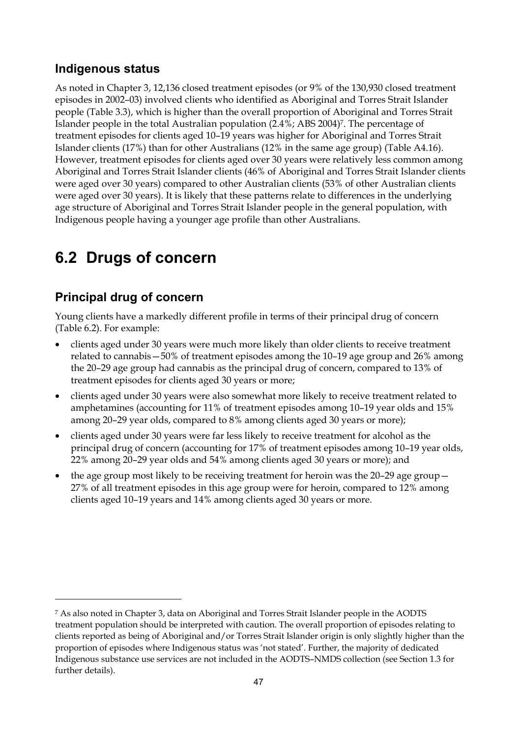### **Indigenous status**

As noted in Chapter 3, 12,136 closed treatment episodes (or 9% of the 130,930 closed treatment episodes in 2002–03) involved clients who identified as Aboriginal and Torres Strait Islander people (Table 3.3), which is higher than the overall proportion of Aboriginal and Torres Strait Islander people in the total Australian population (2.4%; ABS 2004)7. The percentage of treatment episodes for clients aged 10–19 years was higher for Aboriginal and Torres Strait Islander clients (17%) than for other Australians (12% in the same age group) (Table A4.16). However, treatment episodes for clients aged over 30 years were relatively less common among Aboriginal and Torres Strait Islander clients (46% of Aboriginal and Torres Strait Islander clients were aged over 30 years) compared to other Australian clients (53% of other Australian clients were aged over 30 years). It is likely that these patterns relate to differences in the underlying age structure of Aboriginal and Torres Strait Islander people in the general population, with Indigenous people having a younger age profile than other Australians.

## **6.2 Drugs of concern**

### **Principal drug of concern**

 $\overline{a}$ 

Young clients have a markedly different profile in terms of their principal drug of concern (Table 6.2). For example:

- clients aged under 30 years were much more likely than older clients to receive treatment related to cannabis—50% of treatment episodes among the 10–19 age group and 26% among the 20–29 age group had cannabis as the principal drug of concern, compared to 13% of treatment episodes for clients aged 30 years or more;
- clients aged under 30 years were also somewhat more likely to receive treatment related to amphetamines (accounting for 11% of treatment episodes among 10–19 year olds and 15% among 20–29 year olds, compared to 8% among clients aged 30 years or more);
- clients aged under 30 years were far less likely to receive treatment for alcohol as the principal drug of concern (accounting for 17% of treatment episodes among 10–19 year olds, 22% among 20–29 year olds and 54% among clients aged 30 years or more); and
- the age group most likely to be receiving treatment for heroin was the 20–29 age group 27% of all treatment episodes in this age group were for heroin, compared to 12% among clients aged 10–19 years and 14% among clients aged 30 years or more.

<sup>7</sup> As also noted in Chapter 3, data on Aboriginal and Torres Strait Islander people in the AODTS treatment population should be interpreted with caution. The overall proportion of episodes relating to clients reported as being of Aboriginal and/or Torres Strait Islander origin is only slightly higher than the proportion of episodes where Indigenous status was 'not stated'. Further, the majority of dedicated Indigenous substance use services are not included in the AODTS–NMDS collection (see Section 1.3 for further details).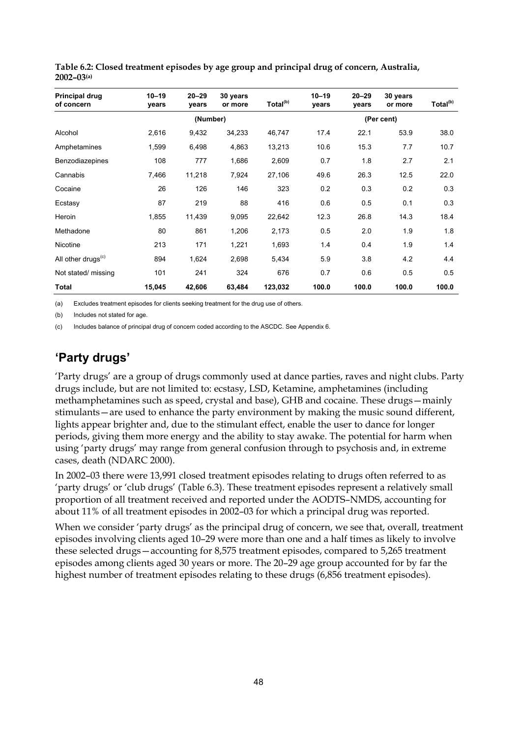| Principal drug<br>of concern   | $10 - 19$<br>vears | $20 - 29$<br>vears | 30 years<br>or more | Total <sup>(b)</sup> | $10 - 19$<br>years | $20 - 29$<br>years | 30 years<br>or more | Total <sup>(b)</sup> |  |  |
|--------------------------------|--------------------|--------------------|---------------------|----------------------|--------------------|--------------------|---------------------|----------------------|--|--|
|                                |                    | (Number)           |                     |                      | (Per cent)         |                    |                     |                      |  |  |
| Alcohol                        | 2,616              | 9,432              | 34,233              | 46,747               | 17.4               | 22.1               | 53.9                | 38.0                 |  |  |
| Amphetamines                   | 1,599              | 6,498              | 4,863               | 13,213               | 10.6               | 15.3               | 7.7                 | 10.7                 |  |  |
| Benzodiazepines                | 108                | 777                | 1,686               | 2,609                | 0.7                | 1.8                | 2.7                 | 2.1                  |  |  |
| Cannabis                       | 7,466              | 11,218             | 7,924               | 27,106               | 49.6               | 26.3               | 12.5                | 22.0                 |  |  |
| Cocaine                        | 26                 | 126                | 146                 | 323                  | 0.2                | 0.3                | 0.2                 | 0.3                  |  |  |
| Ecstasy                        | 87                 | 219                | 88                  | 416                  | 0.6                | 0.5                | 0.1                 | 0.3                  |  |  |
| Heroin                         | 1,855              | 11,439             | 9,095               | 22,642               | 12.3               | 26.8               | 14.3                | 18.4                 |  |  |
| Methadone                      | 80                 | 861                | 1,206               | 2,173                | 0.5                | 2.0                | 1.9                 | 1.8                  |  |  |
| Nicotine                       | 213                | 171                | 1,221               | 1,693                | 1.4                | 0.4                | 1.9                 | 1.4                  |  |  |
| All other drugs <sup>(c)</sup> | 894                | 1,624              | 2,698               | 5,434                | 5.9                | 3.8                | 4.2                 | 4.4                  |  |  |
| Not stated/ missing            | 101                | 241                | 324                 | 676                  | 0.7                | 0.6                | 0.5                 | 0.5                  |  |  |
| Total                          | 15,045             | 42,606             | 63,484              | 123,032              | 100.0              | 100.0              | 100.0               | 100.0                |  |  |

**Table 6.2: Closed treatment episodes by age group and principal drug of concern, Australia, 2002–03(a)**

(a) Excludes treatment episodes for clients seeking treatment for the drug use of others.

(b) Includes not stated for age.

(c) Includes balance of principal drug of concern coded according to the ASCDC. See Appendix 6.

### **'Party drugs'**

'Party drugs' are a group of drugs commonly used at dance parties, raves and night clubs. Party drugs include, but are not limited to: ecstasy, LSD, Ketamine, amphetamines (including methamphetamines such as speed, crystal and base), GHB and cocaine. These drugs—mainly stimulants—are used to enhance the party environment by making the music sound different, lights appear brighter and, due to the stimulant effect, enable the user to dance for longer periods, giving them more energy and the ability to stay awake. The potential for harm when using 'party drugs' may range from general confusion through to psychosis and, in extreme cases, death (NDARC 2000).

In 2002–03 there were 13,991 closed treatment episodes relating to drugs often referred to as 'party drugs' or 'club drugs' (Table 6.3). These treatment episodes represent a relatively small proportion of all treatment received and reported under the AODTS–NMDS, accounting for about 11% of all treatment episodes in 2002–03 for which a principal drug was reported.

When we consider 'party drugs' as the principal drug of concern, we see that, overall, treatment episodes involving clients aged 10–29 were more than one and a half times as likely to involve these selected drugs—accounting for 8,575 treatment episodes, compared to 5,265 treatment episodes among clients aged 30 years or more. The 20–29 age group accounted for by far the highest number of treatment episodes relating to these drugs (6,856 treatment episodes).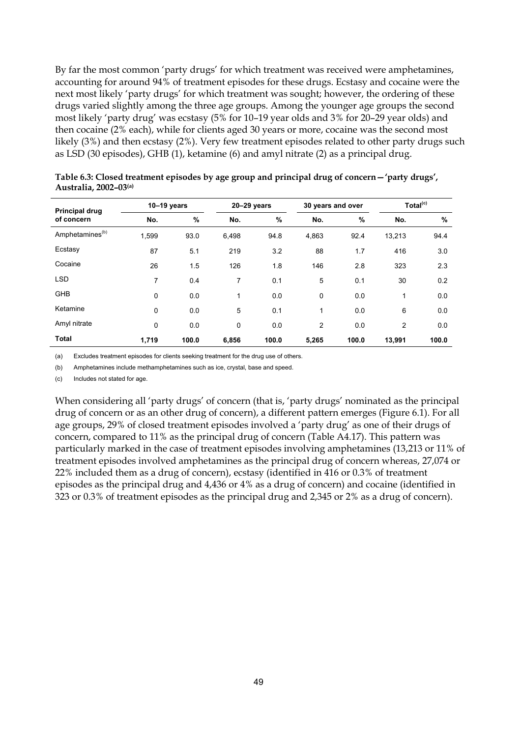By far the most common 'party drugs' for which treatment was received were amphetamines, accounting for around 94% of treatment episodes for these drugs. Ecstasy and cocaine were the next most likely 'party drugs' for which treatment was sought; however, the ordering of these drugs varied slightly among the three age groups. Among the younger age groups the second most likely 'party drug' was ecstasy (5% for 10–19 year olds and 3% for 20–29 year olds) and then cocaine (2% each), while for clients aged 30 years or more, cocaine was the second most likely (3%) and then ecstasy (2%). Very few treatment episodes related to other party drugs such as LSD (30 episodes), GHB (1), ketamine (6) and amyl nitrate (2) as a principal drug.

| <b>Principal drug</b><br>of concern | $10-19$ years |       | $20 - 29$ years |       | 30 years and over |       | Total <sup>(c)</sup> |       |
|-------------------------------------|---------------|-------|-----------------|-------|-------------------|-------|----------------------|-------|
|                                     | No.           | %     | No.             | %     | No.               | %     | No.                  | $\%$  |
| Amphetamines <sup>(b)</sup>         | 1.599         | 93.0  | 6.498           | 94.8  | 4,863             | 92.4  | 13.213               | 94.4  |
| Ecstasy                             | 87            | 5.1   | 219             | 3.2   | 88                | 1.7   | 416                  | 3.0   |
| Cocaine                             | 26            | 1.5   | 126             | 1.8   | 146               | 2.8   | 323                  | 2.3   |
| <b>LSD</b>                          | 7             | 0.4   | 7               | 0.1   | 5                 | 0.1   | 30                   | 0.2   |
| <b>GHB</b>                          | $\mathbf 0$   | 0.0   | $\mathbf{1}$    | 0.0   | 0                 | 0.0   | 1                    | 0.0   |
| Ketamine                            | $\mathbf 0$   | 0.0   | 5               | 0.1   | 1                 | 0.0   | 6                    | 0.0   |
| Amyl nitrate                        | $\mathbf 0$   | 0.0   | 0               | 0.0   | $\overline{2}$    | 0.0   | $\overline{2}$       | 0.0   |
| <b>Total</b>                        | 1,719         | 100.0 | 6,856           | 100.0 | 5,265             | 100.0 | 13,991               | 100.0 |

**Table 6.3: Closed treatment episodes by age group and principal drug of concern—'party drugs', Australia, 2002–03(a)**

(a) Excludes treatment episodes for clients seeking treatment for the drug use of others.

(b) Amphetamines include methamphetamines such as ice, crystal, base and speed.

(c) Includes not stated for age.

When considering all 'party drugs' of concern (that is, 'party drugs' nominated as the principal drug of concern or as an other drug of concern), a different pattern emerges (Figure 6.1). For all age groups, 29% of closed treatment episodes involved a 'party drug' as one of their drugs of concern, compared to 11% as the principal drug of concern (Table A4.17). This pattern was particularly marked in the case of treatment episodes involving amphetamines (13,213 or 11% of treatment episodes involved amphetamines as the principal drug of concern whereas, 27,074 or 22% included them as a drug of concern), ecstasy (identified in 416 or 0.3% of treatment episodes as the principal drug and 4,436 or 4% as a drug of concern) and cocaine (identified in 323 or 0.3% of treatment episodes as the principal drug and 2,345 or 2% as a drug of concern).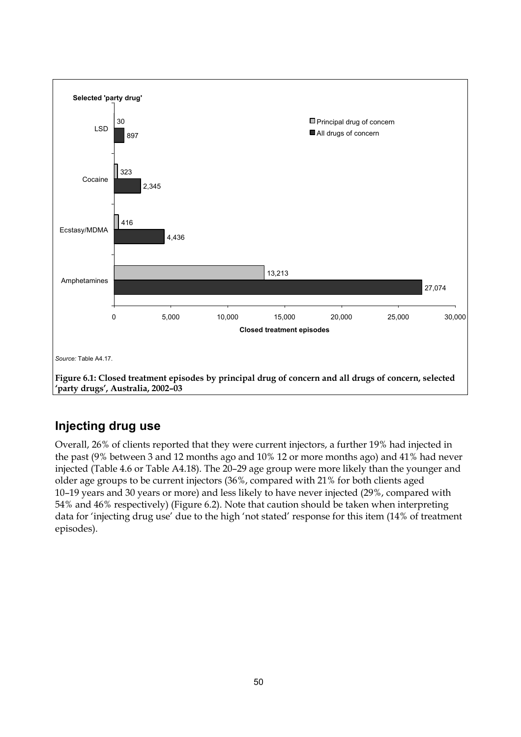

### **Injecting drug use**

Overall, 26% of clients reported that they were current injectors, a further 19% had injected in the past (9% between 3 and 12 months ago and 10% 12 or more months ago) and 41% had never injected (Table 4.6 or Table A4.18). The 20–29 age group were more likely than the younger and older age groups to be current injectors (36%, compared with 21% for both clients aged 10–19 years and 30 years or more) and less likely to have never injected (29%, compared with 54% and 46% respectively) (Figure 6.2). Note that caution should be taken when interpreting data for 'injecting drug use' due to the high 'not stated' response for this item (14% of treatment episodes).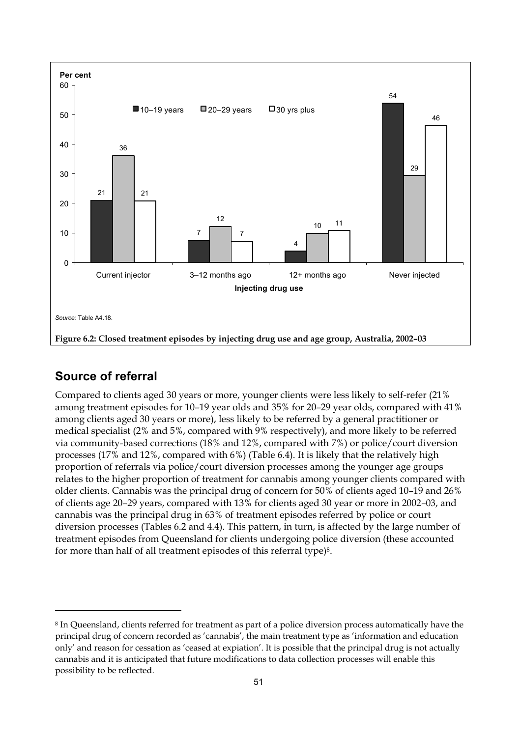

### **Source of referral**

 $\overline{a}$ 

Compared to clients aged 30 years or more, younger clients were less likely to self-refer (21% among treatment episodes for 10–19 year olds and 35% for 20–29 year olds, compared with 41% among clients aged 30 years or more), less likely to be referred by a general practitioner or medical specialist (2% and 5%, compared with 9% respectively), and more likely to be referred via community-based corrections (18% and 12%, compared with 7%) or police/court diversion processes (17% and 12%, compared with 6%) (Table 6.4). It is likely that the relatively high proportion of referrals via police/court diversion processes among the younger age groups relates to the higher proportion of treatment for cannabis among younger clients compared with older clients. Cannabis was the principal drug of concern for 50% of clients aged 10–19 and 26% of clients age 20–29 years, compared with 13% for clients aged 30 year or more in 2002–03, and cannabis was the principal drug in 63% of treatment episodes referred by police or court diversion processes (Tables 6.2 and 4.4). This pattern, in turn, is affected by the large number of treatment episodes from Queensland for clients undergoing police diversion (these accounted for more than half of all treatment episodes of this referral type)8.

<sup>8</sup> In Queensland, clients referred for treatment as part of a police diversion process automatically have the principal drug of concern recorded as 'cannabis', the main treatment type as 'information and education only' and reason for cessation as 'ceased at expiation'. It is possible that the principal drug is not actually cannabis and it is anticipated that future modifications to data collection processes will enable this possibility to be reflected.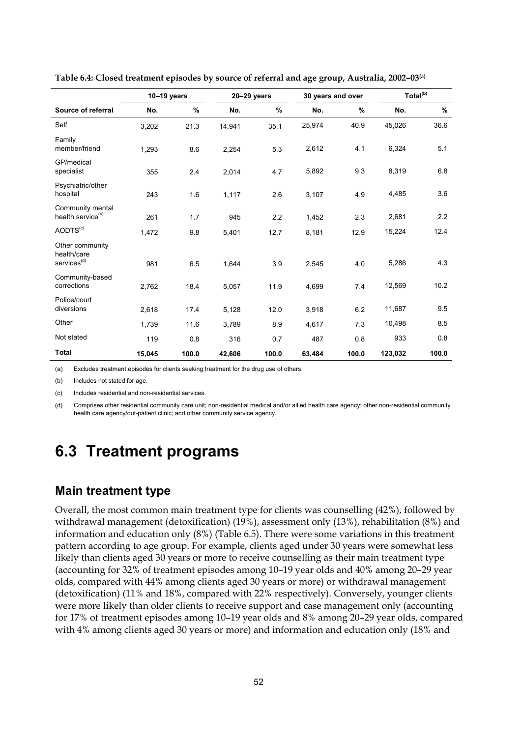|                                                           | $10-19$ years |       | $20 - 29$ years |       | 30 years and over |       | Total <sup>(b)</sup> |       |
|-----------------------------------------------------------|---------------|-------|-----------------|-------|-------------------|-------|----------------------|-------|
| Source of referral                                        | No.           | $\%$  | No.             | %     | No.               | $\%$  | No.                  | $\%$  |
| Self                                                      | 3,202         | 21.3  | 14,941          | 35.1  | 25,974            | 40.9  | 45,026               | 36.6  |
| Family<br>member/friend                                   | 1,293         | 8.6   | 2,254           | 5.3   | 2,612             | 4.1   | 6,324                | 5.1   |
| GP/medical<br>specialist                                  | 355           | 2.4   | 2,014           | 4.7   | 5,892             | 9.3   | 8,319                | 6.8   |
| Psychiatric/other<br>hospital                             | 243           | 1.6   | 1,117           | 2.6   | 3,107             | 4.9   | 4,485                | 3.6   |
| Community mental<br>health service <sup>(c)</sup>         | 261           | 1.7   | 945             | 2.2   | 1,452             | 2.3   | 2,681                | 2.2   |
| AODTS <sup>(c)</sup>                                      | 1,472         | 9.8   | 5,401           | 12.7  | 8,181             | 12.9  | 15,224               | 12.4  |
| Other community<br>health/care<br>services <sup>(d)</sup> | 981           | 6.5   | 1,644           | 3.9   | 2,545             | 4.0   | 5,286                | 4.3   |
| Community-based<br>corrections                            | 2,762         | 18.4  | 5,057           | 11.9  | 4,699             | 7.4   | 12,569               | 10.2  |
| Police/court<br>diversions                                | 2,618         | 17.4  | 5,128           | 12.0  | 3,918             | 6.2   | 11,687               | 9.5   |
| Other                                                     | 1,739         | 11.6  | 3,789           | 8.9   | 4,617             | 7.3   | 10,498               | 8.5   |
| Not stated                                                | 119           | 0.8   | 316             | 0.7   | 487               | 0.8   | 933                  | 0.8   |
| <b>Total</b>                                              | 15,045        | 100.0 | 42,606          | 100.0 | 63,484            | 100.0 | 123,032              | 100.0 |

**Table 6.4: Closed treatment episodes by source of referral and age group, Australia, 2002–03(a)** 

(a) Excludes treatment episodes for clients seeking treatment for the drug use of others.

(b) Includes not stated for age.

(c) Includes residential and non-residential services.

(d) Comprises other residential community care unit; non-residential medical and/or allied health care agency; other non-residential community health care agency/out-patient clinic; and other community service agency.

## **6.3 Treatment programs**

### **Main treatment type**

Overall, the most common main treatment type for clients was counselling (42%), followed by withdrawal management (detoxification) (19%), assessment only (13%), rehabilitation (8%) and information and education only (8%) (Table 6.5). There were some variations in this treatment pattern according to age group. For example, clients aged under 30 years were somewhat less likely than clients aged 30 years or more to receive counselling as their main treatment type (accounting for 32% of treatment episodes among 10–19 year olds and 40% among 20–29 year olds, compared with 44% among clients aged 30 years or more) or withdrawal management (detoxification) (11% and 18%, compared with 22% respectively). Conversely, younger clients were more likely than older clients to receive support and case management only (accounting for 17% of treatment episodes among 10–19 year olds and 8% among 20–29 year olds, compared with 4% among clients aged 30 years or more) and information and education only (18% and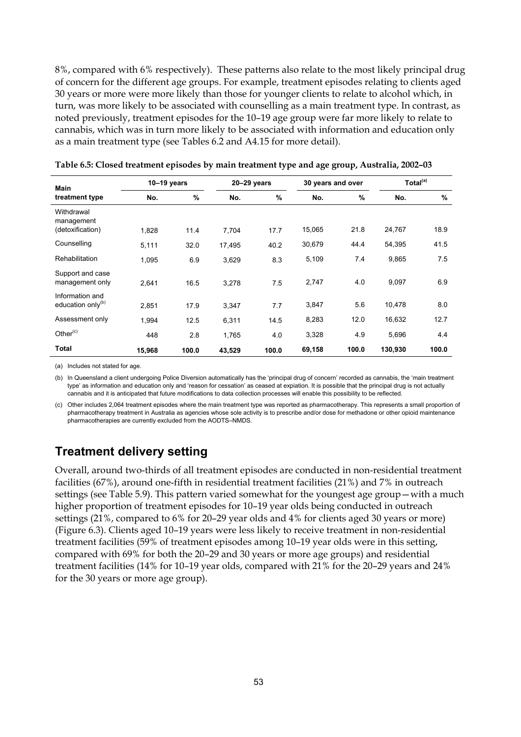8%, compared with 6% respectively). These patterns also relate to the most likely principal drug of concern for the different age groups. For example, treatment episodes relating to clients aged 30 years or more were more likely than those for younger clients to relate to alcohol which, in turn, was more likely to be associated with counselling as a main treatment type. In contrast, as noted previously, treatment episodes for the 10–19 age group were far more likely to relate to cannabis, which was in turn more likely to be associated with information and education only as a main treatment type (see Tables 6.2 and A4.15 for more detail).

| <b>Main</b>                                      | $10-19$ years |       | 20-29 years |       | 30 years and over |       | Total <sup>(a)</sup> |       |
|--------------------------------------------------|---------------|-------|-------------|-------|-------------------|-------|----------------------|-------|
| treatment type                                   | No.           | %     | No.         | $\%$  | No.               | %     | No.                  | $\%$  |
| Withdrawal<br>management<br>(detoxification)     | 1,828         | 11.4  | 7,704       | 17.7  | 15,065            | 21.8  | 24,767               | 18.9  |
| Counselling                                      | 5,111         | 32.0  | 17,495      | 40.2  | 30,679            | 44.4  | 54,395               | 41.5  |
| <b>Rehabilitation</b>                            | 1.095         | 6.9   | 3,629       | 8.3   | 5,109             | 7.4   | 9,865                | 7.5   |
| Support and case<br>management only              | 2,641         | 16.5  | 3,278       | 7.5   | 2,747             | 4.0   | 9,097                | 6.9   |
| Information and<br>education only <sup>(b)</sup> | 2,851         | 17.9  | 3,347       | 7.7   | 3,847             | 5.6   | 10,478               | 8.0   |
| Assessment only                                  | 1,994         | 12.5  | 6,311       | 14.5  | 8,283             | 12.0  | 16,632               | 12.7  |
| Other <sup>(c)</sup>                             | 448           | 2.8   | 1,765       | 4.0   | 3,328             | 4.9   | 5,696                | 4.4   |
| <b>Total</b>                                     | 15,968        | 100.0 | 43,529      | 100.0 | 69,158            | 100.0 | 130,930              | 100.0 |

|  | Table 6.5: Closed treatment episodes by main treatment type and age group, Australia, 2002–03 |  |
|--|-----------------------------------------------------------------------------------------------|--|
|  |                                                                                               |  |

(a) Includes not stated for age.

(b) In Queensland a client undergoing Police Diversion automatically has the 'principal drug of concern' recorded as cannabis, the 'main treatment type' as information and education only and 'reason for cessation' as ceased at expiation. It is possible that the principal drug is not actually cannabis and it is anticipated that future modifications to data collection processes will enable this possibility to be reflected.

(c) Other includes 2,064 treatment episodes where the main treatment type was reported as pharmacotherapy. This represents a small proportion of pharmacotherapy treatment in Australia as agencies whose sole activity is to prescribe and/or dose for methadone or other opioid maintenance pharmacotherapies are currently excluded from the AODTS–NMDS.

### **Treatment delivery setting**

Overall, around two-thirds of all treatment episodes are conducted in non-residential treatment facilities (67%), around one-fifth in residential treatment facilities (21%) and 7% in outreach settings (see Table 5.9). This pattern varied somewhat for the youngest age group—with a much higher proportion of treatment episodes for 10–19 year olds being conducted in outreach settings (21%, compared to 6% for 20–29 year olds and 4% for clients aged 30 years or more) (Figure 6.3). Clients aged 10–19 years were less likely to receive treatment in non-residential treatment facilities (59% of treatment episodes among 10–19 year olds were in this setting, compared with 69% for both the 20–29 and 30 years or more age groups) and residential treatment facilities (14% for 10–19 year olds, compared with 21% for the 20–29 years and 24% for the 30 years or more age group).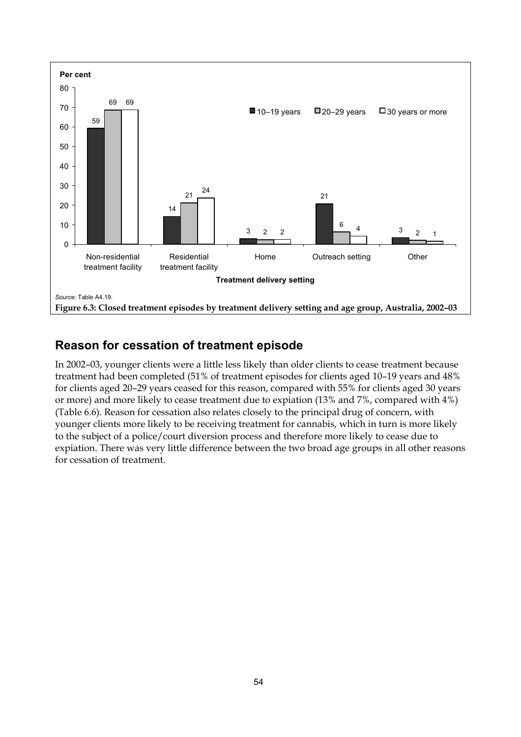

### **Reason for cessation of treatment episode**

In 2002–03, younger clients were a little less likely than older clients to cease treatment because treatment had been completed (51% of treatment episodes for clients aged 10–19 years and 48% for clients aged 20–29 years ceased for this reason, compared with 55% for clients aged 30 years or more) and more likely to cease treatment due to expiation (13% and 7%, compared with 4%) (Table 6.6). Reason for cessation also relates closely to the principal drug of concern, with younger clients more likely to be receiving treatment for cannabis, which in turn is more likely to the subject of a police/court diversion process and therefore more likely to cease due to expiation. There was very little difference between the two broad age groups in all other reasons for cessation of treatment.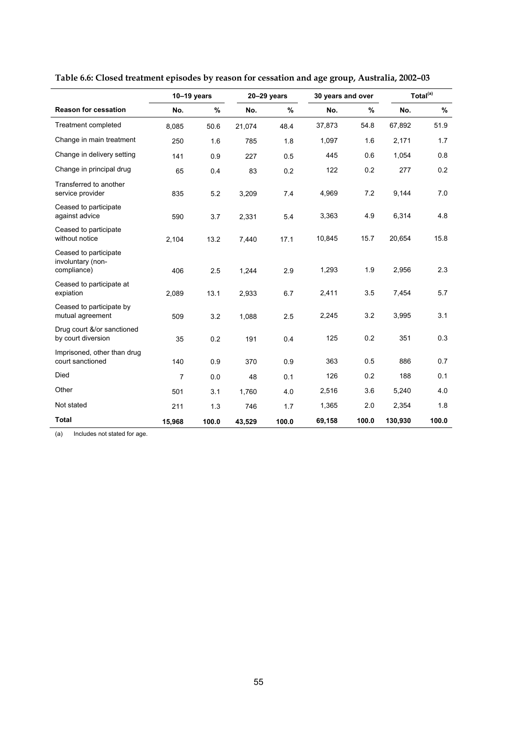|                                                           | $10-19$ years |       | $20 - 29$ years |       | 30 years and over |       | Total <sup>(a)</sup> |       |  |
|-----------------------------------------------------------|---------------|-------|-----------------|-------|-------------------|-------|----------------------|-------|--|
| <b>Reason for cessation</b>                               | No.           | %     | No.             | %     | No.               | %     | No.                  | $\%$  |  |
| <b>Treatment completed</b>                                | 8,085         | 50.6  | 21,074          | 48.4  | 37,873            | 54.8  | 67,892               | 51.9  |  |
| Change in main treatment                                  | 250           | 1.6   | 785             | 1.8   | 1,097             | 1.6   | 2,171                | 1.7   |  |
| Change in delivery setting                                | 141           | 0.9   | 227             | 0.5   | 445               | 0.6   | 1,054                | 0.8   |  |
| Change in principal drug                                  | 65            | 0.4   | 83              | 0.2   | 122               | 0.2   | 277                  | 0.2   |  |
| Transferred to another<br>service provider                | 835           | 5.2   | 3,209           | 7.4   | 4,969             | 7.2   | 9,144                | 7.0   |  |
| Ceased to participate<br>against advice                   | 590           | 3.7   | 2,331           | 5.4   | 3,363             | 4.9   | 6,314                | 4.8   |  |
| Ceased to participate<br>without notice                   | 2,104         | 13.2  | 7,440           | 17.1  | 10,845            | 15.7  | 20,654               | 15.8  |  |
| Ceased to participate<br>involuntary (non-<br>compliance) | 406           | 2.5   | 1,244           | 2.9   | 1,293             | 1.9   | 2,956                | 2.3   |  |
| Ceased to participate at<br>expiation                     | 2,089         | 13.1  | 2,933           | 6.7   | 2,411             | 3.5   | 7,454                | 5.7   |  |
| Ceased to participate by<br>mutual agreement              | 509           | 3.2   | 1,088           | 2.5   | 2,245             | 3.2   | 3,995                | 3.1   |  |
| Drug court &/or sanctioned<br>by court diversion          | 35            | 0.2   | 191             | 0.4   | 125               | 0.2   | 351                  | 0.3   |  |
| Imprisoned, other than drug<br>court sanctioned           | 140           | 0.9   | 370             | 0.9   | 363               | 0.5   | 886                  | 0.7   |  |
| Died                                                      | 7             | 0.0   | 48              | 0.1   | 126               | 0.2   | 188                  | 0.1   |  |
| Other                                                     | 501           | 3.1   | 1,760           | 4.0   | 2,516             | 3.6   | 5,240                | 4.0   |  |
| Not stated                                                | 211           | 1.3   | 746             | 1.7   | 1,365             | 2.0   | 2,354                | 1.8   |  |
| <b>Total</b>                                              | 15,968        | 100.0 | 43,529          | 100.0 | 69,158            | 100.0 | 130,930              | 100.0 |  |

**Table 6.6: Closed treatment episodes by reason for cessation and age group, Australia, 2002–03**

(a) Includes not stated for age.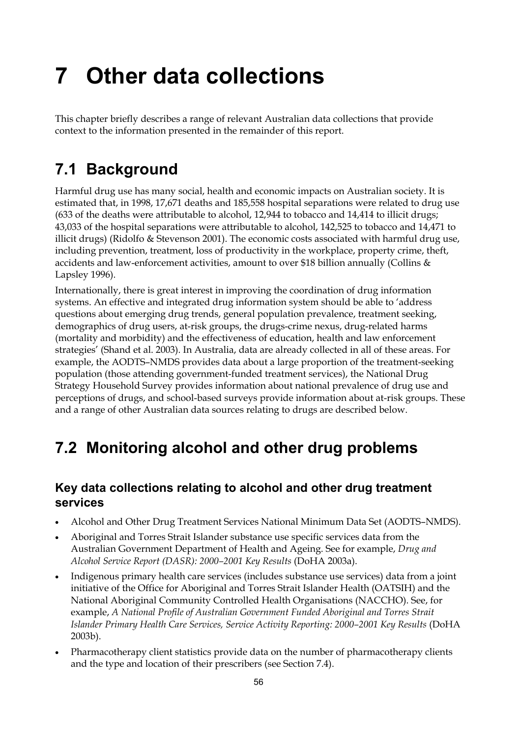# **7 Other data collections**

This chapter briefly describes a range of relevant Australian data collections that provide context to the information presented in the remainder of this report.

## **7.1 Background**

Harmful drug use has many social, health and economic impacts on Australian society. It is estimated that, in 1998, 17,671 deaths and 185,558 hospital separations were related to drug use (633 of the deaths were attributable to alcohol, 12,944 to tobacco and 14,414 to illicit drugs; 43,033 of the hospital separations were attributable to alcohol, 142,525 to tobacco and 14,471 to illicit drugs) (Ridolfo & Stevenson 2001). The economic costs associated with harmful drug use, including prevention, treatment, loss of productivity in the workplace, property crime, theft, accidents and law-enforcement activities, amount to over \$18 billion annually (Collins & Lapsley 1996).

Internationally, there is great interest in improving the coordination of drug information systems. An effective and integrated drug information system should be able to 'address questions about emerging drug trends, general population prevalence, treatment seeking, demographics of drug users, at-risk groups, the drugs-crime nexus, drug-related harms (mortality and morbidity) and the effectiveness of education, health and law enforcement strategies' (Shand et al. 2003). In Australia, data are already collected in all of these areas. For example, the AODTS–NMDS provides data about a large proportion of the treatment-seeking population (those attending government-funded treatment services), the National Drug Strategy Household Survey provides information about national prevalence of drug use and perceptions of drugs, and school-based surveys provide information about at-risk groups. These and a range of other Australian data sources relating to drugs are described below.

## **7.2 Monitoring alcohol and other drug problems**

### **Key data collections relating to alcohol and other drug treatment services**

- Alcohol and Other Drug Treatment Services National Minimum Data Set (AODTS–NMDS).
- Aboriginal and Torres Strait Islander substance use specific services data from the Australian Government Department of Health and Ageing. See for example, *Drug and Alcohol Service Report (DASR): 2000–2001 Key Results* (DoHA 2003a).
- Indigenous primary health care services (includes substance use services) data from a joint initiative of the Office for Aboriginal and Torres Strait Islander Health (OATSIH) and the National Aboriginal Community Controlled Health Organisations (NACCHO). See, for example, *A National Profile of Australian Government Funded Aboriginal and Torres Strait Islander Primary Health Care Services, Service Activity Reporting: 2000–2001 Key Results* (DoHA 2003b).
- Pharmacotherapy client statistics provide data on the number of pharmacotherapy clients and the type and location of their prescribers (see Section 7.4).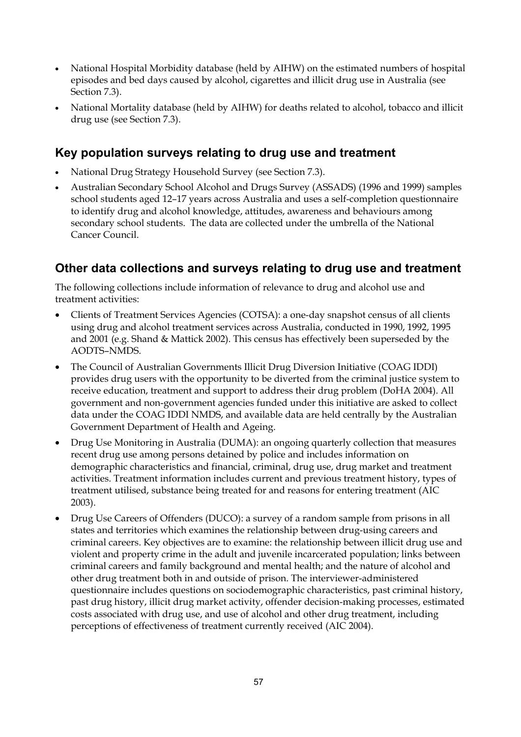- National Hospital Morbidity database (held by AIHW) on the estimated numbers of hospital episodes and bed days caused by alcohol, cigarettes and illicit drug use in Australia (see Section 7.3).
- National Mortality database (held by AIHW) for deaths related to alcohol, tobacco and illicit drug use (see Section 7.3).

### **Key population surveys relating to drug use and treatment**

- National Drug Strategy Household Survey (see Section 7.3).
- Australian Secondary School Alcohol and Drugs Survey (ASSADS) (1996 and 1999) samples school students aged 12–17 years across Australia and uses a self-completion questionnaire to identify drug and alcohol knowledge, attitudes, awareness and behaviours among secondary school students. The data are collected under the umbrella of the National Cancer Council.

### **Other data collections and surveys relating to drug use and treatment**

The following collections include information of relevance to drug and alcohol use and treatment activities:

- Clients of Treatment Services Agencies (COTSA): a one-day snapshot census of all clients using drug and alcohol treatment services across Australia, conducted in 1990, 1992, 1995 and 2001 (e.g. Shand & Mattick 2002). This census has effectively been superseded by the AODTS–NMDS.
- The Council of Australian Governments Illicit Drug Diversion Initiative (COAG IDDI) provides drug users with the opportunity to be diverted from the criminal justice system to receive education, treatment and support to address their drug problem (DoHA 2004). All government and non-government agencies funded under this initiative are asked to collect data under the COAG IDDI NMDS, and available data are held centrally by the Australian Government Department of Health and Ageing.
- Drug Use Monitoring in Australia (DUMA): an ongoing quarterly collection that measures recent drug use among persons detained by police and includes information on demographic characteristics and financial, criminal, drug use, drug market and treatment activities. Treatment information includes current and previous treatment history, types of treatment utilised, substance being treated for and reasons for entering treatment (AIC 2003).
- Drug Use Careers of Offenders (DUCO): a survey of a random sample from prisons in all states and territories which examines the relationship between drug-using careers and criminal careers. Key objectives are to examine: the relationship between illicit drug use and violent and property crime in the adult and juvenile incarcerated population; links between criminal careers and family background and mental health; and the nature of alcohol and other drug treatment both in and outside of prison. The interviewer-administered questionnaire includes questions on sociodemographic characteristics, past criminal history, past drug history, illicit drug market activity, offender decision-making processes, estimated costs associated with drug use, and use of alcohol and other drug treatment, including perceptions of effectiveness of treatment currently received (AIC 2004).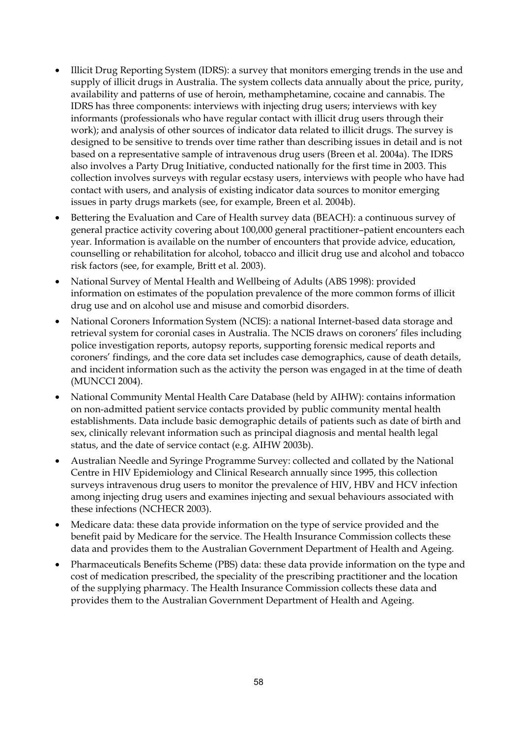- Illicit Drug Reporting System (IDRS): a survey that monitors emerging trends in the use and supply of illicit drugs in Australia. The system collects data annually about the price, purity, availability and patterns of use of heroin, methamphetamine, cocaine and cannabis. The IDRS has three components: interviews with injecting drug users; interviews with key informants (professionals who have regular contact with illicit drug users through their work); and analysis of other sources of indicator data related to illicit drugs. The survey is designed to be sensitive to trends over time rather than describing issues in detail and is not based on a representative sample of intravenous drug users (Breen et al. 2004a). The IDRS also involves a Party Drug Initiative, conducted nationally for the first time in 2003. This collection involves surveys with regular ecstasy users, interviews with people who have had contact with users, and analysis of existing indicator data sources to monitor emerging issues in party drugs markets (see, for example, Breen et al. 2004b).
- Bettering the Evaluation and Care of Health survey data (BEACH): a continuous survey of general practice activity covering about 100,000 general practitioner–patient encounters each year. Information is available on the number of encounters that provide advice, education, counselling or rehabilitation for alcohol, tobacco and illicit drug use and alcohol and tobacco risk factors (see, for example, Britt et al. 2003).
- National Survey of Mental Health and Wellbeing of Adults (ABS 1998): provided information on estimates of the population prevalence of the more common forms of illicit drug use and on alcohol use and misuse and comorbid disorders.
- National Coroners Information System (NCIS): a national Internet-based data storage and retrieval system for coronial cases in Australia. The NCIS draws on coroners' files including police investigation reports, autopsy reports, supporting forensic medical reports and coroners' findings, and the core data set includes case demographics, cause of death details, and incident information such as the activity the person was engaged in at the time of death (MUNCCI 2004).
- National Community Mental Health Care Database (held by AIHW): contains information on non-admitted patient service contacts provided by public community mental health establishments. Data include basic demographic details of patients such as date of birth and sex, clinically relevant information such as principal diagnosis and mental health legal status, and the date of service contact (e.g. AIHW 2003b).
- Australian Needle and Syringe Programme Survey: collected and collated by the National Centre in HIV Epidemiology and Clinical Research annually since 1995, this collection surveys intravenous drug users to monitor the prevalence of HIV, HBV and HCV infection among injecting drug users and examines injecting and sexual behaviours associated with these infections (NCHECR 2003).
- Medicare data: these data provide information on the type of service provided and the benefit paid by Medicare for the service. The Health Insurance Commission collects these data and provides them to the Australian Government Department of Health and Ageing.
- Pharmaceuticals Benefits Scheme (PBS) data: these data provide information on the type and cost of medication prescribed, the speciality of the prescribing practitioner and the location of the supplying pharmacy. The Health Insurance Commission collects these data and provides them to the Australian Government Department of Health and Ageing.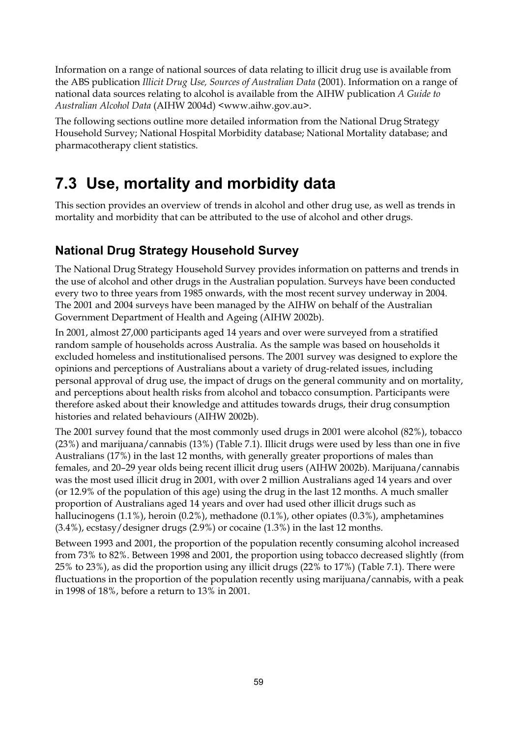Information on a range of national sources of data relating to illicit drug use is available from the ABS publication *Illicit Drug Use, Sources of Australian Data* (2001). Information on a range of national data sources relating to alcohol is available from the AIHW publication *A Guide to Australian Alcohol Data* (AIHW 2004d) <www.aihw.gov.au>.

The following sections outline more detailed information from the National Drug Strategy Household Survey; National Hospital Morbidity database; National Mortality database; and pharmacotherapy client statistics.

# **7.3 Use, mortality and morbidity data**

This section provides an overview of trends in alcohol and other drug use, as well as trends in mortality and morbidity that can be attributed to the use of alcohol and other drugs.

## **National Drug Strategy Household Survey**

The National Drug Strategy Household Survey provides information on patterns and trends in the use of alcohol and other drugs in the Australian population. Surveys have been conducted every two to three years from 1985 onwards, with the most recent survey underway in 2004. The 2001 and 2004 surveys have been managed by the AIHW on behalf of the Australian Government Department of Health and Ageing (AIHW 2002b).

In 2001, almost 27,000 participants aged 14 years and over were surveyed from a stratified random sample of households across Australia. As the sample was based on households it excluded homeless and institutionalised persons. The 2001 survey was designed to explore the opinions and perceptions of Australians about a variety of drug-related issues, including personal approval of drug use, the impact of drugs on the general community and on mortality, and perceptions about health risks from alcohol and tobacco consumption. Participants were therefore asked about their knowledge and attitudes towards drugs, their drug consumption histories and related behaviours (AIHW 2002b).

The 2001 survey found that the most commonly used drugs in 2001 were alcohol (82%), tobacco (23%) and marijuana/cannabis (13%) (Table 7.1). Illicit drugs were used by less than one in five Australians (17%) in the last 12 months, with generally greater proportions of males than females, and 20–29 year olds being recent illicit drug users (AIHW 2002b). Marijuana/cannabis was the most used illicit drug in 2001, with over 2 million Australians aged 14 years and over (or 12.9% of the population of this age) using the drug in the last 12 months. A much smaller proportion of Australians aged 14 years and over had used other illicit drugs such as hallucinogens (1.1%), heroin (0.2%), methadone (0.1%), other opiates (0.3%), amphetamines (3.4%), ecstasy/designer drugs (2.9%) or cocaine (1.3%) in the last 12 months.

Between 1993 and 2001, the proportion of the population recently consuming alcohol increased from 73% to 82%. Between 1998 and 2001, the proportion using tobacco decreased slightly (from 25% to 23%), as did the proportion using any illicit drugs (22% to 17%) (Table 7.1). There were fluctuations in the proportion of the population recently using marijuana/cannabis, with a peak in 1998 of 18%, before a return to 13% in 2001.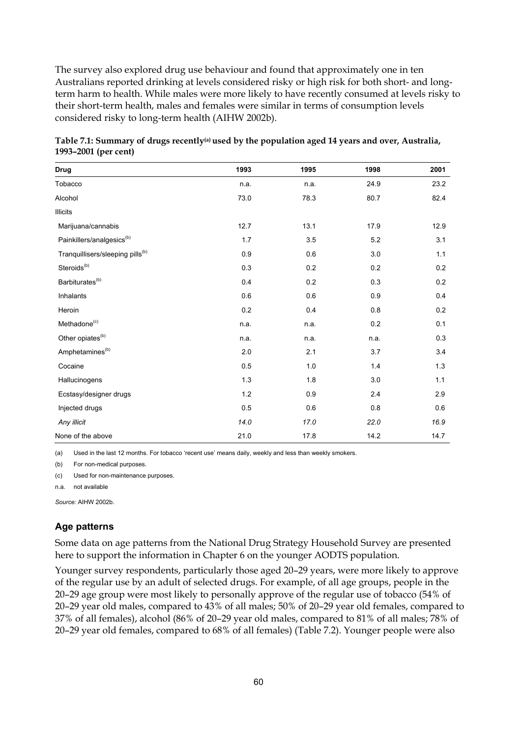The survey also explored drug use behaviour and found that approximately one in ten Australians reported drinking at levels considered risky or high risk for both short- and longterm harm to health. While males were more likely to have recently consumed at levels risky to their short-term health, males and females were similar in terms of consumption levels considered risky to long-term health (AIHW 2002b).

| <b>Drug</b>                                  | 1993 | 1995 | 1998 | 2001 |
|----------------------------------------------|------|------|------|------|
| Tobacco                                      | n.a. | n.a. | 24.9 | 23.2 |
| Alcohol                                      | 73.0 | 78.3 | 80.7 | 82.4 |
| <b>Illicits</b>                              |      |      |      |      |
| Marijuana/cannabis                           | 12.7 | 13.1 | 17.9 | 12.9 |
| Painkillers/analgesics <sup>(b)</sup>        | 1.7  | 3.5  | 5.2  | 3.1  |
| Tranquillisers/sleeping pills <sup>(b)</sup> | 0.9  | 0.6  | 3.0  | 1.1  |
| Steroids <sup>(b)</sup>                      | 0.3  | 0.2  | 0.2  | 0.2  |
| Barbiturates <sup>(b)</sup>                  | 0.4  | 0.2  | 0.3  | 0.2  |
| Inhalants                                    | 0.6  | 0.6  | 0.9  | 0.4  |
| Heroin                                       | 0.2  | 0.4  | 0.8  | 0.2  |
| Methadone <sup>(c)</sup>                     | n.a. | n.a. | 0.2  | 0.1  |
| Other opiates <sup>(b)</sup>                 | n.a. | n.a. | n.a. | 0.3  |
| Amphetamines <sup>(b)</sup>                  | 2.0  | 2.1  | 3.7  | 3.4  |
| Cocaine                                      | 0.5  | 1.0  | 1.4  | 1.3  |
| Hallucinogens                                | 1.3  | 1.8  | 3.0  | 1.1  |
| Ecstasy/designer drugs                       | 1.2  | 0.9  | 2.4  | 2.9  |
| Injected drugs                               | 0.5  | 0.6  | 0.8  | 0.6  |
| Any illicit                                  | 14.0 | 17.0 | 22.0 | 16.9 |
| None of the above                            | 21.0 | 17.8 | 14.2 | 14.7 |

|                      | Table 7.1: Summary of drugs recently <sup>(a)</sup> used by the population aged 14 years and over, Australia, |  |  |
|----------------------|---------------------------------------------------------------------------------------------------------------|--|--|
| 1993–2001 (per cent) |                                                                                                               |  |  |

(a) Used in the last 12 months. For tobacco 'recent use' means daily, weekly and less than weekly smokers.

(b) For non-medical purposes.

(c) Used for non-maintenance purposes.

n.a. not available

*Source:* AIHW 2002b.

### **Age patterns**

Some data on age patterns from the National Drug Strategy Household Survey are presented here to support the information in Chapter 6 on the younger AODTS population.

Younger survey respondents, particularly those aged 20–29 years, were more likely to approve of the regular use by an adult of selected drugs. For example, of all age groups, people in the 20–29 age group were most likely to personally approve of the regular use of tobacco (54% of 20–29 year old males, compared to 43% of all males; 50% of 20–29 year old females, compared to 37% of all females), alcohol (86% of 20–29 year old males, compared to 81% of all males; 78% of 20–29 year old females, compared to 68% of all females) (Table 7.2). Younger people were also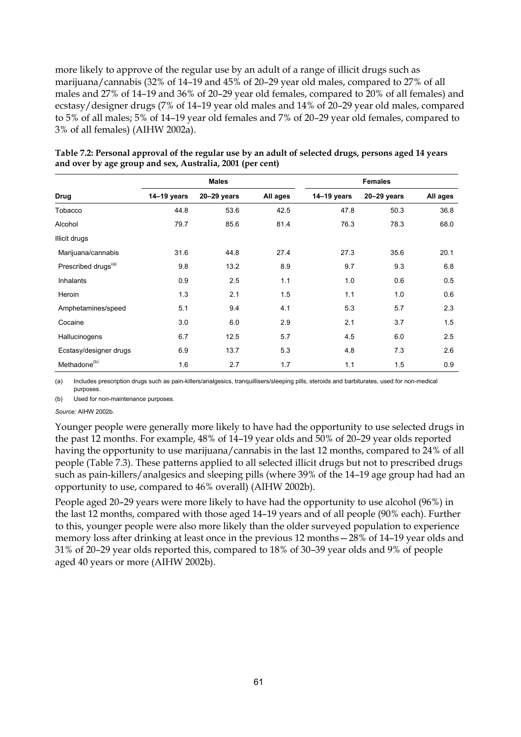more likely to approve of the regular use by an adult of a range of illicit drugs such as marijuana/cannabis (32% of 14–19 and 45% of 20–29 year old males, compared to 27% of all males and 27% of 14–19 and 36% of 20–29 year old females, compared to 20% of all females) and ecstasy/designer drugs (7% of 14–19 year old males and 14% of 20–29 year old males, compared to 5% of all males; 5% of 14–19 year old females and 7% of 20–29 year old females, compared to 3% of all females) (AIHW 2002a).

|                                 |               | <b>Males</b>    |          | <b>Females</b> |                 |          |  |
|---------------------------------|---------------|-----------------|----------|----------------|-----------------|----------|--|
| <b>Drug</b>                     | $14-19$ years | $20 - 29$ years | All ages | $14-19$ years  | $20 - 29$ years | All ages |  |
| Tobacco                         | 44.8          | 53.6            | 42.5     | 47.8           | 50.3            | 36.8     |  |
| Alcohol                         | 79.7          | 85.6            | 81.4     | 76.3           | 78.3            | 68.0     |  |
| Illicit drugs                   |               |                 |          |                |                 |          |  |
| Marijuana/cannabis              | 31.6          | 44.8            | 27.4     | 27.3           | 35.6            | 20.1     |  |
| Prescribed drugs <sup>(a)</sup> | 9.8           | 13.2            | 8.9      | 9.7            | 9.3             | 6.8      |  |
| Inhalants                       | 0.9           | 2.5             | 1.1      | 1.0            | 0.6             | 0.5      |  |
| Heroin                          | 1.3           | 2.1             | 1.5      | 1.1            | 1.0             | 0.6      |  |
| Amphetamines/speed              | 5.1           | 9.4             | 4.1      | 5.3            | 5.7             | 2.3      |  |
| Cocaine                         | 3.0           | 6.0             | 2.9      | 2.1            | 3.7             | 1.5      |  |
| Hallucinogens                   | 6.7           | 12.5            | 5.7      | 4.5            | 6.0             | 2.5      |  |
| Ecstasy/designer drugs          | 6.9           | 13.7            | 5.3      | 4.8            | 7.3             | 2.6      |  |
| Methadone <sup>(b)</sup>        | 1.6           | 2.7             | 1.7      | 1.1            | 1.5             | 0.9      |  |

| Table 7.2: Personal approval of the regular use by an adult of selected drugs, persons aged 14 years |
|------------------------------------------------------------------------------------------------------|
| and over by age group and sex, Australia, 2001 (per cent)                                            |

(a) Includes prescription drugs such as pain-killers/analgesics, tranquillisers/sleeping pills, steroids and barbiturates, used for non-medical purposes.

(b) Used for non-maintenance purposes.

#### *Source:* AIHW 2002b.

Younger people were generally more likely to have had the opportunity to use selected drugs in the past 12 months. For example, 48% of 14–19 year olds and 50% of 20–29 year olds reported having the opportunity to use marijuana/cannabis in the last 12 months, compared to 24% of all people (Table 7.3). These patterns applied to all selected illicit drugs but not to prescribed drugs such as pain-killers/analgesics and sleeping pills (where 39% of the 14–19 age group had had an opportunity to use, compared to 46% overall) (AIHW 2002b).

People aged 20–29 years were more likely to have had the opportunity to use alcohol (96%) in the last 12 months, compared with those aged 14–19 years and of all people (90% each). Further to this, younger people were also more likely than the older surveyed population to experience memory loss after drinking at least once in the previous 12 months—28% of 14–19 year olds and 31% of 20–29 year olds reported this, compared to 18% of 30–39 year olds and 9% of people aged 40 years or more (AIHW 2002b).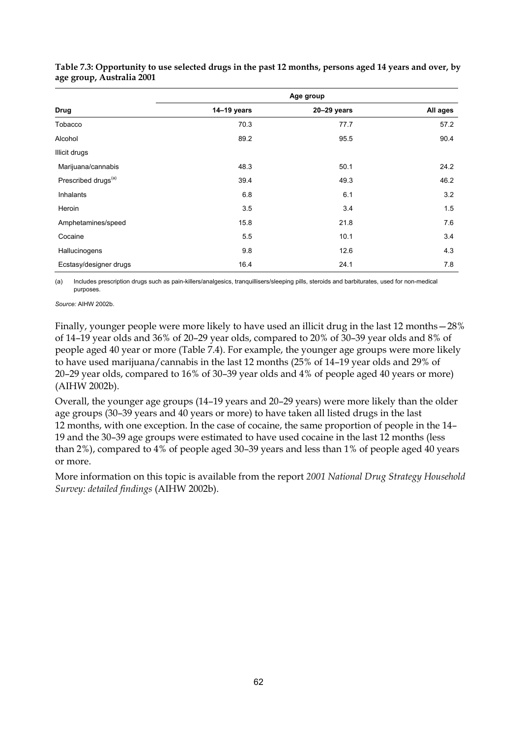|                                 | Age group     |                 |          |  |  |  |
|---------------------------------|---------------|-----------------|----------|--|--|--|
| <b>Drug</b>                     | $14-19$ years | $20 - 29$ years | All ages |  |  |  |
| Tobacco                         | 70.3          | 77.7            | 57.2     |  |  |  |
| Alcohol                         | 89.2          | 95.5            | 90.4     |  |  |  |
| Illicit drugs                   |               |                 |          |  |  |  |
| Marijuana/cannabis              | 48.3          | 50.1            | 24.2     |  |  |  |
| Prescribed drugs <sup>(a)</sup> | 39.4          | 49.3            | 46.2     |  |  |  |
| Inhalants                       | 6.8           | 6.1             | 3.2      |  |  |  |
| Heroin                          | 3.5           | 3.4             | 1.5      |  |  |  |
| Amphetamines/speed              | 15.8          | 21.8            | 7.6      |  |  |  |
| Cocaine                         | 5.5           | 10.1            | 3.4      |  |  |  |
| Hallucinogens                   | 9.8           | 12.6            | 4.3      |  |  |  |
| Ecstasy/designer drugs          | 16.4          | 24.1            | 7.8      |  |  |  |

#### **Table 7.3: Opportunity to use selected drugs in the past 12 months, persons aged 14 years and over, by age group, Australia 2001**

(a) Includes prescription drugs such as pain-killers/analgesics, tranquillisers/sleeping pills, steroids and barbiturates, used for non-medical purposes.

*Source:* AIHW 2002b.

Finally, younger people were more likely to have used an illicit drug in the last 12 months—28% of 14–19 year olds and 36% of 20–29 year olds, compared to 20% of 30–39 year olds and 8% of people aged 40 year or more (Table 7.4). For example, the younger age groups were more likely to have used marijuana/cannabis in the last 12 months (25% of 14–19 year olds and 29% of 20–29 year olds, compared to 16% of 30–39 year olds and 4% of people aged 40 years or more) (AIHW 2002b).

Overall, the younger age groups (14–19 years and 20–29 years) were more likely than the older age groups (30–39 years and 40 years or more) to have taken all listed drugs in the last 12 months, with one exception. In the case of cocaine, the same proportion of people in the 14– 19 and the 30–39 age groups were estimated to have used cocaine in the last 12 months (less than 2%), compared to 4% of people aged 30–39 years and less than 1% of people aged 40 years or more.

More information on this topic is available from the report *2001 National Drug Strategy Household Survey: detailed findings* (AIHW 2002b).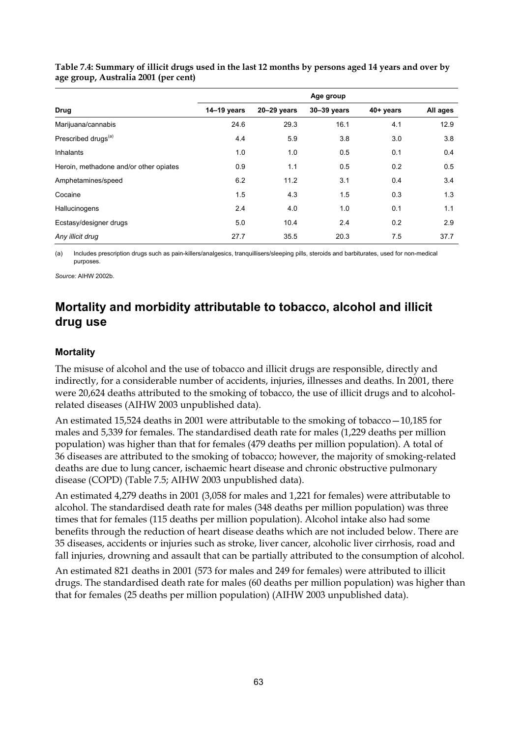|                                        | Age group     |                 |             |           |          |  |  |  |
|----------------------------------------|---------------|-----------------|-------------|-----------|----------|--|--|--|
| Drug                                   | $14-19$ years | $20 - 29$ years | 30-39 years | 40+ years | All ages |  |  |  |
| Marijuana/cannabis                     | 24.6          | 29.3            | 16.1        | 4.1       | 12.9     |  |  |  |
| Prescribed drugs <sup>(a)</sup>        | 4.4           | 5.9             | 3.8         | 3.0       | 3.8      |  |  |  |
| Inhalants                              | 1.0           | 1.0             | 0.5         | 0.1       | 0.4      |  |  |  |
| Heroin, methadone and/or other opiates | 0.9           | 1.1             | 0.5         | 0.2       | 0.5      |  |  |  |
| Amphetamines/speed                     | 6.2           | 11.2            | 3.1         | 0.4       | 3.4      |  |  |  |
| Cocaine                                | 1.5           | 4.3             | 1.5         | 0.3       | 1.3      |  |  |  |
| Hallucinogens                          | 2.4           | 4.0             | 1.0         | 0.1       | 1.1      |  |  |  |
| Ecstasy/designer drugs                 | 5.0           | 10.4            | 2.4         | 0.2       | 2.9      |  |  |  |
| Any illicit drug                       | 27.7          | 35.5            | 20.3        | 7.5       | 37.7     |  |  |  |

**Table 7.4: Summary of illicit drugs used in the last 12 months by persons aged 14 years and over by age group, Australia 2001 (per cent)** 

(a) Includes prescription drugs such as pain-killers/analgesics, tranquillisers/sleeping pills, steroids and barbiturates, used for non-medical purposes.

*Source:* AIHW 2002b.

### **Mortality and morbidity attributable to tobacco, alcohol and illicit drug use**

### **Mortality**

The misuse of alcohol and the use of tobacco and illicit drugs are responsible, directly and indirectly, for a considerable number of accidents, injuries, illnesses and deaths. In 2001, there were 20,624 deaths attributed to the smoking of tobacco, the use of illicit drugs and to alcoholrelated diseases (AIHW 2003 unpublished data).

An estimated 15,524 deaths in 2001 were attributable to the smoking of tobacco—10,185 for males and 5,339 for females. The standardised death rate for males (1,229 deaths per million population) was higher than that for females (479 deaths per million population). A total of 36 diseases are attributed to the smoking of tobacco; however, the majority of smoking-related deaths are due to lung cancer, ischaemic heart disease and chronic obstructive pulmonary disease (COPD) (Table 7.5; AIHW 2003 unpublished data).

An estimated 4,279 deaths in 2001 (3,058 for males and 1,221 for females) were attributable to alcohol. The standardised death rate for males (348 deaths per million population) was three times that for females (115 deaths per million population). Alcohol intake also had some benefits through the reduction of heart disease deaths which are not included below. There are 35 diseases, accidents or injuries such as stroke, liver cancer, alcoholic liver cirrhosis, road and fall injuries, drowning and assault that can be partially attributed to the consumption of alcohol.

An estimated 821 deaths in 2001 (573 for males and 249 for females) were attributed to illicit drugs. The standardised death rate for males (60 deaths per million population) was higher than that for females (25 deaths per million population) (AIHW 2003 unpublished data).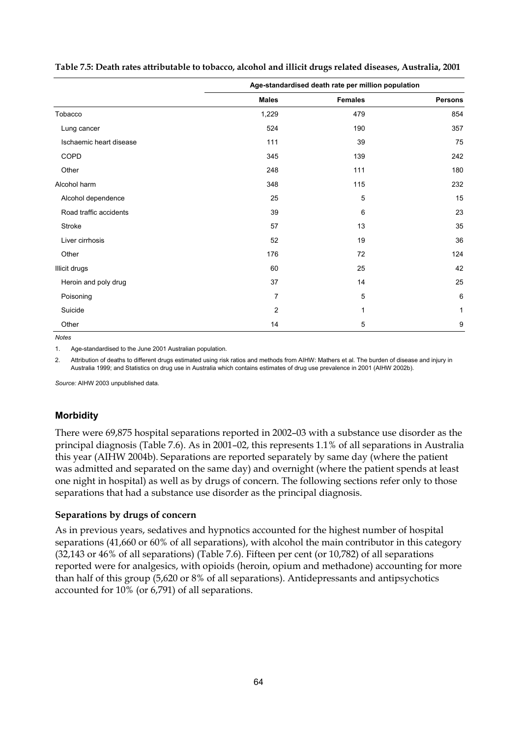|                         | Age-standardised death rate per million population |                |                |  |  |
|-------------------------|----------------------------------------------------|----------------|----------------|--|--|
|                         | <b>Males</b>                                       | <b>Females</b> | <b>Persons</b> |  |  |
| Tobacco                 | 1,229                                              | 479            | 854            |  |  |
| Lung cancer             | 524                                                | 190            | 357            |  |  |
| Ischaemic heart disease | 111                                                | 39             | 75             |  |  |
| COPD                    | 345                                                | 139            | 242            |  |  |
| Other                   | 248                                                | 111            | 180            |  |  |
| Alcohol harm            | 348                                                | 115            | 232            |  |  |
| Alcohol dependence      | 25                                                 | 5              | 15             |  |  |
| Road traffic accidents  | 39                                                 | 6              | 23             |  |  |
| Stroke                  | 57                                                 | 13             | 35             |  |  |
| Liver cirrhosis         | 52                                                 | 19             | 36             |  |  |
| Other                   | 176                                                | 72             | 124            |  |  |
| <b>Illicit drugs</b>    | 60                                                 | 25             | 42             |  |  |
| Heroin and poly drug    | 37                                                 | 14             | 25             |  |  |
| Poisoning               | $\overline{7}$                                     | 5              | 6              |  |  |
| Suicide                 | 2                                                  | 1              | 1              |  |  |
| Other                   | 14                                                 | 5              | 9              |  |  |

**Table 7.5: Death rates attributable to tobacco, alcohol and illicit drugs related diseases, Australia, 2001** 

*Notes* 

1. Age-standardised to the June 2001 Australian population.

2. Attribution of deaths to different drugs estimated using risk ratios and methods from AIHW: Mathers et al. The burden of disease and injury in Australia 1999; and Statistics on drug use in Australia which contains estimates of drug use prevalence in 2001 (AIHW 2002b).

*Source:* AIHW 2003 unpublished data.

### **Morbidity**

There were 69,875 hospital separations reported in 2002–03 with a substance use disorder as the principal diagnosis (Table 7.6). As in 2001–02, this represents 1.1% of all separations in Australia this year (AIHW 2004b). Separations are reported separately by same day (where the patient was admitted and separated on the same day) and overnight (where the patient spends at least one night in hospital) as well as by drugs of concern. The following sections refer only to those separations that had a substance use disorder as the principal diagnosis.

#### **Separations by drugs of concern**

As in previous years, sedatives and hypnotics accounted for the highest number of hospital separations (41,660 or 60% of all separations), with alcohol the main contributor in this category (32,143 or 46% of all separations) (Table 7.6). Fifteen per cent (or 10,782) of all separations reported were for analgesics, with opioids (heroin, opium and methadone) accounting for more than half of this group (5,620 or 8% of all separations). Antidepressants and antipsychotics accounted for 10% (or 6,791) of all separations.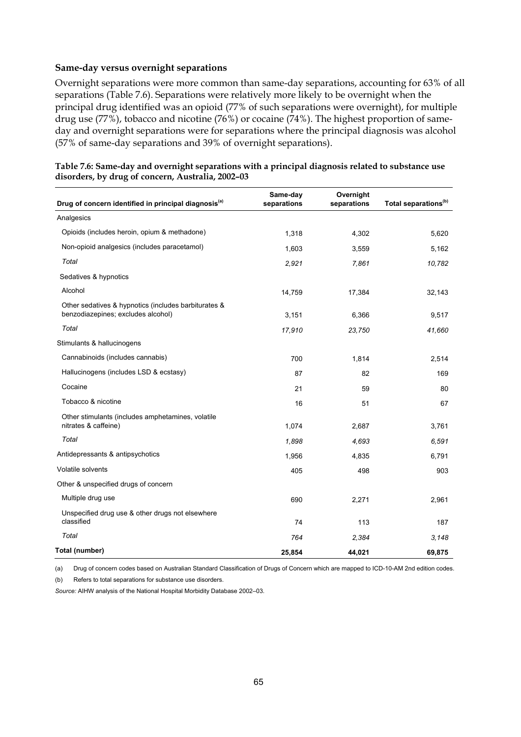#### **Same-day versus overnight separations**

Overnight separations were more common than same-day separations, accounting for 63% of all separations (Table 7.6). Separations were relatively more likely to be overnight when the principal drug identified was an opioid (77% of such separations were overnight), for multiple drug use (77%), tobacco and nicotine (76%) or cocaine (74%). The highest proportion of sameday and overnight separations were for separations where the principal diagnosis was alcohol (57% of same-day separations and 39% of overnight separations).

| Drug of concern identified in principal diagnosis <sup>(a)</sup>                           | Same-day<br>separations | Overnight<br>separations | Total separations <sup>(b)</sup> |
|--------------------------------------------------------------------------------------------|-------------------------|--------------------------|----------------------------------|
| Analgesics                                                                                 |                         |                          |                                  |
| Opioids (includes heroin, opium & methadone)                                               | 1,318                   | 4,302                    | 5,620                            |
| Non-opioid analgesics (includes paracetamol)                                               | 1,603                   | 3,559                    | 5,162                            |
| Total                                                                                      | 2,921                   | 7,861                    | 10,782                           |
| Sedatives & hypnotics                                                                      |                         |                          |                                  |
| Alcohol                                                                                    | 14,759                  | 17,384                   | 32,143                           |
| Other sedatives & hypnotics (includes barbiturates &<br>benzodiazepines; excludes alcohol) | 3,151                   | 6,366                    | 9,517                            |
| Total                                                                                      | 17,910                  | 23,750                   | 41,660                           |
| Stimulants & hallucinogens                                                                 |                         |                          |                                  |
| Cannabinoids (includes cannabis)                                                           | 700                     | 1,814                    | 2,514                            |
| Hallucinogens (includes LSD & ecstasy)                                                     | 87                      | 82                       | 169                              |
| Cocaine                                                                                    | 21                      | 59                       | 80                               |
| Tobacco & nicotine                                                                         | 16                      | 51                       | 67                               |
| Other stimulants (includes amphetamines, volatile<br>nitrates & caffeine)                  | 1,074                   | 2,687                    | 3,761                            |
| Total                                                                                      | 1,898                   | 4,693                    | 6,591                            |
| Antidepressants & antipsychotics                                                           | 1,956                   | 4,835                    | 6,791                            |
| Volatile solvents                                                                          | 405                     | 498                      | 903                              |
| Other & unspecified drugs of concern                                                       |                         |                          |                                  |
| Multiple drug use                                                                          | 690                     | 2,271                    | 2,961                            |
| Unspecified drug use & other drugs not elsewhere<br>classified                             | 74                      | 113                      | 187                              |
| Total                                                                                      | 764                     | 2,384                    | 3,148                            |
| Total (number)                                                                             | 25,854                  | 44.021                   | 69,875                           |

| Table 7.6: Same-day and overnight separations with a principal diagnosis related to substance use |  |
|---------------------------------------------------------------------------------------------------|--|
| disorders, by drug of concern, Australia, 2002-03                                                 |  |

(a) Drug of concern codes based on Australian Standard Classification of Drugs of Concern which are mapped to ICD-10-AM 2nd edition codes.

(b) Refers to total separations for substance use disorders.

*Source:* AIHW analysis of the National Hospital Morbidity Database 2002–03.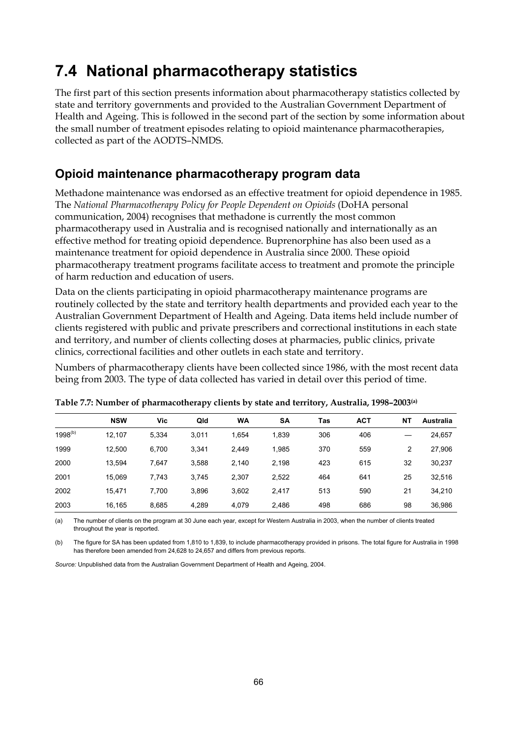# **7.4 National pharmacotherapy statistics**

The first part of this section presents information about pharmacotherapy statistics collected by state and territory governments and provided to the Australian Government Department of Health and Ageing. This is followed in the second part of the section by some information about the small number of treatment episodes relating to opioid maintenance pharmacotherapies, collected as part of the AODTS–NMDS.

### **Opioid maintenance pharmacotherapy program data**

Methadone maintenance was endorsed as an effective treatment for opioid dependence in 1985. The *National Pharmacotherapy Policy for People Dependent on Opioids* (DoHA personal communication, 2004) recognises that methadone is currently the most common pharmacotherapy used in Australia and is recognised nationally and internationally as an effective method for treating opioid dependence. Buprenorphine has also been used as a maintenance treatment for opioid dependence in Australia since 2000. These opioid pharmacotherapy treatment programs facilitate access to treatment and promote the principle of harm reduction and education of users.

Data on the clients participating in opioid pharmacotherapy maintenance programs are routinely collected by the state and territory health departments and provided each year to the Australian Government Department of Health and Ageing. Data items held include number of clients registered with public and private prescribers and correctional institutions in each state and territory, and number of clients collecting doses at pharmacies, public clinics, private clinics, correctional facilities and other outlets in each state and territory.

Numbers of pharmacotherapy clients have been collected since 1986, with the most recent data being from 2003. The type of data collected has varied in detail over this period of time.

|              | <b>NSW</b> | Vic   | Qld   | <b>WA</b> | <b>SA</b> | Tas | <b>ACT</b> | <b>NT</b> | Australia |
|--------------|------------|-------|-------|-----------|-----------|-----|------------|-----------|-----------|
| $1998^{(b)}$ | 12.107     | 5,334 | 3,011 | 1,654     | 1,839     | 306 | 406        |           | 24,657    |
| 1999         | 12.500     | 6,700 | 3.341 | 2.449     | 1,985     | 370 | 559        | 2         | 27,906    |
| 2000         | 13.594     | 7,647 | 3,588 | 2,140     | 2,198     | 423 | 615        | 32        | 30,237    |
| 2001         | 15.069     | 7,743 | 3,745 | 2,307     | 2,522     | 464 | 641        | 25        | 32,516    |
| 2002         | 15.471     | 7.700 | 3,896 | 3,602     | 2.417     | 513 | 590        | 21        | 34,210    |
| 2003         | 16,165     | 8,685 | 4,289 | 4,079     | 2,486     | 498 | 686        | 98        | 36,986    |

| Table 7.7: Number of pharmacotherapy clients by state and territory, Australia, 1998–2003(a) |  |  |  |  |  |  |  |
|----------------------------------------------------------------------------------------------|--|--|--|--|--|--|--|
|----------------------------------------------------------------------------------------------|--|--|--|--|--|--|--|

(a) The number of clients on the program at 30 June each year, except for Western Australia in 2003, when the number of clients treated throughout the year is reported.

(b) The figure for SA has been updated from 1,810 to 1,839, to include pharmacotherapy provided in prisons. The total figure for Australia in 1998 has therefore been amended from 24,628 to 24,657 and differs from previous reports.

*Source:* Unpublished data from the Australian Government Department of Health and Ageing, 2004.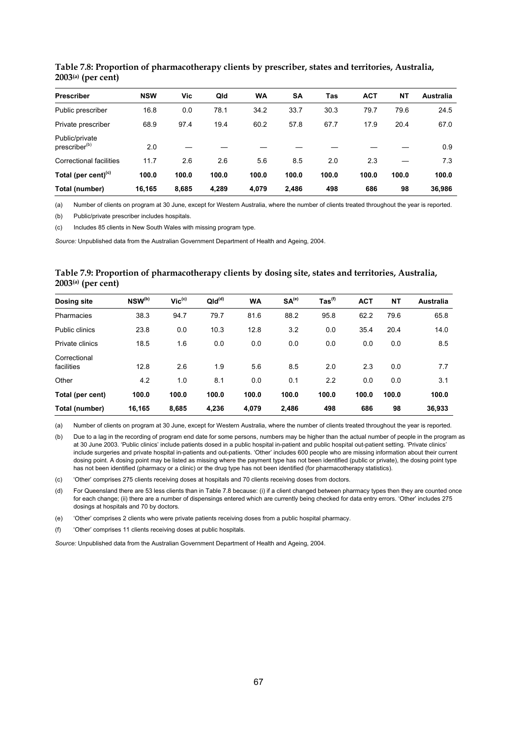| <b>Prescriber</b>                           | <b>NSW</b> | Vic   | Qld   | <b>WA</b> | SΑ    | Tas   | <b>ACT</b> | <b>NT</b> | Australia |
|---------------------------------------------|------------|-------|-------|-----------|-------|-------|------------|-----------|-----------|
| Public prescriber                           | 16.8       | 0.0   | 78.1  | 34.2      | 33.7  | 30.3  | 79.7       | 79.6      | 24.5      |
| Private prescriber                          | 68.9       | 97.4  | 19.4  | 60.2      | 57.8  | 67.7  | 17.9       | 20.4      | 67.0      |
| Public/private<br>prescriber <sup>(b)</sup> | 2.0        |       |       |           |       |       |            |           | 0.9       |
| <b>Correctional facilities</b>              | 11.7       | 2.6   | 2.6   | 5.6       | 8.5   | 2.0   | 2.3        |           | 7.3       |
| Total (per cent) $(c)$                      | 100.0      | 100.0 | 100.0 | 100.0     | 100.0 | 100.0 | 100.0      | 100.0     | 100.0     |
| Total (number)                              | 16.165     | 8,685 | 4.289 | 4.079     | 2.486 | 498   | 686        | 98        | 36.986    |

**Table 7.8: Proportion of pharmacotherapy clients by prescriber, states and territories, Australia, 2003(a) (per cent)** 

(a) Number of clients on program at 30 June, except for Western Australia, where the number of clients treated throughout the year is reported.

(b) Public/private prescriber includes hospitals.

(c) Includes 85 clients in New South Wales with missing program type.

*Source:* Unpublished data from the Australian Government Department of Health and Ageing, 2004.

#### **Table 7.9: Proportion of pharmacotherapy clients by dosing site, states and territories, Australia, 2003(a) (per cent)**

| <b>Dosing site</b>         | NSW <sup>(b)</sup> | $Vic^{(c)}$ | QId <sup>(d)</sup> | <b>WA</b> | SA <sup>(e)</sup> | $\mathsf{ Tas}^\mathsf{(f)}$ | <b>ACT</b> | <b>NT</b> | <b>Australia</b> |
|----------------------------|--------------------|-------------|--------------------|-----------|-------------------|------------------------------|------------|-----------|------------------|
| Pharmacies                 | 38.3               | 94.7        | 79.7               | 81.6      | 88.2              | 95.8                         | 62.2       | 79.6      | 65.8             |
| Public clinics             | 23.8               | 0.0         | 10.3               | 12.8      | 3.2               | 0.0                          | 35.4       | 20.4      | 14.0             |
| Private clinics            | 18.5               | 1.6         | 0.0                | 0.0       | 0.0               | 0.0                          | 0.0        | 0.0       | 8.5              |
| Correctional<br>facilities | 12.8               | 2.6         | 1.9                | 5.6       | 8.5               | 2.0                          | 2.3        | 0.0       | 7.7              |
| Other                      | 4.2                | 1.0         | 8.1                | 0.0       | 0.1               | 2.2                          | 0.0        | 0.0       | 3.1              |
| Total (per cent)           | 100.0              | 100.0       | 100.0              | 100.0     | 100.0             | 100.0                        | 100.0      | 100.0     | 100.0            |
| Total (number)             | 16,165             | 8,685       | 4.236              | 4,079     | 2.486             | 498                          | 686        | 98        | 36.933           |

(a) Number of clients on program at 30 June, except for Western Australia, where the number of clients treated throughout the year is reported.

(b) Due to a lag in the recording of program end date for some persons, numbers may be higher than the actual number of people in the program as at 30 June 2003. 'Public clinics' include patients dosed in a public hospital in-patient and public hospital out-patient setting. 'Private clinics' include surgeries and private hospital in-patients and out-patients. 'Other' includes 600 people who are missing information about their current dosing point. A dosing point may be listed as missing where the payment type has not been identified (public or private), the dosing point type has not been identified (pharmacy or a clinic) or the drug type has not been identified (for pharmacotherapy statistics).

(c) 'Other' comprises 275 clients receiving doses at hospitals and 70 clients receiving doses from doctors.

(d) For Queensland there are 53 less clients than in Table 7.8 because: (i) if a client changed between pharmacy types then they are counted once for each change; (ii) there are a number of dispensings entered which are currently being checked for data entry errors. 'Other' includes 275 dosings at hospitals and 70 by doctors.

(e) 'Other' comprises 2 clients who were private patients receiving doses from a public hospital pharmacy.

(f) 'Other' comprises 11 clients receiving doses at public hospitals.

*Source:* Unpublished data from the Australian Government Department of Health and Ageing, 2004.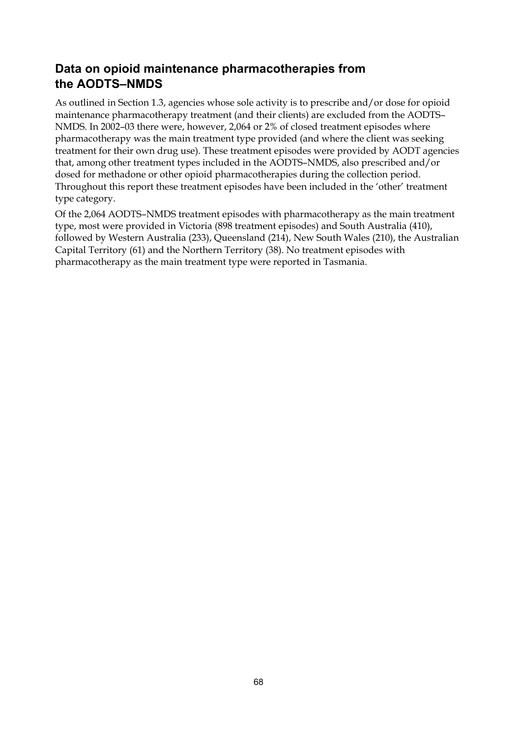### **Data on opioid maintenance pharmacotherapies from the AODTS–NMDS**

As outlined in Section 1.3, agencies whose sole activity is to prescribe and/or dose for opioid maintenance pharmacotherapy treatment (and their clients) are excluded from the AODTS– NMDS. In 2002–03 there were, however, 2,064 or 2% of closed treatment episodes where pharmacotherapy was the main treatment type provided (and where the client was seeking treatment for their own drug use). These treatment episodes were provided by AODT agencies that, among other treatment types included in the AODTS–NMDS, also prescribed and/or dosed for methadone or other opioid pharmacotherapies during the collection period. Throughout this report these treatment episodes have been included in the 'other' treatment type category.

Of the 2,064 AODTS–NMDS treatment episodes with pharmacotherapy as the main treatment type, most were provided in Victoria (898 treatment episodes) and South Australia (410), followed by Western Australia (233), Queensland (214), New South Wales (210), the Australian Capital Territory (61) and the Northern Territory (38). No treatment episodes with pharmacotherapy as the main treatment type were reported in Tasmania.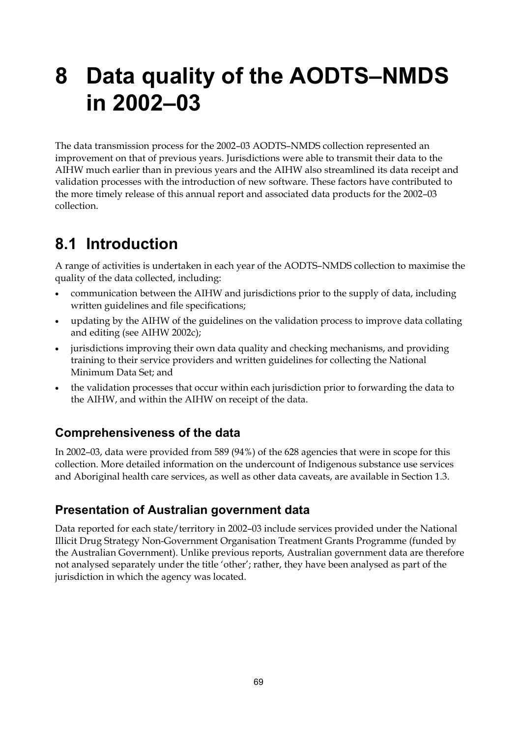# **8 Data quality of the AODTS–NMDS in 2002–03**

The data transmission process for the 2002–03 AODTS–NMDS collection represented an improvement on that of previous years. Jurisdictions were able to transmit their data to the AIHW much earlier than in previous years and the AIHW also streamlined its data receipt and validation processes with the introduction of new software. These factors have contributed to the more timely release of this annual report and associated data products for the 2002–03 collection.

# **8.1 Introduction**

A range of activities is undertaken in each year of the AODTS–NMDS collection to maximise the quality of the data collected, including:

- communication between the AIHW and jurisdictions prior to the supply of data, including written guidelines and file specifications;
- updating by the AIHW of the guidelines on the validation process to improve data collating and editing (see AIHW 2002c);
- jurisdictions improving their own data quality and checking mechanisms, and providing training to their service providers and written guidelines for collecting the National Minimum Data Set; and
- the validation processes that occur within each jurisdiction prior to forwarding the data to the AIHW, and within the AIHW on receipt of the data.

### **Comprehensiveness of the data**

In 2002–03, data were provided from 589 (94%) of the 628 agencies that were in scope for this collection. More detailed information on the undercount of Indigenous substance use services and Aboriginal health care services, as well as other data caveats, are available in Section 1.3.

### **Presentation of Australian government data**

Data reported for each state/territory in 2002-03 include services provided under the National Illicit Drug Strategy Non-Government Organisation Treatment Grants Programme (funded by the Australian Government). Unlike previous reports, Australian government data are therefore not analysed separately under the title 'other'; rather, they have been analysed as part of the jurisdiction in which the agency was located.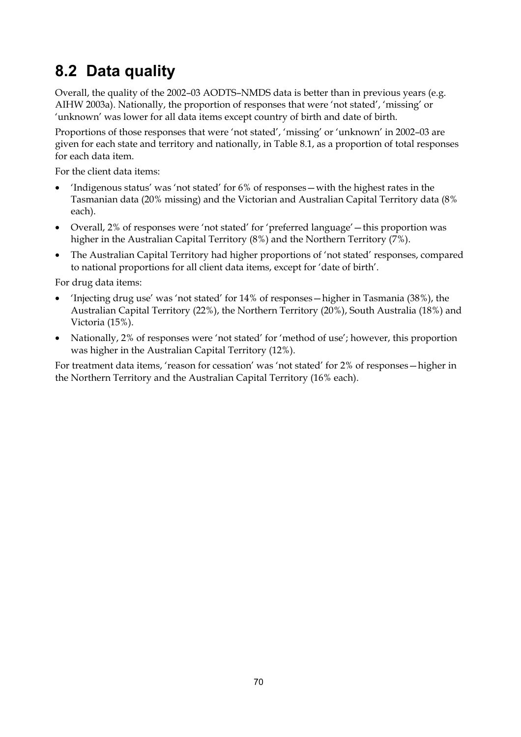# **8.2 Data quality**

Overall, the quality of the 2002–03 AODTS–NMDS data is better than in previous years (e.g. AIHW 2003a). Nationally, the proportion of responses that were 'not stated', 'missing' or 'unknown' was lower for all data items except country of birth and date of birth.

Proportions of those responses that were 'not stated', 'missing' or 'unknown' in 2002–03 are given for each state and territory and nationally, in Table 8.1, as a proportion of total responses for each data item.

For the client data items:

- 'Indigenous status' was 'not stated' for 6% of responses—with the highest rates in the Tasmanian data (20% missing) and the Victorian and Australian Capital Territory data (8% each).
- Overall, 2% of responses were 'not stated' for 'preferred language' this proportion was higher in the Australian Capital Territory (8%) and the Northern Territory (7%).
- The Australian Capital Territory had higher proportions of 'not stated' responses, compared to national proportions for all client data items, except for 'date of birth'.

For drug data items:

- 'Injecting drug use' was 'not stated' for 14% of responses—higher in Tasmania (38%), the Australian Capital Territory (22%), the Northern Territory (20%), South Australia (18%) and Victoria (15%).
- Nationally, 2% of responses were 'not stated' for 'method of use'; however, this proportion was higher in the Australian Capital Territory (12%).

For treatment data items, 'reason for cessation' was 'not stated' for 2% of responses—higher in the Northern Territory and the Australian Capital Territory (16% each).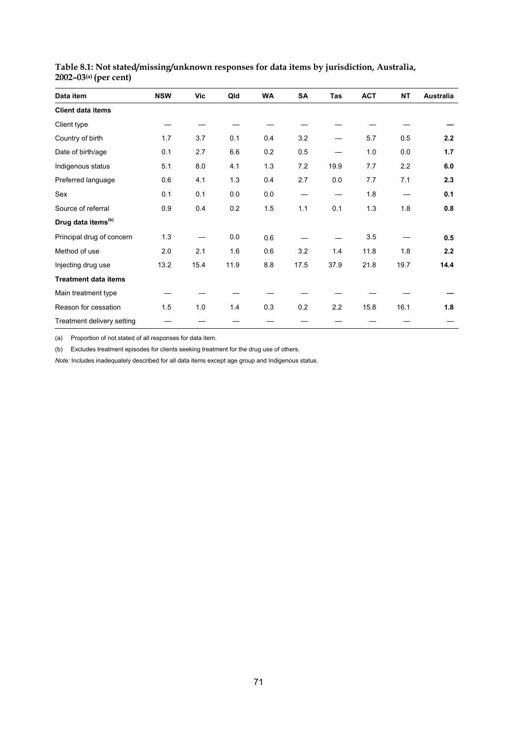| Data item                      | <b>NSW</b> | Vic  | Qld  | <b>WA</b> | SA   | Tas  | <b>ACT</b> | <b>NT</b> | <b>Australia</b> |
|--------------------------------|------------|------|------|-----------|------|------|------------|-----------|------------------|
| <b>Client data items</b>       |            |      |      |           |      |      |            |           |                  |
| Client type                    |            |      |      |           |      |      |            |           |                  |
| Country of birth               | 1.7        | 3.7  | 0.1  | 0.4       | 3.2  |      | 5.7        | 0.5       | 2.2              |
| Date of birth/age              | 0.1        | 2.7  | 6.6  | 0.2       | 0.5  |      | 1.0        | 0.0       | 1.7              |
| Indigenous status              | 5.1        | 8.0  | 4.1  | 1.3       | 7.2  | 19.9 | 7.7        | 2.2       | 6.0              |
| Preferred language             | 0.6        | 4.1  | 1.3  | 0.4       | 2.7  | 0.0  | 7.7        | 7.1       | 2.3              |
| Sex                            | 0.1        | 0.1  | 0.0  | 0.0       |      |      | 1.8        |           | 0.1              |
| Source of referral             | 0.9        | 0.4  | 0.2  | 1.5       | 1.1  | 0.1  | 1.3        | 1.8       | 0.8              |
| Drug data items <sup>(b)</sup> |            |      |      |           |      |      |            |           |                  |
| Principal drug of concern      | 1.3        |      | 0.0  | 0.6       |      |      | 3.5        |           | 0.5              |
| Method of use                  | 2.0        | 2.1  | 1.6  | 0.6       | 3.2  | 1.4  | 11.8       | 1.8       | 2.2              |
| Injecting drug use             | 13.2       | 15.4 | 11.9 | 8.8       | 17.5 | 37.9 | 21.8       | 19.7      | 14.4             |
| <b>Treatment data items</b>    |            |      |      |           |      |      |            |           |                  |
| Main treatment type            |            |      |      |           |      |      |            |           |                  |
| Reason for cessation           | 1.5        | 1.0  | 1.4  | 0.3       | 0.2  | 2.2  | 15.8       | 16.1      | 1.8              |
| Treatment delivery setting     |            |      |      |           |      |      |            |           |                  |

| Table 8.1: Not stated/missing/unknown responses for data items by jurisdiction, Australia, |  |  |
|--------------------------------------------------------------------------------------------|--|--|
| 2002–03 <sup>(a)</sup> (per cent)                                                          |  |  |

(a) Proportion of not stated of all responses for data item.

(b) Excludes treatment episodes for clients seeking treatment for the drug use of others.

*Note:* Includes inadequately described for all data items except age group and Indigenous status.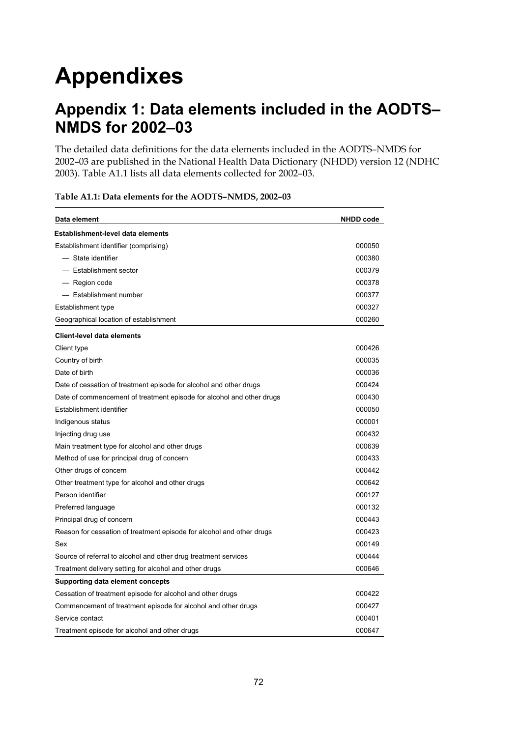# **Appendixes**

# **Appendix 1: Data elements included in the AODTS– NMDS for 2002–03**

The detailed data definitions for the data elements included in the AODTS–NMDS for 2002–03 are published in the National Health Data Dictionary (NHDD) version 12 (NDHC 2003). Table A1.1 lists all data elements collected for 2002–03.

| Data element                                                          | <b>NHDD</b> code |
|-----------------------------------------------------------------------|------------------|
| Establishment-level data elements                                     |                  |
| Establishment identifier (comprising)                                 | 000050           |
| - State identifier                                                    | 000380           |
| - Establishment sector                                                | 000379           |
| — Region code                                                         | 000378           |
| - Establishment number                                                | 000377           |
| Establishment type                                                    | 000327           |
| Geographical location of establishment                                | 000260           |
| <b>Client-level data elements</b>                                     |                  |
| Client type                                                           | 000426           |
| Country of birth                                                      | 000035           |
| Date of birth                                                         | 000036           |
| Date of cessation of treatment episode for alcohol and other drugs    | 000424           |
| Date of commencement of treatment episode for alcohol and other drugs | 000430           |
| Establishment identifier                                              | 000050           |
| Indigenous status                                                     | 000001           |
| Injecting drug use                                                    | 000432           |
| Main treatment type for alcohol and other drugs                       | 000639           |
| Method of use for principal drug of concern                           | 000433           |
| Other drugs of concern                                                | 000442           |
| Other treatment type for alcohol and other drugs                      | 000642           |
| Person identifier                                                     | 000127           |
| Preferred language                                                    | 000132           |
| Principal drug of concern                                             | 000443           |
| Reason for cessation of treatment episode for alcohol and other drugs | 000423           |
| Sex                                                                   | 000149           |
| Source of referral to alcohol and other drug treatment services       | 000444           |
| Treatment delivery setting for alcohol and other drugs                | 000646           |
| Supporting data element concepts                                      |                  |
| Cessation of treatment episode for alcohol and other drugs            | 000422           |
| Commencement of treatment episode for alcohol and other drugs         | 000427           |
| Service contact                                                       | 000401           |
| Treatment episode for alcohol and other drugs                         | 000647           |

#### **Table A1.1: Data elements for the AODTS–NMDS, 2002–03**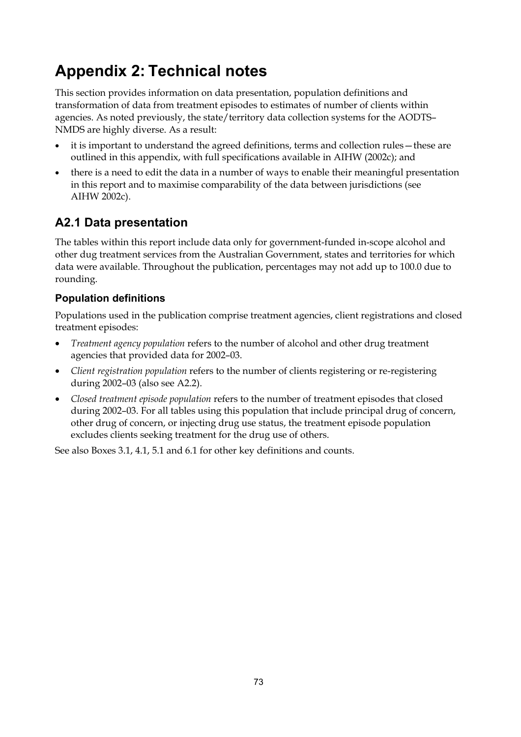# **Appendix 2: Technical notes**

This section provides information on data presentation, population definitions and transformation of data from treatment episodes to estimates of number of clients within agencies. As noted previously, the state/territory data collection systems for the AODTS-NMDS are highly diverse. As a result:

- it is important to understand the agreed definitions, terms and collection rules—these are outlined in this appendix, with full specifications available in AIHW (2002c); and
- there is a need to edit the data in a number of ways to enable their meaningful presentation in this report and to maximise comparability of the data between jurisdictions (see AIHW 2002c).

## **A2.1 Data presentation**

The tables within this report include data only for government-funded in-scope alcohol and other dug treatment services from the Australian Government, states and territories for which data were available. Throughout the publication, percentages may not add up to 100.0 due to rounding.

### **Population definitions**

Populations used in the publication comprise treatment agencies, client registrations and closed treatment episodes:

- *Treatment agency population* refers to the number of alcohol and other drug treatment agencies that provided data for 2002–03.
- *Client registration population* refers to the number of clients registering or re-registering during 2002–03 (also see A2.2).
- *Closed treatment episode population* refers to the number of treatment episodes that closed during 2002–03. For all tables using this population that include principal drug of concern, other drug of concern, or injecting drug use status, the treatment episode population excludes clients seeking treatment for the drug use of others.

See also Boxes 3.1, 4.1, 5.1 and 6.1 for other key definitions and counts.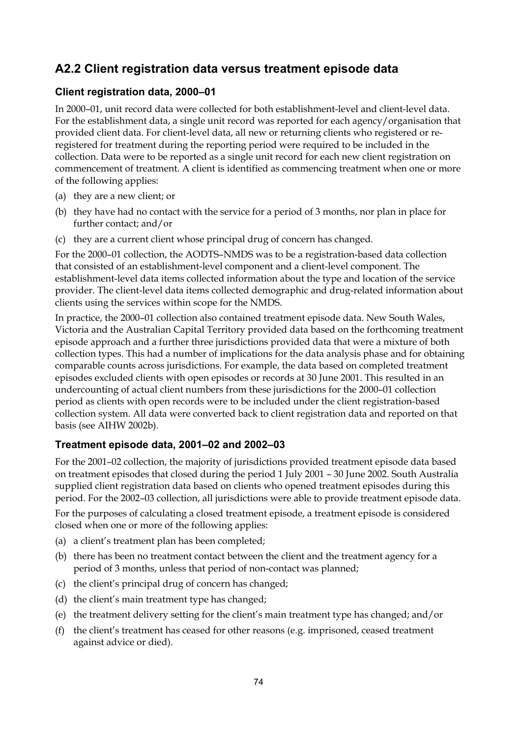### **A2.2 Client registration data versus treatment episode data**

### **Client registration data, 2000–01**

In 2000–01, unit record data were collected for both establishment-level and client-level data. For the establishment data, a single unit record was reported for each agency/organisation that provided client data. For client-level data, all new or returning clients who registered or reregistered for treatment during the reporting period were required to be included in the collection. Data were to be reported as a single unit record for each new client registration on commencement of treatment. A client is identified as commencing treatment when one or more of the following applies:

- (a) they are a new client; or
- (b) they have had no contact with the service for a period of 3 months, nor plan in place for further contact; and/or
- (c) they are a current client whose principal drug of concern has changed.

For the 2000–01 collection, the AODTS–NMDS was to be a registration-based data collection that consisted of an establishment-level component and a client-level component. The establishment-level data items collected information about the type and location of the service provider. The client-level data items collected demographic and drug-related information about clients using the services within scope for the NMDS.

In practice, the 2000–01 collection also contained treatment episode data. New South Wales, Victoria and the Australian Capital Territory provided data based on the forthcoming treatment episode approach and a further three jurisdictions provided data that were a mixture of both collection types. This had a number of implications for the data analysis phase and for obtaining comparable counts across jurisdictions. For example, the data based on completed treatment episodes excluded clients with open episodes or records at 30 June 2001. This resulted in an undercounting of actual client numbers from these jurisdictions for the 2000–01 collection period as clients with open records were to be included under the client registration-based collection system. All data were converted back to client registration data and reported on that basis (see AIHW 2002b).

### **Treatment episode data, 2001–02 and 2002–03**

For the 2001–02 collection, the majority of jurisdictions provided treatment episode data based on treatment episodes that closed during the period 1 July 2001 – 30 June 2002. South Australia supplied client registration data based on clients who opened treatment episodes during this period. For the 2002–03 collection, all jurisdictions were able to provide treatment episode data.

For the purposes of calculating a closed treatment episode, a treatment episode is considered closed when one or more of the following applies:

- (a) a client's treatment plan has been completed;
- (b) there has been no treatment contact between the client and the treatment agency for a period of 3 months, unless that period of non-contact was planned;
- (c) the client's principal drug of concern has changed;
- (d) the client's main treatment type has changed;
- (e) the treatment delivery setting for the client's main treatment type has changed; and/or
- (f) the client's treatment has ceased for other reasons (e.g. imprisoned, ceased treatment against advice or died).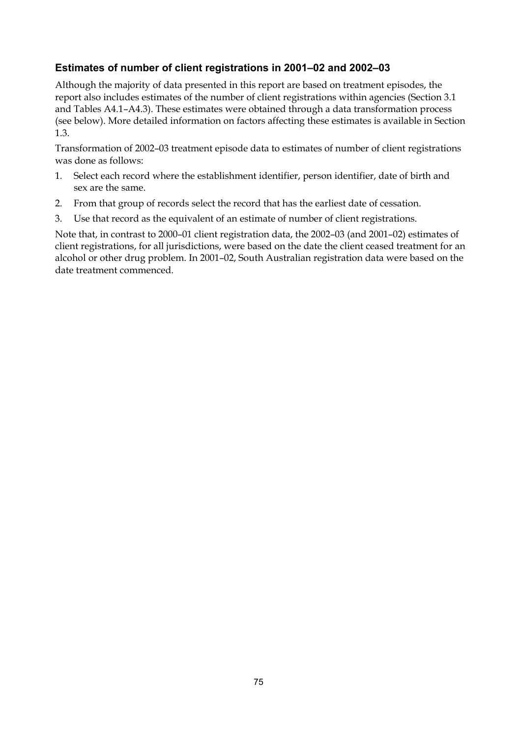### **Estimates of number of client registrations in 2001–02 and 2002–03**

Although the majority of data presented in this report are based on treatment episodes, the report also includes estimates of the number of client registrations within agencies (Section 3.1 and Tables A4.1–A4.3). These estimates were obtained through a data transformation process (see below). More detailed information on factors affecting these estimates is available in Section 1.3.

Transformation of 2002–03 treatment episode data to estimates of number of client registrations was done as follows:

- 1. Select each record where the establishment identifier, person identifier, date of birth and sex are the same.
- 2. From that group of records select the record that has the earliest date of cessation.
- 3. Use that record as the equivalent of an estimate of number of client registrations.

Note that, in contrast to 2000–01 client registration data, the 2002–03 (and 2001–02) estimates of client registrations, for all jurisdictions, were based on the date the client ceased treatment for an alcohol or other drug problem. In 2001–02, South Australian registration data were based on the date treatment commenced.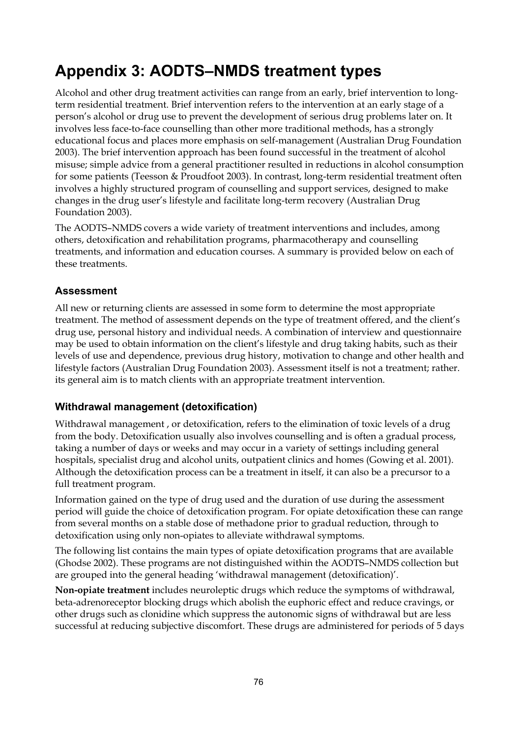# **Appendix 3: AODTS–NMDS treatment types**

Alcohol and other drug treatment activities can range from an early, brief intervention to longterm residential treatment. Brief intervention refers to the intervention at an early stage of a person's alcohol or drug use to prevent the development of serious drug problems later on. It involves less face-to-face counselling than other more traditional methods, has a strongly educational focus and places more emphasis on self-management (Australian Drug Foundation 2003). The brief intervention approach has been found successful in the treatment of alcohol misuse; simple advice from a general practitioner resulted in reductions in alcohol consumption for some patients (Teesson & Proudfoot 2003). In contrast, long-term residential treatment often involves a highly structured program of counselling and support services, designed to make changes in the drug user's lifestyle and facilitate long-term recovery (Australian Drug Foundation 2003).

The AODTS–NMDS covers a wide variety of treatment interventions and includes, among others, detoxification and rehabilitation programs, pharmacotherapy and counselling treatments, and information and education courses. A summary is provided below on each of these treatments.

### **Assessment**

All new or returning clients are assessed in some form to determine the most appropriate treatment. The method of assessment depends on the type of treatment offered, and the client's drug use, personal history and individual needs. A combination of interview and questionnaire may be used to obtain information on the client's lifestyle and drug taking habits, such as their levels of use and dependence, previous drug history, motivation to change and other health and lifestyle factors (Australian Drug Foundation 2003). Assessment itself is not a treatment; rather. its general aim is to match clients with an appropriate treatment intervention.

### **Withdrawal management (detoxification)**

Withdrawal management , or detoxification, refers to the elimination of toxic levels of a drug from the body. Detoxification usually also involves counselling and is often a gradual process, taking a number of days or weeks and may occur in a variety of settings including general hospitals, specialist drug and alcohol units, outpatient clinics and homes (Gowing et al. 2001). Although the detoxification process can be a treatment in itself, it can also be a precursor to a full treatment program.

Information gained on the type of drug used and the duration of use during the assessment period will guide the choice of detoxification program. For opiate detoxification these can range from several months on a stable dose of methadone prior to gradual reduction, through to detoxification using only non-opiates to alleviate withdrawal symptoms.

The following list contains the main types of opiate detoxification programs that are available (Ghodse 2002). These programs are not distinguished within the AODTS–NMDS collection but are grouped into the general heading 'withdrawal management (detoxification)'.

**Non-opiate treatment** includes neuroleptic drugs which reduce the symptoms of withdrawal, beta-adrenoreceptor blocking drugs which abolish the euphoric effect and reduce cravings, or other drugs such as clonidine which suppress the autonomic signs of withdrawal but are less successful at reducing subjective discomfort. These drugs are administered for periods of 5 days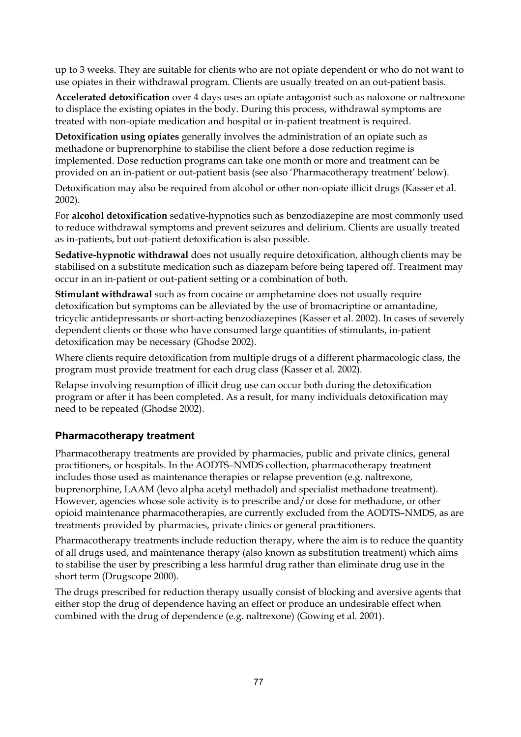up to 3 weeks. They are suitable for clients who are not opiate dependent or who do not want to use opiates in their withdrawal program. Clients are usually treated on an out-patient basis.

**Accelerated detoxification** over 4 days uses an opiate antagonist such as naloxone or naltrexone to displace the existing opiates in the body. During this process, withdrawal symptoms are treated with non-opiate medication and hospital or in-patient treatment is required.

**Detoxification using opiates** generally involves the administration of an opiate such as methadone or buprenorphine to stabilise the client before a dose reduction regime is implemented. Dose reduction programs can take one month or more and treatment can be provided on an in-patient or out-patient basis (see also 'Pharmacotherapy treatment' below).

Detoxification may also be required from alcohol or other non-opiate illicit drugs (Kasser et al. 2002).

For **alcohol detoxification** sedative-hypnotics such as benzodiazepine are most commonly used to reduce withdrawal symptoms and prevent seizures and delirium. Clients are usually treated as in-patients, but out-patient detoxification is also possible.

**Sedative-hypnotic withdrawal** does not usually require detoxification, although clients may be stabilised on a substitute medication such as diazepam before being tapered off. Treatment may occur in an in-patient or out-patient setting or a combination of both.

**Stimulant withdrawal** such as from cocaine or amphetamine does not usually require detoxification but symptoms can be alleviated by the use of bromacriptine or amantadine, tricyclic antidepressants or short-acting benzodiazepines (Kasser et al. 2002). In cases of severely dependent clients or those who have consumed large quantities of stimulants, in-patient detoxification may be necessary (Ghodse 2002).

Where clients require detoxification from multiple drugs of a different pharmacologic class, the program must provide treatment for each drug class (Kasser et al. 2002).

Relapse involving resumption of illicit drug use can occur both during the detoxification program or after it has been completed. As a result, for many individuals detoxification may need to be repeated (Ghodse 2002).

### **Pharmacotherapy treatment**

Pharmacotherapy treatments are provided by pharmacies, public and private clinics, general practitioners, or hospitals. In the AODTS–NMDS collection, pharmacotherapy treatment includes those used as maintenance therapies or relapse prevention (e.g. naltrexone, buprenorphine, LAAM (levo alpha acetyl methadol) and specialist methadone treatment). However, agencies whose sole activity is to prescribe and/or dose for methadone, or other opioid maintenance pharmacotherapies, are currently excluded from the AODTS–NMDS, as are treatments provided by pharmacies, private clinics or general practitioners.

Pharmacotherapy treatments include reduction therapy, where the aim is to reduce the quantity of all drugs used, and maintenance therapy (also known as substitution treatment) which aims to stabilise the user by prescribing a less harmful drug rather than eliminate drug use in the short term (Drugscope 2000).

The drugs prescribed for reduction therapy usually consist of blocking and aversive agents that either stop the drug of dependence having an effect or produce an undesirable effect when combined with the drug of dependence (e.g. naltrexone) (Gowing et al. 2001).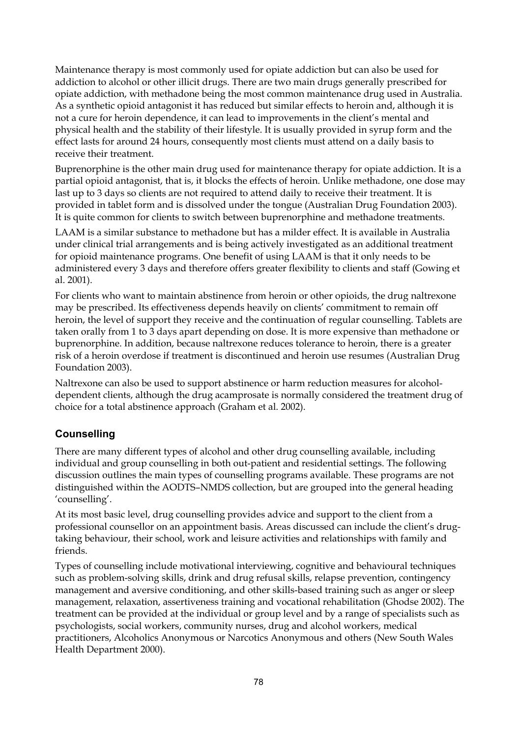Maintenance therapy is most commonly used for opiate addiction but can also be used for addiction to alcohol or other illicit drugs. There are two main drugs generally prescribed for opiate addiction, with methadone being the most common maintenance drug used in Australia. As a synthetic opioid antagonist it has reduced but similar effects to heroin and, although it is not a cure for heroin dependence, it can lead to improvements in the client's mental and physical health and the stability of their lifestyle. It is usually provided in syrup form and the effect lasts for around 24 hours, consequently most clients must attend on a daily basis to receive their treatment.

Buprenorphine is the other main drug used for maintenance therapy for opiate addiction. It is a partial opioid antagonist, that is, it blocks the effects of heroin. Unlike methadone, one dose may last up to 3 days so clients are not required to attend daily to receive their treatment. It is provided in tablet form and is dissolved under the tongue (Australian Drug Foundation 2003). It is quite common for clients to switch between buprenorphine and methadone treatments.

LAAM is a similar substance to methadone but has a milder effect. It is available in Australia under clinical trial arrangements and is being actively investigated as an additional treatment for opioid maintenance programs. One benefit of using LAAM is that it only needs to be administered every 3 days and therefore offers greater flexibility to clients and staff (Gowing et al. 2001).

For clients who want to maintain abstinence from heroin or other opioids, the drug naltrexone may be prescribed. Its effectiveness depends heavily on clients' commitment to remain off heroin, the level of support they receive and the continuation of regular counselling. Tablets are taken orally from 1 to 3 days apart depending on dose. It is more expensive than methadone or buprenorphine. In addition, because naltrexone reduces tolerance to heroin, there is a greater risk of a heroin overdose if treatment is discontinued and heroin use resumes (Australian Drug Foundation 2003).

Naltrexone can also be used to support abstinence or harm reduction measures for alcoholdependent clients, although the drug acamprosate is normally considered the treatment drug of choice for a total abstinence approach (Graham et al. 2002).

### **Counselling**

There are many different types of alcohol and other drug counselling available, including individual and group counselling in both out-patient and residential settings. The following discussion outlines the main types of counselling programs available. These programs are not distinguished within the AODTS–NMDS collection, but are grouped into the general heading 'counselling'.

At its most basic level, drug counselling provides advice and support to the client from a professional counsellor on an appointment basis. Areas discussed can include the client's drugtaking behaviour, their school, work and leisure activities and relationships with family and friends.

Types of counselling include motivational interviewing, cognitive and behavioural techniques such as problem-solving skills, drink and drug refusal skills, relapse prevention, contingency management and aversive conditioning, and other skills-based training such as anger or sleep management, relaxation, assertiveness training and vocational rehabilitation (Ghodse 2002). The treatment can be provided at the individual or group level and by a range of specialists such as psychologists, social workers, community nurses, drug and alcohol workers, medical practitioners, Alcoholics Anonymous or Narcotics Anonymous and others (New South Wales Health Department 2000).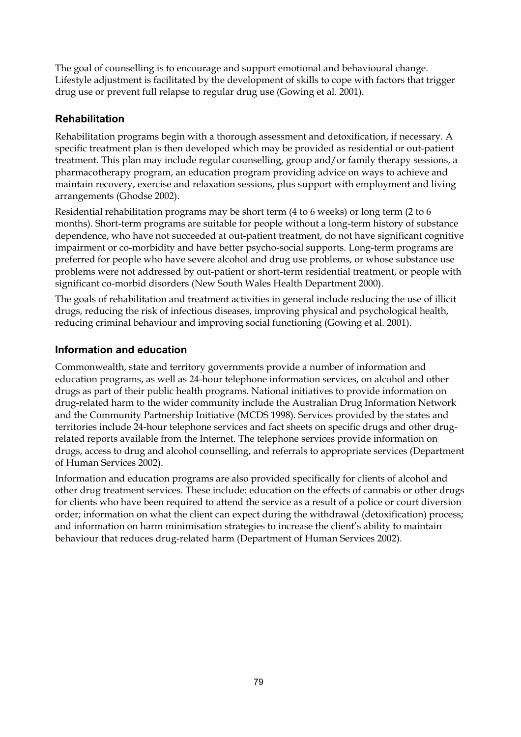The goal of counselling is to encourage and support emotional and behavioural change. Lifestyle adjustment is facilitated by the development of skills to cope with factors that trigger drug use or prevent full relapse to regular drug use (Gowing et al. 2001).

### **Rehabilitation**

Rehabilitation programs begin with a thorough assessment and detoxification, if necessary. A specific treatment plan is then developed which may be provided as residential or out-patient treatment. This plan may include regular counselling, group and/or family therapy sessions, a pharmacotherapy program, an education program providing advice on ways to achieve and maintain recovery, exercise and relaxation sessions, plus support with employment and living arrangements (Ghodse 2002).

Residential rehabilitation programs may be short term (4 to 6 weeks) or long term (2 to 6 months). Short-term programs are suitable for people without a long-term history of substance dependence, who have not succeeded at out-patient treatment, do not have significant cognitive impairment or co-morbidity and have better psycho-social supports. Long-term programs are preferred for people who have severe alcohol and drug use problems, or whose substance use problems were not addressed by out-patient or short-term residential treatment, or people with significant co-morbid disorders (New South Wales Health Department 2000).

The goals of rehabilitation and treatment activities in general include reducing the use of illicit drugs, reducing the risk of infectious diseases, improving physical and psychological health, reducing criminal behaviour and improving social functioning (Gowing et al. 2001).

### **Information and education**

Commonwealth, state and territory governments provide a number of information and education programs, as well as 24-hour telephone information services, on alcohol and other drugs as part of their public health programs. National initiatives to provide information on drug-related harm to the wider community include the Australian Drug Information Network and the Community Partnership Initiative (MCDS 1998). Services provided by the states and territories include 24-hour telephone services and fact sheets on specific drugs and other drugrelated reports available from the Internet. The telephone services provide information on drugs, access to drug and alcohol counselling, and referrals to appropriate services (Department of Human Services 2002).

Information and education programs are also provided specifically for clients of alcohol and other drug treatment services. These include: education on the effects of cannabis or other drugs for clients who have been required to attend the service as a result of a police or court diversion order; information on what the client can expect during the withdrawal (detoxification) process; and information on harm minimisation strategies to increase the client's ability to maintain behaviour that reduces drug-related harm (Department of Human Services 2002).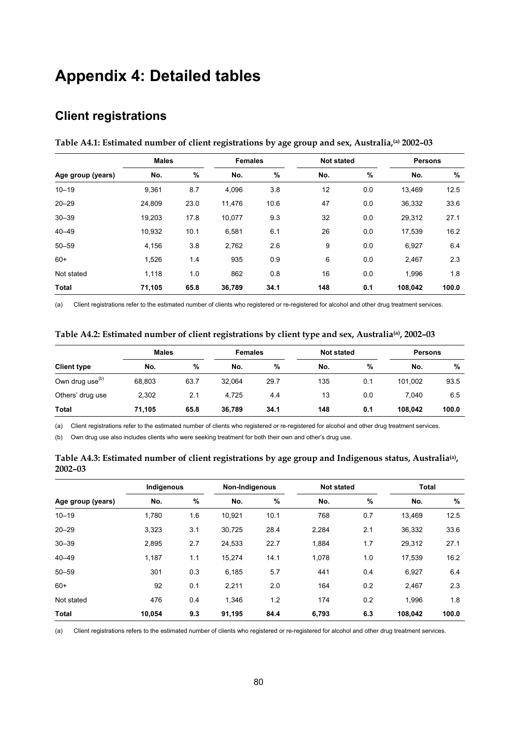# **Appendix 4: Detailed tables**

### **Client registrations**

|                   | <b>Males</b> |      |        | <b>Females</b> |     | <b>Not stated</b> | <b>Persons</b> |       |
|-------------------|--------------|------|--------|----------------|-----|-------------------|----------------|-------|
| Age group (years) | No.          | %    | No.    | %              | No. | $\%$              | No.            | %     |
| $10 - 19$         | 9,361        | 8.7  | 4,096  | 3.8            | 12  | 0.0               | 13.469         | 12.5  |
| $20 - 29$         | 24,809       | 23.0 | 11,476 | 10.6           | 47  | 0.0               | 36,332         | 33.6  |
| $30 - 39$         | 19,203       | 17.8 | 10,077 | 9.3            | 32  | 0.0               | 29,312         | 27.1  |
| $40 - 49$         | 10,932       | 10.1 | 6,581  | 6.1            | 26  | 0.0               | 17,539         | 16.2  |
| $50 - 59$         | 4,156        | 3.8  | 2,762  | 2.6            | 9   | 0.0               | 6,927          | 6.4   |
| $60+$             | 1,526        | 1.4  | 935    | 0.9            | 6   | 0.0               | 2,467          | 2.3   |
| Not stated        | 1,118        | 1.0  | 862    | 0.8            | 16  | 0.0               | 1,996          | 1.8   |
| <b>Total</b>      | 71,105       | 65.8 | 36,789 | 34.1           | 148 | 0.1               | 108,042        | 100.0 |

**Table A4.1: Estimated number of client registrations by age group and sex, Australia,(a) 2002–03** 

(a) Client registrations refer to the estimated number of clients who registered or re-registered for alcohol and other drug treatment services.

| Table A4.2: Estimated number of client registrations by client type and sex, Australia(a), 2002–03 |  |  |  |
|----------------------------------------------------------------------------------------------------|--|--|--|
|                                                                                                    |  |  |  |

|                             | <b>Males</b> |      | <b>Females</b> |      | <b>Not stated</b> |     | <b>Persons</b> |       |
|-----------------------------|--------------|------|----------------|------|-------------------|-----|----------------|-------|
| <b>Client type</b>          | No.          | %    | No.            | %    | No.               | %   | No.            | %     |
| Own drug use <sup>(b)</sup> | 68,803       | 63.7 | 32.064         | 29.7 | 135               | 0.1 | 101.002        | 93.5  |
| Others' drug use            | 2,302        | 2.1  | 4.725          | 4.4  | 13                | 0.0 | 7.040          | 6.5   |
| <b>Total</b>                | 71,105       | 65.8 | 36.789         | 34.1 | 148               | 0.1 | 108.042        | 100.0 |

(a) Client registrations refer to the estimated number of clients who registered or re-registered for alcohol and other drug treatment services.

(b) Own drug use also includes clients who were seeking treatment for both their own and other's drug use.

|                   | Indigenous |     |        | Non-Indigenous |       | Not stated | <b>Total</b> |       |
|-------------------|------------|-----|--------|----------------|-------|------------|--------------|-------|
| Age group (years) | No.        | %   | No.    | %              | No.   | %          | No.          | $\%$  |
| $10 - 19$         | 1,780      | 1.6 | 10,921 | 10.1           | 768   | 0.7        | 13,469       | 12.5  |
| $20 - 29$         | 3,323      | 3.1 | 30,725 | 28.4           | 2,284 | 2.1        | 36,332       | 33.6  |
| $30 - 39$         | 2,895      | 2.7 | 24,533 | 22.7           | 1,884 | 1.7        | 29,312       | 27.1  |
| $40 - 49$         | 1,187      | 1.1 | 15,274 | 14.1           | 1,078 | 1.0        | 17,539       | 16.2  |
| $50 - 59$         | 301        | 0.3 | 6,185  | 5.7            | 441   | 0.4        | 6,927        | 6.4   |
| $60+$             | 92         | 0.1 | 2,211  | 2.0            | 164   | 0.2        | 2,467        | 2.3   |
| Not stated        | 476        | 0.4 | 1.346  | 1.2            | 174   | 0.2        | 1.996        | 1.8   |
| <b>Total</b>      | 10,054     | 9.3 | 91,195 | 84.4           | 6,793 | 6.3        | 108,042      | 100.0 |

**Table A4.3: Estimated number of client registrations by age group and Indigenous status, Australia(a), 2002–03** 

(a) Client registrations refers to the estimated number of clients who registered or re-registered for alcohol and other drug treatment services.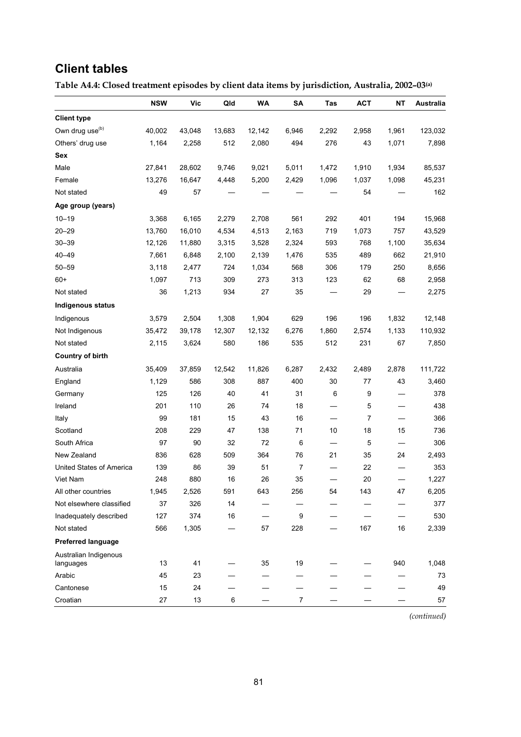### **Client tables**

**Table A4.4: Closed treatment episodes by client data items by jurisdiction, Australia, 2002–03(a)**

|                                    | <b>NSW</b> | <b>Vic</b> | Qld    | <b>WA</b> | SA             | Tas   | <b>ACT</b> | <b>NT</b> | Australia |
|------------------------------------|------------|------------|--------|-----------|----------------|-------|------------|-----------|-----------|
| <b>Client type</b>                 |            |            |        |           |                |       |            |           |           |
| Own drug use <sup>(b)</sup>        | 40,002     | 43,048     | 13,683 | 12,142    | 6,946          | 2,292 | 2,958      | 1,961     | 123,032   |
| Others' drug use                   | 1,164      | 2,258      | 512    | 2,080     | 494            | 276   | 43         | 1,071     | 7,898     |
| Sex                                |            |            |        |           |                |       |            |           |           |
| Male                               | 27,841     | 28,602     | 9,746  | 9,021     | 5,011          | 1,472 | 1,910      | 1,934     | 85,537    |
| Female                             | 13,276     | 16,647     | 4,448  | 5,200     | 2,429          | 1,096 | 1,037      | 1,098     | 45,231    |
| Not stated                         | 49         | 57         |        |           |                |       | 54         |           | 162       |
| Age group (years)                  |            |            |        |           |                |       |            |           |           |
| $10 - 19$                          | 3,368      | 6,165      | 2,279  | 2,708     | 561            | 292   | 401        | 194       | 15,968    |
| $20 - 29$                          | 13,760     | 16,010     | 4,534  | 4,513     | 2,163          | 719   | 1,073      | 757       | 43,529    |
| $30 - 39$                          | 12,126     | 11,880     | 3,315  | 3,528     | 2,324          | 593   | 768        | 1,100     | 35,634    |
| $40 - 49$                          | 7,661      | 6,848      | 2,100  | 2,139     | 1,476          | 535   | 489        | 662       | 21,910    |
| $50 - 59$                          | 3,118      | 2,477      | 724    | 1,034     | 568            | 306   | 179        | 250       | 8,656     |
| $60+$                              | 1,097      | 713        | 309    | 273       | 313            | 123   | 62         | 68        | 2,958     |
| Not stated                         | 36         | 1,213      | 934    | 27        | 35             |       | 29         |           | 2,275     |
| <b>Indigenous status</b>           |            |            |        |           |                |       |            |           |           |
| Indigenous                         | 3,579      | 2,504      | 1,308  | 1,904     | 629            | 196   | 196        | 1,832     | 12,148    |
| Not Indigenous                     | 35,472     | 39,178     | 12,307 | 12,132    | 6,276          | 1,860 | 2,574      | 1,133     | 110,932   |
| Not stated                         | 2,115      | 3,624      | 580    | 186       | 535            | 512   | 231        | 67        | 7,850     |
| <b>Country of birth</b>            |            |            |        |           |                |       |            |           |           |
| Australia                          | 35,409     | 37,859     | 12,542 | 11,826    | 6,287          | 2,432 | 2,489      | 2,878     | 111,722   |
| England                            | 1,129      | 586        | 308    | 887       | 400            | 30    | 77         | 43        | 3,460     |
| Germany                            | 125        | 126        | 40     | 41        | 31             | 6     | 9          |           | 378       |
| Ireland                            | 201        | 110        | 26     | 74        | 18             |       | 5          |           | 438       |
| Italy                              | 99         | 181        | 15     | 43        | 16             |       | 7          |           | 366       |
| Scotland                           | 208        | 229        | 47     | 138       | 71             | 10    | 18         | 15        | 736       |
| South Africa                       | 97         | 90         | 32     | 72        | 6              |       | 5          |           | 306       |
| New Zealand                        | 836        | 628        | 509    | 364       | 76             | 21    | 35         | 24        | 2,493     |
| United States of America           | 139        | 86         | 39     | 51        | $\overline{7}$ |       | 22         |           | 353       |
| Viet Nam                           | 248        | 880        | 16     | 26        | 35             |       | 20         |           | 1,227     |
| All other countries                | 1,945      | 2,526      | 591    | 643       | 256            | 54    | 143        | 47        | 6,205     |
| Not elsewhere classified           | 37         | 326        | 14     |           |                |       |            |           | 377       |
| Inadequately described             | 127        | 374        | 16     |           | 9              |       |            |           | 530       |
| Not stated                         | 566        | 1,305      |        | 57        | 228            |       | 167        | 16        | 2,339     |
| <b>Preferred language</b>          |            |            |        |           |                |       |            |           |           |
| Australian Indigenous<br>languages | 13         | 41         |        | 35        | 19             |       |            | 940       | 1,048     |
| Arabic                             | 45         | 23         |        |           |                |       |            |           | 73        |
| Cantonese                          | 15         | 24         |        |           |                |       |            |           | 49        |
| Croatian                           | 27         | 13         | 6      |           | $\overline{7}$ |       |            |           | 57        |

*(continued)*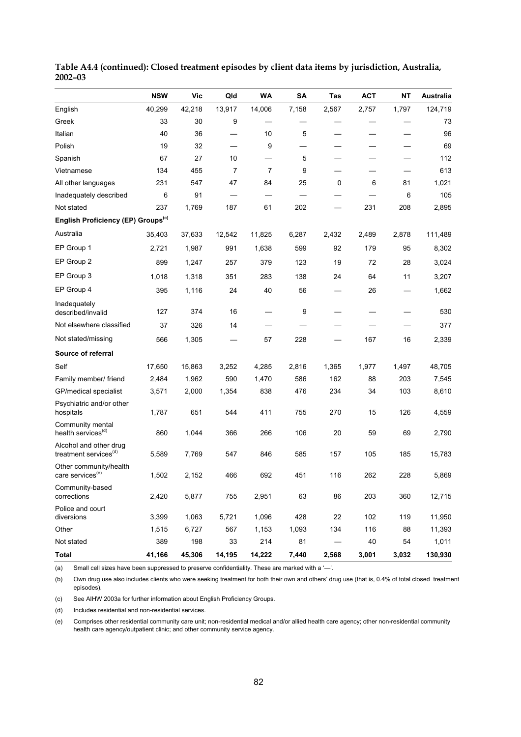|                                                             | <b>NSW</b> | Vic    | Qld            | WA     | SΑ    | Tas         | <b>ACT</b> | NΤ    | Australia |
|-------------------------------------------------------------|------------|--------|----------------|--------|-------|-------------|------------|-------|-----------|
| English                                                     | 40,299     | 42,218 | 13,917         | 14,006 | 7,158 | 2,567       | 2,757      | 1,797 | 124,719   |
| Greek                                                       | 33         | 30     | 9              |        |       |             |            |       | 73        |
| Italian                                                     | 40         | 36     |                | 10     | 5     |             |            |       | 96        |
| Polish                                                      | 19         | 32     |                | 9      |       |             |            |       | 69        |
| Spanish                                                     | 67         | 27     | 10             |        | 5     |             |            |       | 112       |
| Vietnamese                                                  | 134        | 455    | $\overline{7}$ | 7      | 9     |             |            |       | 613       |
| All other languages                                         | 231        | 547    | 47             | 84     | 25    | $\mathbf 0$ | 6          | 81    | 1,021     |
| Inadequately described                                      | 6          | 91     |                |        |       |             |            | 6     | 105       |
| Not stated                                                  | 237        | 1,769  | 187            | 61     | 202   |             | 231        | 208   | 2,895     |
| English Proficiency (EP) Groups <sup>(c)</sup>              |            |        |                |        |       |             |            |       |           |
| Australia                                                   | 35,403     | 37,633 | 12,542         | 11,825 | 6,287 | 2,432       | 2,489      | 2,878 | 111,489   |
| EP Group 1                                                  | 2,721      | 1,987  | 991            | 1,638  | 599   | 92          | 179        | 95    | 8,302     |
| EP Group 2                                                  | 899        | 1,247  | 257            | 379    | 123   | 19          | 72         | 28    | 3,024     |
| EP Group 3                                                  | 1,018      | 1,318  | 351            | 283    | 138   | 24          | 64         | 11    | 3,207     |
| EP Group 4                                                  | 395        | 1,116  | 24             | 40     | 56    |             | 26         |       | 1,662     |
| Inadequately<br>described/invalid                           | 127        | 374    | 16             |        | 9     |             |            |       | 530       |
| Not elsewhere classified                                    | 37         | 326    | 14             |        |       |             |            |       | 377       |
| Not stated/missing                                          | 566        | 1,305  |                | 57     | 228   |             | 167        | 16    | 2,339     |
| Source of referral                                          |            |        |                |        |       |             |            |       |           |
| Self                                                        | 17,650     | 15,863 | 3,252          | 4,285  | 2,816 | 1,365       | 1,977      | 1,497 | 48,705    |
| Family member/ friend                                       | 2,484      | 1,962  | 590            | 1,470  | 586   | 162         | 88         | 203   | 7,545     |
| GP/medical specialist                                       | 3,571      | 2,000  | 1,354          | 838    | 476   | 234         | 34         | 103   | 8,610     |
| Psychiatric and/or other<br>hospitals                       | 1,787      | 651    | 544            | 411    | 755   | 270         | 15         | 126   | 4,559     |
| Community mental<br>health services <sup>(d)</sup>          | 860        | 1,044  | 366            | 266    | 106   | 20          | 59         | 69    | 2,790     |
| Alcohol and other drug<br>treatment services <sup>(d)</sup> | 5,589      | 7,769  | 547            | 846    | 585   | 157         | 105        | 185   | 15,783    |
| Other community/health<br>care services <sup>(e)</sup>      | 1,502      | 2,152  | 466            | 692    | 451   | 116         | 262        | 228   | 5,869     |
| Community-based<br>corrections                              | 2,420      | 5,877  | 755            | 2,951  | 63    | 86          | 203        | 360   | 12,715    |
| Police and court<br>diversions                              | 3,399      | 1,063  | 5,721          | 1,096  | 428   | 22          | 102        | 119   | 11,950    |
| Other                                                       | 1,515      | 6,727  | 567            | 1,153  | 1,093 | 134         | 116        | 88    | 11,393    |
| Not stated                                                  | 389        | 198    | 33             | 214    | 81    |             | 40         | 54    | 1,011     |
| <b>Total</b>                                                | 41,166     | 45,306 | 14,195         | 14,222 | 7,440 | 2,568       | 3,001      | 3,032 | 130,930   |

**Table A4.4 (continued): Closed treatment episodes by client data items by jurisdiction, Australia, 2002–03** 

(a) Small cell sizes have been suppressed to preserve confidentiality. These are marked with a '—'.

(b) Own drug use also includes clients who were seeking treatment for both their own and others' drug use (that is, 0.4% of total closed treatment episodes).

(c) See AIHW 2003a for further information about English Proficiency Groups.

(d) Includes residential and non-residential services.

(e) Comprises other residential community care unit; non-residential medical and/or allied health care agency; other non-residential community health care agency/outpatient clinic; and other community service agency.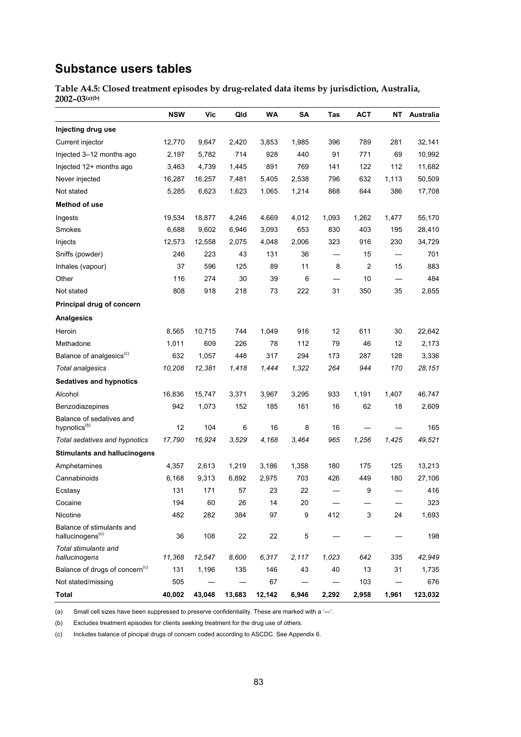# **Substance users tables**

**Table A4.5: Closed treatment episodes by drug-related data items by jurisdiction, Australia, 2002–03(a)(b)**

|                                                           | <b>NSW</b> | Vic    | Qld    | WA     | <b>SA</b> | Tas   | АСТ   | NΤ    | Australia |
|-----------------------------------------------------------|------------|--------|--------|--------|-----------|-------|-------|-------|-----------|
| Injecting drug use                                        |            |        |        |        |           |       |       |       |           |
| Current injector                                          | 12,770     | 9,647  | 2,420  | 3,853  | 1,985     | 396   | 789   | 281   | 32,141    |
| Injected 3-12 months ago                                  | 2,197      | 5,782  | 714    | 928    | 440       | 91    | 771   | 69    | 10,992    |
| Injected 12+ months ago                                   | 3,463      | 4,739  | 1,445  | 891    | 769       | 141   | 122   | 112   | 11,682    |
| Never injected                                            | 16,287     | 16,257 | 7,481  | 5,405  | 2,538     | 796   | 632   | 1,113 | 50,509    |
| Not stated                                                | 5,285      | 6,623  | 1,623  | 1,065  | 1,214     | 868   | 644   | 386   | 17,708    |
| Method of use                                             |            |        |        |        |           |       |       |       |           |
| Ingests                                                   | 19,534     | 18,877 | 4,246  | 4,669  | 4,012     | 1,093 | 1,262 | 1,477 | 55,170    |
| Smokes                                                    | 6,688      | 9,602  | 6,946  | 3,093  | 653       | 830   | 403   | 195   | 28,410    |
| Injects                                                   | 12,573     | 12,558 | 2,075  | 4,048  | 2,006     | 323   | 916   | 230   | 34,729    |
| Sniffs (powder)                                           | 246        | 223    | 43     | 131    | 36        |       | 15    |       | 701       |
| Inhales (vapour)                                          | 37         | 596    | 125    | 89     | 11        | 8     | 2     | 15    | 883       |
| Other                                                     | 116        | 274    | 30     | 39     | 6         |       | 10    |       | 484       |
| Not stated                                                | 808        | 918    | 218    | 73     | 222       | 31    | 350   | 35    | 2,655     |
| Principal drug of concern                                 |            |        |        |        |           |       |       |       |           |
| <b>Analgesics</b>                                         |            |        |        |        |           |       |       |       |           |
| Heroin                                                    | 8,565      | 10,715 | 744    | 1,049  | 916       | 12    | 611   | 30    | 22,642    |
| Methadone                                                 | 1,011      | 609    | 226    | 78     | 112       | 79    | 46    | 12    | 2,173     |
| Balance of analgesics <sup>(c)</sup>                      | 632        | 1,057  | 448    | 317    | 294       | 173   | 287   | 128   | 3,336     |
| <b>Total analgesics</b>                                   | 10,208     | 12,381 | 1,418  | 1,444  | 1,322     | 264   | 944   | 170   | 28,151    |
| <b>Sedatives and hypnotics</b>                            |            |        |        |        |           |       |       |       |           |
| Alcohol                                                   | 16,836     | 15,747 | 3,371  | 3,967  | 3,295     | 933   | 1,191 | 1,407 | 46,747    |
| Benzodiazepines                                           | 942        | 1,073  | 152    | 185    | 161       | 16    | 62    | 18    | 2,609     |
| Balance of sedatives and<br>hypnotics <sup>(b)</sup>      | 12         | 104    | 6      | 16     | 8         | 16    |       |       | 165       |
| Total sedatives and hypnotics                             | 17,790     | 16,924 | 3,529  | 4,168  | 3,464     | 965   | 1,256 | 1,425 | 49,521    |
| <b>Stimulants and hallucinogens</b>                       |            |        |        |        |           |       |       |       |           |
| Amphetamines                                              | 4,357      | 2,613  | 1,219  | 3,186  | 1,358     | 180   | 175   | 125   | 13,213    |
| Cannabinoids                                              | 6,168      | 9,313  | 6,892  | 2,975  | 703       | 426   | 449   | 180   | 27,106    |
| Ecstasy                                                   | 131        | 171    | 57     | 23     | 22        |       | 9     |       | 416       |
| Cocaine                                                   | 194        | 60     | 26     | 14     | 20        |       |       |       | 323       |
| Nicotine                                                  | 482        | 282    | 384    | 97     | 9         | 412   | 3     | 24    | 1,693     |
| Balance of stimulants and<br>hallucinogens <sup>(c)</sup> | 36         | 108    | 22     | 22     | 5         |       |       |       | 198       |
| Total stimulants and<br>hallucinogens                     | 11,368     | 12,547 | 8,600  | 6,317  | 2,117     | 1,023 | 642   | 335   | 42,949    |
| Balance of drugs of concern <sup>(c)</sup>                | 131        | 1,196  | 135    | 146    | 43        | 40    | 13    | 31    | 1,735     |
| Not stated/missing                                        | 505        |        |        | 67     |           |       | 103   |       | 676       |
| <b>Total</b>                                              | 40,002     | 43,048 | 13,683 | 12,142 | 6,946     | 2,292 | 2,958 | 1,961 | 123,032   |

(a) Small cell sizes have been suppressed to preserve confidentiality. These are marked with a '—'.

(b) Excludes treatment episodes for clients seeking treatment for the drug use of others.

(c) Includes balance of pincipal drugs of concern coded according to ASCDC. See Appendix 6.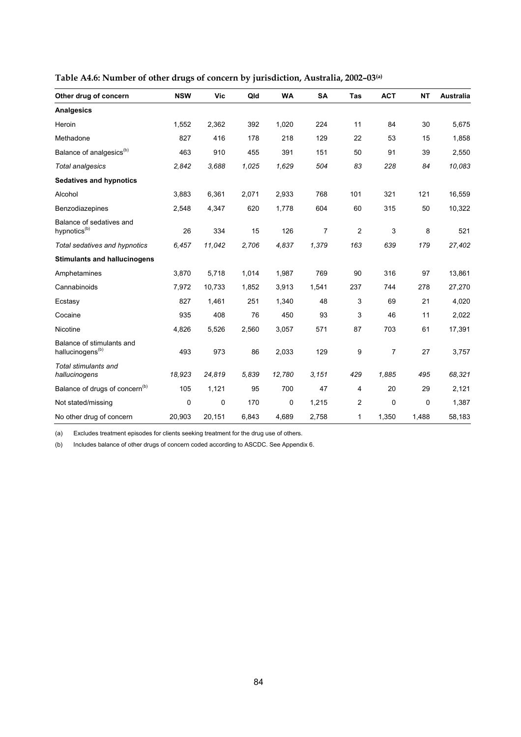| Other drug of concern                                     | <b>NSW</b> | Vic    | Qld   | <b>WA</b> | <b>SA</b> | <b>Tas</b> | <b>ACT</b>     | <b>NT</b> | Australia |
|-----------------------------------------------------------|------------|--------|-------|-----------|-----------|------------|----------------|-----------|-----------|
| <b>Analgesics</b>                                         |            |        |       |           |           |            |                |           |           |
| Heroin                                                    | 1,552      | 2,362  | 392   | 1,020     | 224       | 11         | 84             | 30        | 5,675     |
| Methadone                                                 | 827        | 416    | 178   | 218       | 129       | 22         | 53             | 15        | 1,858     |
| Balance of analgesics <sup>(b)</sup>                      | 463        | 910    | 455   | 391       | 151       | 50         | 91             | 39        | 2,550     |
| <b>Total analgesics</b>                                   | 2,842      | 3,688  | 1,025 | 1,629     | 504       | 83         | 228            | 84        | 10,083    |
| <b>Sedatives and hypnotics</b>                            |            |        |       |           |           |            |                |           |           |
| Alcohol                                                   | 3,883      | 6,361  | 2,071 | 2,933     | 768       | 101        | 321            | 121       | 16,559    |
| Benzodiazepines                                           | 2,548      | 4,347  | 620   | 1,778     | 604       | 60         | 315            | 50        | 10,322    |
| Balance of sedatives and<br>hypnotics <sup>(b)</sup>      | 26         | 334    | 15    | 126       | 7         | 2          | 3              | 8         | 521       |
| Total sedatives and hypnotics                             | 6,457      | 11,042 | 2,706 | 4,837     | 1,379     | 163        | 639            | 179       | 27,402    |
| <b>Stimulants and hallucinogens</b>                       |            |        |       |           |           |            |                |           |           |
| Amphetamines                                              | 3,870      | 5,718  | 1,014 | 1,987     | 769       | 90         | 316            | 97        | 13,861    |
| Cannabinoids                                              | 7,972      | 10,733 | 1,852 | 3,913     | 1,541     | 237        | 744            | 278       | 27,270    |
| Ecstasy                                                   | 827        | 1,461  | 251   | 1,340     | 48        | 3          | 69             | 21        | 4,020     |
| Cocaine                                                   | 935        | 408    | 76    | 450       | 93        | 3          | 46             | 11        | 2,022     |
| Nicotine                                                  | 4,826      | 5,526  | 2,560 | 3,057     | 571       | 87         | 703            | 61        | 17,391    |
| Balance of stimulants and<br>hallucinogens <sup>(b)</sup> | 493        | 973    | 86    | 2,033     | 129       | 9          | $\overline{7}$ | 27        | 3,757     |
| Total stimulants and<br>hallucinogens                     | 18,923     | 24,819 | 5,839 | 12,780    | 3.151     | 429        | 1,885          | 495       | 68,321    |
| Balance of drugs of concern <sup>(b)</sup>                | 105        | 1,121  | 95    | 700       | 47        | 4          | 20             | 29        | 2,121     |
| Not stated/missing                                        | 0          | 0      | 170   | 0         | 1,215     | 2          | $\mathbf 0$    | 0         | 1,387     |
| No other drug of concern                                  | 20,903     | 20,151 | 6,843 | 4,689     | 2,758     | 1          | 1,350          | 1,488     | 58,183    |

**Table A4.6: Number of other drugs of concern by jurisdiction, Australia, 2002–03(a)**

(b) Includes balance of other drugs of concern coded according to ASCDC. See Appendix 6.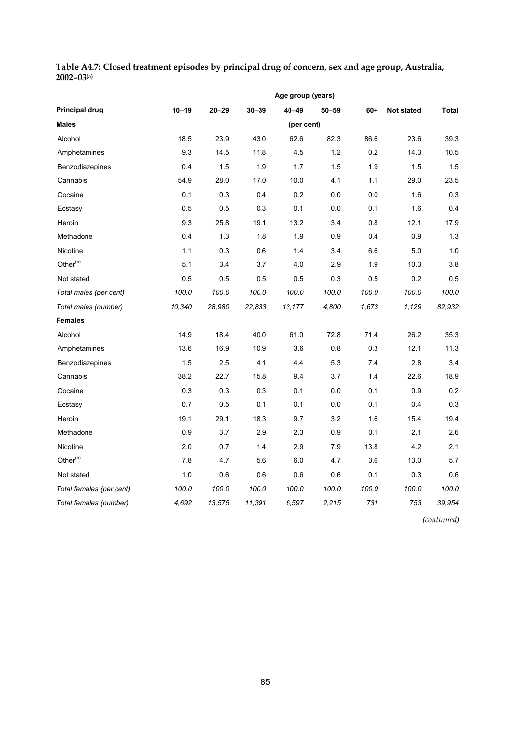|                          | Age group (years) |           |           |            |           |       |            |        |  |  |  |  |  |
|--------------------------|-------------------|-----------|-----------|------------|-----------|-------|------------|--------|--|--|--|--|--|
| <b>Principal drug</b>    | $10 - 19$         | $20 - 29$ | $30 - 39$ | 40-49      | $50 - 59$ | $60+$ | Not stated | Total  |  |  |  |  |  |
| <b>Males</b>             |                   |           |           | (per cent) |           |       |            |        |  |  |  |  |  |
| Alcohol                  | 18.5              | 23.9      | 43.0      | 62.6       | 82.3      | 86.6  | 23.6       | 39.3   |  |  |  |  |  |
| Amphetamines             | 9.3               | 14.5      | 11.8      | 4.5        | $1.2$     | 0.2   | 14.3       | 10.5   |  |  |  |  |  |
| Benzodiazepines          | 0.4               | 1.5       | 1.9       | 1.7        | 1.5       | 1.9   | 1.5        | 1.5    |  |  |  |  |  |
| Cannabis                 | 54.9              | 28.0      | 17.0      | 10.0       | 4.1       | 1.1   | 29.0       | 23.5   |  |  |  |  |  |
| Cocaine                  | 0.1               | 0.3       | 0.4       | 0.2        | 0.0       | 0.0   | 1.6        | 0.3    |  |  |  |  |  |
| Ecstasy                  | 0.5               | 0.5       | 0.3       | 0.1        | 0.0       | 0.1   | 1.6        | 0.4    |  |  |  |  |  |
| Heroin                   | 9.3               | 25.8      | 19.1      | 13.2       | 3.4       | 0.8   | 12.1       | 17.9   |  |  |  |  |  |
| Methadone                | 0.4               | 1.3       | 1.8       | 1.9        | 0.9       | 0.4   | 0.9        | 1.3    |  |  |  |  |  |
| Nicotine                 | 1.1               | 0.3       | 0.6       | 1.4        | 3.4       | 6.6   | 5.0        | 1.0    |  |  |  |  |  |
| Other <sup>(b)</sup>     | 5.1               | 3.4       | 3.7       | 4.0        | 2.9       | 1.9   | 10.3       | 3.8    |  |  |  |  |  |
| Not stated               | 0.5               | 0.5       | 0.5       | 0.5        | 0.3       | 0.5   | 0.2        | 0.5    |  |  |  |  |  |
| Total males (per cent)   | 100.0             | 100.0     | 100.0     | 100.0      | 100.0     | 100.0 | 100.0      | 100.0  |  |  |  |  |  |
| Total males (number)     | 10,340            | 28,980    | 22,833    | 13,177     | 4,800     | 1,673 | 1,129      | 82,932 |  |  |  |  |  |
| Females                  |                   |           |           |            |           |       |            |        |  |  |  |  |  |
| Alcohol                  | 14.9              | 18.4      | 40.0      | 61.0       | 72.8      | 71.4  | 26.2       | 35.3   |  |  |  |  |  |
| Amphetamines             | 13.6              | 16.9      | 10.9      | 3.6        | 0.8       | 0.3   | 12.1       | 11.3   |  |  |  |  |  |
| Benzodiazepines          | 1.5               | 2.5       | 4.1       | 4.4        | 5.3       | 7.4   | 2.8        | 3.4    |  |  |  |  |  |
| Cannabis                 | 38.2              | 22.7      | 15.8      | 9.4        | 3.7       | 1.4   | 22.6       | 18.9   |  |  |  |  |  |
| Cocaine                  | 0.3               | 0.3       | 0.3       | 0.1        | 0.0       | 0.1   | 0.9        | 0.2    |  |  |  |  |  |
| Ecstasy                  | 0.7               | 0.5       | 0.1       | 0.1        | 0.0       | 0.1   | 0.4        | 0.3    |  |  |  |  |  |
| Heroin                   | 19.1              | 29.1      | 18.3      | 9.7        | 3.2       | 1.6   | 15.4       | 19.4   |  |  |  |  |  |
| Methadone                | 0.9               | 3.7       | 2.9       | 2.3        | 0.9       | 0.1   | 2.1        | 2.6    |  |  |  |  |  |
| Nicotine                 | 2.0               | 0.7       | 1.4       | 2.9        | 7.9       | 13.8  | 4.2        | 2.1    |  |  |  |  |  |
| Other <sup>(b)</sup>     | 7.8               | 4.7       | 5.6       | 6.0        | 4.7       | 3.6   | 13.0       | 5.7    |  |  |  |  |  |
| Not stated               | 1.0               | 0.6       | 0.6       | 0.6        | 0.6       | 0.1   | 0.3        | 0.6    |  |  |  |  |  |
| Total females (per cent) | 100.0             | 100.0     | 100.0     | 100.0      | 100.0     | 100.0 | 100.0      | 100.0  |  |  |  |  |  |
| Total females (number)   | 4,692             | 13,575    | 11,391    | 6,597      | 2,215     | 731   | 753        | 39,954 |  |  |  |  |  |

#### **Table A4.7: Closed treatment episodes by principal drug of concern, sex and age group, Australia, 2002–03(a)**

*(continued)*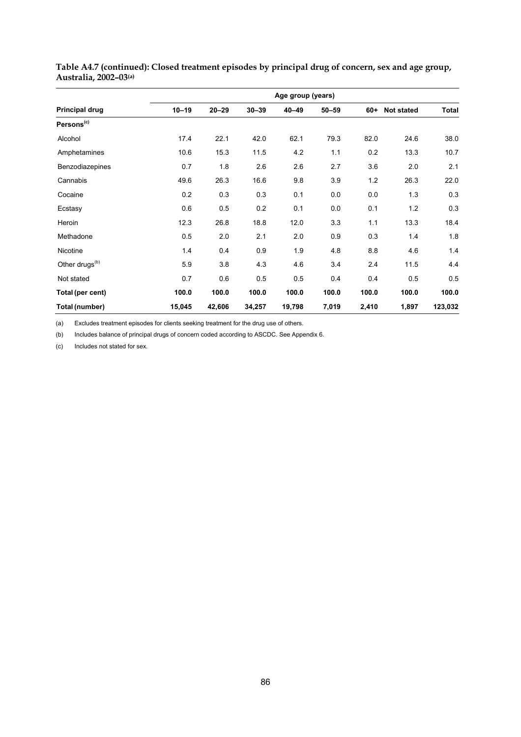|                            |           |           |           | Age group (years) |           |       |            |              |
|----------------------------|-----------|-----------|-----------|-------------------|-----------|-------|------------|--------------|
| Principal drug             | $10 - 19$ | $20 - 29$ | $30 - 39$ | $40 - 49$         | $50 - 59$ | $60+$ | Not stated | <b>Total</b> |
| Persons <sup>(c)</sup>     |           |           |           |                   |           |       |            |              |
| Alcohol                    | 17.4      | 22.1      | 42.0      | 62.1              | 79.3      | 82.0  | 24.6       | 38.0         |
| Amphetamines               | 10.6      | 15.3      | 11.5      | 4.2               | 1.1       | 0.2   | 13.3       | 10.7         |
| Benzodiazepines            | 0.7       | 1.8       | 2.6       | 2.6               | 2.7       | 3.6   | 2.0        | 2.1          |
| Cannabis                   | 49.6      | 26.3      | 16.6      | 9.8               | 3.9       | 1.2   | 26.3       | 22.0         |
| Cocaine                    | 0.2       | 0.3       | 0.3       | 0.1               | 0.0       | 0.0   | 1.3        | 0.3          |
| Ecstasy                    | 0.6       | 0.5       | 0.2       | 0.1               | 0.0       | 0.1   | 1.2        | 0.3          |
| Heroin                     | 12.3      | 26.8      | 18.8      | 12.0              | 3.3       | 1.1   | 13.3       | 18.4         |
| Methadone                  | 0.5       | 2.0       | 2.1       | 2.0               | 0.9       | 0.3   | 1.4        | 1.8          |
| Nicotine                   | 1.4       | 0.4       | 0.9       | 1.9               | 4.8       | 8.8   | 4.6        | 1.4          |
| Other drugs <sup>(b)</sup> | 5.9       | 3.8       | 4.3       | 4.6               | 3.4       | 2.4   | 11.5       | 4.4          |
| Not stated                 | 0.7       | 0.6       | 0.5       | 0.5               | 0.4       | 0.4   | 0.5        | 0.5          |
| Total (per cent)           | 100.0     | 100.0     | 100.0     | 100.0             | 100.0     | 100.0 | 100.0      | 100.0        |
| Total (number)             | 15,045    | 42,606    | 34,257    | 19,798            | 7,019     | 2,410 | 1,897      | 123,032      |

**Table A4.7 (continued): Closed treatment episodes by principal drug of concern, sex and age group, Australia, 2002–03(a)** 

(a) Excludes treatment episodes for clients seeking treatment for the drug use of others.

(b) Includes balance of principal drugs of concern coded according to ASCDC. See Appendix 6.

(c) Includes not stated for sex.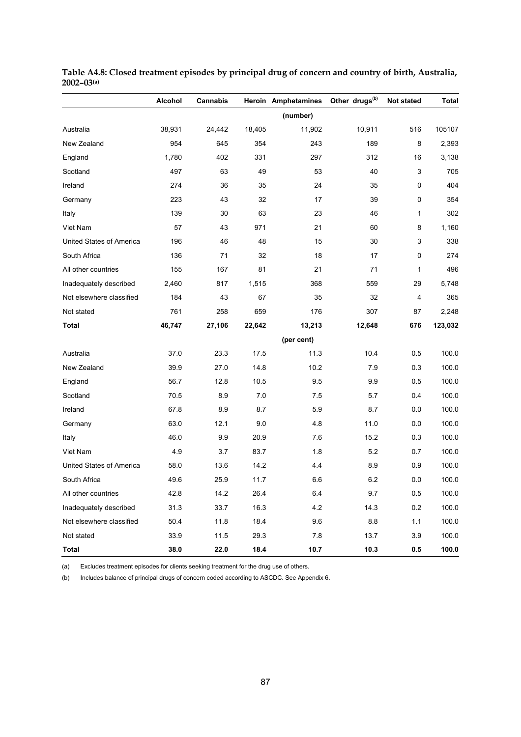|                          | <b>Alcohol</b> | <b>Cannabis</b> |        | Heroin Amphetamines | Other drugs <sup>(b)</sup> | <b>Not stated</b>       | <b>Total</b> |
|--------------------------|----------------|-----------------|--------|---------------------|----------------------------|-------------------------|--------------|
|                          |                |                 |        | (number)            |                            |                         |              |
| Australia                | 38,931         | 24,442          | 18,405 | 11,902              | 10,911                     | 516                     | 105107       |
| New Zealand              | 954            | 645             | 354    | 243                 | 189                        | 8                       | 2,393        |
| England                  | 1,780          | 402             | 331    | 297                 | 312                        | 16                      | 3,138        |
| Scotland                 | 497            | 63              | 49     | 53                  | 40                         | 3                       | 705          |
| Ireland                  | 274            | 36              | 35     | 24                  | 35                         | 0                       | 404          |
| Germany                  | 223            | 43              | 32     | 17                  | 39                         | 0                       | 354          |
| Italy                    | 139            | 30              | 63     | 23                  | 46                         | $\mathbf{1}$            | 302          |
| Viet Nam                 | 57             | 43              | 971    | 21                  | 60                         | 8                       | 1,160        |
| United States of America | 196            | 46              | 48     | 15                  | 30                         | 3                       | 338          |
| South Africa             | 136            | 71              | 32     | 18                  | 17                         | 0                       | 274          |
| All other countries      | 155            | 167             | 81     | 21                  | 71                         | 1                       | 496          |
| Inadequately described   | 2,460          | 817             | 1,515  | 368                 | 559                        | 29                      | 5,748        |
| Not elsewhere classified | 184            | 43              | 67     | 35                  | 32                         | $\overline{\mathbf{4}}$ | 365          |
| Not stated               | 761            | 258             | 659    | 176                 | 307                        | 87                      | 2,248        |
| <b>Total</b>             | 46,747         | 27,106          | 22,642 | 13,213              | 12,648                     | 676                     | 123,032      |
|                          |                |                 |        | (per cent)          |                            |                         |              |
| Australia                | 37.0           | 23.3            | 17.5   | 11.3                | 10.4                       | 0.5                     | 100.0        |
| New Zealand              | 39.9           | 27.0            | 14.8   | 10.2                | 7.9                        | 0.3                     | 100.0        |
| England                  | 56.7           | 12.8            | 10.5   | 9.5                 | 9.9                        | 0.5                     | 100.0        |
| Scotland                 | 70.5           | 8.9             | 7.0    | 7.5                 | 5.7                        | 0.4                     | 100.0        |
| Ireland                  | 67.8           | 8.9             | 8.7    | 5.9                 | 8.7                        | 0.0                     | 100.0        |
| Germany                  | 63.0           | 12.1            | 9.0    | 4.8                 | 11.0                       | 0.0                     | 100.0        |
| Italy                    | 46.0           | 9.9             | 20.9   | 7.6                 | 15.2                       | 0.3                     | 100.0        |
| Viet Nam                 | 4.9            | 3.7             | 83.7   | 1.8                 | 5.2                        | 0.7                     | 100.0        |
| United States of America | 58.0           | 13.6            | 14.2   | 4.4                 | 8.9                        | 0.9                     | 100.0        |
| South Africa             | 49.6           | 25.9            | 11.7   | 6.6                 | 6.2                        | 0.0                     | 100.0        |
| All other countries      | 42.8           | 14.2            | 26.4   | 6.4                 | 9.7                        | 0.5                     | 100.0        |
| Inadequately described   | 31.3           | 33.7            | 16.3   | 4.2                 | 14.3                       | 0.2                     | 100.0        |
| Not elsewhere classified | 50.4           | 11.8            | 18.4   | 9.6                 | $8.8\,$                    | 1.1                     | 100.0        |
| Not stated               | 33.9           | 11.5            | 29.3   | $7.8$               | 13.7                       | 3.9                     | 100.0        |
| <b>Total</b>             | 38.0           | 22.0            | 18.4   | 10.7                | 10.3                       | 0.5                     | 100.0        |

**Table A4.8: Closed treatment episodes by principal drug of concern and country of birth, Australia, 2002–03(a)** 

(b) Includes balance of principal drugs of concern coded according to ASCDC. See Appendix 6.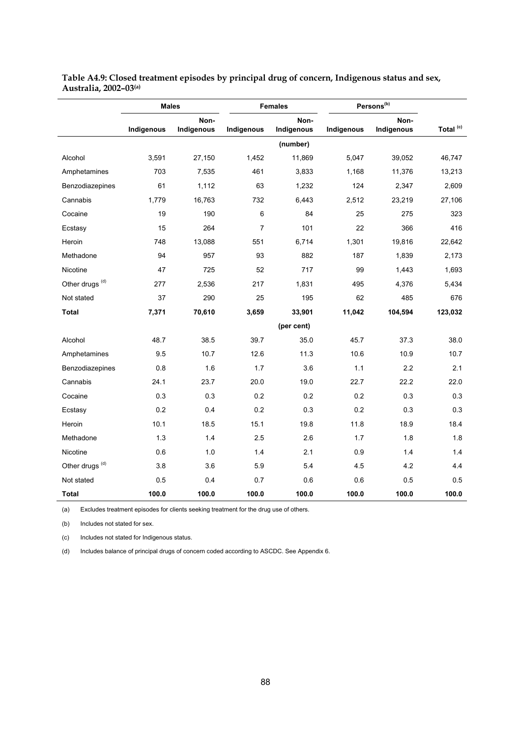|                            | <b>Males</b> |                    |                | <b>Females</b>     |            | Persons <sup>(b)</sup> |                      |  |  |
|----------------------------|--------------|--------------------|----------------|--------------------|------------|------------------------|----------------------|--|--|
|                            | Indigenous   | Non-<br>Indigenous | Indigenous     | Non-<br>Indigenous | Indigenous | Non-<br>Indigenous     | Total <sup>(c)</sup> |  |  |
|                            |              |                    |                | (number)           |            |                        |                      |  |  |
| Alcohol                    | 3,591        | 27,150             | 1,452          | 11,869             | 5,047      | 39,052                 | 46,747               |  |  |
| Amphetamines               | 703          | 7,535              | 461            | 3,833              | 1,168      | 11,376                 | 13,213               |  |  |
| Benzodiazepines            | 61           | 1,112              | 63             | 1,232              | 124        | 2,347                  | 2,609                |  |  |
| Cannabis                   | 1,779        | 16,763             | 732            | 6,443              | 2,512      | 23,219                 | 27,106               |  |  |
| Cocaine                    | 19           | 190                | 6              | 84                 | 25         | 275                    | 323                  |  |  |
| Ecstasy                    | 15           | 264                | $\overline{7}$ | 101                | 22         | 366                    | 416                  |  |  |
| Heroin                     | 748          | 13,088             | 551            | 6,714              | 1,301      | 19,816                 | 22,642               |  |  |
| Methadone                  | 94           | 957                | 93             | 882                | 187        | 1,839                  | 2,173                |  |  |
| Nicotine                   | 47           | 725                | 52             | 717                | 99         | 1,443                  | 1,693                |  |  |
| Other drugs <sup>(d)</sup> | 277          | 2,536              | 217            | 1,831              | 495        | 4,376                  | 5,434                |  |  |
| Not stated                 | 37           | 290                | 25             | 195                | 62         | 485                    | 676                  |  |  |
| <b>Total</b>               | 7,371        | 70,610             | 3,659          | 33,901             | 11,042     | 104,594                | 123,032              |  |  |
|                            |              |                    |                | (per cent)         |            |                        |                      |  |  |
| Alcohol                    | 48.7         | 38.5               | 39.7           | 35.0               | 45.7       | 37.3                   | 38.0                 |  |  |
| Amphetamines               | 9.5          | 10.7               | 12.6           | 11.3               | 10.6       | 10.9                   | 10.7                 |  |  |
| Benzodiazepines            | 0.8          | 1.6                | 1.7            | 3.6                | 1.1        | 2.2                    | 2.1                  |  |  |
| Cannabis                   | 24.1         | 23.7               | 20.0           | 19.0               | 22.7       | 22.2                   | 22.0                 |  |  |
| Cocaine                    | 0.3          | 0.3                | 0.2            | 0.2                | 0.2        | 0.3                    | 0.3                  |  |  |
| Ecstasy                    | 0.2          | 0.4                | 0.2            | 0.3                | 0.2        | 0.3                    | 0.3                  |  |  |
| Heroin                     | 10.1         | 18.5               | 15.1           | 19.8               | 11.8       | 18.9                   | 18.4                 |  |  |
| Methadone                  | 1.3          | 1.4                | 2.5            | 2.6                | 1.7        | 1.8                    | 1.8                  |  |  |
| Nicotine                   | 0.6          | 1.0                | 1.4            | 2.1                | 0.9        | 1.4                    | 1.4                  |  |  |
| Other drugs <sup>(d)</sup> | 3.8          | 3.6                | 5.9            | 5.4                | 4.5        | 4.2                    | 4.4                  |  |  |
| Not stated                 | 0.5          | 0.4                | 0.7            | 0.6                | 0.6        | 0.5                    | 0.5                  |  |  |
| <b>Total</b>               | 100.0        | 100.0              | 100.0          | 100.0              | 100.0      | 100.0                  | 100.0                |  |  |

**Table A4.9: Closed treatment episodes by principal drug of concern, Indigenous status and sex, Australia, 2002–03(a)**

(a) Excludes treatment episodes for clients seeking treatment for the drug use of others.

(b) Includes not stated for sex.

(c) Includes not stated for Indigenous status.

(d) Includes balance of principal drugs of concern coded according to ASCDC. See Appendix 6.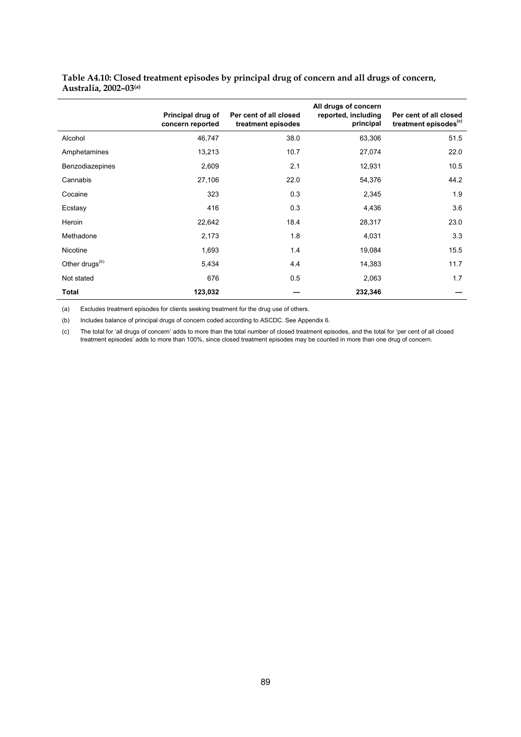| Table A4.10: Closed treatment episodes by principal drug of concern and all drugs of concern, |  |
|-----------------------------------------------------------------------------------------------|--|
| Australia, 2002–03@                                                                           |  |

|                            | Principal drug of<br>concern reported | Per cent of all closed<br>treatment episodes | All drugs of concern<br>reported, including<br>principal | Per cent of all closed<br>treatment episodes <sup>(c)</sup> |
|----------------------------|---------------------------------------|----------------------------------------------|----------------------------------------------------------|-------------------------------------------------------------|
| Alcohol                    | 46,747                                | 38.0                                         | 63,306                                                   | 51.5                                                        |
| Amphetamines               | 13,213                                | 10.7                                         | 27,074                                                   | 22.0                                                        |
| Benzodiazepines            | 2,609                                 | 2.1                                          | 12,931                                                   | 10.5                                                        |
| Cannabis                   | 27,106                                | 22.0                                         | 54,376                                                   | 44.2                                                        |
| Cocaine                    | 323                                   | 0.3                                          | 2,345                                                    | 1.9                                                         |
| Ecstasy                    | 416                                   | 0.3                                          | 4,436                                                    | 3.6                                                         |
| Heroin                     | 22,642                                | 18.4                                         | 28,317                                                   | 23.0                                                        |
| Methadone                  | 2,173                                 | 1.8                                          | 4,031                                                    | 3.3                                                         |
| Nicotine                   | 1,693                                 | 1.4                                          | 19,084                                                   | 15.5                                                        |
| Other drugs <sup>(b)</sup> | 5,434                                 | 4.4                                          | 14,383                                                   | 11.7                                                        |
| Not stated                 | 676                                   | 0.5                                          | 2,063                                                    | 1.7                                                         |
| Total                      | 123,032                               |                                              | 232,346                                                  |                                                             |

(b) Includes balance of principal drugs of concern coded according to ASCDC. See Appendix 6.

(c) The total for 'all drugs of concern' adds to more than the total number of closed treatment episodes, and the total for 'per cent of all closed treatment episodes' adds to more than 100%, since closed treatment episodes may be counted in more than one drug of concern.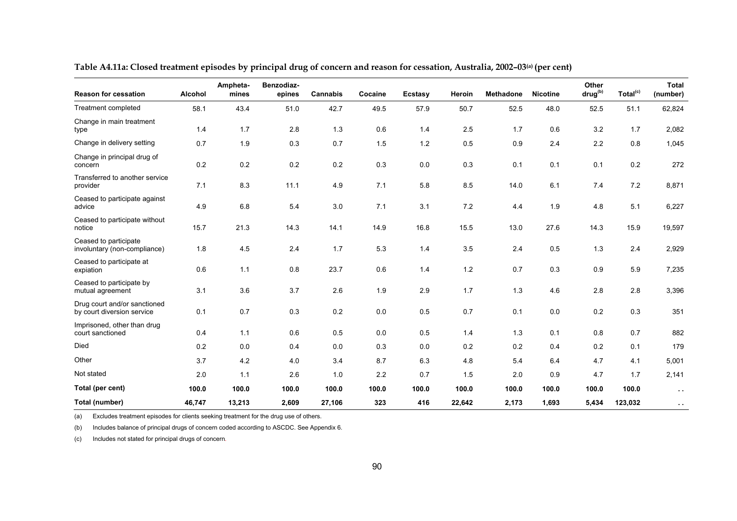| <b>Reason for cessation</b>                                | Alcohol | Ampheta-<br>mines | Benzodiaz-<br>epines | <b>Cannabis</b> | Cocaine | <b>Ecstasy</b> | Heroin | <b>Methadone</b> | <b>Nicotine</b> | Other<br>drug <sup>(b)</sup> | Total <sup>(c)</sup> | <b>Total</b><br>(number) |
|------------------------------------------------------------|---------|-------------------|----------------------|-----------------|---------|----------------|--------|------------------|-----------------|------------------------------|----------------------|--------------------------|
| Treatment completed                                        | 58.1    | 43.4              | 51.0                 | 42.7            | 49.5    | 57.9           | 50.7   | 52.5             | 48.0            | 52.5                         | 51.1                 | 62,824                   |
| Change in main treatment<br>type                           | 1.4     | 1.7               | 2.8                  | 1.3             | 0.6     | 1.4            | 2.5    | 1.7              | 0.6             | 3.2                          | 1.7                  | 2,082                    |
| Change in delivery setting                                 | 0.7     | 1.9               | 0.3                  | 0.7             | 1.5     | 1.2            | 0.5    | 0.9              | 2.4             | 2.2                          | 0.8                  | 1,045                    |
| Change in principal drug of<br>concern                     | 0.2     | 0.2               | 0.2                  | 0.2             | 0.3     | 0.0            | 0.3    | 0.1              | 0.1             | 0.1                          | 0.2                  | 272                      |
| Transferred to another service<br>provider                 | 7.1     | 8.3               | 11.1                 | 4.9             | 7.1     | 5.8            | 8.5    | 14.0             | 6.1             | 7.4                          | 7.2                  | 8,871                    |
| Ceased to participate against<br>advice                    | 4.9     | 6.8               | 5.4                  | 3.0             | 7.1     | 3.1            | 7.2    | 4.4              | 1.9             | 4.8                          | 5.1                  | 6,227                    |
| Ceased to participate without<br>notice                    | 15.7    | 21.3              | 14.3                 | 14.1            | 14.9    | 16.8           | 15.5   | 13.0             | 27.6            | 14.3                         | 15.9                 | 19,597                   |
| Ceased to participate<br>involuntary (non-compliance)      | 1.8     | 4.5               | 2.4                  | 1.7             | 5.3     | 1.4            | 3.5    | 2.4              | 0.5             | 1.3                          | 2.4                  | 2,929                    |
| Ceased to participate at<br>expiation                      | 0.6     | 1.1               | 0.8                  | 23.7            | 0.6     | 1.4            | $1.2$  | 0.7              | 0.3             | 0.9                          | 5.9                  | 7,235                    |
| Ceased to participate by<br>mutual agreement               | 3.1     | 3.6               | 3.7                  | 2.6             | 1.9     | 2.9            | 1.7    | 1.3              | 4.6             | 2.8                          | 2.8                  | 3,396                    |
| Drug court and/or sanctioned<br>by court diversion service | 0.1     | 0.7               | 0.3                  | 0.2             | $0.0\,$ | 0.5            | 0.7    | 0.1              | 0.0             | 0.2                          | 0.3                  | 351                      |
| Imprisoned, other than drug<br>court sanctioned            | 0.4     | 1.1               | 0.6                  | 0.5             | 0.0     | 0.5            | 1.4    | 1.3              | 0.1             | 0.8                          | 0.7                  | 882                      |
| Died                                                       | 0.2     | 0.0               | 0.4                  | 0.0             | 0.3     | 0.0            | 0.2    | 0.2              | 0.4             | 0.2                          | 0.1                  | 179                      |
| Other                                                      | 3.7     | 4.2               | 4.0                  | 3.4             | 8.7     | 6.3            | 4.8    | 5.4              | 6.4             | 4.7                          | 4.1                  | 5,001                    |
| Not stated                                                 | 2.0     | 1.1               | 2.6                  | 1.0             | 2.2     | 0.7            | 1.5    | 2.0              | 0.9             | 4.7                          | 1.7                  | 2,141                    |
| Total (per cent)                                           | 100.0   | 100.0             | 100.0                | 100.0           | 100.0   | 100.0          | 100.0  | 100.0            | 100.0           | 100.0                        | 100.0                | $\sim$                   |
| Total (number)                                             | 46.747  | 13,213            | 2,609                | 27.106          | 323     | 416            | 22,642 | 2.173            | 1.693           | 5,434                        | 123.032              | $\sim$ $\sim$            |

**Table A4.11a: Closed treatment episodes by principal drug of concern and reason for cessation, Australia, 2002–03(a) (per cent)** 

(b) Includes balance of principal drugs of concern coded according to ASCDC. See Appendix 6.

(c) Includes not stated for principal drugs of concern*.*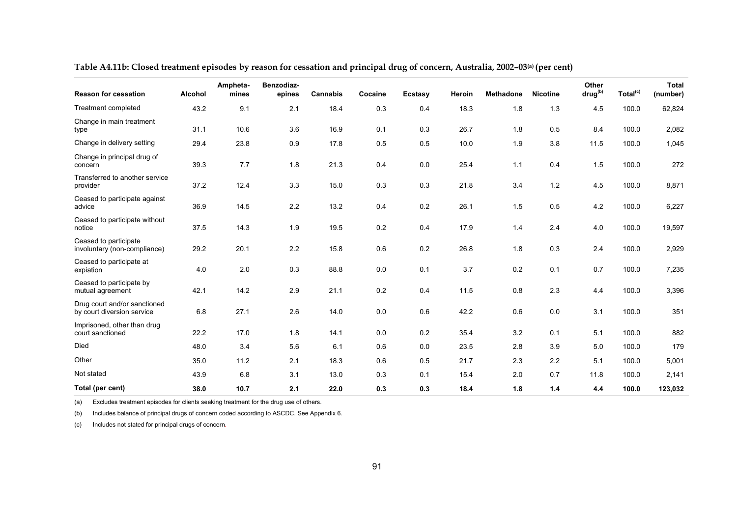| <b>Reason for cessation</b>                                | Alcohol | Ampheta-<br>mines | Benzodiaz-<br>epines | Cannabis | Cocaine | <b>Ecstasy</b> | Heroin | <b>Methadone</b> | <b>Nicotine</b> | Other<br>drug <sup>(b)</sup> | Total <sup>(c)</sup> | <b>Total</b><br>(number) |
|------------------------------------------------------------|---------|-------------------|----------------------|----------|---------|----------------|--------|------------------|-----------------|------------------------------|----------------------|--------------------------|
| Treatment completed                                        | 43.2    | 9.1               | 2.1                  | 18.4     | 0.3     | 0.4            | 18.3   | 1.8              | 1.3             | 4.5                          | 100.0                | 62,824                   |
| Change in main treatment<br>type                           | 31.1    | 10.6              | 3.6                  | 16.9     | 0.1     | 0.3            | 26.7   | 1.8              | 0.5             | 8.4                          | 100.0                | 2,082                    |
| Change in delivery setting                                 | 29.4    | 23.8              | 0.9                  | 17.8     | 0.5     | 0.5            | 10.0   | 1.9              | 3.8             | 11.5                         | 100.0                | 1,045                    |
| Change in principal drug of<br>concern                     | 39.3    | 7.7               | 1.8                  | 21.3     | 0.4     | 0.0            | 25.4   | 1.1              | 0.4             | 1.5                          | 100.0                | 272                      |
| Transferred to another service<br>provider                 | 37.2    | 12.4              | 3.3                  | 15.0     | 0.3     | 0.3            | 21.8   | 3.4              | 1.2             | 4.5                          | 100.0                | 8,871                    |
| Ceased to participate against<br>advice                    | 36.9    | 14.5              | 2.2                  | 13.2     | 0.4     | 0.2            | 26.1   | 1.5              | 0.5             | 4.2                          | 100.0                | 6,227                    |
| Ceased to participate without<br>notice                    | 37.5    | 14.3              | 1.9                  | 19.5     | 0.2     | 0.4            | 17.9   | 1.4              | 2.4             | 4.0                          | 100.0                | 19,597                   |
| Ceased to participate<br>involuntary (non-compliance)      | 29.2    | 20.1              | 2.2                  | 15.8     | 0.6     | 0.2            | 26.8   | 1.8              | 0.3             | 2.4                          | 100.0                | 2,929                    |
| Ceased to participate at<br>expiation                      | 4.0     | 2.0               | 0.3                  | 88.8     | 0.0     | 0.1            | 3.7    | 0.2              | 0.1             | 0.7                          | 100.0                | 7,235                    |
| Ceased to participate by<br>mutual agreement               | 42.1    | 14.2              | 2.9                  | 21.1     | 0.2     | 0.4            | 11.5   | 0.8              | 2.3             | 4.4                          | 100.0                | 3,396                    |
| Drug court and/or sanctioned<br>by court diversion service | 6.8     | 27.1              | 2.6                  | 14.0     | 0.0     | 0.6            | 42.2   | 0.6              | 0.0             | 3.1                          | 100.0                | 351                      |
| Imprisoned, other than drug<br>court sanctioned            | 22.2    | 17.0              | 1.8                  | 14.1     | 0.0     | 0.2            | 35.4   | 3.2              | 0.1             | 5.1                          | 100.0                | 882                      |
| Died                                                       | 48.0    | 3.4               | 5.6                  | 6.1      | 0.6     | 0.0            | 23.5   | 2.8              | 3.9             | 5.0                          | 100.0                | 179                      |
| Other                                                      | 35.0    | 11.2              | 2.1                  | 18.3     | 0.6     | 0.5            | 21.7   | 2.3              | 2.2             | 5.1                          | 100.0                | 5,001                    |
| Not stated                                                 | 43.9    | 6.8               | 3.1                  | 13.0     | 0.3     | 0.1            | 15.4   | 2.0              | 0.7             | 11.8                         | 100.0                | 2,141                    |
| Total (per cent)                                           | 38.0    | 10.7              | 2.1                  | 22.0     | 0.3     | 0.3            | 18.4   | 1.8              | 1.4             | 4.4                          | 100.0                | 123,032                  |

Table A4.11b: Closed treatment episodes by reason for cessation and principal drug of concern, Australia, 2002-03<sup>(a)</sup> (per cent)

(b) Includes balance of principal drugs of concern coded according to ASCDC. See Appendix 6.

(c) Includes not stated for principal drugs of concern*.*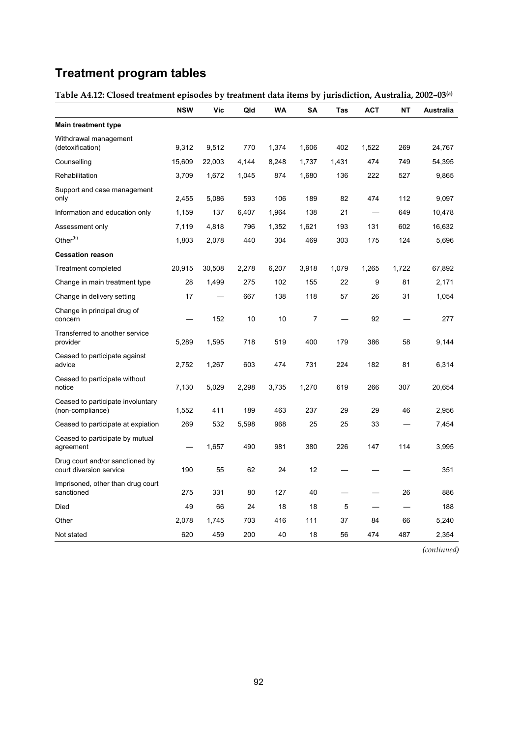# **Treatment program tables**

### **Table A4.12: Closed treatment episodes by treatment data items by jurisdiction, Australia, 2002–03(a)**

|                                                            | <b>NSW</b> | Vic    | Qld   | WA    | SA             | Tas   | <b>ACT</b> | NΤ    | <b>Australia</b> |
|------------------------------------------------------------|------------|--------|-------|-------|----------------|-------|------------|-------|------------------|
| Main treatment type                                        |            |        |       |       |                |       |            |       |                  |
| Withdrawal management<br>(detoxification)                  | 9.312      | 9,512  | 770   | 1,374 | 1,606          | 402   | 1,522      | 269   | 24,767           |
| Counselling                                                | 15,609     | 22,003 | 4,144 | 8,248 | 1,737          | 1,431 | 474        | 749   | 54,395           |
| Rehabilitation                                             | 3,709      | 1,672  | 1,045 | 874   | 1,680          | 136   | 222        | 527   | 9,865            |
| Support and case management<br>only                        | 2,455      | 5,086  | 593   | 106   | 189            | 82    | 474        | 112   | 9,097            |
| Information and education only                             | 1,159      | 137    | 6,407 | 1,964 | 138            | 21    |            | 649   | 10,478           |
| Assessment only                                            | 7,119      | 4,818  | 796   | 1,352 | 1,621          | 193   | 131        | 602   | 16,632           |
| Other $(b)$                                                | 1,803      | 2,078  | 440   | 304   | 469            | 303   | 175        | 124   | 5,696            |
| <b>Cessation reason</b>                                    |            |        |       |       |                |       |            |       |                  |
| Treatment completed                                        | 20,915     | 30,508 | 2,278 | 6,207 | 3,918          | 1,079 | 1,265      | 1,722 | 67,892           |
| Change in main treatment type                              | 28         | 1,499  | 275   | 102   | 155            | 22    | 9          | 81    | 2,171            |
| Change in delivery setting                                 | 17         |        | 667   | 138   | 118            | 57    | 26         | 31    | 1,054            |
| Change in principal drug of<br>concern                     |            | 152    | 10    | 10    | $\overline{7}$ |       | 92         |       | 277              |
| Transferred to another service<br>provider                 | 5,289      | 1,595  | 718   | 519   | 400            | 179   | 386        | 58    | 9,144            |
| Ceased to participate against<br>advice                    | 2,752      | 1,267  | 603   | 474   | 731            | 224   | 182        | 81    | 6,314            |
| Ceased to participate without<br>notice                    | 7,130      | 5,029  | 2,298 | 3,735 | 1,270          | 619   | 266        | 307   | 20,654           |
| Ceased to participate involuntary<br>(non-compliance)      | 1,552      | 411    | 189   | 463   | 237            | 29    | 29         | 46    | 2,956            |
| Ceased to participate at expiation                         | 269        | 532    | 5,598 | 968   | 25             | 25    | 33         |       | 7,454            |
| Ceased to participate by mutual<br>agreement               |            | 1,657  | 490   | 981   | 380            | 226   | 147        | 114   | 3,995            |
| Drug court and/or sanctioned by<br>court diversion service | 190        | 55     | 62    | 24    | 12             |       |            |       | 351              |
| Imprisoned, other than drug court<br>sanctioned            | 275        | 331    | 80    | 127   | 40             |       | —          | 26    | 886              |
| Died                                                       | 49         | 66     | 24    | 18    | 18             | 5     |            |       | 188              |
| Other                                                      | 2,078      | 1,745  | 703   | 416   | 111            | 37    | 84         | 66    | 5,240            |
| Not stated                                                 | 620        | 459    | 200   | 40    | 18             | 56    | 474        | 487   | 2,354            |

*(continued)*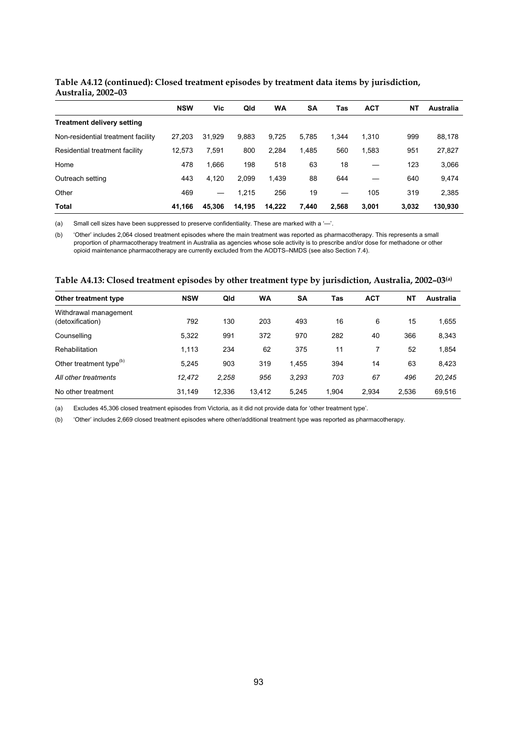#### **Table A4.12 (continued): Closed treatment episodes by treatment data items by jurisdiction, Australia, 2002–03**

|                                    | <b>NSW</b> | Vic    | Qld    | <b>WA</b> | SΑ    | Tas   | <b>ACT</b> | ΝT    | Australia |
|------------------------------------|------------|--------|--------|-----------|-------|-------|------------|-------|-----------|
| <b>Treatment delivery setting</b>  |            |        |        |           |       |       |            |       |           |
| Non-residential treatment facility | 27.203     | 31.929 | 9,883  | 9.725     | 5.785 | 1.344 | 1.310      | 999   | 88,178    |
| Residential treatment facility     | 12.573     | 7.591  | 800    | 2,284     | 1.485 | 560   | 1,583      | 951   | 27,827    |
| Home                               | 478        | 1.666  | 198    | 518       | 63    | 18    |            | 123   | 3,066     |
| Outreach setting                   | 443        | 4.120  | 2.099  | 1,439     | 88    | 644   |            | 640   | 9,474     |
| Other                              | 469        |        | 1.215  | 256       | 19    |       | 105        | 319   | 2,385     |
| <b>Total</b>                       | 41.166     | 45.306 | 14.195 | 14.222    | 7.440 | 2.568 | 3.001      | 3.032 | 130.930   |

(a) Small cell sizes have been suppressed to preserve confidentiality. These are marked with a '—'.

(b) 'Other' includes 2,064 closed treatment episodes where the main treatment was reported as pharmacotherapy. This represents a small proportion of pharmacotherapy treatment in Australia as agencies whose sole activity is to prescribe and/or dose for methadone or other opioid maintenance pharmacotherapy are currently excluded from the AODTS–NMDS (see also Section 7.4).

| Table A4.13: Closed treatment episodes by other treatment type by jurisdiction, Australia, 2002–03ه) |  |  |
|------------------------------------------------------------------------------------------------------|--|--|
|                                                                                                      |  |  |

| Other treatment type                      | <b>NSW</b> | Qld    | WA     | <b>SA</b> | Tas   | <b>ACT</b> | <b>NT</b> | Australia |
|-------------------------------------------|------------|--------|--------|-----------|-------|------------|-----------|-----------|
| Withdrawal management<br>(detoxification) | 792        | 130    | 203    | 493       | 16    | 6          | 15        | 1,655     |
| Counselling                               | 5,322      | 991    | 372    | 970       | 282   | 40         | 366       | 8,343     |
| Rehabilitation                            | 1,113      | 234    | 62     | 375       | 11    | 7          | 52        | 1,854     |
| Other treatment type <sup>(b)</sup>       | 5.245      | 903    | 319    | 1.455     | 394   | 14         | 63        | 8,423     |
| All other treatments                      | 12.472     | 2.258  | 956    | 3,293     | 703   | 67         | 496       | 20,245    |
| No other treatment                        | 31,149     | 12.336 | 13,412 | 5,245     | 1.904 | 2.934      | 2,536     | 69,516    |

(a) Excludes 45,306 closed treatment episodes from Victoria, as it did not provide data for 'other treatment type'.

(b) 'Other' includes 2,669 closed treatment episodes where other/additional treatment type was reported as pharmacotherapy.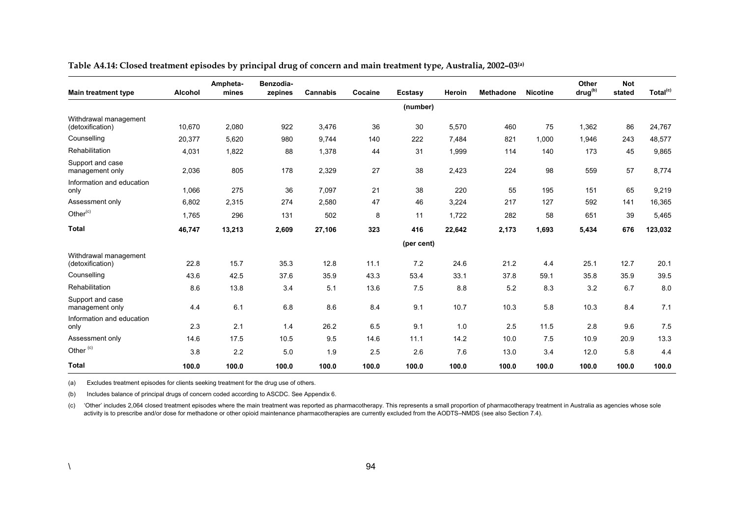| <b>Main treatment type</b>                | <b>Alcohol</b> | Ampheta-<br>mines | Benzodia-<br>zepines | <b>Cannabis</b> | Cocaine | Ecstasy    | Heroin | <b>Methadone</b> | <b>Nicotine</b> | Other<br>drug <sup>(b)</sup> | <b>Not</b><br>stated | Total <sup>(c)</sup> |
|-------------------------------------------|----------------|-------------------|----------------------|-----------------|---------|------------|--------|------------------|-----------------|------------------------------|----------------------|----------------------|
|                                           |                |                   |                      |                 |         | (number)   |        |                  |                 |                              |                      |                      |
| Withdrawal management<br>(detoxification) | 10,670         | 2,080             | 922                  | 3,476           | 36      | 30         | 5,570  | 460              | 75              | 1,362                        | 86                   | 24,767               |
| Counselling                               | 20,377         | 5,620             | 980                  | 9,744           | 140     | 222        | 7,484  | 821              | 1,000           | 1,946                        | 243                  | 48,577               |
| Rehabilitation                            | 4,031          | 1,822             | 88                   | 1,378           | 44      | 31         | 1,999  | 114              | 140             | 173                          | 45                   | 9,865                |
| Support and case<br>management only       | 2,036          | 805               | 178                  | 2,329           | 27      | 38         | 2,423  | 224              | 98              | 559                          | 57                   | 8,774                |
| Information and education<br>only         | 1,066          | 275               | 36                   | 7,097           | 21      | 38         | 220    | 55               | 195             | 151                          | 65                   | 9,219                |
| Assessment only                           | 6,802          | 2,315             | 274                  | 2,580           | 47      | 46         | 3,224  | 217              | 127             | 592                          | 141                  | 16,365               |
| Other <sup>(c)</sup>                      | 1,765          | 296               | 131                  | 502             | 8       | 11         | 1,722  | 282              | 58              | 651                          | 39                   | 5,465                |
| <b>Total</b>                              | 46,747         | 13,213            | 2,609                | 27,106          | 323     | 416        | 22,642 | 2,173            | 1,693           | 5,434                        | 676                  | 123,032              |
|                                           |                |                   |                      |                 |         | (per cent) |        |                  |                 |                              |                      |                      |
| Withdrawal management<br>(detoxification) | 22.8           | 15.7              | 35.3                 | 12.8            | 11.1    | 7.2        | 24.6   | 21.2             | 4.4             | 25.1                         | 12.7                 | 20.1                 |
| Counselling                               | 43.6           | 42.5              | 37.6                 | 35.9            | 43.3    | 53.4       | 33.1   | 37.8             | 59.1            | 35.8                         | 35.9                 | 39.5                 |
| Rehabilitation                            | 8.6            | 13.8              | 3.4                  | 5.1             | 13.6    | 7.5        | 8.8    | 5.2              | 8.3             | 3.2                          | 6.7                  | 8.0                  |
| Support and case<br>management only       | 4.4            | 6.1               | 6.8                  | 8.6             | 8.4     | 9.1        | 10.7   | 10.3             | 5.8             | 10.3                         | 8.4                  | 7.1                  |
| Information and education<br>only         | 2.3            | 2.1               | 1.4                  | 26.2            | 6.5     | 9.1        | 1.0    | 2.5              | 11.5            | 2.8                          | 9.6                  | 7.5                  |
| Assessment only                           | 14.6           | 17.5              | 10.5                 | 9.5             | 14.6    | 11.1       | 14.2   | 10.0             | 7.5             | 10.9                         | 20.9                 | 13.3                 |
| Other <sup>(c)</sup>                      | 3.8            | 2.2               | 5.0                  | 1.9             | 2.5     | 2.6        | 7.6    | 13.0             | 3.4             | 12.0                         | 5.8                  | 4.4                  |
| <b>Total</b>                              | 100.0          | 100.0             | 100.0                | 100.0           | 100.0   | 100.0      | 100.0  | 100.0            | 100.0           | 100.0                        | 100.0                | 100.0                |

**Table A4.14: Closed treatment episodes by principal drug of concern and main treatment type, Australia, 2002–03(a)**

(a) Excludes treatment episodes for clients seeking treatment for the drug use of others.

(b) Includes balance of principal drugs of concern coded according to ASCDC. See Appendix 6.

(c) 'Other' includes 2,064 closed treatment episodes where the main treatment was reported as pharmacotherapy. This represents a small proportion of pharmacotherapy treatment in Australia as agencies whose sole activity is to prescribe and/or dose for methadone or other opioid maintenance pharmacotherapies are currently excluded from the AODTS–NMDS (see also Section 7.4).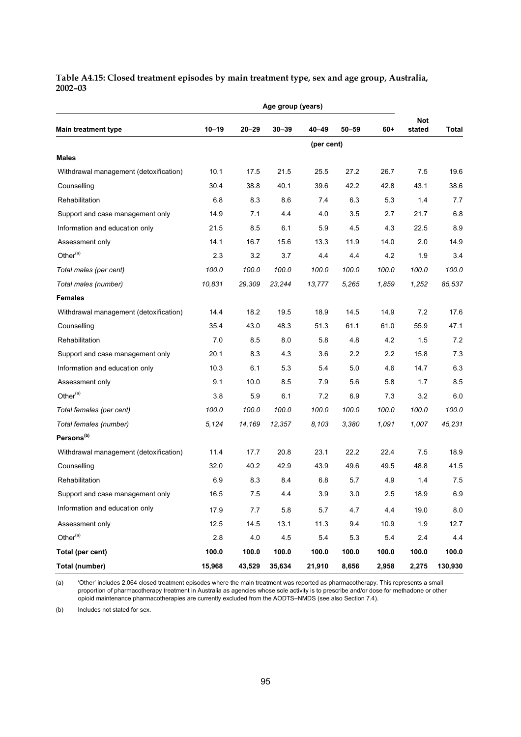#### **Table A4.15: Closed treatment episodes by main treatment type, sex and age group, Australia, 2002–03**

| <b>Main treatment type</b>             | $10 - 19$ | $20 - 29$ | $30 - 39$ | $40 - 49$  | $50 - 59$ | $60+$ | <b>Not</b><br>stated | <b>Total</b> |
|----------------------------------------|-----------|-----------|-----------|------------|-----------|-------|----------------------|--------------|
|                                        |           |           |           | (per cent) |           |       |                      |              |
| <b>Males</b>                           |           |           |           |            |           |       |                      |              |
| Withdrawal management (detoxification) | 10.1      | 17.5      | 21.5      | 25.5       | 27.2      | 26.7  | 7.5                  | 19.6         |
| Counselling                            | 30.4      | 38.8      | 40.1      | 39.6       | 42.2      | 42.8  | 43.1                 | 38.6         |
| Rehabilitation                         | 6.8       | 8.3       | 8.6       | 7.4        | 6.3       | 5.3   | 1.4                  | 7.7          |
| Support and case management only       | 14.9      | 7.1       | 4.4       | 4.0        | 3.5       | 2.7   | 21.7                 | 6.8          |
| Information and education only         | 21.5      | 8.5       | 6.1       | 5.9        | 4.5       | 4.3   | 22.5                 | 8.9          |
| Assessment only                        | 14.1      | 16.7      | 15.6      | 13.3       | 11.9      | 14.0  | 2.0                  | 14.9         |
| Other <sup>(a)</sup>                   | 2.3       | 3.2       | 3.7       | 4.4        | 4.4       | 4.2   | 1.9                  | 3.4          |
| Total males (per cent)                 | 100.0     | 100.0     | 100.0     | 100.0      | 100.0     | 100.0 | 100.0                | 100.0        |
| Total males (number)                   | 10,831    | 29,309    | 23,244    | 13,777     | 5,265     | 1,859 | 1,252                | 85,537       |
| <b>Females</b>                         |           |           |           |            |           |       |                      |              |
| Withdrawal management (detoxification) | 14.4      | 18.2      | 19.5      | 18.9       | 14.5      | 14.9  | 7.2                  | 17.6         |
| Counselling                            | 35.4      | 43.0      | 48.3      | 51.3       | 61.1      | 61.0  | 55.9                 | 47.1         |
| Rehabilitation                         | 7.0       | 8.5       | 8.0       | 5.8        | 4.8       | 4.2   | 1.5                  | 7.2          |
| Support and case management only       | 20.1      | 8.3       | 4.3       | 3.6        | 2.2       | 2.2   | 15.8                 | 7.3          |
| Information and education only         | 10.3      | 6.1       | 5.3       | 5.4        | 5.0       | 4.6   | 14.7                 | 6.3          |
| Assessment only                        | 9.1       | 10.0      | 8.5       | 7.9        | 5.6       | 5.8   | 1.7                  | 8.5          |
| Other $(a)$                            | 3.8       | 5.9       | 6.1       | 7.2        | 6.9       | 73    | 3.2                  | 6.0          |
| Total females (per cent)               | 100.0     | 100.0     | 100.0     | 100.0      | 100.0     | 100.0 | 100.0                | 100.0        |
| Total females (number)                 | 5,124     | 14,169    | 12,357    | 8,103      | 3,380     | 1,091 | 1,007                | 45,231       |
| Persons <sup>(b)</sup>                 |           |           |           |            |           |       |                      |              |
| Withdrawal management (detoxification) | 11.4      | 17.7      | 20.8      | 23.1       | 22.2      | 22.4  | 7.5                  | 18.9         |
| Counselling                            | 32.0      | 40.2      | 42.9      | 43.9       | 49.6      | 49.5  | 48.8                 | 41.5         |
| Rehabilitation                         | 6.9       | 8.3       | 8.4       | 6.8        | 5.7       | 4.9   | 1.4                  | 7.5          |
| Support and case management only       | 16.5      | 7.5       | 4.4       | 3.9        | $3.0\,$   | 2.5   | 18.9                 | 6.9          |
| Information and education only         | 17.9      | 7.7       | 5.8       | 5.7        | 4.7       | 4.4   | 19.0                 | 8.0          |
| Assessment only                        | 12.5      | 14.5      | 13.1      | 11.3       | 9.4       | 10.9  | 1.9                  | 12.7         |
| Other <sup>(a)</sup>                   | 2.8       | 4.0       | 4.5       | 5.4        | 5.3       | 5.4   | $2.4\,$              | 4.4          |
| Total (per cent)                       | 100.0     | 100.0     | 100.0     | 100.0      | 100.0     | 100.0 | 100.0                | 100.0        |
| Total (number)                         | 15,968    | 43,529    | 35,634    | 21,910     | 8,656     | 2,958 | 2,275                | 130,930      |

(a) 'Other' includes 2,064 closed treatment episodes where the main treatment was reported as pharmacotherapy. This represents a small proportion of pharmacotherapy treatment in Australia as agencies whose sole activity is to prescribe and/or dose for methadone or other opioid maintenance pharmacotherapies are currently excluded from the AODTS–NMDS (see also Section 7.4).

(b) Includes not stated for sex.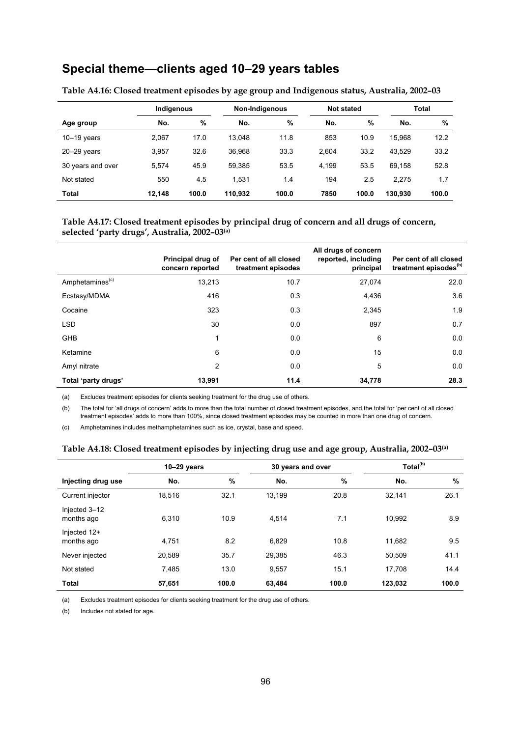# **Special theme—clients aged 10–29 years tables**

|                   | Indigenous |       |         | Non-Indigenous | <b>Not stated</b> |       |         | Total |
|-------------------|------------|-------|---------|----------------|-------------------|-------|---------|-------|
| Age group         | No.        | %     | No.     | %              | No.               | %     | No.     | %     |
| $10-19$ years     | 2,067      | 17.0  | 13.048  | 11.8           | 853               | 10.9  | 15.968  | 12.2  |
| $20 - 29$ years   | 3,957      | 32.6  | 36.968  | 33.3           | 2.604             | 33.2  | 43.529  | 33.2  |
| 30 years and over | 5.574      | 45.9  | 59,385  | 53.5           | 4.199             | 53.5  | 69,158  | 52.8  |
| Not stated        | 550        | 4.5   | 1.531   | 1.4            | 194               | 2.5   | 2.275   | 1.7   |
| Total             | 12.148     | 100.0 | 110.932 | 100.0          | 7850              | 100.0 | 130.930 | 100.0 |

**Table A4.16: Closed treatment episodes by age group and Indigenous status, Australia, 2002–03**

#### **Table A4.17: Closed treatment episodes by principal drug of concern and all drugs of concern, selected 'party drugs', Australia, 2002–03(a)**

|                             | Principal drug of<br>concern reported | Per cent of all closed<br>treatment episodes | All drugs of concern<br>reported, including<br>principal | Per cent of all closed<br>treatment episodes <sup>(b)</sup> |
|-----------------------------|---------------------------------------|----------------------------------------------|----------------------------------------------------------|-------------------------------------------------------------|
| Amphetamines <sup>(c)</sup> | 13,213                                | 10.7                                         | 27,074                                                   | 22.0                                                        |
| Ecstasy/MDMA                | 416                                   | 0.3                                          | 4,436                                                    | 3.6                                                         |
| Cocaine                     | 323                                   | 0.3                                          | 2,345                                                    | 1.9                                                         |
| <b>LSD</b>                  | 30                                    | 0.0                                          | 897                                                      | 0.7                                                         |
| <b>GHB</b>                  | 1                                     | 0.0                                          | 6                                                        | 0.0                                                         |
| Ketamine                    | 6                                     | 0.0                                          | 15                                                       | 0.0                                                         |
| Amyl nitrate                | 2                                     | 0.0                                          | 5                                                        | 0.0                                                         |
| Total 'party drugs'         | 13,991                                | 11.4                                         | 34,778                                                   | 28.3                                                        |

(a) Excludes treatment episodes for clients seeking treatment for the drug use of others.

(b) The total for 'all drugs of concern' adds to more than the total number of closed treatment episodes, and the total for 'per cent of all closed treatment episodes' adds to more than 100%, since closed treatment episodes may be counted in more than one drug of concern.

(c) Amphetamines includes methamphetamines such as ice, crystal, base and speed.

#### **Table A4.18: Closed treatment episodes by injecting drug use and age group, Australia, 2002–03(a)**

|                             | $10-29$ years |       | 30 years and over |       | Total <sup>(b)</sup> |       |
|-----------------------------|---------------|-------|-------------------|-------|----------------------|-------|
| Injecting drug use          | No.           | $\%$  | No.               | %     | No.                  | $\%$  |
| Current injector            | 18,516        | 32.1  | 13.199            | 20.8  | 32,141               | 26.1  |
| Injected 3-12<br>months ago | 6.310         | 10.9  | 4.514             | 7.1   | 10.992               | 8.9   |
| Injected 12+<br>months ago  | 4,751         | 8.2   | 6.829             | 10.8  | 11.682               | 9.5   |
| Never injected              | 20,589        | 35.7  | 29,385            | 46.3  | 50,509               | 41.1  |
| Not stated                  | 7,485         | 13.0  | 9,557             | 15.1  | 17,708               | 14.4  |
| <b>Total</b>                | 57,651        | 100.0 | 63.484            | 100.0 | 123.032              | 100.0 |

(a) Excludes treatment episodes for clients seeking treatment for the drug use of others.

(b) Includes not stated for age.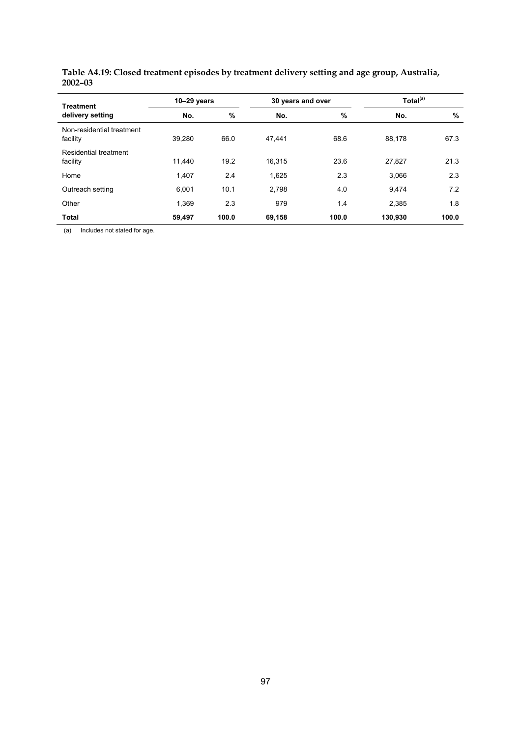| <b>Treatment</b>                      | $10-29$ years |       | 30 years and over |       | Total <sup>(a)</sup> |               |  |
|---------------------------------------|---------------|-------|-------------------|-------|----------------------|---------------|--|
| delivery setting                      | No.           | %     | No.               | %     | No.                  | $\frac{0}{0}$ |  |
| Non-residential treatment<br>facility | 39.280        | 66.0  | 47,441            | 68.6  | 88,178               | 67.3          |  |
| Residential treatment<br>facility     | 11.440        | 19.2  | 16.315            | 23.6  | 27,827               | 21.3          |  |
| Home                                  | 1,407         | 2.4   | 1,625             | 2.3   | 3.066                | 2.3           |  |
| Outreach setting                      | 6,001         | 10.1  | 2,798             | 4.0   | 9,474                | 7.2           |  |
| Other                                 | 1.369         | 2.3   | 979               | 1.4   | 2.385                | 1.8           |  |
| <b>Total</b>                          | 59,497        | 100.0 | 69,158            | 100.0 | 130,930              | 100.0         |  |

**Table A4.19: Closed treatment episodes by treatment delivery setting and age group, Australia, 2002–03** 

(a) Includes not stated for age.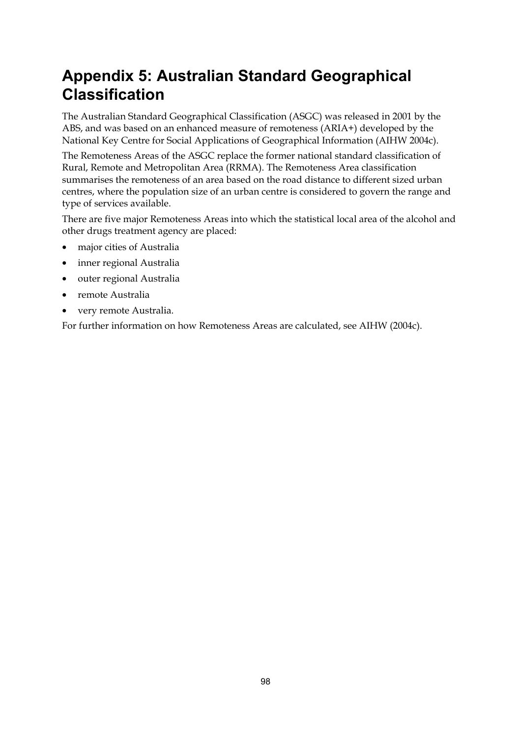# **Appendix 5: Australian Standard Geographical Classification**

The Australian Standard Geographical Classification (ASGC) was released in 2001 by the ABS, and was based on an enhanced measure of remoteness (ARIA+) developed by the National Key Centre for Social Applications of Geographical Information (AIHW 2004c).

The Remoteness Areas of the ASGC replace the former national standard classification of Rural, Remote and Metropolitan Area (RRMA). The Remoteness Area classification summarises the remoteness of an area based on the road distance to different sized urban centres, where the population size of an urban centre is considered to govern the range and type of services available.

There are five major Remoteness Areas into which the statistical local area of the alcohol and other drugs treatment agency are placed:

- major cities of Australia
- inner regional Australia
- outer regional Australia
- remote Australia
- very remote Australia.

For further information on how Remoteness Areas are calculated, see AIHW (2004c).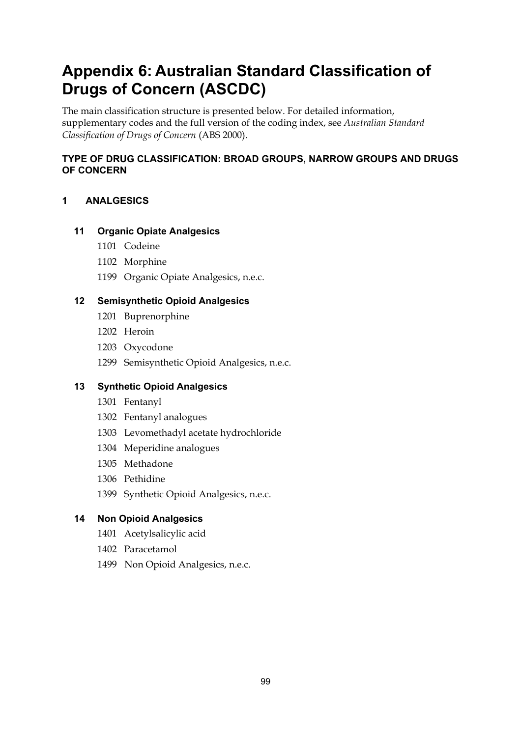# **Appendix 6: Australian Standard Classification of Drugs of Concern (ASCDC)**

The main classification structure is presented below. For detailed information, supplementary codes and the full version of the coding index, see *Australian Standard Classification of Drugs of Concern* (ABS 2000).

# **TYPE OF DRUG CLASSIFICATION: BROAD GROUPS, NARROW GROUPS AND DRUGS OF CONCERN**

# **1 ANALGESICS**

# **11 Organic Opiate Analgesics**

- 1101 Codeine
- 1102 Morphine
- 1199 Organic Opiate Analgesics, n.e.c.

# **12 Semisynthetic Opioid Analgesics**

- 1201 Buprenorphine
- 1202 Heroin
- 1203 Oxycodone
- 1299 Semisynthetic Opioid Analgesics, n.e.c.

# **13 Synthetic Opioid Analgesics**

- 1301 Fentanyl
- 1302 Fentanyl analogues
- 1303 Levomethadyl acetate hydrochloride
- 1304 Meperidine analogues
- 1305 Methadone
- 1306 Pethidine
- 1399 Synthetic Opioid Analgesics, n.e.c.

# **14 Non Opioid Analgesics**

- 1401 Acetylsalicylic acid
- 1402 Paracetamol
- 1499 Non Opioid Analgesics, n.e.c.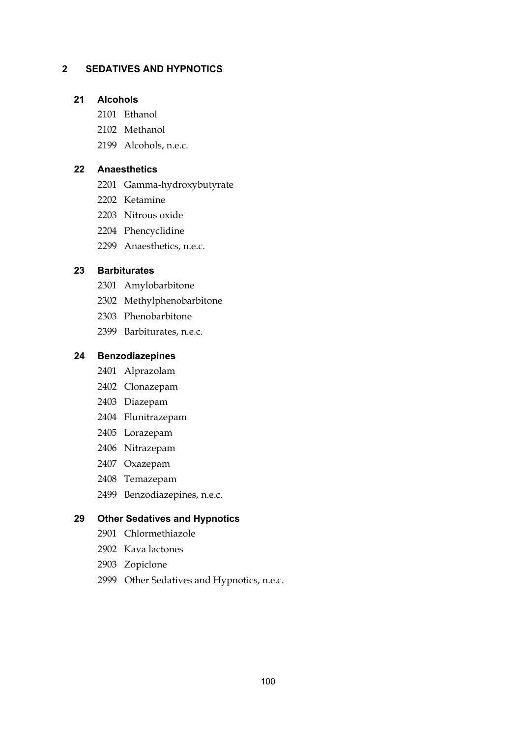#### **2 SEDATIVES AND HYPNOTICS**

#### **21 Alcohols**

- 2101 Ethanol
- 2102 Methanol
- 2199 Alcohols, n.e.c.

#### **22 Anaesthetics**

- 2201 Gamma-hydroxybutyrate
- 2202 Ketamine
- 2203 Nitrous oxide
- 2204 Phencyclidine
- 2299 Anaesthetics, n.e.c.

#### **23 Barbiturates**

- 2301 Amylobarbitone
- 2302 Methylphenobarbitone
- 2303 Phenobarbitone
- 2399 Barbiturates, n.e.c.

#### **24 Benzodiazepines**

- 2401 Alprazolam
- 2402 Clonazepam
- 2403 Diazepam
- 2404 Flunitrazepam
- 2405 Lorazepam
- 2406 Nitrazepam
- 2407 Oxazepam
- 2408 Temazepam
- 2499 Benzodiazepines, n.e.c.

#### **29 Other Sedatives and Hypnotics**

- 2901 Chlormethiazole
- 2902 Kava lactones
- 2903 Zopiclone
- 2999 Other Sedatives and Hypnotics, n.e.c.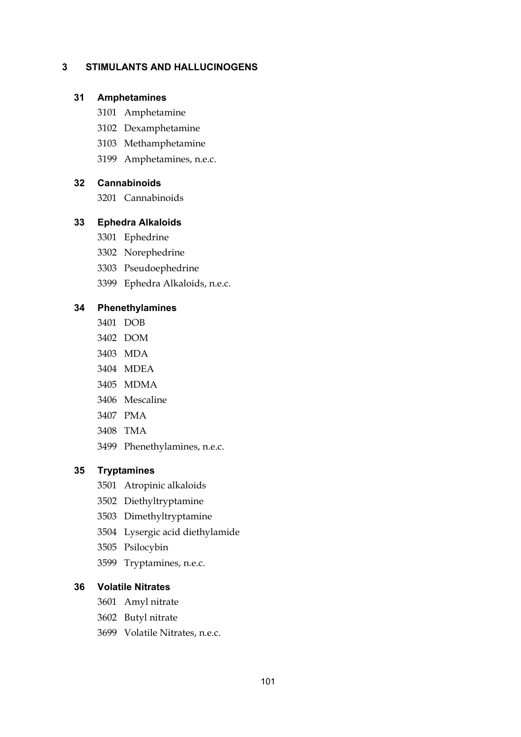## **3 STIMULANTS AND HALLUCINOGENS**

#### **31 Amphetamines**

- 3101 Amphetamine
- 3102 Dexamphetamine
- 3103 Methamphetamine
- 3199 Amphetamines, n.e.c.

#### **32 Cannabinoids**

3201 Cannabinoids

#### **33 Ephedra Alkaloids**

- 3301 Ephedrine
- 3302 Norephedrine
- 3303 Pseudoephedrine
- 3399 Ephedra Alkaloids, n.e.c.

#### **34 Phenethylamines**

- 3401 DOB
- 3402 DOM
- 3403 MDA
- 3404 MDEA
- 3405 MDMA
- 3406 Mescaline
- 3407 PMA
- 3408 TMA
- 3499 Phenethylamines, n.e.c.

#### **35 Tryptamines**

- 3501 Atropinic alkaloids
- 3502 Diethyltryptamine
- 3503 Dimethyltryptamine
- 3504 Lysergic acid diethylamide
- 3505 Psilocybin
- 3599 Tryptamines, n.e.c.

#### **36 Volatile Nitrates**

- 3601 Amyl nitrate
- 3602 Butyl nitrate
- 3699 Volatile Nitrates, n.e.c.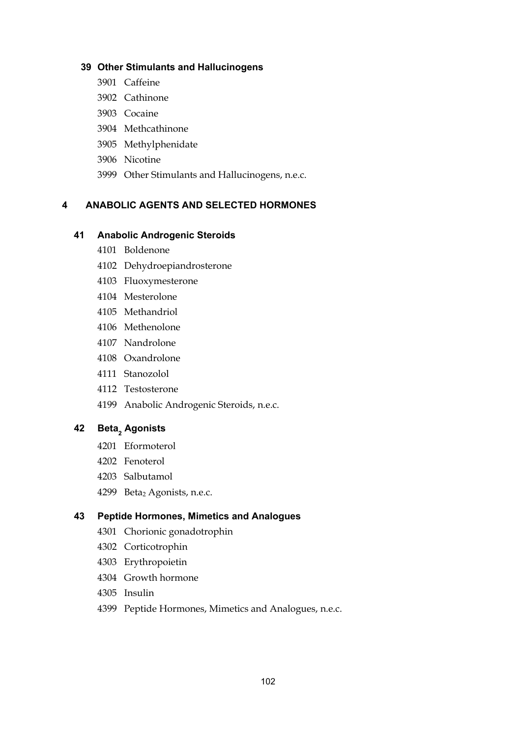#### **39 Other Stimulants and Hallucinogens**

- 3901 Caffeine
- 3902 Cathinone
- 3903 Cocaine
- 3904 Methcathinone
- 3905 Methylphenidate
- 3906 Nicotine
- 3999 Other Stimulants and Hallucinogens, n.e.c.

## **4 ANABOLIC AGENTS AND SELECTED HORMONES**

#### **41 Anabolic Androgenic Steroids**

- 4101 Boldenone
- 4102 Dehydroepiandrosterone
- 4103 Fluoxymesterone
- 4104 Mesterolone
- 4105 Methandriol
- 4106 Methenolone
- 4107 Nandrolone
- 4108 Oxandrolone
- 4111 Stanozolol
- 4112 Testosterone
- 4199 Anabolic Androgenic Steroids, n.e.c.

# 42 Beta<sub>2</sub> Agonists

- 4201 Eformoterol
- 4202 Fenoterol
- 4203 Salbutamol
- 4299 Beta<sub>2</sub> Agonists, n.e.c.

#### **43 Peptide Hormones, Mimetics and Analogues**

- 4301 Chorionic gonadotrophin
- 4302 Corticotrophin
- 4303 Erythropoietin
- 4304 Growth hormone
- 4305 Insulin
- 4399 Peptide Hormones, Mimetics and Analogues, n.e.c.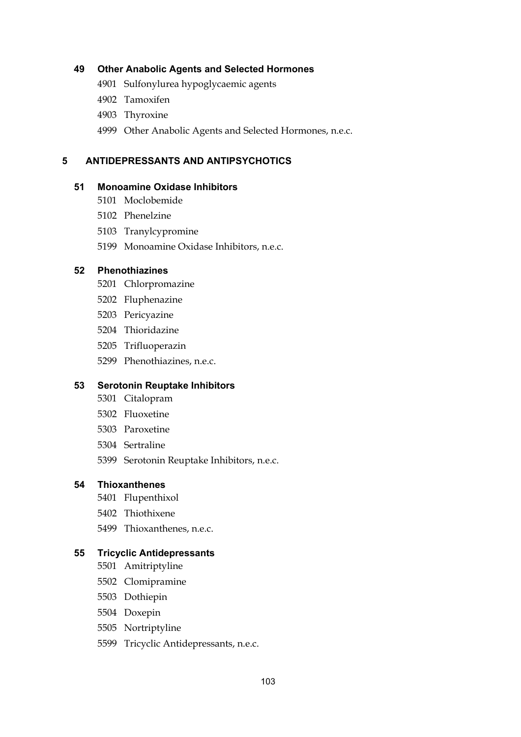#### **49 Other Anabolic Agents and Selected Hormones**

- 4901 Sulfonylurea hypoglycaemic agents
- 4902 Tamoxifen
- 4903 Thyroxine
- 4999 Other Anabolic Agents and Selected Hormones, n.e.c.

#### **5 ANTIDEPRESSANTS AND ANTIPSYCHOTICS**

#### **51 Monoamine Oxidase Inhibitors**

- 5101 Moclobemide
- 5102 Phenelzine
- 5103 Tranylcypromine
- 5199 Monoamine Oxidase Inhibitors, n.e.c.

#### **52 Phenothiazines**

- 5201 Chlorpromazine
- 5202 Fluphenazine
- 5203 Pericyazine
- 5204 Thioridazine
- 5205 Trifluoperazin
- 5299 Phenothiazines, n.e.c.

#### **53 Serotonin Reuptake Inhibitors**

- 5301 Citalopram
- 5302 Fluoxetine
- 5303 Paroxetine
- 5304 Sertraline
- 5399 Serotonin Reuptake Inhibitors, n.e.c.

#### **54 Thioxanthenes**

- 5401 Flupenthixol
- 5402 Thiothixene
- 5499 Thioxanthenes, n.e.c.

#### **55 Tricyclic Antidepressants**

- 5501 Amitriptyline
- 5502 Clomipramine
- 5503 Dothiepin
- 5504 Doxepin
- 5505 Nortriptyline
- 5599 Tricyclic Antidepressants, n.e.c.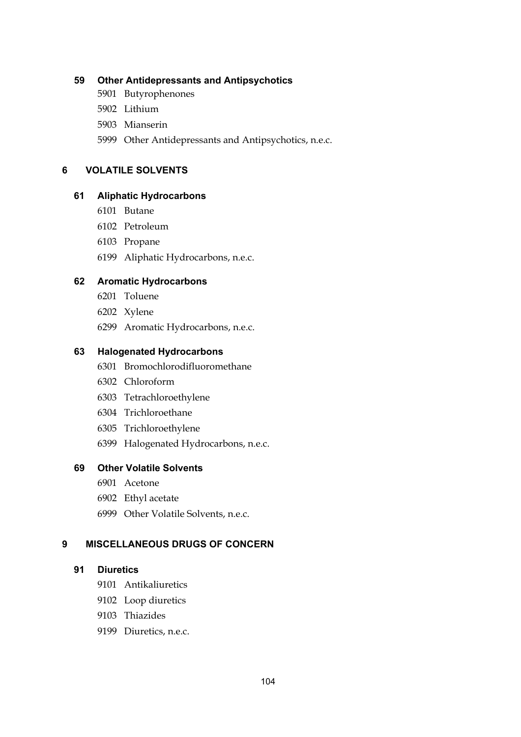#### **59 Other Antidepressants and Antipsychotics**

- 5901 Butyrophenones
- 5902 Lithium
- 5903 Mianserin
- 5999 Other Antidepressants and Antipsychotics, n.e.c.

#### **6 VOLATILE SOLVENTS**

#### **61 Aliphatic Hydrocarbons**

- 6101 Butane
- 6102 Petroleum
- 6103 Propane
- 6199 Aliphatic Hydrocarbons, n.e.c.

#### **62 Aromatic Hydrocarbons**

- 6201 Toluene
- 6202 Xylene
- 6299 Aromatic Hydrocarbons, n.e.c.

#### **63 Halogenated Hydrocarbons**

- 6301 Bromochlorodifluoromethane
- 6302 Chloroform
- 6303 Tetrachloroethylene
- 6304 Trichloroethane
- 6305 Trichloroethylene
- 6399 Halogenated Hydrocarbons, n.e.c.

#### **69 Other Volatile Solvents**

- 6901 Acetone
- 6902 Ethyl acetate
- 6999 Other Volatile Solvents, n.e.c.

## **9 MISCELLANEOUS DRUGS OF CONCERN**

#### **91 Diuretics**

- 9101 Antikaliuretics
- 9102 Loop diuretics
- 9103 Thiazides
- 9199 Diuretics, n.e.c.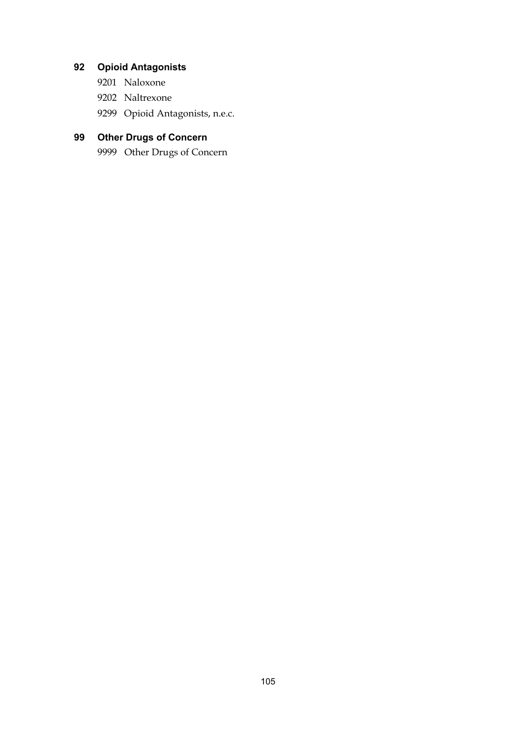# **92 Opioid Antagonists**

- 9201 Naloxone
- 9202 Naltrexone
- 9299 Opioid Antagonists, n.e.c.

# **99 Other Drugs of Concern**

9999 Other Drugs of Concern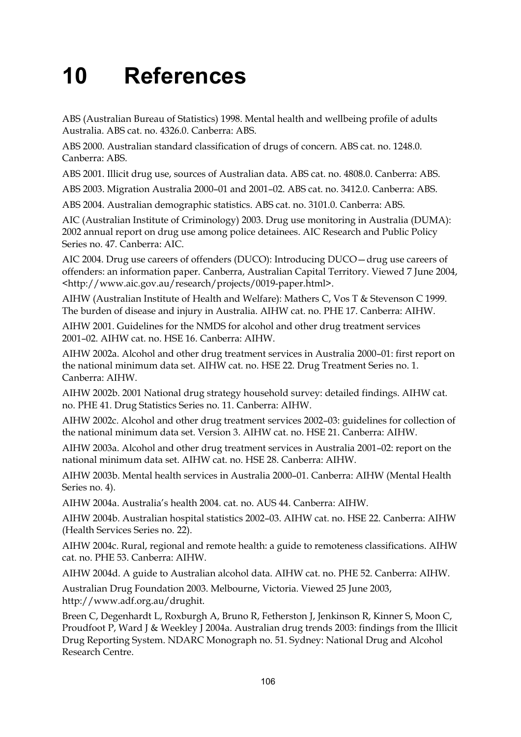# **10 References**

ABS (Australian Bureau of Statistics) 1998. Mental health and wellbeing profile of adults Australia. ABS cat. no. 4326.0. Canberra: ABS.

ABS 2000. Australian standard classification of drugs of concern. ABS cat. no. 1248.0. Canberra: ABS.

ABS 2001. Illicit drug use, sources of Australian data. ABS cat. no. 4808.0. Canberra: ABS.

ABS 2003. Migration Australia 2000–01 and 2001–02. ABS cat. no. 3412.0. Canberra: ABS.

ABS 2004. Australian demographic statistics. ABS cat. no. 3101.0. Canberra: ABS.

AIC (Australian Institute of Criminology) 2003. Drug use monitoring in Australia (DUMA): 2002 annual report on drug use among police detainees. AIC Research and Public Policy Series no. 47. Canberra: AIC.

AIC 2004. Drug use careers of offenders (DUCO): Introducing DUCO—drug use careers of offenders: an information paper. Canberra, Australian Capital Territory. Viewed 7 June 2004, <http://www.aic.gov.au/research/projects/0019-paper.html>.

AIHW (Australian Institute of Health and Welfare): Mathers C, Vos T & Stevenson C 1999. The burden of disease and injury in Australia. AIHW cat. no. PHE 17. Canberra: AIHW.

AIHW 2001. Guidelines for the NMDS for alcohol and other drug treatment services 2001–02. AIHW cat. no. HSE 16. Canberra: AIHW.

AIHW 2002a. Alcohol and other drug treatment services in Australia 2000–01: first report on the national minimum data set. AIHW cat. no. HSE 22. Drug Treatment Series no. 1. Canberra: AIHW.

AIHW 2002b. 2001 National drug strategy household survey: detailed findings. AIHW cat. no. PHE 41. Drug Statistics Series no. 11. Canberra: AIHW.

AIHW 2002c. Alcohol and other drug treatment services 2002–03: guidelines for collection of the national minimum data set. Version 3. AIHW cat. no. HSE 21. Canberra: AIHW.

AIHW 2003a. Alcohol and other drug treatment services in Australia 2001–02: report on the national minimum data set. AIHW cat. no. HSE 28. Canberra: AIHW.

AIHW 2003b. Mental health services in Australia 2000–01. Canberra: AIHW (Mental Health Series no. 4).

AIHW 2004a. Australia's health 2004. cat. no. AUS 44. Canberra: AIHW.

AIHW 2004b. Australian hospital statistics 2002–03. AIHW cat. no. HSE 22. Canberra: AIHW (Health Services Series no. 22).

AIHW 2004c. Rural, regional and remote health: a guide to remoteness classifications. AIHW cat. no. PHE 53. Canberra: AIHW.

AIHW 2004d. A guide to Australian alcohol data. AIHW cat. no. PHE 52. Canberra: AIHW.

Australian Drug Foundation 2003. Melbourne, Victoria. Viewed 25 June 2003, http://www.adf.org.au/drughit.

Breen C, Degenhardt L, Roxburgh A, Bruno R, Fetherston J, Jenkinson R, Kinner S, Moon C, Proudfoot P, Ward J & Weekley J 2004a. Australian drug trends 2003: findings from the Illicit Drug Reporting System. NDARC Monograph no. 51. Sydney: National Drug and Alcohol Research Centre.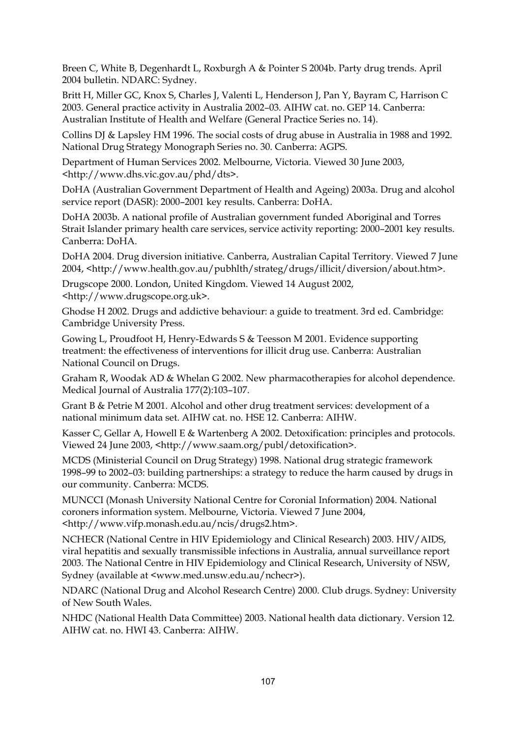Breen C, White B, Degenhardt L, Roxburgh A & Pointer S 2004b. Party drug trends. April 2004 bulletin. NDARC: Sydney.

Britt H, Miller GC, Knox S, Charles J, Valenti L, Henderson J, Pan Y, Bayram C, Harrison C 2003. General practice activity in Australia 2002–03*.* AIHW cat. no. GEP 14. Canberra: Australian Institute of Health and Welfare (General Practice Series no. 14).

Collins DJ & Lapsley HM 1996. The social costs of drug abuse in Australia in 1988 and 1992. National Drug Strategy Monograph Series no. 30. Canberra: AGPS.

Department of Human Services 2002. Melbourne, Victoria. Viewed 30 June 2003, <http://www.dhs.vic.gov.au/phd/dts>.

DoHA (Australian Government Department of Health and Ageing) 2003a. Drug and alcohol service report (DASR): 2000–2001 key results. Canberra: DoHA.

DoHA 2003b. A national profile of Australian government funded Aboriginal and Torres Strait Islander primary health care services, service activity reporting: 2000–2001 key results. Canberra: DoHA.

DoHA 2004. Drug diversion initiative. Canberra, Australian Capital Territory. Viewed 7 June 2004, <http://www.health.gov.au/pubhlth/strateg/drugs/illicit/diversion/about.htm>.

Drugscope 2000. London, United Kingdom. Viewed 14 August 2002, <http://www.drugscope.org.uk>.

Ghodse H 2002. Drugs and addictive behaviour: a guide to treatment. 3rd ed. Cambridge: Cambridge University Press.

Gowing L, Proudfoot H, Henry-Edwards S & Teesson M 2001. Evidence supporting treatment: the effectiveness of interventions for illicit drug use. Canberra: Australian National Council on Drugs.

Graham R, Woodak AD & Whelan G 2002. New pharmacotherapies for alcohol dependence. Medical Journal of Australia 177(2):103–107.

Grant B & Petrie M 2001. Alcohol and other drug treatment services: development of a national minimum data set. AIHW cat. no. HSE 12. Canberra: AIHW.

Kasser C, Gellar A, Howell E & Wartenberg A 2002. Detoxification: principles and protocols. Viewed 24 June 2003, <http://www.saam.org/publ/detoxification>.

MCDS (Ministerial Council on Drug Strategy) 1998. National drug strategic framework 1998–99 to 2002–03: building partnerships: a strategy to reduce the harm caused by drugs in our community. Canberra: MCDS.

MUNCCI (Monash University National Centre for Coronial Information) 2004. National coroners information system. Melbourne, Victoria. Viewed 7 June 2004, <http://www.vifp.monash.edu.au/ncis/drugs2.htm>.

NCHECR (National Centre in HIV Epidemiology and Clinical Research) 2003. HIV/AIDS, viral hepatitis and sexually transmissible infections in Australia, annual surveillance report 2003. The National Centre in HIV Epidemiology and Clinical Research, University of NSW, Sydney (available at <www.med.unsw.edu.au/nchecr>).

NDARC (National Drug and Alcohol Research Centre) 2000. Club drugs. Sydney: University of New South Wales.

NHDC (National Health Data Committee) 2003. National health data dictionary. Version 12. AIHW cat. no. HWI 43. Canberra: AIHW.